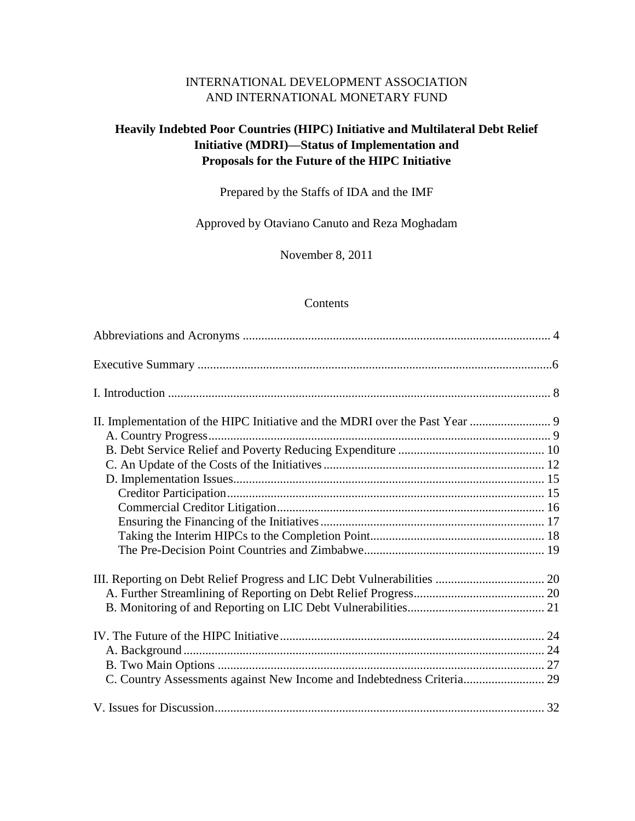# INTERNATIONAL DEVELOPMENT ASSOCIATION AND INTERNATIONAL MONETARY FUND

# **Heavily Indebted Poor Countries (HIPC) Initiative and Multilateral Debt Relief Initiative (MDRI)—Status of Implementation and Proposals for the Future of the HIPC Initiative**

Prepared by the Staffs of IDA and the IMF

Approved by Otaviano Canuto and Reza Moghadam

November 8, 2011

### Contents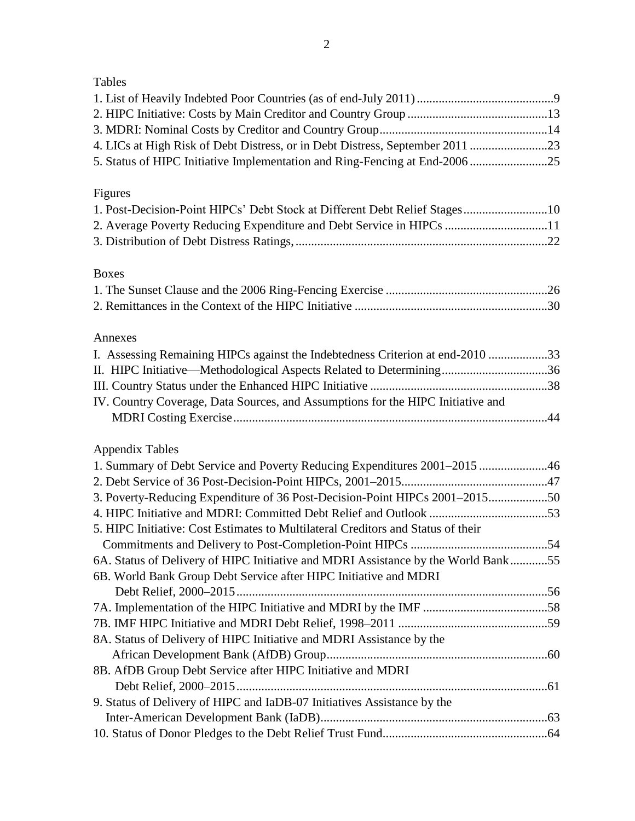Tables

| 5. Status of HIPC Initiative Implementation and Ring-Fencing at End-200625     |
|--------------------------------------------------------------------------------|
| Figures                                                                        |
| 1. Post-Decision-Point HIPCs' Debt Stock at Different Debt Relief Stages10     |
| 2. Average Poverty Reducing Expenditure and Debt Service in HIPCs 11           |
|                                                                                |
| <b>Boxes</b>                                                                   |
|                                                                                |
|                                                                                |
| Annexes                                                                        |
| I. Assessing Remaining HIPCs against the Indebtedness Criterion at end-2010 33 |

| 1. Assessing Kennanning Tim Cs against the indebtedness Criterion at end-2010   |  |
|---------------------------------------------------------------------------------|--|
| II. HIPC Initiative—Methodological Aspects Related to Determining36             |  |
|                                                                                 |  |
| IV. Country Coverage, Data Sources, and Assumptions for the HIPC Initiative and |  |
|                                                                                 |  |
|                                                                                 |  |

# Appendix Tables

| 1. Summary of Debt Service and Poverty Reducing Expenditures 2001–2015 46         |  |
|-----------------------------------------------------------------------------------|--|
|                                                                                   |  |
| 3. Poverty-Reducing Expenditure of 36 Post-Decision-Point HIPCs 2001-201550       |  |
|                                                                                   |  |
| 5. HIPC Initiative: Cost Estimates to Multilateral Creditors and Status of their  |  |
|                                                                                   |  |
| 6A. Status of Delivery of HIPC Initiative and MDRI Assistance by the World Bank55 |  |
| 6B. World Bank Group Debt Service after HIPC Initiative and MDRI                  |  |
|                                                                                   |  |
|                                                                                   |  |
|                                                                                   |  |
| 8A. Status of Delivery of HIPC Initiative and MDRI Assistance by the              |  |
|                                                                                   |  |
| 8B. AfDB Group Debt Service after HIPC Initiative and MDRI                        |  |
|                                                                                   |  |
| 9. Status of Delivery of HIPC and IaDB-07 Initiatives Assistance by the           |  |
|                                                                                   |  |
|                                                                                   |  |
|                                                                                   |  |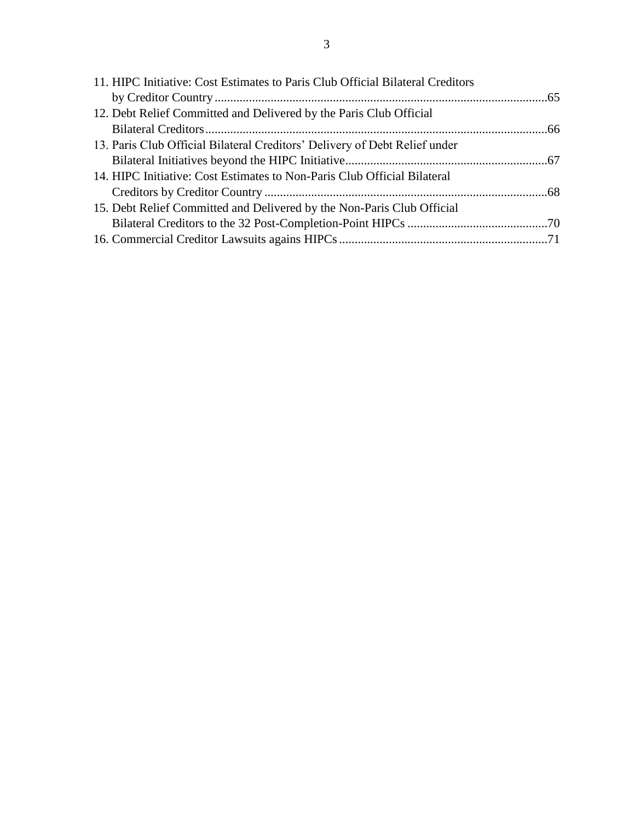| 11. HIPC Initiative: Cost Estimates to Paris Club Official Bilateral Creditors |  |
|--------------------------------------------------------------------------------|--|
|                                                                                |  |
| 12. Debt Relief Committed and Delivered by the Paris Club Official             |  |
|                                                                                |  |
| 13. Paris Club Official Bilateral Creditors' Delivery of Debt Relief under     |  |
|                                                                                |  |
| 14. HIPC Initiative: Cost Estimates to Non-Paris Club Official Bilateral       |  |
|                                                                                |  |
| 15. Debt Relief Committed and Delivered by the Non-Paris Club Official         |  |
|                                                                                |  |
|                                                                                |  |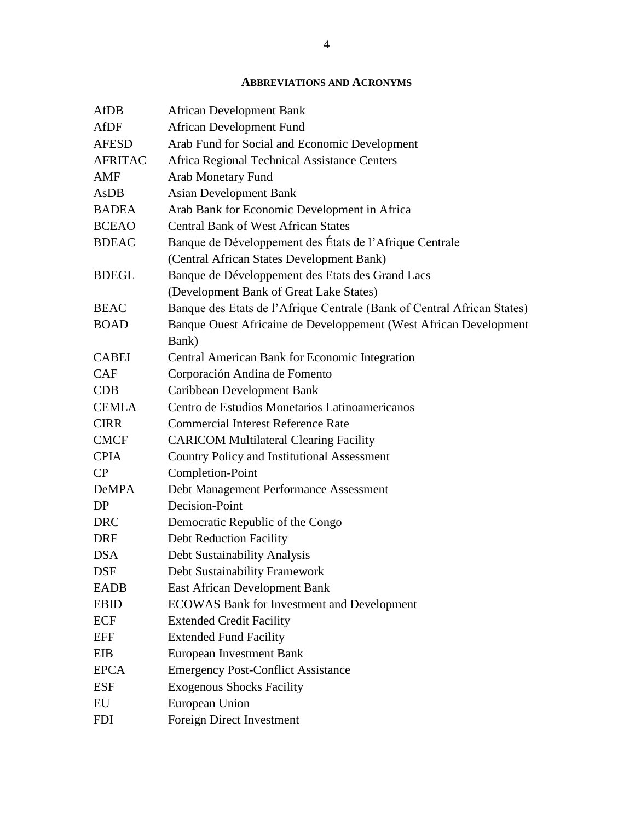# **ABBREVIATIONS AND ACRONYMS**

<span id="page-3-0"></span>

| <b>AfDB</b>    | <b>African Development Bank</b>                                         |
|----------------|-------------------------------------------------------------------------|
| AfDF           | African Development Fund                                                |
| <b>AFESD</b>   | Arab Fund for Social and Economic Development                           |
| <b>AFRITAC</b> | Africa Regional Technical Assistance Centers                            |
| AMF            | Arab Monetary Fund                                                      |
| AsDB           | <b>Asian Development Bank</b>                                           |
| <b>BADEA</b>   | Arab Bank for Economic Development in Africa                            |
| <b>BCEAO</b>   | <b>Central Bank of West African States</b>                              |
| <b>BDEAC</b>   | Banque de Développement des États de l'Afrique Centrale                 |
|                | (Central African States Development Bank)                               |
| <b>BDEGL</b>   | Banque de Développement des Etats des Grand Lacs                        |
|                | (Development Bank of Great Lake States)                                 |
| <b>BEAC</b>    | Banque des Etats de l'Afrique Centrale (Bank of Central African States) |
| <b>BOAD</b>    | Banque Ouest Africaine de Developpement (West African Development       |
|                | Bank)                                                                   |
| <b>CABEI</b>   | <b>Central American Bank for Economic Integration</b>                   |
| <b>CAF</b>     | Corporación Andina de Fomento                                           |
| <b>CDB</b>     | Caribbean Development Bank                                              |
| <b>CEMLA</b>   | Centro de Estudios Monetarios Latinoamericanos                          |
| <b>CIRR</b>    | <b>Commercial Interest Reference Rate</b>                               |
| <b>CMCF</b>    | <b>CARICOM Multilateral Clearing Facility</b>                           |
| <b>CPIA</b>    | <b>Country Policy and Institutional Assessment</b>                      |
| CP             | Completion-Point                                                        |
| <b>DeMPA</b>   | Debt Management Performance Assessment                                  |
| DP             | Decision-Point                                                          |
| <b>DRC</b>     | Democratic Republic of the Congo                                        |
| <b>DRF</b>     | <b>Debt Reduction Facility</b>                                          |
| <b>DSA</b>     | Debt Sustainability Analysis                                            |
| <b>DSF</b>     | Debt Sustainability Framework                                           |
| <b>EADB</b>    | <b>East African Development Bank</b>                                    |
| <b>EBID</b>    | <b>ECOWAS Bank for Investment and Development</b>                       |
| <b>ECF</b>     | <b>Extended Credit Facility</b>                                         |
| <b>EFF</b>     | <b>Extended Fund Facility</b>                                           |
| EIB            | <b>European Investment Bank</b>                                         |
| <b>EPCA</b>    | <b>Emergency Post-Conflict Assistance</b>                               |
| <b>ESF</b>     | <b>Exogenous Shocks Facility</b>                                        |
| EU             | European Union                                                          |
| <b>FDI</b>     | Foreign Direct Investment                                               |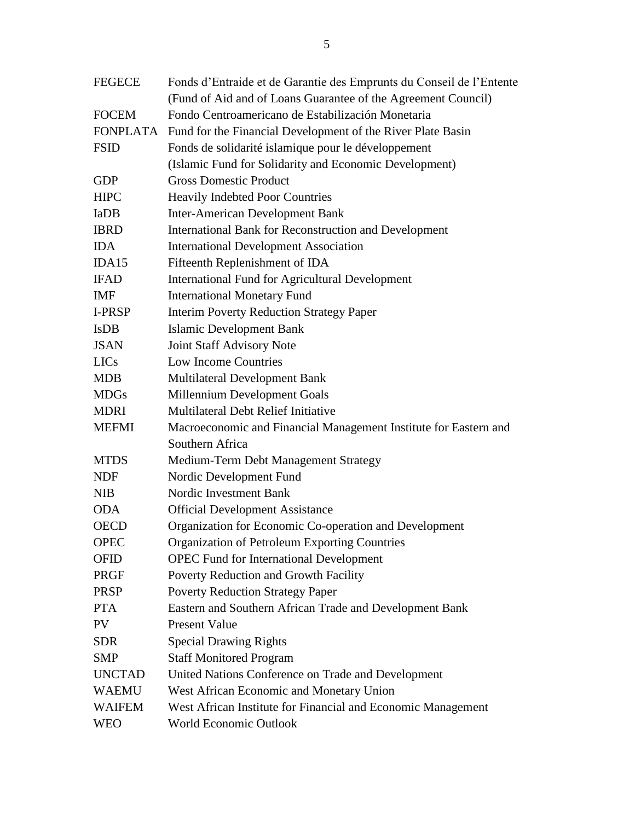| <b>FEGECE</b>   | Fonds d'Entraide et de Garantie des Emprunts du Conseil de l'Entente |
|-----------------|----------------------------------------------------------------------|
|                 | (Fund of Aid and of Loans Guarantee of the Agreement Council)        |
| <b>FOCEM</b>    | Fondo Centroamericano de Estabilización Monetaria                    |
| <b>FONPLATA</b> | Fund for the Financial Development of the River Plate Basin          |
| <b>FSID</b>     | Fonds de solidarité islamique pour le développement                  |
|                 | (Islamic Fund for Solidarity and Economic Development)               |
| <b>GDP</b>      | <b>Gross Domestic Product</b>                                        |
| <b>HIPC</b>     | <b>Heavily Indebted Poor Countries</b>                               |
| IaDB            | <b>Inter-American Development Bank</b>                               |
| <b>IBRD</b>     | International Bank for Reconstruction and Development                |
| <b>IDA</b>      | <b>International Development Association</b>                         |
| IDA15           | Fifteenth Replenishment of IDA                                       |
| <b>IFAD</b>     | <b>International Fund for Agricultural Development</b>               |
| <b>IMF</b>      | <b>International Monetary Fund</b>                                   |
| I-PRSP          | <b>Interim Poverty Reduction Strategy Paper</b>                      |
| <b>IsDB</b>     | <b>Islamic Development Bank</b>                                      |
| <b>JSAN</b>     | Joint Staff Advisory Note                                            |
| <b>LICs</b>     | <b>Low Income Countries</b>                                          |
| <b>MDB</b>      | Multilateral Development Bank                                        |
| <b>MDGs</b>     | Millennium Development Goals                                         |
| <b>MDRI</b>     | <b>Multilateral Debt Relief Initiative</b>                           |
| <b>MEFMI</b>    | Macroeconomic and Financial Management Institute for Eastern and     |
|                 | Southern Africa                                                      |
| <b>MTDS</b>     | Medium-Term Debt Management Strategy                                 |
| <b>NDF</b>      | Nordic Development Fund                                              |
| <b>NIB</b>      | <b>Nordic Investment Bank</b>                                        |
| <b>ODA</b>      | <b>Official Development Assistance</b>                               |
| <b>OECD</b>     | Organization for Economic Co-operation and Development               |
| <b>OPEC</b>     | Organization of Petroleum Exporting Countries                        |
| <b>OFID</b>     | <b>OPEC Fund for International Development</b>                       |
| PRGF            | Poverty Reduction and Growth Facility                                |
| <b>PRSP</b>     | <b>Poverty Reduction Strategy Paper</b>                              |
| <b>PTA</b>      | Eastern and Southern African Trade and Development Bank              |
| <b>PV</b>       | <b>Present Value</b>                                                 |
| <b>SDR</b>      | <b>Special Drawing Rights</b>                                        |
| <b>SMP</b>      | <b>Staff Monitored Program</b>                                       |
| <b>UNCTAD</b>   | United Nations Conference on Trade and Development                   |
| <b>WAEMU</b>    | West African Economic and Monetary Union                             |
| <b>WAIFEM</b>   | West African Institute for Financial and Economic Management         |
| <b>WEO</b>      | World Economic Outlook                                               |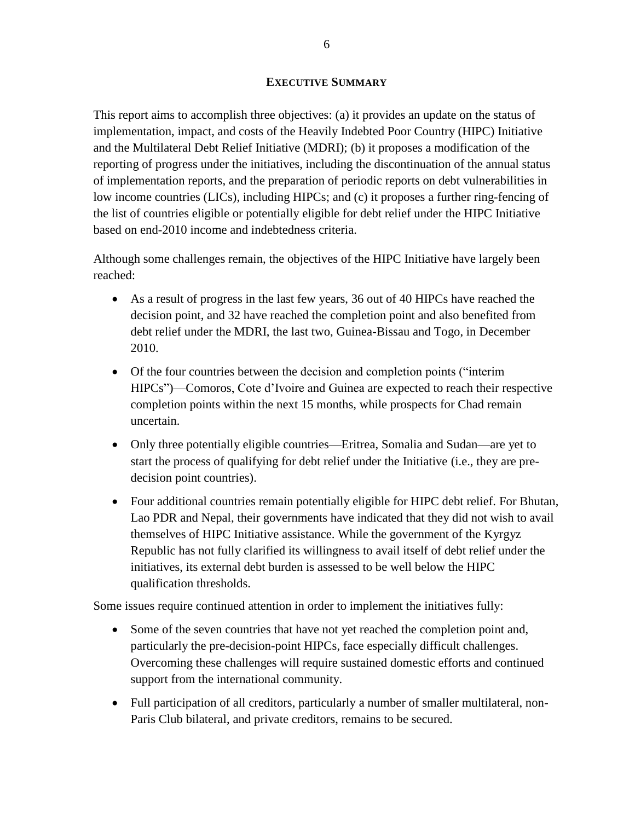#### **EXECUTIVE SUMMARY**

This report aims to accomplish three objectives: (a) it provides an update on the status of implementation, impact, and costs of the Heavily Indebted Poor Country (HIPC) Initiative and the Multilateral Debt Relief Initiative (MDRI); (b) it proposes a modification of the reporting of progress under the initiatives, including the discontinuation of the annual status of implementation reports, and the preparation of periodic reports on debt vulnerabilities in low income countries (LICs), including HIPCs; and (c) it proposes a further ring-fencing of the list of countries eligible or potentially eligible for debt relief under the HIPC Initiative based on end-2010 income and indebtedness criteria.

Although some challenges remain, the objectives of the HIPC Initiative have largely been reached:

- As a result of progress in the last few years, 36 out of 40 HIPCs have reached the decision point, and 32 have reached the completion point and also benefited from debt relief under the MDRI, the last two, Guinea-Bissau and Togo, in December 2010.
- Of the four countries between the decision and completion points ("interiment HIPCs‖)—Comoros, Cote d'Ivoire and Guinea are expected to reach their respective completion points within the next 15 months, while prospects for Chad remain uncertain.
- Only three potentially eligible countries—Eritrea, Somalia and Sudan—are yet to start the process of qualifying for debt relief under the Initiative (i.e., they are predecision point countries).
- Four additional countries remain potentially eligible for HIPC debt relief. For Bhutan, Lao PDR and Nepal, their governments have indicated that they did not wish to avail themselves of HIPC Initiative assistance. While the government of the Kyrgyz Republic has not fully clarified its willingness to avail itself of debt relief under the initiatives, its external debt burden is assessed to be well below the HIPC qualification thresholds.

Some issues require continued attention in order to implement the initiatives fully:

- Some of the seven countries that have not yet reached the completion point and, particularly the pre-decision-point HIPCs, face especially difficult challenges. Overcoming these challenges will require sustained domestic efforts and continued support from the international community.
- Full participation of all creditors, particularly a number of smaller multilateral, non-Paris Club bilateral, and private creditors, remains to be secured.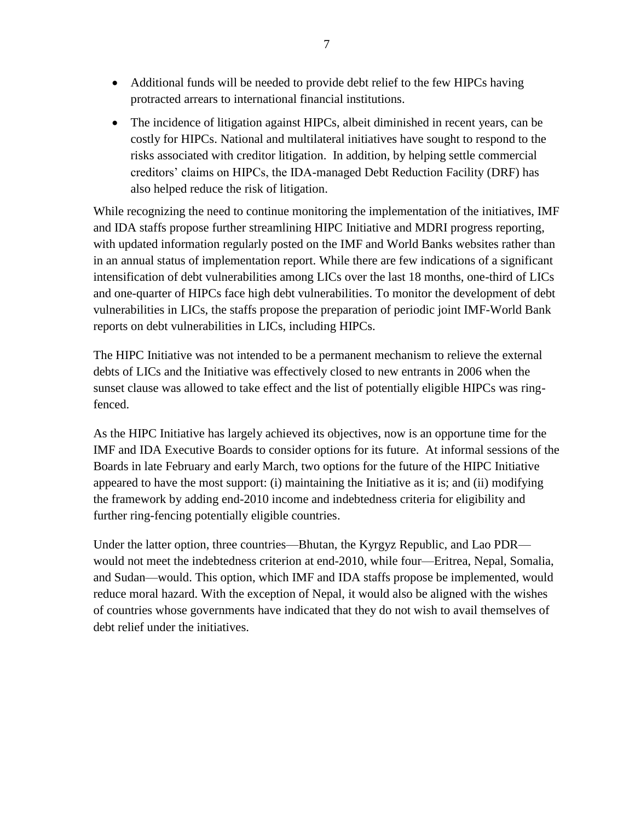- Additional funds will be needed to provide debt relief to the few HIPCs having protracted arrears to international financial institutions.
- The incidence of litigation against HIPCs, albeit diminished in recent years, can be costly for HIPCs. National and multilateral initiatives have sought to respond to the risks associated with creditor litigation. In addition, by helping settle commercial creditors' claims on HIPCs, the IDA-managed Debt Reduction Facility (DRF) has also helped reduce the risk of litigation.

While recognizing the need to continue monitoring the implementation of the initiatives, IMF and IDA staffs propose further streamlining HIPC Initiative and MDRI progress reporting, with updated information regularly posted on the IMF and World Banks websites rather than in an annual status of implementation report. While there are few indications of a significant intensification of debt vulnerabilities among LICs over the last 18 months, one-third of LICs and one-quarter of HIPCs face high debt vulnerabilities. To monitor the development of debt vulnerabilities in LICs, the staffs propose the preparation of periodic joint IMF-World Bank reports on debt vulnerabilities in LICs, including HIPCs.

The HIPC Initiative was not intended to be a permanent mechanism to relieve the external debts of LICs and the Initiative was effectively closed to new entrants in 2006 when the sunset clause was allowed to take effect and the list of potentially eligible HIPCs was ringfenced.

As the HIPC Initiative has largely achieved its objectives, now is an opportune time for the IMF and IDA Executive Boards to consider options for its future. At informal sessions of the Boards in late February and early March, two options for the future of the HIPC Initiative appeared to have the most support: (i) maintaining the Initiative as it is; and (ii) modifying the framework by adding end-2010 income and indebtedness criteria for eligibility and further ring-fencing potentially eligible countries.

Under the latter option, three countries—Bhutan, the Kyrgyz Republic, and Lao PDR would not meet the indebtedness criterion at end-2010, while four—Eritrea, Nepal, Somalia, and Sudan—would. This option, which IMF and IDA staffs propose be implemented, would reduce moral hazard. With the exception of Nepal, it would also be aligned with the wishes of countries whose governments have indicated that they do not wish to avail themselves of debt relief under the initiatives.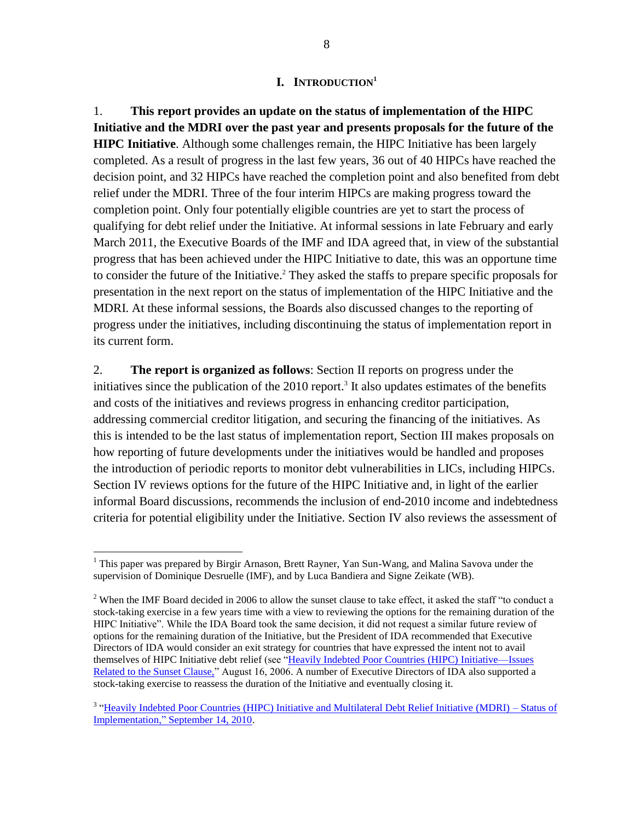#### **I. INTRODUCTION<sup>1</sup>**

<span id="page-7-0"></span>1. **This report provides an update on the status of implementation of the HIPC Initiative and the MDRI over the past year and presents proposals for the future of the HIPC Initiative**. Although some challenges remain, the HIPC Initiative has been largely completed. As a result of progress in the last few years, 36 out of 40 HIPCs have reached the decision point, and 32 HIPCs have reached the completion point and also benefited from debt relief under the MDRI. Three of the four interim HIPCs are making progress toward the completion point. Only four potentially eligible countries are yet to start the process of qualifying for debt relief under the Initiative. At informal sessions in late February and early March 2011, the Executive Boards of the IMF and IDA agreed that, in view of the substantial progress that has been achieved under the HIPC Initiative to date, this was an opportune time to consider the future of the Initiative.<sup>2</sup> They asked the staffs to prepare specific proposals for presentation in the next report on the status of implementation of the HIPC Initiative and the MDRI. At these informal sessions, the Boards also discussed changes to the reporting of progress under the initiatives, including discontinuing the status of implementation report in its current form.

2. **The report is organized as follows**: Section II reports on progress under the initiatives since the publication of the 2010 report. 3 It also updates estimates of the benefits and costs of the initiatives and reviews progress in enhancing creditor participation, addressing commercial creditor litigation, and securing the financing of the initiatives. As this is intended to be the last status of implementation report, Section III makes proposals on how reporting of future developments under the initiatives would be handled and proposes the introduction of periodic reports to monitor debt vulnerabilities in LICs, including HIPCs. Section IV reviews options for the future of the HIPC Initiative and, in light of the earlier informal Board discussions, recommends the inclusion of end-2010 income and indebtedness criteria for potential eligibility under the Initiative. Section IV also reviews the assessment of

<sup>&</sup>lt;sup>1</sup> This paper was prepared by Birgir Arnason, Brett Rayner, Yan Sun-Wang, and Malina Savova under the supervision of Dominique Desruelle (IMF), and by Luca Bandiera and Signe Zeikate (WB).

 $2$  When the IMF Board decided in 2006 to allow the sunset clause to take effect, it asked the staff "to conduct a stock-taking exercise in a few years time with a view to reviewing the options for the remaining duration of the HIPC Initiative". While the IDA Board took the same decision, it did not request a similar future review of options for the remaining duration of the Initiative, but the President of IDA recommended that Executive Directors of IDA would consider an exit strategy for countries that have expressed the intent not to avail themselves of HIPC Initiative debt relief (see "Heavily Indebted Poor Countries (HIPC) Initiative—Issues Related to the Sunset Clause," August 16, 2006. A number of Executive Directors of IDA also supported a stock-taking exercise to reassess the duration of the Initiative and eventually closing it.

<sup>&</sup>lt;sup>3</sup> "Heavily Indebted Poor Countries (HIPC) Initiative and Multilateral Debt Relief Initiative (MDRI) – Status of Implementation," [September 14, 2010.](http://www.imf.org/external/pp/longres.aspx?id=4481)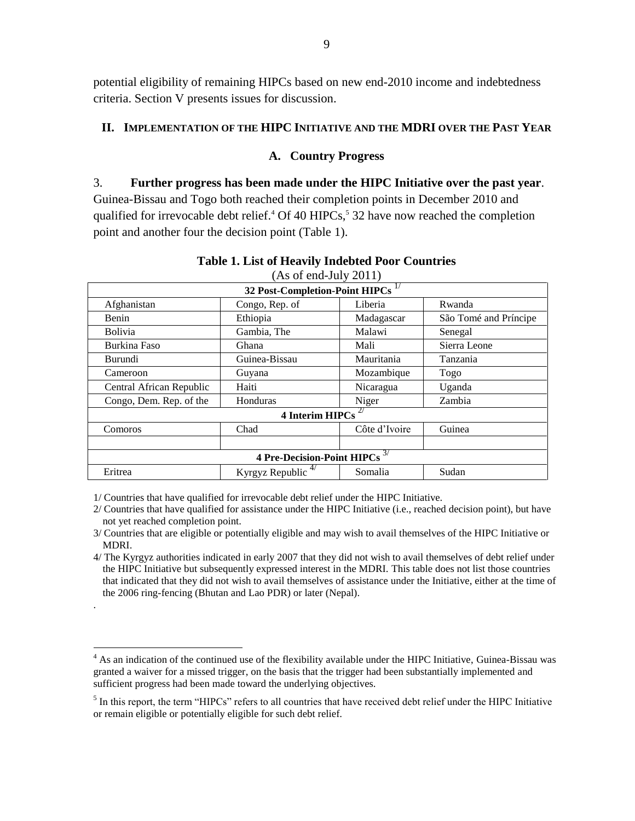potential eligibility of remaining HIPCs based on new end-2010 income and indebtedness criteria. Section V presents issues for discussion.

### <span id="page-8-0"></span>**II. IMPLEMENTATION OF THE HIPC INITIATIVE AND THE MDRI OVER THE PAST YEAR**

#### **A. Country Progress**

#### <span id="page-8-1"></span>3. **Further progress has been made under the HIPC Initiative over the past year**.

Guinea-Bissau and Togo both reached their completion points in December 2010 and qualified for irrevocable debt relief.<sup>4</sup> Of 40 HIPCs,<sup>5</sup> 32 have now reached the completion point and another four the decision point (Table 1).

| $(AB \cup L)$ chu-jury $2011$<br>32 Post-Completion-Point HIPCs <sup>1/</sup> |                         |               |                       |  |
|-------------------------------------------------------------------------------|-------------------------|---------------|-----------------------|--|
|                                                                               |                         |               |                       |  |
| Afghanistan<br>Congo, Rep. of                                                 |                         | Liberia       | Rwanda                |  |
| Benin                                                                         | Ethiopia                | Madagascar    | São Tomé and Príncipe |  |
| <b>Bolivia</b>                                                                | Gambia, The             | Malawi        | Senegal               |  |
| Burkina Faso                                                                  | Ghana                   | Mali          | Sierra Leone          |  |
| Burundi                                                                       | Guinea-Bissau           | Mauritania    | Tanzania              |  |
| Cameroon                                                                      | Guyana                  | Mozambique    | Togo                  |  |
| Central African Republic                                                      | Haiti                   | Nicaragua     | Uganda                |  |
| Congo, Dem. Rep. of the                                                       | Honduras                | Niger         | Zambia                |  |
|                                                                               | 4 Interim HIPCs $^{27}$ |               |                       |  |
| Comoros                                                                       | Chad                    | Côte d'Ivoire | Guinea                |  |
|                                                                               |                         |               |                       |  |
| 4 Pre-Decision-Point HIPCs <sup>3/</sup>                                      |                         |               |                       |  |
| Eritrea                                                                       | Kyrgyz Republic         | Somalia       | Sudan                 |  |

#### **Table 1. List of Heavily Indebted Poor Countries**  $(As$  of end-July 2011)

1/ Countries that have qualified for irrevocable debt relief under the HIPC Initiative.

.

<sup>2/</sup> Countries that have qualified for assistance under the HIPC Initiative (i.e., reached decision point), but have not yet reached completion point.

<sup>3/</sup> Countries that are eligible or potentially eligible and may wish to avail themselves of the HIPC Initiative or MDRI.

<sup>4/</sup> The Kyrgyz authorities indicated in early 2007 that they did not wish to avail themselves of debt relief under the HIPC Initiative but subsequently expressed interest in the MDRI. This table does not list those countries that indicated that they did not wish to avail themselves of assistance under the Initiative, either at the time of the 2006 ring-fencing (Bhutan and Lao PDR) or later (Nepal).

<sup>&</sup>lt;sup>4</sup> As an indication of the continued use of the flexibility available under the HIPC Initiative, Guinea-Bissau was granted a waiver for a missed trigger, on the basis that the trigger had been substantially implemented and sufficient progress had been made toward the underlying objectives.

 $<sup>5</sup>$  In this report, the term "HIPCs" refers to all countries that have received debt relief under the HIPC Initiative</sup> or remain eligible or potentially eligible for such debt relief.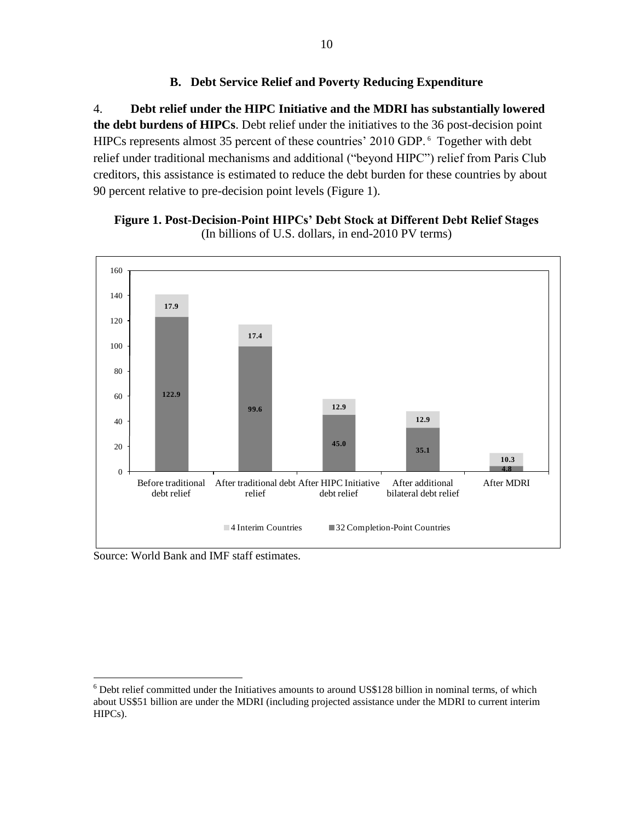# **B. Debt Service Relief and Poverty Reducing Expenditure**

<span id="page-9-0"></span>4. **Debt relief under the HIPC Initiative and the MDRI has substantially lowered the debt burdens of HIPCs**. Debt relief under the initiatives to the 36 post-decision point HIPCs represents almost 35 percent of these countries' 2010 GDP. <sup>6</sup> Together with debt relief under traditional mechanisms and additional ("beyond HIPC") relief from Paris Club creditors, this assistance is estimated to reduce the debt burden for these countries by about 90 percent relative to pre-decision point levels (Figure 1).





Source: World Bank and IMF staff estimates.

 $6$  Debt relief committed under the Initiatives amounts to around US\$128 billion in nominal terms, of which about US\$51 billion are under the MDRI (including projected assistance under the MDRI to current interim HIPCs).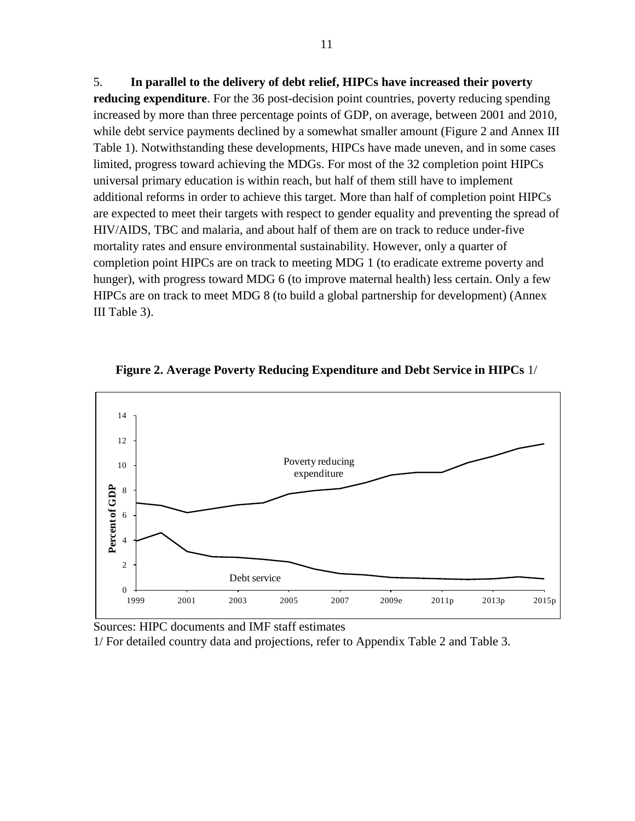5. **In parallel to the delivery of debt relief, HIPCs have increased their poverty reducing expenditure**. For the 36 post-decision point countries, poverty reducing spending increased by more than three percentage points of GDP, on average, between 2001 and 2010, while debt service payments declined by a somewhat smaller amount (Figure 2 and Annex III Table 1). Notwithstanding these developments, HIPCs have made uneven, and in some cases limited, progress toward achieving the MDGs. For most of the 32 completion point HIPCs universal primary education is within reach, but half of them still have to implement additional reforms in order to achieve this target. More than half of completion point HIPCs are expected to meet their targets with respect to gender equality and preventing the spread of HIV/AIDS, TBC and malaria, and about half of them are on track to reduce under-five mortality rates and ensure environmental sustainability. However, only a quarter of completion point HIPCs are on track to meeting MDG 1 (to eradicate extreme poverty and hunger), with progress toward MDG 6 (to improve maternal health) less certain. Only a few HIPCs are on track to meet MDG 8 (to build a global partnership for development) (Annex III Table 3).



**Figure 2. Average Poverty Reducing Expenditure and Debt Service in HIPCs** 1/

Sources: HIPC documents and IMF staff estimates 1/ For detailed country data and projections, refer to Appendix Table 2 and Table 3.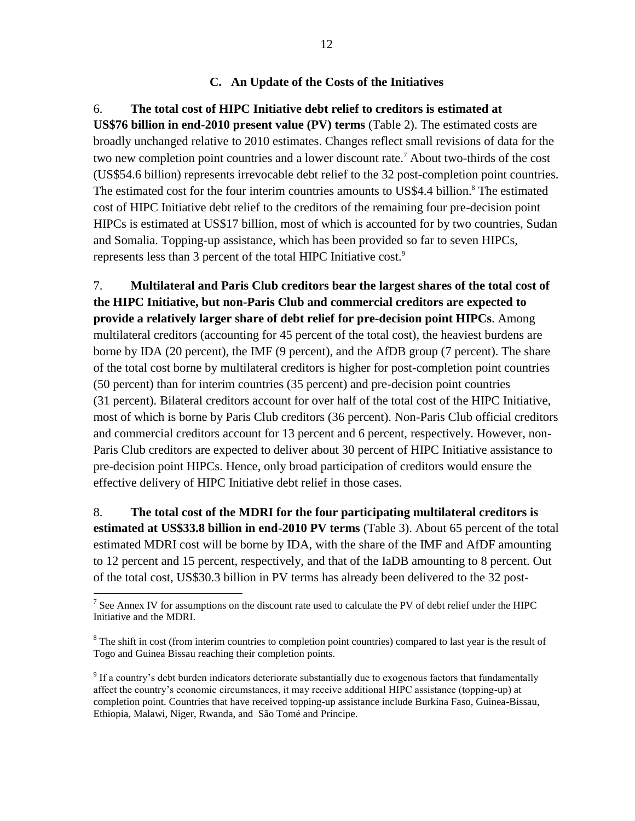#### **C. An Update of the Costs of the Initiatives**

<span id="page-11-0"></span>6. **The total cost of HIPC Initiative debt relief to creditors is estimated at US\$76 billion in end-2010 present value (PV) terms** (Table 2). The estimated costs are broadly unchanged relative to 2010 estimates. Changes reflect small revisions of data for the two new completion point countries and a lower discount rate.<sup>7</sup> About two-thirds of the cost (US\$54.6 billion) represents irrevocable debt relief to the 32 post-completion point countries. The estimated cost for the four interim countries amounts to US\$4.4 billion. <sup>8</sup> The estimated cost of HIPC Initiative debt relief to the creditors of the remaining four pre-decision point HIPCs is estimated at US\$17 billion, most of which is accounted for by two countries, Sudan and Somalia. Topping-up assistance, which has been provided so far to seven HIPCs, represents less than 3 percent of the total HIPC Initiative cost.<sup>9</sup>

7. **Multilateral and Paris Club creditors bear the largest shares of the total cost of the HIPC Initiative, but non-Paris Club and commercial creditors are expected to provide a relatively larger share of debt relief for pre-decision point HIPCs**. Among multilateral creditors (accounting for 45 percent of the total cost), the heaviest burdens are borne by IDA (20 percent), the IMF (9 percent), and the AfDB group (7 percent). The share of the total cost borne by multilateral creditors is higher for post-completion point countries (50 percent) than for interim countries (35 percent) and pre-decision point countries (31 percent). Bilateral creditors account for over half of the total cost of the HIPC Initiative, most of which is borne by Paris Club creditors (36 percent). Non-Paris Club official creditors and commercial creditors account for 13 percent and 6 percent, respectively. However, non-Paris Club creditors are expected to deliver about 30 percent of HIPC Initiative assistance to pre-decision point HIPCs. Hence, only broad participation of creditors would ensure the effective delivery of HIPC Initiative debt relief in those cases.

8. **The total cost of the MDRI for the four participating multilateral creditors is estimated at US\$33.8 billion in end-2010 PV terms** (Table 3). About 65 percent of the total estimated MDRI cost will be borne by IDA, with the share of the IMF and AfDF amounting to 12 percent and 15 percent, respectively, and that of the IaDB amounting to 8 percent. Out of the total cost, US\$30.3 billion in PV terms has already been delivered to the 32 post-

<sup>&</sup>lt;sup>7</sup> See Annex IV for assumptions on the discount rate used to calculate the PV of debt relief under the HIPC Initiative and the MDRI.

<sup>&</sup>lt;sup>8</sup> The shift in cost (from interim countries to completion point countries) compared to last year is the result of Togo and Guinea Bissau reaching their completion points.

<sup>&</sup>lt;sup>9</sup> If a country's debt burden indicators deteriorate substantially due to exogenous factors that fundamentally affect the country's economic circumstances, it may receive additional HIPC assistance (topping-up) at completion point. Countries that have received topping-up assistance include Burkina Faso, Guinea-Bissau, Ethiopia, Malawi, Niger, Rwanda, and São Tomé and Príncipe.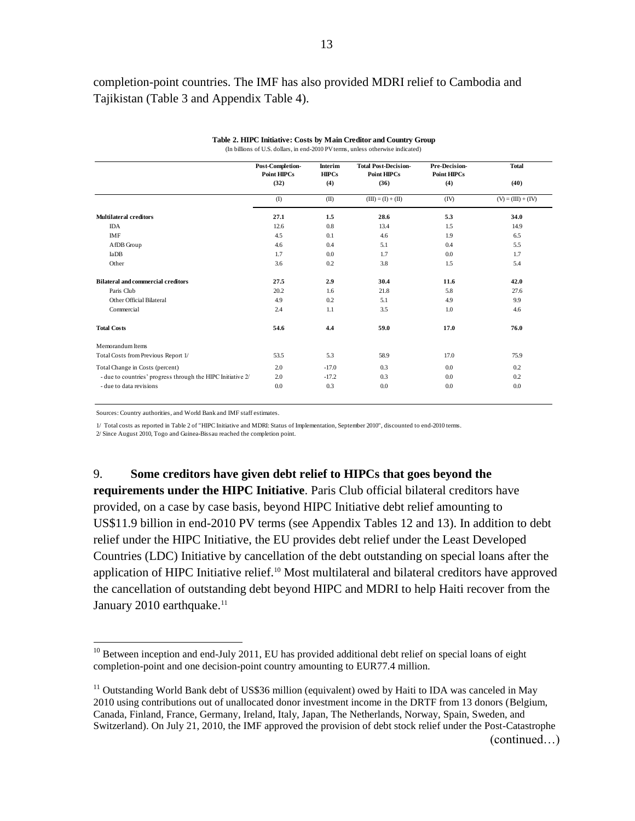completion-point countries. The IMF has also provided MDRI relief to Cambodia and Tajikistan (Table 3 and Appendix Table 4).

|                                                             | Post-Completion-<br><b>Point HIPCs</b> | Interim<br>HIPCs | <b>Total Post-Decision-</b><br><b>Point HIPCs</b> | Pre-Decision-<br><b>Point HIPCs</b> | <b>Total</b>         |
|-------------------------------------------------------------|----------------------------------------|------------------|---------------------------------------------------|-------------------------------------|----------------------|
|                                                             | (32)                                   | (4)              | (36)                                              | (4)                                 | (40)                 |
|                                                             | $($ I                                  | (II)             | $(III) = (I) + (II)$                              | (IV)                                | $(V) = (III) + (IV)$ |
| Multilateral creditors                                      | 27.1                                   | 1.5              | 28.6                                              | 5.3                                 | 34.0                 |
| <b>IDA</b>                                                  | 12.6                                   | 0.8              | 13.4                                              | 1.5                                 | 14.9                 |
| <b>IMF</b>                                                  | 4.5                                    | 0.1              | 4.6                                               | 1.9                                 | 6.5                  |
| AfDB Group                                                  | 4.6                                    | 0.4              | 5.1                                               | 0.4                                 | 5.5                  |
| <b>IaDB</b>                                                 | 1.7                                    | 0.0              | 1.7                                               | 0.0                                 | 1.7                  |
| Other                                                       | 3.6                                    | 0.2              | 3.8                                               | 1.5                                 | 5.4                  |
| <b>Bilateral and commercial creditors</b>                   | 27.5                                   | 2.9              | 30.4                                              | 11.6                                | 42.0                 |
| Paris Club                                                  | 20.2                                   | 1.6              | 21.8                                              | 5.8                                 | 27.6                 |
| Other Official Bilateral                                    | 4.9                                    | 0.2              | 5.1                                               | 4.9                                 | 9.9                  |
| Commercial                                                  | 2.4                                    | 1.1              | 3.5                                               | 1.0                                 | 4.6                  |
| <b>Total Costs</b>                                          | 54.6                                   | 4.4              | 59.0                                              | 17.0                                | 76.0                 |
| Memorandum Items                                            |                                        |                  |                                                   |                                     |                      |
| Total Costs from Previous Report 1/                         | 53.5                                   | 5.3              | 58.9                                              | 17.0                                | 75.9                 |
| Total Change in Costs (percent)                             | 2.0                                    | $-17.0$          | 0.3                                               | 0.0                                 | 0.2                  |
| - due to countries' progress through the HIPC Initiative 2/ | 2.0                                    | $-17.2$          | 0.3                                               | 0.0                                 | 0.2                  |
| - due to data revisions                                     | 0.0                                    | 0.3              | 0.0                                               | 0.0                                 | 0.0                  |

#### **Table 2. HIPC Initiative: Costs by Main Creditor and Country Group** (In billions of U.S. dollars, in end-2010 PV terms, unless otherwise indicated)

Sources: Country authorities, and World Bank and IMF staff estimates.

1/ Total costs as reported in Table 2 of "HIPC Initiative and MDRI: Status of Implementation, September 2010", discounted to end-2010 terms.

2/ Since August 2010, Togo and Guinea-Bissau reached the completion point.

 $\overline{a}$ 

9. **Some creditors have given debt relief to HIPCs that goes beyond the requirements under the HIPC Initiative**. Paris Club official bilateral creditors have provided, on a case by case basis, beyond HIPC Initiative debt relief amounting to US\$11.9 billion in end-2010 PV terms (see Appendix Tables 12 and 13). In addition to debt relief under the HIPC Initiative, the EU provides debt relief under the Least Developed Countries (LDC) Initiative by cancellation of the debt outstanding on special loans after the application of HIPC Initiative relief.<sup>10</sup> Most multilateral and bilateral creditors have approved the cancellation of outstanding debt beyond HIPC and MDRI to help Haiti recover from the January 2010 earthquake.<sup>11</sup>

 $10$  Between inception and end-July 2011, EU has provided additional debt relief on special loans of eight completion-point and one decision-point country amounting to EUR77.4 million.

<sup>&</sup>lt;sup>11</sup> Outstanding World Bank debt of US\$36 million (equivalent) owed by Haiti to IDA was canceled in May 2010 using contributions out of unallocated donor investment income in the DRTF from 13 donors (Belgium, Canada, Finland, France, Germany, Ireland, Italy, Japan, The Netherlands, Norway, Spain, Sweden, and Switzerland). On July 21, 2010, the IMF approved the provision of debt stock relief under the Post-Catastrophe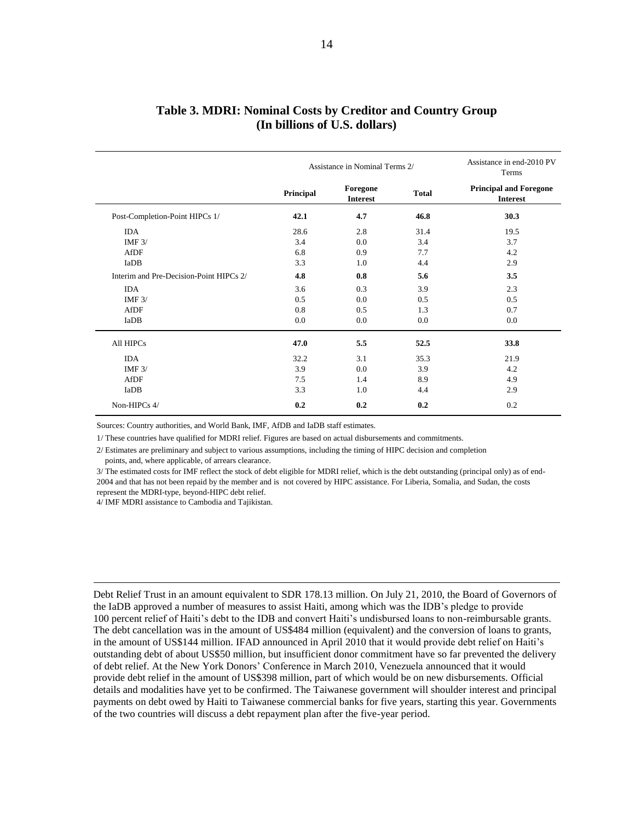|                                         |           | Assistance in Nominal Terms 2/ | Assistance in end-2010 PV<br>Terms |                                                  |
|-----------------------------------------|-----------|--------------------------------|------------------------------------|--------------------------------------------------|
|                                         | Principal | Foregone<br><b>Interest</b>    | <b>Total</b>                       | <b>Principal and Foregone</b><br><b>Interest</b> |
| Post-Completion-Point HIPCs 1/          | 42.1      | 4.7                            | 46.8                               | 30.3                                             |
| <b>IDA</b>                              | 28.6      | 2.8                            | 31.4                               | 19.5                                             |
| IMF $3/$                                | 3.4       | 0.0                            | 3.4                                | 3.7                                              |
| AfDF                                    | 6.8       | 0.9                            | 7.7                                | 4.2                                              |
| IaDB                                    | 3.3       | 1.0                            | 4.4                                | 2.9                                              |
| Interim and Pre-Decision-Point HIPCs 2/ | 4.8       | 0.8                            | 5.6                                | 3.5                                              |
| <b>IDA</b>                              | 3.6       | 0.3                            | 3.9                                | 2.3                                              |
| IMF $3/$                                | 0.5       | 0.0                            | 0.5                                | 0.5                                              |
| AfDF                                    | 0.8       | 0.5                            | 1.3                                | 0.7                                              |
| IaDB                                    | 0.0       | 0.0                            | 0.0                                | $0.0\,$                                          |
| All HIPCs                               | 47.0      | 5.5                            | 52.5                               | 33.8                                             |
| <b>IDA</b>                              | 32.2      | 3.1                            | 35.3                               | 21.9                                             |
| IMF $3/$                                | 3.9       | 0.0                            | 3.9                                | 4.2                                              |
| AfDF                                    | 7.5       | 1.4                            | 8.9                                | 4.9                                              |
| IaDB                                    | 3.3       | 1.0                            | 4.4                                | 2.9                                              |
| Non-HIPCs 4/                            | 0.2       | 0.2                            | 0.2                                | 0.2                                              |

#### **Table 3. MDRI: Nominal Costs by Creditor and Country Group (In billions of U.S. dollars)**

Sources: Country authorities, and World Bank, IMF, AfDB and IaDB staff estimates.

1/ These countries have qualified for MDRI relief. Figures are based on actual disbursements and commitments.

2/ Estimates are preliminary and subject to various assumptions, including the timing of HIPC decision and completion

points, and, where applicable, of arrears clearance.

3/ The estimated costs for IMF reflect the stock of debt eligible for MDRI relief, which is the debt outstanding (principal only) as of end-2004 and that has not been repaid by the member and is not covered by HIPC assistance. For Liberia, Somalia, and Sudan, the costs represent the MDRI-type, beyond-HIPC debt relief.

4/ IMF MDRI assistance to Cambodia and Tajikistan.

 $\overline{a}$ 

Debt Relief Trust in an amount equivalent to SDR 178.13 million. On July 21, 2010, the Board of Governors of the IaDB approved a number of measures to assist Haiti, among which was the IDB's pledge to provide 100 percent relief of Haiti's debt to the IDB and convert Haiti's undisbursed loans to non-reimbursable grants. The debt cancellation was in the amount of US\$484 million (equivalent) and the conversion of loans to grants, in the amount of US\$144 million. IFAD announced in April 2010 that it would provide debt relief on Haiti's outstanding debt of about US\$50 million, but insufficient donor commitment have so far prevented the delivery of debt relief. At the New York Donors' Conference in March 2010, Venezuela announced that it would provide debt relief in the amount of US\$398 million, part of which would be on new disbursements. Official details and modalities have yet to be confirmed. The Taiwanese government will shoulder interest and principal payments on debt owed by Haiti to Taiwanese commercial banks for five years, starting this year. Governments of the two countries will discuss a debt repayment plan after the five-year period.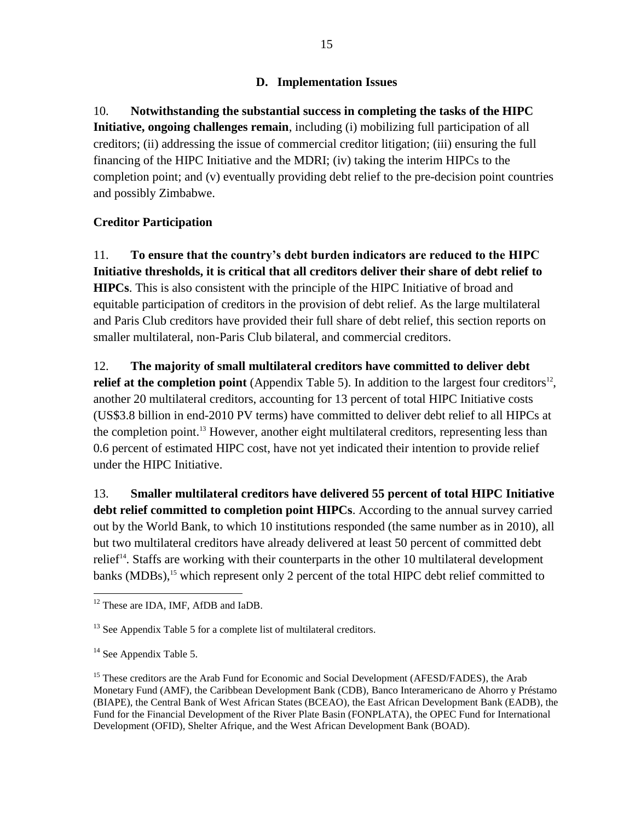## **D. Implementation Issues**

<span id="page-14-0"></span>10. **Notwithstanding the substantial success in completing the tasks of the HIPC Initiative, ongoing challenges remain**, including (i) mobilizing full participation of all creditors; (ii) addressing the issue of commercial creditor litigation; (iii) ensuring the full financing of the HIPC Initiative and the MDRI; (iv) taking the interim HIPCs to the completion point; and (v) eventually providing debt relief to the pre-decision point countries and possibly Zimbabwe.

# <span id="page-14-1"></span>**Creditor Participation**

11. **To ensure that the country's debt burden indicators are reduced to the HIPC Initiative thresholds, it is critical that all creditors deliver their share of debt relief to HIPCs**. This is also consistent with the principle of the HIPC Initiative of broad and equitable participation of creditors in the provision of debt relief. As the large multilateral and Paris Club creditors have provided their full share of debt relief, this section reports on smaller multilateral, non-Paris Club bilateral, and commercial creditors.

12. **The majority of small multilateral creditors have committed to deliver debt**  relief at the completion point (Appendix Table 5). In addition to the largest four creditors<sup>12</sup>, another 20 multilateral creditors, accounting for 13 percent of total HIPC Initiative costs (US\$3.8 billion in end-2010 PV terms) have committed to deliver debt relief to all HIPCs at the completion point.<sup>13</sup> However, another eight multilateral creditors, representing less than 0.6 percent of estimated HIPC cost, have not yet indicated their intention to provide relief under the HIPC Initiative.

13. **Smaller multilateral creditors have delivered 55 percent of total HIPC Initiative debt relief committed to completion point HIPCs**. According to the annual survey carried out by the World Bank, to which 10 institutions responded (the same number as in 2010), all but two multilateral creditors have already delivered at least 50 percent of committed debt relief<sup>14</sup>. Staffs are working with their counterparts in the other 10 multilateral development banks (MDBs),<sup>15</sup> which represent only 2 percent of the total HIPC debt relief committed to

 $\overline{a}$ <sup>12</sup> These are IDA, IMF, AfDB and IaDB.

 $13$  See Appendix Table 5 for a complete list of multilateral creditors.

 $14$  See Appendix Table 5.

<sup>&</sup>lt;sup>15</sup> These creditors are the Arab Fund for Economic and Social Development (AFESD/FADES), the Arab Monetary Fund (AMF), the Caribbean Development Bank (CDB), Banco Interamericano de Ahorro y Préstamo (BIAPE), the Central Bank of West African States (BCEAO), the East African Development Bank (EADB), the Fund for the Financial Development of the River Plate Basin (FONPLATA), the OPEC Fund for International Development (OFID), Shelter Afrique, and the West African Development Bank (BOAD).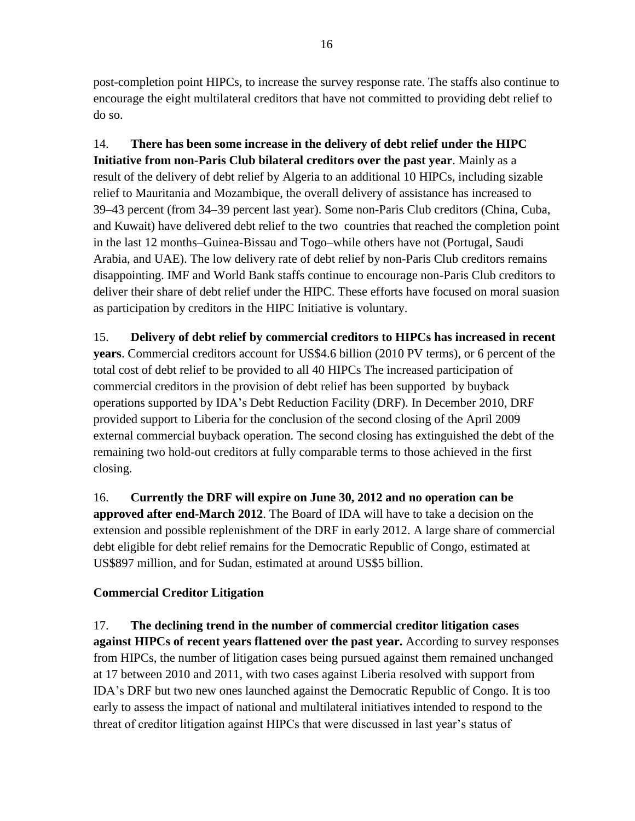post-completion point HIPCs, to increase the survey response rate. The staffs also continue to encourage the eight multilateral creditors that have not committed to providing debt relief to do so.

14. **There has been some increase in the delivery of debt relief under the HIPC Initiative from non-Paris Club bilateral creditors over the past year**. Mainly as a result of the delivery of debt relief by Algeria to an additional 10 HIPCs, including sizable relief to Mauritania and Mozambique, the overall delivery of assistance has increased to 39–43 percent (from 34–39 percent last year). Some non-Paris Club creditors (China, Cuba, and Kuwait) have delivered debt relief to the two countries that reached the completion point in the last 12 months–Guinea-Bissau and Togo–while others have not (Portugal, Saudi Arabia, and UAE). The low delivery rate of debt relief by non-Paris Club creditors remains disappointing. IMF and World Bank staffs continue to encourage non-Paris Club creditors to deliver their share of debt relief under the HIPC. These efforts have focused on moral suasion as participation by creditors in the HIPC Initiative is voluntary.

15. **Delivery of debt relief by commercial creditors to HIPCs has increased in recent years**. Commercial creditors account for US\$4.6 billion (2010 PV terms), or 6 percent of the total cost of debt relief to be provided to all 40 HIPCs The increased participation of commercial creditors in the provision of debt relief has been supported by buyback operations supported by IDA's Debt Reduction Facility (DRF). In December 2010, DRF provided support to Liberia for the conclusion of the second closing of the April 2009 external commercial buyback operation. The second closing has extinguished the debt of the remaining two hold-out creditors at fully comparable terms to those achieved in the first closing.

16. **Currently the DRF will expire on June 30, 2012 and no operation can be approved after end-March 2012**. The Board of IDA will have to take a decision on the extension and possible replenishment of the DRF in early 2012. A large share of commercial debt eligible for debt relief remains for the Democratic Republic of Congo, estimated at US\$897 million, and for Sudan, estimated at around US\$5 billion.

# <span id="page-15-0"></span>**Commercial Creditor Litigation**

17. **The declining trend in the number of commercial creditor litigation cases against HIPCs of recent years flattened over the past year.** According to survey responses from HIPCs, the number of litigation cases being pursued against them remained unchanged at 17 between 2010 and 2011, with two cases against Liberia resolved with support from IDA's DRF but two new ones launched against the Democratic Republic of Congo. It is too early to assess the impact of national and multilateral initiatives intended to respond to the threat of creditor litigation against HIPCs that were discussed in last year's status of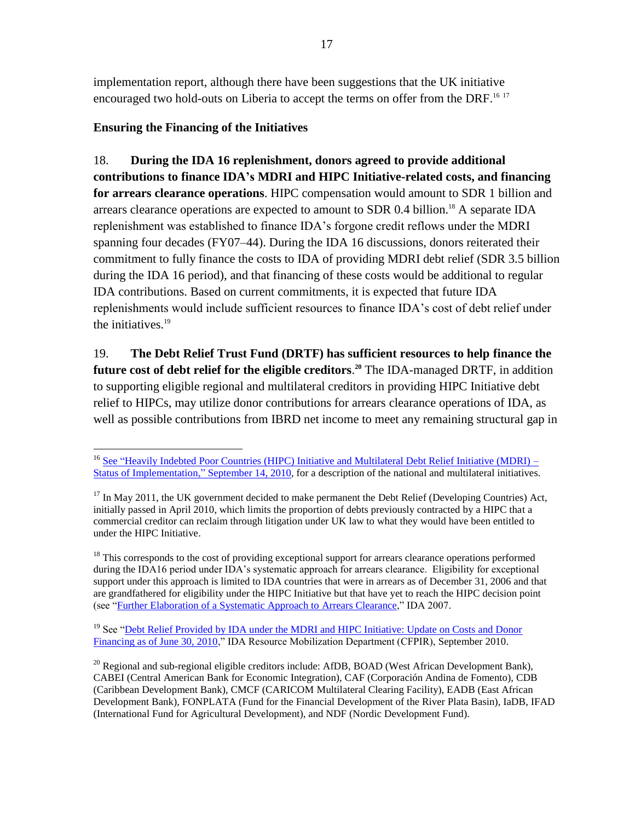implementation report, although there have been suggestions that the UK initiative encouraged two hold-outs on Liberia to accept the terms on offer from the DRF.<sup>16 17</sup>

### <span id="page-16-0"></span>**Ensuring the Financing of the Initiatives**

18. **During the IDA 16 replenishment, donors agreed to provide additional contributions to finance IDA's MDRI and HIPC Initiative-related costs, and financing for arrears clearance operations**. HIPC compensation would amount to SDR 1 billion and arrears clearance operations are expected to amount to SDR 0.4 billion.<sup>18</sup> A separate IDA replenishment was established to finance IDA's forgone credit reflows under the MDRI spanning four decades (FY07–44). During the IDA 16 discussions, donors reiterated their commitment to fully finance the costs to IDA of providing MDRI debt relief (SDR 3.5 billion during the IDA 16 period), and that financing of these costs would be additional to regular IDA contributions. Based on current commitments, it is expected that future IDA replenishments would include sufficient resources to finance IDA's cost of debt relief under the initiatives. $19$ 

19. **The Debt Relief Trust Fund (DRTF) has sufficient resources to help finance the future cost of debt relief for the eligible creditors**. **<sup>20</sup>** The IDA-managed DRTF, in addition to supporting eligible regional and multilateral creditors in providing HIPC Initiative debt relief to HIPCs, may utilize donor contributions for arrears clearance operations of IDA, as well as possible contributions from IBRD net income to meet any remaining structural gap in

<sup>18</sup> This corresponds to the cost of providing exceptional support for arrears clearance operations performed during the IDA16 period under IDA's systematic approach for arrears clearance. Eligibility for exceptional support under this approach is limited to IDA countries that were in arrears as of December 31, 2006 and that are grandfathered for eligibility under the HIPC Initiative but that have yet to reach the HIPC decision point (see "Further Elaboration of a Systematic Approach to Arrears Clearance," IDA 2007.

<sup>19</sup> See "Debt Relief Provided by IDA under the MDRI and HIPC Initiative: Update on Costs and Donor [Financing as of June 30, 2010,](http://go.worldbank.org/JU8GB1TPD0)" IDA Resource Mobilization Department (CFPIR), September 2010.

 $^{20}$  Regional and sub-regional eligible creditors include: AfDB, BOAD (West African Development Bank), CABEI (Central American Bank for Economic Integration), CAF (Corporación Andina de Fomento), CDB (Caribbean Development Bank), CMCF (CARICOM Multilateral Clearing Facility), EADB (East African Development Bank), FONPLATA (Fund for the Financial Development of the River Plata Basin), IaDB, IFAD (International Fund for Agricultural Development), and NDF (Nordic Development Fund).

 $\overline{a}$  $16$  See "Heavily Indebted Poor Countries (HIPC) Initiative and Multilateral Debt Relief Initiative (MDRI) – Status of Implementation," September 14, 2010, for a description of the national and multilateral initiatives.

 $17$  In May 2011, the UK government decided to make permanent the Debt Relief (Developing Countries) Act, initially passed in April 2010, which limits the proportion of debts previously contracted by a HIPC that a commercial creditor can reclaim through litigation under UK law to what they would have been entitled to under the HIPC Initiative.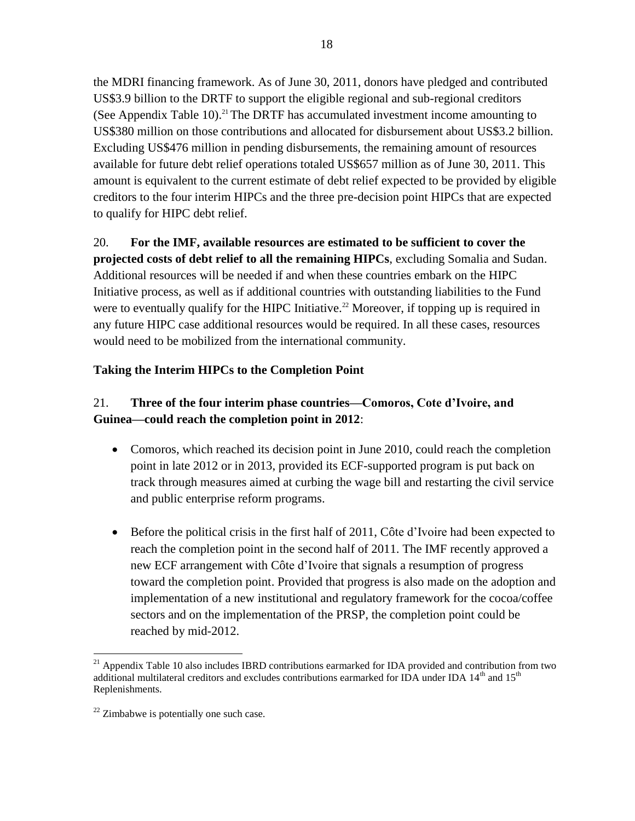the MDRI financing framework. As of June 30, 2011, donors have pledged and contributed US\$3.9 billion to the DRTF to support the eligible regional and sub-regional creditors (See Appendix Table 10).<sup>21</sup> The DRTF has accumulated investment income amounting to US\$380 million on those contributions and allocated for disbursement about US\$3.2 billion. Excluding US\$476 million in pending disbursements, the remaining amount of resources available for future debt relief operations totaled US\$657 million as of June 30, 2011. This amount is equivalent to the current estimate of debt relief expected to be provided by eligible creditors to the four interim HIPCs and the three pre-decision point HIPCs that are expected to qualify for HIPC debt relief.

20. **For the IMF, available resources are estimated to be sufficient to cover the projected costs of debt relief to all the remaining HIPCs**, excluding Somalia and Sudan. Additional resources will be needed if and when these countries embark on the HIPC Initiative process, as well as if additional countries with outstanding liabilities to the Fund were to eventually qualify for the HIPC Initiative.<sup>22</sup> Moreover, if topping up is required in any future HIPC case additional resources would be required. In all these cases, resources would need to be mobilized from the international community.

# <span id="page-17-0"></span>**Taking the Interim HIPCs to the Completion Point**

# 21. **Three of the four interim phase countries—Comoros, Cote d'Ivoire, and Guinea—could reach the completion point in 2012**:

- Comoros, which reached its decision point in June 2010, could reach the completion point in late 2012 or in 2013, provided its ECF-supported program is put back on track through measures aimed at curbing the wage bill and restarting the civil service and public enterprise reform programs.
- Before the political crisis in the first half of 2011, Côte d'Ivoire had been expected to reach the completion point in the second half of 2011. The IMF recently approved a new ECF arrangement with Côte d'Ivoire that signals a resumption of progress toward the completion point. Provided that progress is also made on the adoption and implementation of a new institutional and regulatory framework for the cocoa/coffee sectors and on the implementation of the PRSP, the completion point could be reached by mid-2012.

 $\overline{a}$  $21$  Appendix Table 10 also includes IBRD contributions earmarked for IDA provided and contribution from two additional multilateral creditors and excludes contributions earmarked for IDA under IDA  $14<sup>th</sup>$  and  $15<sup>th</sup>$ Replenishments.

 $22$  Zimbabwe is potentially one such case.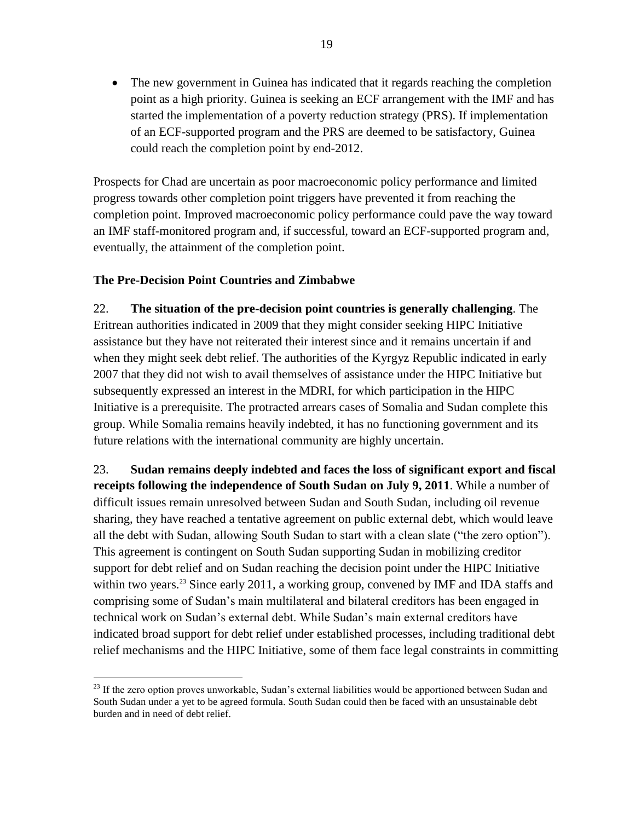• The new government in Guinea has indicated that it regards reaching the completion point as a high priority. Guinea is seeking an ECF arrangement with the IMF and has started the implementation of a poverty reduction strategy (PRS). If implementation of an ECF-supported program and the PRS are deemed to be satisfactory, Guinea could reach the completion point by end-2012.

Prospects for Chad are uncertain as poor macroeconomic policy performance and limited progress towards other completion point triggers have prevented it from reaching the completion point. Improved macroeconomic policy performance could pave the way toward an IMF staff-monitored program and, if successful, toward an ECF-supported program and, eventually, the attainment of the completion point.

### <span id="page-18-0"></span>**The Pre-Decision Point Countries and Zimbabwe**

 $\overline{a}$ 

22. **The situation of the pre-decision point countries is generally challenging**. The Eritrean authorities indicated in 2009 that they might consider seeking HIPC Initiative assistance but they have not reiterated their interest since and it remains uncertain if and when they might seek debt relief. The authorities of the Kyrgyz Republic indicated in early 2007 that they did not wish to avail themselves of assistance under the HIPC Initiative but subsequently expressed an interest in the MDRI, for which participation in the HIPC Initiative is a prerequisite. The protracted arrears cases of Somalia and Sudan complete this group. While Somalia remains heavily indebted, it has no functioning government and its future relations with the international community are highly uncertain.

23. **Sudan remains deeply indebted and faces the loss of significant export and fiscal receipts following the independence of South Sudan on July 9, 2011**. While a number of difficult issues remain unresolved between Sudan and South Sudan, including oil revenue sharing, they have reached a tentative agreement on public external debt, which would leave all the debt with Sudan, allowing South Sudan to start with a clean slate ("the zero option"). This agreement is contingent on South Sudan supporting Sudan in mobilizing creditor support for debt relief and on Sudan reaching the decision point under the HIPC Initiative within two years.<sup>23</sup> Since early 2011, a working group, convened by IMF and IDA staffs and comprising some of Sudan's main multilateral and bilateral creditors has been engaged in technical work on Sudan's external debt. While Sudan's main external creditors have indicated broad support for debt relief under established processes, including traditional debt relief mechanisms and the HIPC Initiative, some of them face legal constraints in committing

<sup>&</sup>lt;sup>23</sup> If the zero option proves unworkable, Sudan's external liabilities would be apportioned between Sudan and South Sudan under a yet to be agreed formula. South Sudan could then be faced with an unsustainable debt burden and in need of debt relief.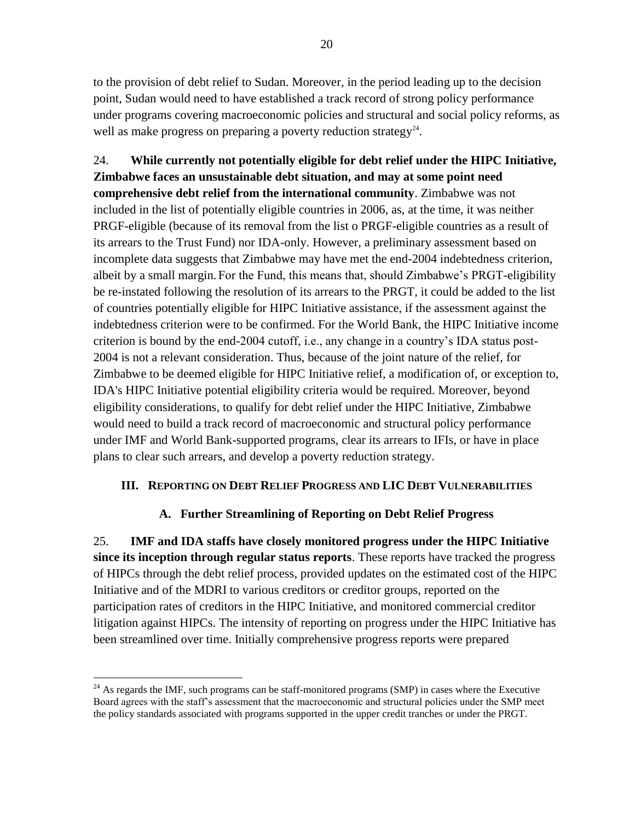to the provision of debt relief to Sudan. Moreover, in the period leading up to the decision point, Sudan would need to have established a track record of strong policy performance under programs covering macroeconomic policies and structural and social policy reforms, as well as make progress on preparing a poverty reduction strategy $24$ .

24. **While currently not potentially eligible for debt relief under the HIPC Initiative, Zimbabwe faces an unsustainable debt situation, and may at some point need comprehensive debt relief from the international community**. Zimbabwe was not included in the list of potentially eligible countries in 2006, as, at the time, it was neither PRGF-eligible (because of its removal from the list o PRGF-eligible countries as a result of its arrears to the Trust Fund) nor IDA-only. However, a preliminary assessment based on incomplete data suggests that Zimbabwe may have met the end-2004 indebtedness criterion, albeit by a small margin. For the Fund, this means that, should Zimbabwe's PRGT-eligibility be re-instated following the resolution of its arrears to the PRGT, it could be added to the list of countries potentially eligible for HIPC Initiative assistance, if the assessment against the indebtedness criterion were to be confirmed. For the World Bank, the HIPC Initiative income criterion is bound by the end-2004 cutoff, i.e., any change in a country's IDA status post-2004 is not a relevant consideration. Thus, because of the joint nature of the relief, for Zimbabwe to be deemed eligible for HIPC Initiative relief, a modification of, or exception to, IDA's HIPC Initiative potential eligibility criteria would be required. Moreover, beyond eligibility considerations, to qualify for debt relief under the HIPC Initiative, Zimbabwe would need to build a track record of macroeconomic and structural policy performance under IMF and World Bank-supported programs, clear its arrears to IFIs, or have in place plans to clear such arrears, and develop a poverty reduction strategy.

# <span id="page-19-0"></span>**III. REPORTING ON DEBT RELIEF PROGRESS AND LIC DEBT VULNERABILITIES**

# **A. Further Streamlining of Reporting on Debt Relief Progress**

<span id="page-19-1"></span>25. **IMF and IDA staffs have closely monitored progress under the HIPC Initiative since its inception through regular status reports**. These reports have tracked the progress of HIPCs through the debt relief process, provided updates on the estimated cost of the HIPC Initiative and of the MDRI to various creditors or creditor groups, reported on the participation rates of creditors in the HIPC Initiative, and monitored commercial creditor litigation against HIPCs. The intensity of reporting on progress under the HIPC Initiative has been streamlined over time. Initially comprehensive progress reports were prepared

 $24$  As regards the IMF, such programs can be staff-monitored programs (SMP) in cases where the Executive Board agrees with the staff's assessment that the macroeconomic and structural policies under the SMP meet the policy standards associated with programs supported in the upper credit tranches or under the PRGT.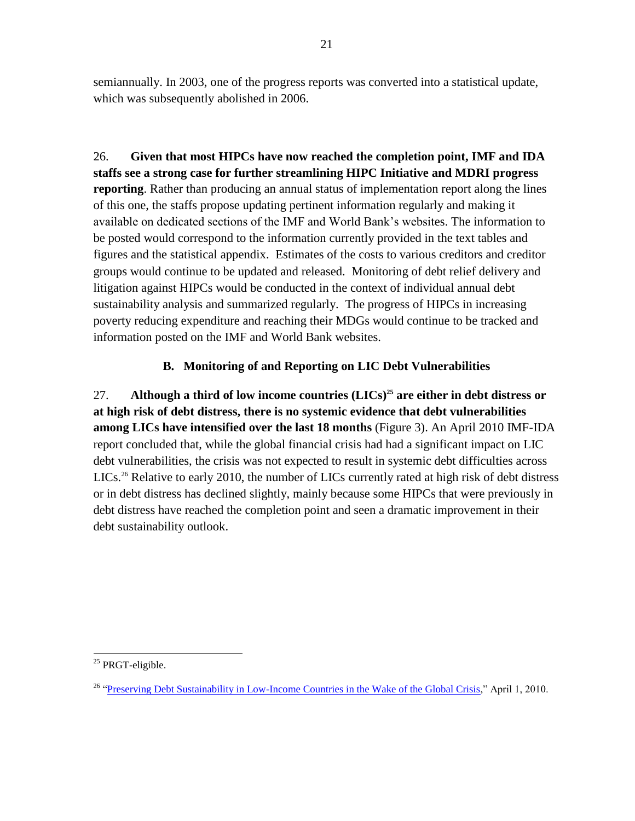semiannually. In 2003, one of the progress reports was converted into a statistical update, which was subsequently abolished in 2006.

26. **Given that most HIPCs have now reached the completion point, IMF and IDA staffs see a strong case for further streamlining HIPC Initiative and MDRI progress reporting**. Rather than producing an annual status of implementation report along the lines of this one, the staffs propose updating pertinent information regularly and making it available on dedicated sections of the IMF and World Bank's websites. The information to be posted would correspond to the information currently provided in the text tables and figures and the statistical appendix. Estimates of the costs to various creditors and creditor groups would continue to be updated and released. Monitoring of debt relief delivery and litigation against HIPCs would be conducted in the context of individual annual debt sustainability analysis and summarized regularly. The progress of HIPCs in increasing poverty reducing expenditure and reaching their MDGs would continue to be tracked and information posted on the IMF and World Bank websites.

# **B. Monitoring of and Reporting on LIC Debt Vulnerabilities**

<span id="page-20-0"></span>27. **Although a third of low income countries (LICs)<sup>25</sup> are either in debt distress or at high risk of debt distress, there is no systemic evidence that debt vulnerabilities among LICs have intensified over the last 18 months** (Figure 3). An April 2010 IMF-IDA report concluded that, while the global financial crisis had had a significant impact on LIC debt vulnerabilities, the crisis was not expected to result in systemic debt difficulties across  $LICs<sup>26</sup>$  Relative to early 2010, the number of LICs currently rated at high risk of debt distress or in debt distress has declined slightly, mainly because some HIPCs that were previously in debt distress have reached the completion point and seen a dramatic improvement in their debt sustainability outlook.

<sup>&</sup>lt;sup>25</sup> PRGT-eligible.

<sup>&</sup>lt;sup>26</sup> "Preserving Debt Sustainability in Low-Income Countries in the Wake of the Global Crisis," April 1, 2010.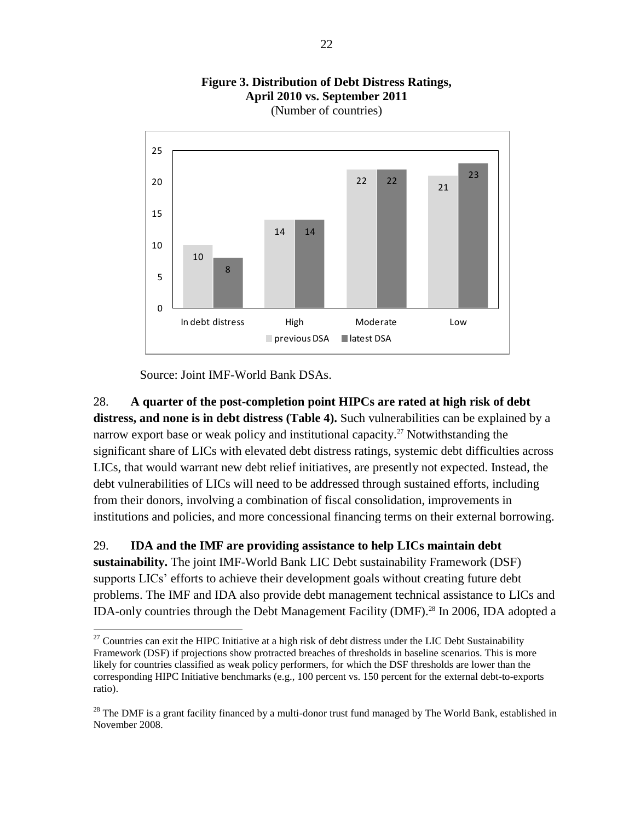

**Figure 3. Distribution of Debt Distress Ratings, April 2010 vs. September 2011** (Number of countries)

Source: Joint IMF-World Bank DSAs.

 $\overline{a}$ 

28. **A quarter of the post-completion point HIPCs are rated at high risk of debt**  distress, and none is in debt distress (Table 4). Such vulnerabilities can be explained by a narrow export base or weak policy and institutional capacity.<sup>27</sup> Notwithstanding the significant share of LICs with elevated debt distress ratings, systemic debt difficulties across LICs, that would warrant new debt relief initiatives, are presently not expected. Instead, the debt vulnerabilities of LICs will need to be addressed through sustained efforts, including from their donors, involving a combination of fiscal consolidation, improvements in institutions and policies, and more concessional financing terms on their external borrowing.

### 29. **IDA and the IMF are providing assistance to help LICs maintain debt**

**sustainability.** The joint IMF-World Bank LIC Debt sustainability Framework (DSF) supports LICs' efforts to achieve their development goals without creating future debt problems. The IMF and IDA also provide debt management technical assistance to LICs and IDA-only countries through the Debt Management Facility (DMF). <sup>28</sup> In 2006, IDA adopted a

 $27$  Countries can exit the HIPC Initiative at a high risk of debt distress under the LIC Debt Sustainability Framework (DSF) if projections show protracted breaches of thresholds in baseline scenarios. This is more likely for countries classified as weak policy performers, for which the DSF thresholds are lower than the corresponding HIPC Initiative benchmarks (e.g., 100 percent vs. 150 percent for the external debt-to-exports ratio).

<sup>&</sup>lt;sup>28</sup> The DMF is a grant facility financed by a multi-donor trust fund managed by The World Bank, established in November 2008.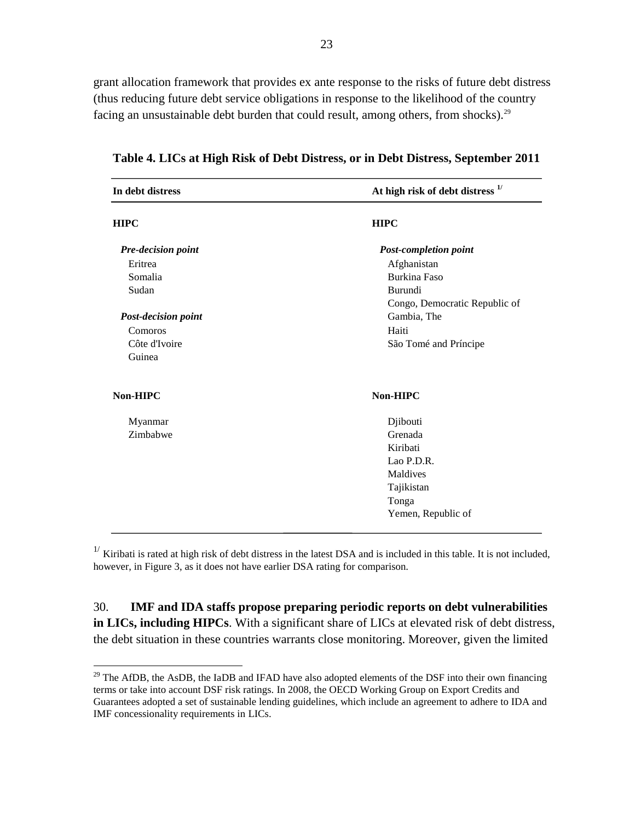grant allocation framework that provides ex ante response to the risks of future debt distress (thus reducing future debt service obligations in response to the likelihood of the country facing an unsustainable debt burden that could result, among others, from shocks).<sup>29</sup>

| At high risk of debt distress 1/<br>In debt distress |                               |
|------------------------------------------------------|-------------------------------|
| <b>HIPC</b>                                          | <b>HIPC</b>                   |
| <b>Pre-decision point</b>                            | <b>Post-completion point</b>  |
| Eritrea                                              | Afghanistan                   |
| Somalia                                              | <b>Burkina Faso</b>           |
| Sudan                                                | Burundi                       |
|                                                      | Congo, Democratic Republic of |
| <b>Post-decision point</b>                           | Gambia, The                   |
| Comoros                                              | Haiti                         |
| Côte d'Ivoire                                        | São Tomé and Príncipe         |
| Guinea                                               |                               |
| Non-HIPC                                             | Non-HIPC                      |
| Myanmar                                              | Djibouti                      |
| Zimbabwe                                             | Grenada                       |
|                                                      | Kiribati                      |
|                                                      | Lao P.D.R.                    |
|                                                      | Maldives                      |
|                                                      | Tajikistan                    |
|                                                      | Tonga                         |
|                                                      | Yemen, Republic of            |

**Table 4. LICs at High Risk of Debt Distress, or in Debt Distress, September 2011**

 $1/$  Kiribati is rated at high risk of debt distress in the latest DSA and is included in this table. It is not included, however, in Figure 3, as it does not have earlier DSA rating for comparison.

30. **IMF and IDA staffs propose preparing periodic reports on debt vulnerabilities in LICs, including HIPCs**. With a significant share of LICs at elevated risk of debt distress, the debt situation in these countries warrants close monitoring. Moreover, given the limited

 $^{29}$  The AfDB, the AsDB, the IaDB and IFAD have also adopted elements of the DSF into their own financing terms or take into account DSF risk ratings. In 2008, the OECD Working Group on Export Credits and Guarantees adopted a set of sustainable lending guidelines, which include an agreement to adhere to IDA and IMF concessionality requirements in LICs.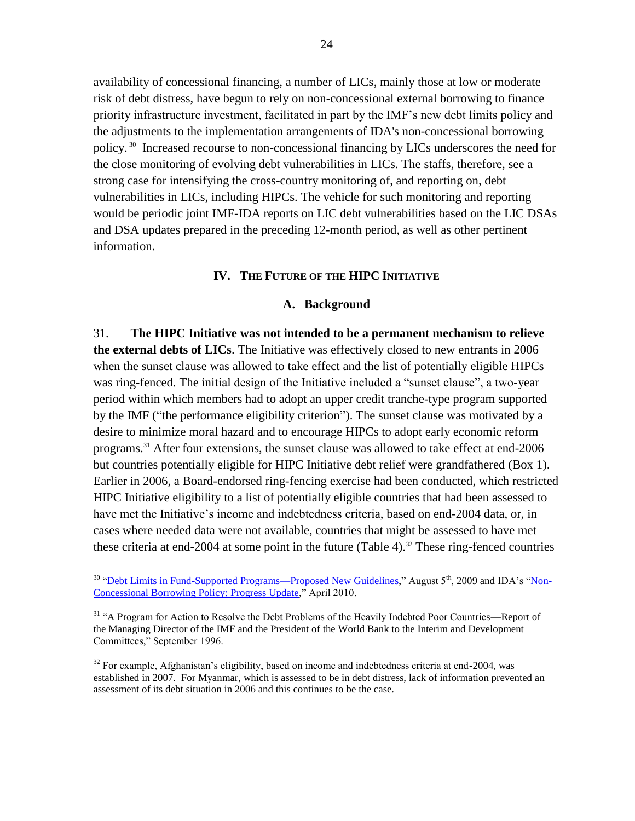availability of concessional financing, a number of LICs, mainly those at low or moderate risk of debt distress, have begun to rely on non-concessional external borrowing to finance priority infrastructure investment, facilitated in part by the IMF's new debt limits policy and the adjustments to the implementation arrangements of IDA's non-concessional borrowing policy. <sup>30</sup> Increased recourse to non-concessional financing by LICs underscores the need for the close monitoring of evolving debt vulnerabilities in LICs. The staffs, therefore, see a strong case for intensifying the cross-country monitoring of, and reporting on, debt vulnerabilities in LICs, including HIPCs. The vehicle for such monitoring and reporting would be periodic joint IMF-IDA reports on LIC debt vulnerabilities based on the LIC DSAs and DSA updates prepared in the preceding 12-month period, as well as other pertinent information.

#### **IV. THE FUTURE OF THE HIPC INITIATIVE**

#### **A. Background**

<span id="page-23-1"></span><span id="page-23-0"></span>31. **The HIPC Initiative was not intended to be a permanent mechanism to relieve the external debts of LICs**. The Initiative was effectively closed to new entrants in 2006 when the sunset clause was allowed to take effect and the list of potentially eligible HIPCs was ring-fenced. The initial design of the Initiative included a "sunset clause", a two-year period within which members had to adopt an upper credit tranche-type program supported by the IMF ("the performance eligibility criterion"). The sunset clause was motivated by a desire to minimize moral hazard and to encourage HIPCs to adopt early economic reform programs.<sup>31</sup> After four extensions, the sunset clause was allowed to take effect at end-2006 but countries potentially eligible for HIPC Initiative debt relief were grandfathered (Box 1). Earlier in 2006, a Board-endorsed ring-fencing exercise had been conducted, which restricted HIPC Initiative eligibility to a list of potentially eligible countries that had been assessed to have met the Initiative's income and indebtedness criteria, based on end-2004 data, or, in cases where needed data were not available, countries that might be assessed to have met these criteria at end-2004 at some point in the future (Table 4). <sup>32</sup> These ring-fenced countries

<sup>&</sup>lt;sup>30</sup> "Debt Limits in Fund-Supported Programs—Proposed New Guidelines," August 5<sup>th</sup>, 2009 and IDA's "Non-Concessional Borrowing Policy: Progress Update," April 2010.

<sup>&</sup>lt;sup>31</sup> "A Program for Action to Resolve the Debt Problems of the Heavily Indebted Poor Countries—Report of the Managing Director of the IMF and the President of the World Bank to the Interim and Development Committees," September 1996.

 $32$  For example, Afghanistan's eligibility, based on income and indebtedness criteria at end-2004, was established in 2007. For Myanmar, which is assessed to be in debt distress, lack of information prevented an assessment of its debt situation in 2006 and this continues to be the case.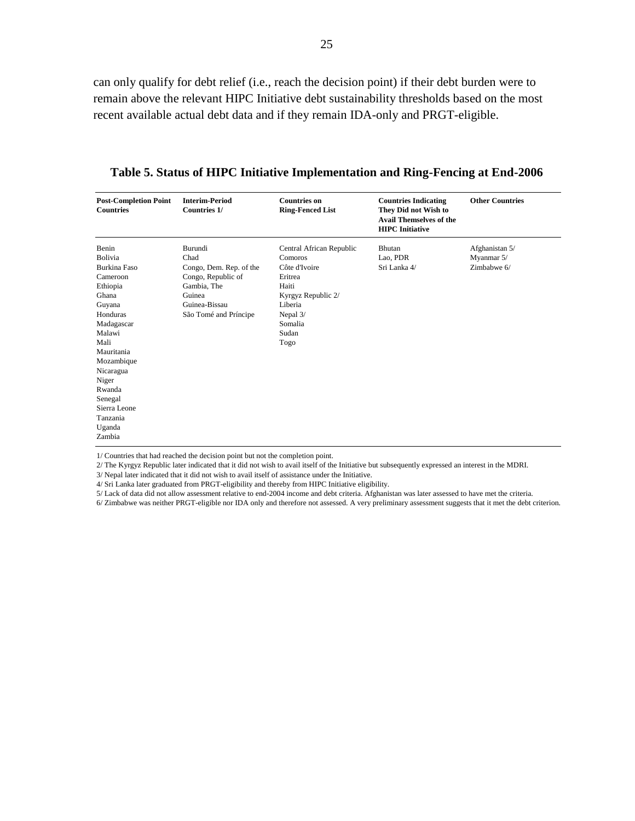can only qualify for debt relief (i.e., reach the decision point) if their debt burden were to remain above the relevant HIPC Initiative debt sustainability thresholds based on the most recent available actual debt data and if they remain IDA-only and PRGT-eligible.

| <b>Post-Completion Point</b><br><b>Countries</b>                                                                                                                                                                                               | <b>Interim-Period</b><br><b>Countries 1/</b>                                                                                        | <b>Countries on</b><br><b>Ring-Fenced List</b>                                                                                                    | <b>Countries Indicating</b><br>They Did not Wish to<br><b>Avail Themselves of the</b><br><b>HIPC</b> Initiative | <b>Other Countries</b>                      |
|------------------------------------------------------------------------------------------------------------------------------------------------------------------------------------------------------------------------------------------------|-------------------------------------------------------------------------------------------------------------------------------------|---------------------------------------------------------------------------------------------------------------------------------------------------|-----------------------------------------------------------------------------------------------------------------|---------------------------------------------|
| Benin<br>Bolivia<br>Burkina Faso<br>Cameroon<br>Ethiopia<br>Ghana<br>Guyana<br>Honduras<br>Madagascar<br>Malawi<br>Mali<br>Mauritania<br>Mozambique<br>Nicaragua<br>Niger<br>Rwanda<br>Senegal<br>Sierra Leone<br>Tanzania<br>Uganda<br>Zambia | Burundi<br>Chad<br>Congo, Dem. Rep. of the<br>Congo, Republic of<br>Gambia, The<br>Guinea<br>Guinea-Bissau<br>São Tomé and Príncipe | Central African Republic<br>Comoros<br>Côte d'Ivoire<br>Eritrea<br>Haiti<br>Kyrgyz Republic 2/<br>Liberia<br>Nepal 3/<br>Somalia<br>Sudan<br>Togo | <b>Bhutan</b><br>Lao, PDR<br>Sri Lanka 4/                                                                       | Afghanistan 5/<br>Myanmar 5/<br>Zimbabwe 6/ |

**Table 5. Status of HIPC Initiative Implementation and Ring-Fencing at End-2006**

1/ Countries that had reached the decision point but not the completion point.

2/ The Kyrgyz Republic later indicated that it did not wish to avail itself of the Initiative but subsequently expressed an interest in the MDRI.

3/ Nepal later indicated that it did not wish to avail itself of assistance under the Initiative.

4/ Sri Lanka later graduated from PRGT-eligibility and thereby from HIPC Initiative eligibility.

5/ Lack of data did not allow assessment relative to end-2004 income and debt criteria. Afghanistan was later assessed to have met the criteria.

6/ Zimbabwe was neither PRGT-eligible nor IDA only and therefore not assessed. A very preliminary assessment suggests that it met the debt criterion.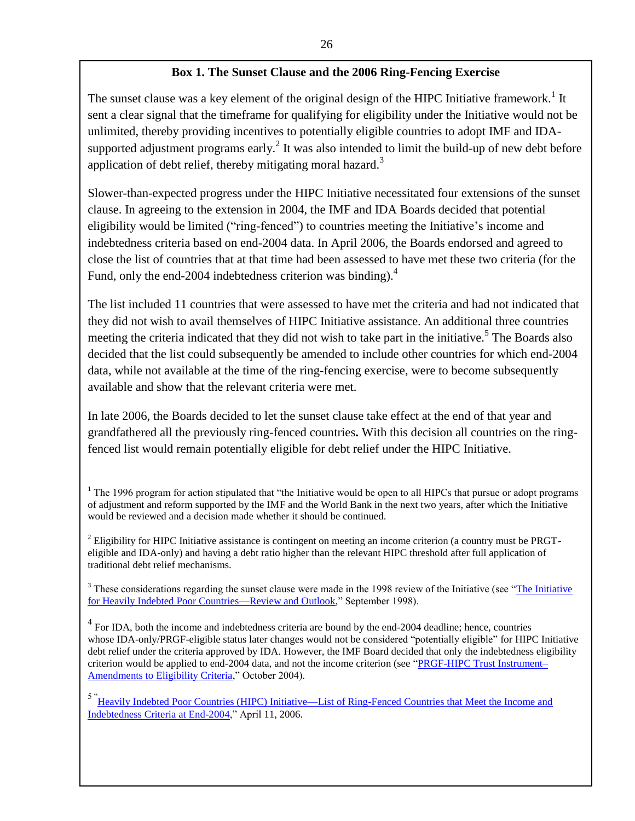## **Box 1. The Sunset Clause and the 2006 Ring-Fencing Exercise**

The sunset clause was a key element of the original design of the HIPC Initiative framework.<sup>1</sup> It sent a clear signal that the timeframe for qualifying for eligibility under the Initiative would not be unlimited, thereby providing incentives to potentially eligible countries to adopt IMF and IDAsupported adjustment programs early.<sup>2</sup> It was also intended to limit the build-up of new debt before application of debt relief, thereby mitigating moral hazard.<sup>3</sup>

Slower-than-expected progress under the HIPC Initiative necessitated four extensions of the sunset clause. In agreeing to the extension in 2004, the IMF and IDA Boards decided that potential eligibility would be limited ("ring-fenced") to countries meeting the Initiative's income and indebtedness criteria based on end-2004 data. In April 2006, the Boards endorsed and agreed to close the list of countries that at that time had been assessed to have met these two criteria (for the Fund, only the end-2004 indebtedness criterion was binding).<sup>4</sup>

The list included 11 countries that were assessed to have met the criteria and had not indicated that they did not wish to avail themselves of HIPC Initiative assistance. An additional three countries meeting the criteria indicated that they did not wish to take part in the initiative.<sup>5</sup> The Boards also decided that the list could subsequently be amended to include other countries for which end-2004 data, while not available at the time of the ring-fencing exercise, were to become subsequently available and show that the relevant criteria were met.

In late 2006, the Boards decided to let the sunset clause take effect at the end of that year and grandfathered all the previously ring-fenced countries**.** With this decision all countries on the ringfenced list would remain potentially eligible for debt relief under the HIPC Initiative.

 $3$  These considerations regarding the sunset clause were made in the 1998 review of the Initiative (see "The Initiative [for Heavily Indebted Poor Countries—Review and Outlook,](http://siteresources.worldbank.org/INTDEBTDEPT/PolicyPapers/20253115/1998-HIPC-ReviewOutlook.pdf)" September 1998).

 $<sup>4</sup>$  For IDA, both the income and indebtedness criteria are bound by the end-2004 deadline; hence, countries</sup> whose IDA-only/PRGF-eligible status later changes would not be considered "potentially eligible" for HIPC Initiative debt relief under the criteria approved by IDA. However, the IMF Board decided that only the indebtedness eligibility criterion would be applied to end-2004 data, and not the income criterion (see "PRGF-HIPC Trust Instrument– Amendments to Eligibility Criteria," October 2004).

5 "Heavily Indebted Poor Countries (HIPC) Initiative—List of Ring-Fenced Countries that Meet the Income and [Indebtedness Criteria at End-2004,](http://www.imf.org/external/np/pp/eng/2006/041106.pdf)" April 11, 2006.

<sup>&</sup>lt;sup>1</sup> The 1996 program for action stipulated that "the Initiative would be open to all HIPCs that pursue or adopt programs of adjustment and reform supported by the IMF and the World Bank in the next two years, after which the Initiative would be reviewed and a decision made whether it should be continued.

 $2$  Eligibility for HIPC Initiative assistance is contingent on meeting an income criterion (a country must be PRGTeligible and IDA-only) and having a debt ratio higher than the relevant HIPC threshold after full application of traditional debt relief mechanisms.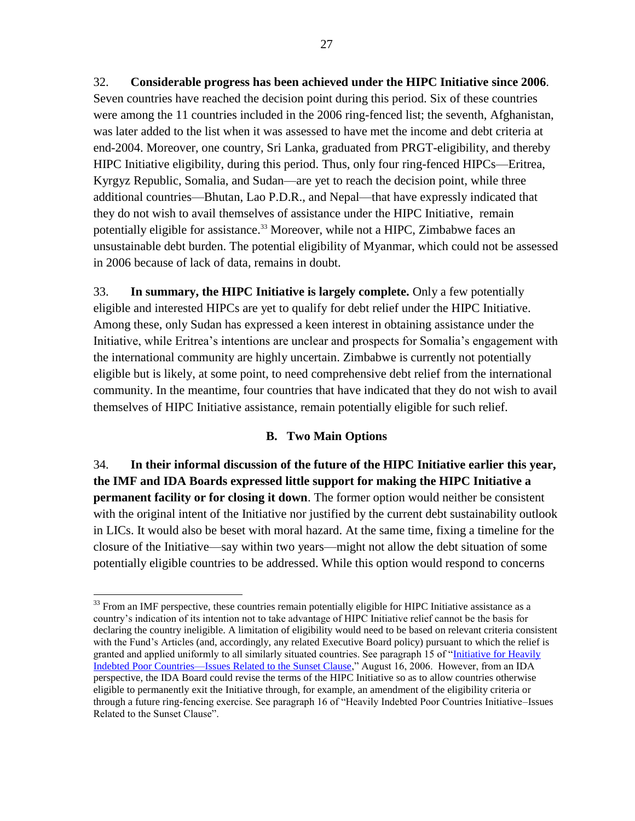32. **Considerable progress has been achieved under the HIPC Initiative since 2006**. Seven countries have reached the decision point during this period. Six of these countries were among the 11 countries included in the 2006 ring-fenced list; the seventh, Afghanistan, was later added to the list when it was assessed to have met the income and debt criteria at end-2004. Moreover, one country, Sri Lanka, graduated from PRGT-eligibility, and thereby HIPC Initiative eligibility, during this period. Thus, only four ring-fenced HIPCs—Eritrea, Kyrgyz Republic, Somalia, and Sudan—are yet to reach the decision point, while three additional countries—Bhutan, Lao P.D.R., and Nepal—that have expressly indicated that they do not wish to avail themselves of assistance under the HIPC Initiative, remain potentially eligible for assistance. <sup>33</sup> Moreover, while not a HIPC, Zimbabwe faces an unsustainable debt burden. The potential eligibility of Myanmar, which could not be assessed in 2006 because of lack of data, remains in doubt.

33. **In summary, the HIPC Initiative is largely complete.** Only a few potentially eligible and interested HIPCs are yet to qualify for debt relief under the HIPC Initiative. Among these, only Sudan has expressed a keen interest in obtaining assistance under the Initiative, while Eritrea's intentions are unclear and prospects for Somalia's engagement with the international community are highly uncertain. Zimbabwe is currently not potentially eligible but is likely, at some point, to need comprehensive debt relief from the international community. In the meantime, four countries that have indicated that they do not wish to avail themselves of HIPC Initiative assistance, remain potentially eligible for such relief.

### **B. Two Main Options**

<span id="page-26-0"></span>34. **In their informal discussion of the future of the HIPC Initiative earlier this year, the IMF and IDA Boards expressed little support for making the HIPC Initiative a permanent facility or for closing it down**. The former option would neither be consistent with the original intent of the Initiative nor justified by the current debt sustainability outlook in LICs. It would also be beset with moral hazard. At the same time, fixing a timeline for the closure of the Initiative—say within two years—might not allow the debt situation of some potentially eligible countries to be addressed. While this option would respond to concerns

 $\overline{a}$  $33$  From an IMF perspective, these countries remain potentially eligible for HIPC Initiative assistance as a country's indication of its intention not to take advantage of HIPC Initiative relief cannot be the basis for declaring the country ineligible. A limitation of eligibility would need to be based on relevant criteria consistent with the Fund's Articles (and, accordingly, any related Executive Board policy) pursuant to which the relief is granted and applied uniformly to all similarly situated countries. See paragraph 15 of "Initiative for Heavily [Indebted Poor Countries—Issues Related to the Sunset Clause,](http://www.imf.org/external/np/pp/eng/2006/081606.pdf)" August 16, 2006. However, from an IDA perspective, the IDA Board could revise the terms of the HIPC Initiative so as to allow countries otherwise eligible to permanently exit the Initiative through, for example, an amendment of the eligibility criteria or through a future ring-fencing exercise. See paragraph 16 of "Heavily Indebted Poor Countries Initiative–Issues Related to the Sunset Clause".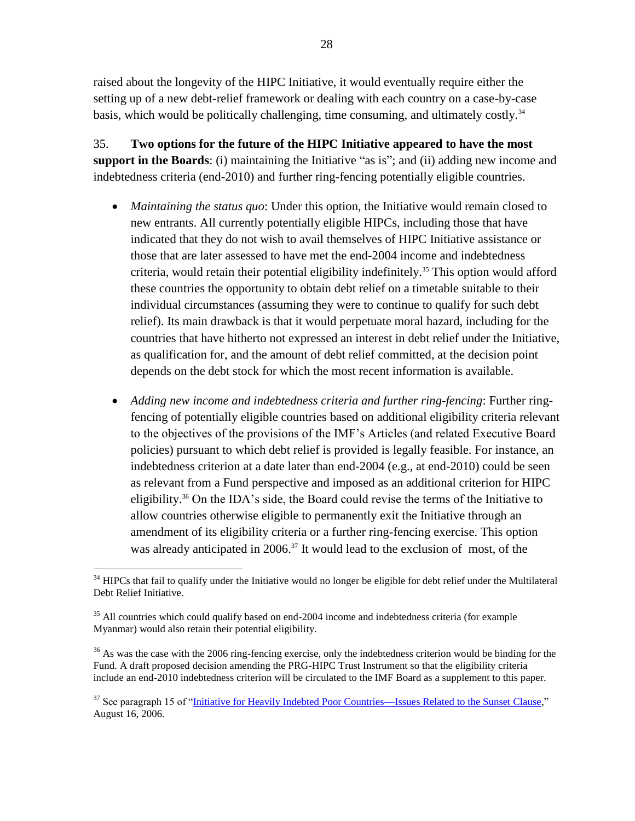raised about the longevity of the HIPC Initiative, it would eventually require either the setting up of a new debt-relief framework or dealing with each country on a case-by-case basis, which would be politically challenging, time consuming, and ultimately costly.<sup>34</sup>

35. **Two options for the future of the HIPC Initiative appeared to have the most**  support in the Boards: (i) maintaining the Initiative "as is"; and (ii) adding new income and indebtedness criteria (end-2010) and further ring-fencing potentially eligible countries.

- *Maintaining the status quo*: Under this option, the Initiative would remain closed to new entrants. All currently potentially eligible HIPCs, including those that have indicated that they do not wish to avail themselves of HIPC Initiative assistance or those that are later assessed to have met the end-2004 income and indebtedness criteria, would retain their potential eligibility indefinitely.<sup>35</sup> This option would afford these countries the opportunity to obtain debt relief on a timetable suitable to their individual circumstances (assuming they were to continue to qualify for such debt relief). Its main drawback is that it would perpetuate moral hazard, including for the countries that have hitherto not expressed an interest in debt relief under the Initiative, as qualification for, and the amount of debt relief committed, at the decision point depends on the debt stock for which the most recent information is available.
- *Adding new income and indebtedness criteria and further ring-fencing*: Further ringfencing of potentially eligible countries based on additional eligibility criteria relevant to the objectives of the provisions of the IMF's Articles (and related Executive Board policies) pursuant to which debt relief is provided is legally feasible. For instance, an indebtedness criterion at a date later than end-2004 (e.g., at end-2010) could be seen as relevant from a Fund perspective and imposed as an additional criterion for HIPC eligibility.<sup>36</sup> On the IDA's side, the Board could revise the terms of the Initiative to allow countries otherwise eligible to permanently exit the Initiative through an amendment of its eligibility criteria or a further ring-fencing exercise. This option was already anticipated in 2006. $37$  It would lead to the exclusion of most, of the

 $\overline{a}$ <sup>34</sup> HIPCs that fail to qualify under the Initiative would no longer be eligible for debt relief under the Multilateral Debt Relief Initiative.

 $35$  All countries which could qualify based on end-2004 income and indebtedness criteria (for example Myanmar) would also retain their potential eligibility.

 $36$  As was the case with the 2006 ring-fencing exercise, only the indebtedness criterion would be binding for the Fund. A draft proposed decision amending the PRG-HIPC Trust Instrument so that the eligibility criteria include an end-2010 indebtedness criterion will be circulated to the IMF Board as a supplement to this paper.

<sup>&</sup>lt;sup>37</sup> See paragraph 15 of "Initiative for Heavily Indebted Poor Countries—Issues Related to the Sunset Clause," August 16, 2006.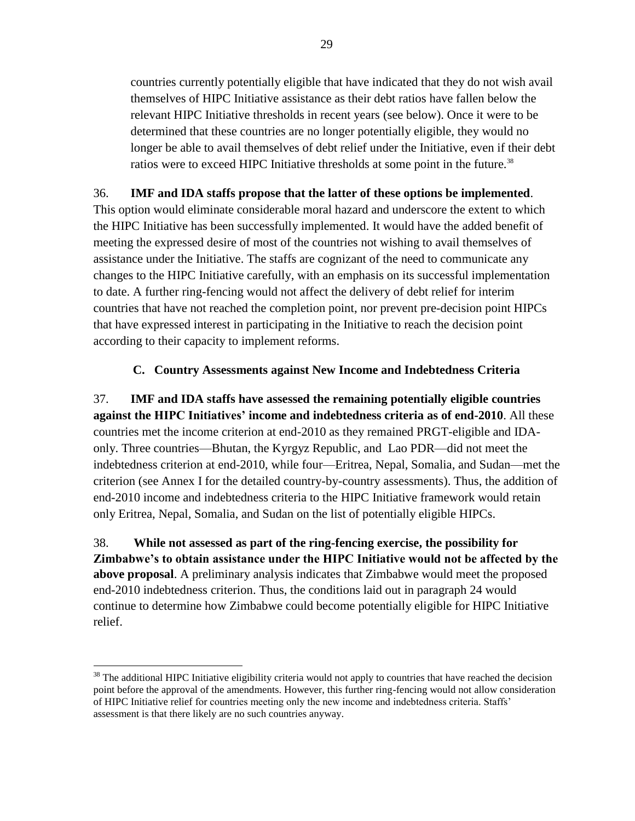countries currently potentially eligible that have indicated that they do not wish avail themselves of HIPC Initiative assistance as their debt ratios have fallen below the relevant HIPC Initiative thresholds in recent years (see below). Once it were to be determined that these countries are no longer potentially eligible, they would no longer be able to avail themselves of debt relief under the Initiative, even if their debt ratios were to exceed HIPC Initiative thresholds at some point in the future.<sup>38</sup>

## 36. **IMF and IDA staffs propose that the latter of these options be implemented**.

This option would eliminate considerable moral hazard and underscore the extent to which the HIPC Initiative has been successfully implemented. It would have the added benefit of meeting the expressed desire of most of the countries not wishing to avail themselves of assistance under the Initiative. The staffs are cognizant of the need to communicate any changes to the HIPC Initiative carefully, with an emphasis on its successful implementation to date. A further ring-fencing would not affect the delivery of debt relief for interim countries that have not reached the completion point, nor prevent pre-decision point HIPCs that have expressed interest in participating in the Initiative to reach the decision point according to their capacity to implement reforms.

# **C. Country Assessments against New Income and Indebtedness Criteria**

<span id="page-28-0"></span>37. **IMF and IDA staffs have assessed the remaining potentially eligible countries against the HIPC Initiatives' income and indebtedness criteria as of end-2010**. All these countries met the income criterion at end-2010 as they remained PRGT-eligible and IDAonly. Three countries—Bhutan, the Kyrgyz Republic, and Lao PDR—did not meet the indebtedness criterion at end-2010, while four—Eritrea, Nepal, Somalia, and Sudan—met the criterion (see Annex I for the detailed country-by-country assessments). Thus, the addition of end-2010 income and indebtedness criteria to the HIPC Initiative framework would retain only Eritrea, Nepal, Somalia, and Sudan on the list of potentially eligible HIPCs.

38. **While not assessed as part of the ring-fencing exercise, the possibility for Zimbabwe's to obtain assistance under the HIPC Initiative would not be affected by the above proposal**. A preliminary analysis indicates that Zimbabwe would meet the proposed end-2010 indebtedness criterion. Thus, the conditions laid out in paragraph 24 would continue to determine how Zimbabwe could become potentially eligible for HIPC Initiative relief.

<sup>&</sup>lt;sup>38</sup> The additional HIPC Initiative eligibility criteria would not apply to countries that have reached the decision point before the approval of the amendments. However, this further ring-fencing would not allow consideration of HIPC Initiative relief for countries meeting only the new income and indebtedness criteria. Staffs' assessment is that there likely are no such countries anyway.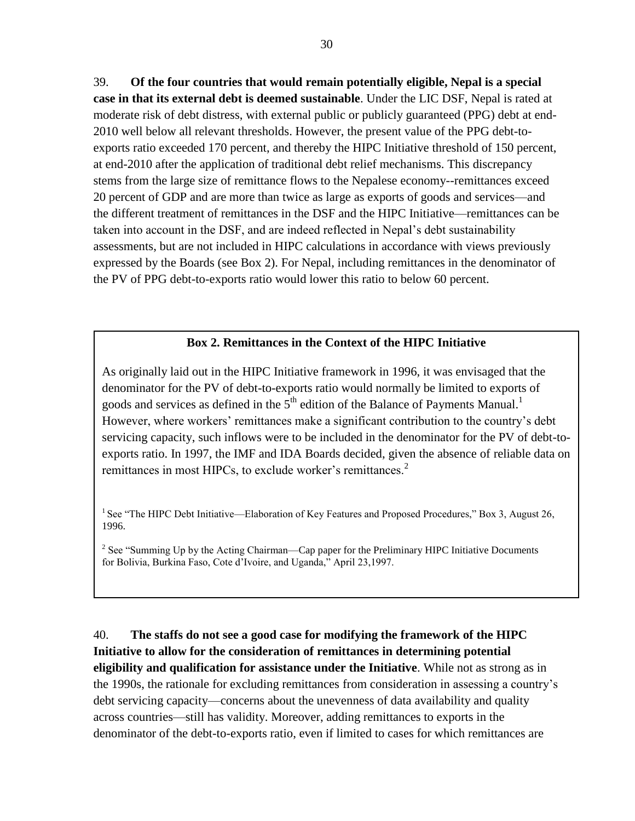39. **Of the four countries that would remain potentially eligible, Nepal is a special case in that its external debt is deemed sustainable**. Under the LIC DSF, Nepal is rated at moderate risk of debt distress, with external public or publicly guaranteed (PPG) debt at end-2010 well below all relevant thresholds. However, the present value of the PPG debt-toexports ratio exceeded 170 percent, and thereby the HIPC Initiative threshold of 150 percent, at end-2010 after the application of traditional debt relief mechanisms. This discrepancy stems from the large size of remittance flows to the Nepalese economy--remittances exceed 20 percent of GDP and are more than twice as large as exports of goods and services—and the different treatment of remittances in the DSF and the HIPC Initiative—remittances can be taken into account in the DSF, and are indeed reflected in Nepal's debt sustainability assessments, but are not included in HIPC calculations in accordance with views previously expressed by the Boards (see Box 2). For Nepal, including remittances in the denominator of the PV of PPG debt-to-exports ratio would lower this ratio to below 60 percent.

### **Box 2. Remittances in the Context of the HIPC Initiative**

As originally laid out in the HIPC Initiative framework in 1996, it was envisaged that the denominator for the PV of debt-to-exports ratio would normally be limited to exports of goods and services as defined in the 5<sup>th</sup> edition of the Balance of Payments Manual.<sup>1</sup> However, where workers' remittances make a significant contribution to the country's debt servicing capacity, such inflows were to be included in the denominator for the PV of debt-toexports ratio. In 1997, the IMF and IDA Boards decided, given the absence of reliable data on remittances in most HIPCs, to exclude worker's remittances.<sup>2</sup>

 $1$  See "The HIPC Debt Initiative—Elaboration of Key Features and Proposed Procedures," Box 3, August 26, 1996.

 $2^2$  See "Summing Up by the Acting Chairman—Cap paper for the Preliminary HIPC Initiative Documents for Bolivia, Burkina Faso, Cote d'Ivoire, and Uganda," April 23,1997.

40. **The staffs do not see a good case for modifying the framework of the HIPC Initiative to allow for the consideration of remittances in determining potential eligibility and qualification for assistance under the Initiative**. While not as strong as in the 1990s, the rationale for excluding remittances from consideration in assessing a country's debt servicing capacity—concerns about the unevenness of data availability and quality across countries—still has validity. Moreover, adding remittances to exports in the denominator of the debt-to-exports ratio, even if limited to cases for which remittances are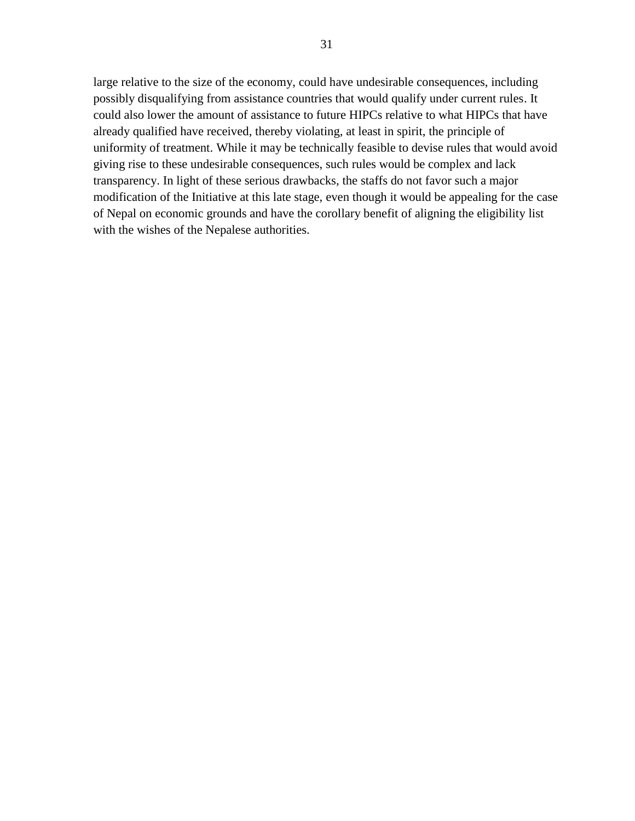large relative to the size of the economy, could have undesirable consequences, including possibly disqualifying from assistance countries that would qualify under current rules. It could also lower the amount of assistance to future HIPCs relative to what HIPCs that have already qualified have received, thereby violating, at least in spirit, the principle of uniformity of treatment. While it may be technically feasible to devise rules that would avoid giving rise to these undesirable consequences, such rules would be complex and lack transparency. In light of these serious drawbacks, the staffs do not favor such a major modification of the Initiative at this late stage, even though it would be appealing for the case of Nepal on economic grounds and have the corollary benefit of aligning the eligibility list with the wishes of the Nepalese authorities.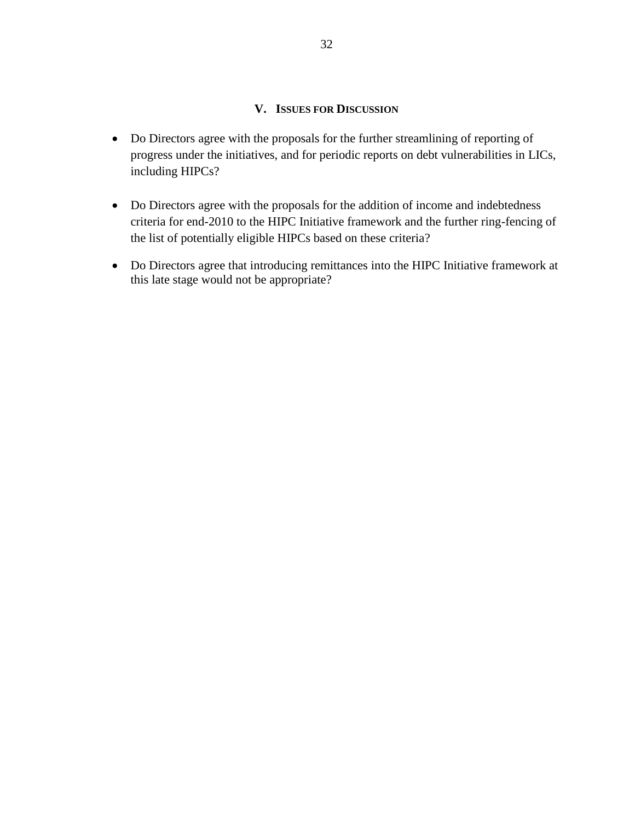#### **V. ISSUES FOR DISCUSSION**

- <span id="page-31-0"></span> Do Directors agree with the proposals for the further streamlining of reporting of progress under the initiatives, and for periodic reports on debt vulnerabilities in LICs, including HIPCs?
- Do Directors agree with the proposals for the addition of income and indebtedness criteria for end-2010 to the HIPC Initiative framework and the further ring-fencing of the list of potentially eligible HIPCs based on these criteria?
- Do Directors agree that introducing remittances into the HIPC Initiative framework at this late stage would not be appropriate?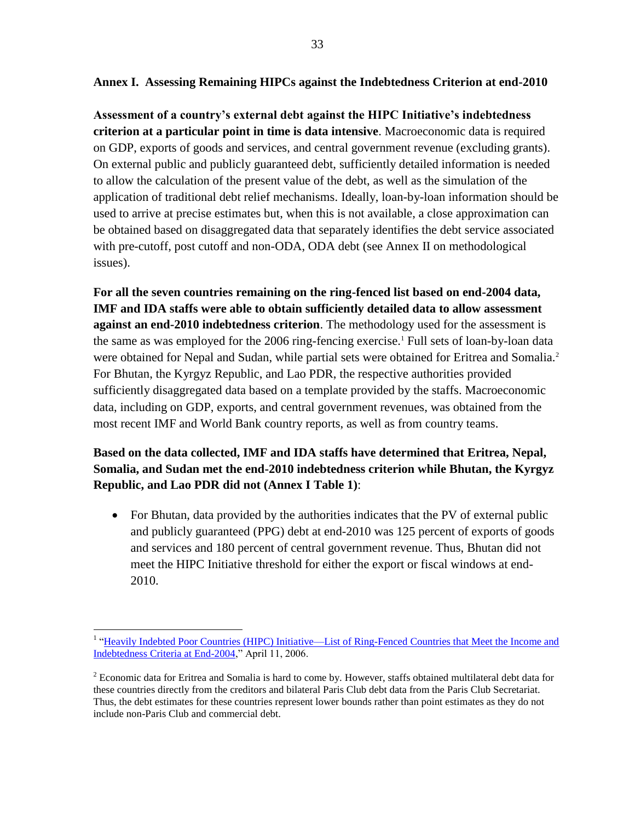#### **Annex I. Assessing Remaining HIPCs against the Indebtedness Criterion at end-2010**

**Assessment of a country's external debt against the HIPC Initiative's indebtedness criterion at a particular point in time is data intensive**. Macroeconomic data is required on GDP, exports of goods and services, and central government revenue (excluding grants). On external public and publicly guaranteed debt, sufficiently detailed information is needed to allow the calculation of the present value of the debt, as well as the simulation of the application of traditional debt relief mechanisms. Ideally, loan-by-loan information should be used to arrive at precise estimates but, when this is not available, a close approximation can be obtained based on disaggregated data that separately identifies the debt service associated with pre-cutoff, post cutoff and non-ODA, ODA debt (see Annex II on methodological issues).

**For all the seven countries remaining on the ring-fenced list based on end-2004 data, IMF and IDA staffs were able to obtain sufficiently detailed data to allow assessment against an end-2010 indebtedness criterion**. The methodology used for the assessment is the same as was employed for the 2006 ring-fencing exercise.<sup>1</sup> Full sets of loan-by-loan data were obtained for Nepal and Sudan, while partial sets were obtained for Eritrea and Somalia.<sup>2</sup> For Bhutan, the Kyrgyz Republic, and Lao PDR, the respective authorities provided sufficiently disaggregated data based on a template provided by the staffs. Macroeconomic data, including on GDP, exports, and central government revenues, was obtained from the most recent IMF and World Bank country reports, as well as from country teams.

# **Based on the data collected, IMF and IDA staffs have determined that Eritrea, Nepal, Somalia, and Sudan met the end-2010 indebtedness criterion while Bhutan, the Kyrgyz Republic, and Lao PDR did not (Annex I Table 1)**:

• For Bhutan, data provided by the authorities indicates that the PV of external public and publicly guaranteed (PPG) debt at end-2010 was 125 percent of exports of goods and services and 180 percent of central government revenue. Thus, Bhutan did not meet the HIPC Initiative threshold for either the export or fiscal windows at end-2010.

<sup>&</sup>lt;sup>1</sup> "Heavily Indebted Poor Countries (HIPC) Initiative—List of Ring-Fenced Countries that Meet the Income and [Indebtedness Criteria at End-2004,](http://www.imf.org/external/np/pp/eng/2006/041106.pdf)" April 11, 2006.

<sup>&</sup>lt;sup>2</sup> Economic data for Eritrea and Somalia is hard to come by. However, staffs obtained multilateral debt data for these countries directly from the creditors and bilateral Paris Club debt data from the Paris Club Secretariat. Thus, the debt estimates for these countries represent lower bounds rather than point estimates as they do not include non-Paris Club and commercial debt.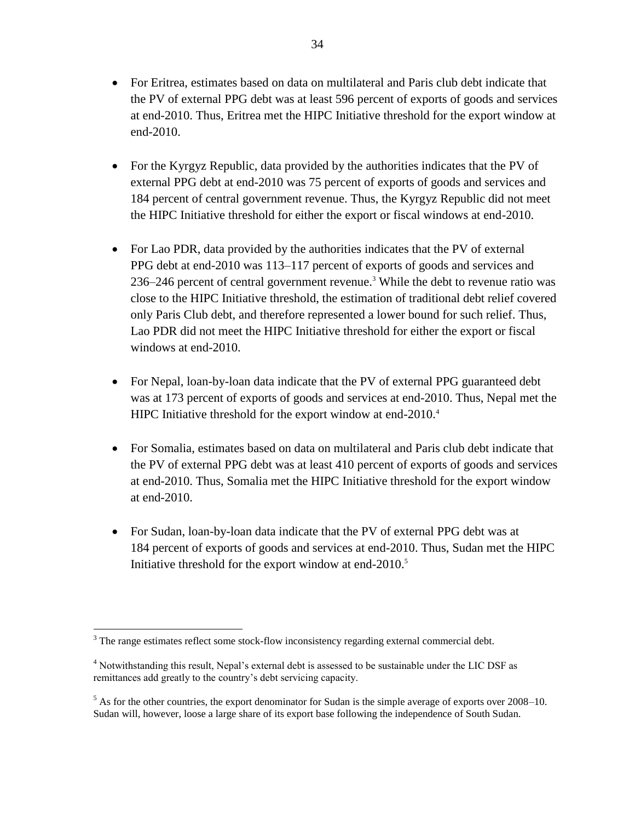- For Eritrea, estimates based on data on multilateral and Paris club debt indicate that the PV of external PPG debt was at least 596 percent of exports of goods and services at end-2010. Thus, Eritrea met the HIPC Initiative threshold for the export window at end-2010.
- For the Kyrgyz Republic, data provided by the authorities indicates that the PV of external PPG debt at end-2010 was 75 percent of exports of goods and services and 184 percent of central government revenue. Thus, the Kyrgyz Republic did not meet the HIPC Initiative threshold for either the export or fiscal windows at end-2010.
- For Lao PDR, data provided by the authorities indicates that the PV of external PPG debt at end-2010 was 113–117 percent of exports of goods and services and 236–246 percent of central government revenue.<sup>3</sup> While the debt to revenue ratio was close to the HIPC Initiative threshold, the estimation of traditional debt relief covered only Paris Club debt, and therefore represented a lower bound for such relief. Thus, Lao PDR did not meet the HIPC Initiative threshold for either the export or fiscal windows at end-2010.
- For Nepal, loan-by-loan data indicate that the PV of external PPG guaranteed debt was at 173 percent of exports of goods and services at end-2010. Thus, Nepal met the HIPC Initiative threshold for the export window at end-2010.<sup>4</sup>
- For Somalia, estimates based on data on multilateral and Paris club debt indicate that the PV of external PPG debt was at least 410 percent of exports of goods and services at end-2010. Thus, Somalia met the HIPC Initiative threshold for the export window at end-2010.
- For Sudan, loan-by-loan data indicate that the PV of external PPG debt was at 184 percent of exports of goods and services at end-2010. Thus, Sudan met the HIPC Initiative threshold for the export window at end-2010.<sup>5</sup>

 $\overline{a}$  $3$  The range estimates reflect some stock-flow inconsistency regarding external commercial debt.

<sup>4</sup> Notwithstanding this result, Nepal's external debt is assessed to be sustainable under the LIC DSF as remittances add greatly to the country's debt servicing capacity.

 $<sup>5</sup>$  As for the other countries, the export denominator for Sudan is the simple average of exports over 2008–10.</sup> Sudan will, however, loose a large share of its export base following the independence of South Sudan.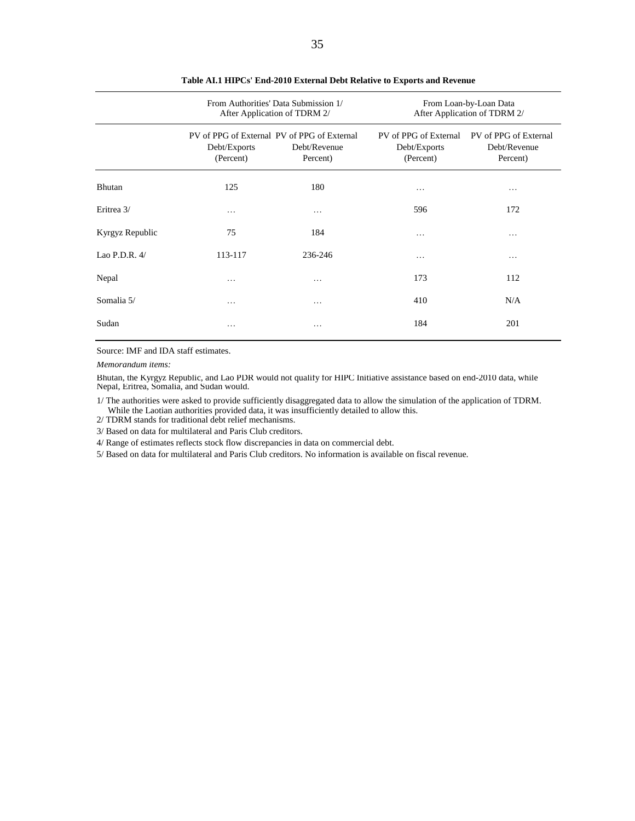|                 | From Authorities' Data Submission 1/<br>After Application of TDRM 2/     |                          | From Loan-by-Loan Data<br>After Application of TDRM 2/ |                                                   |  |  |  |  |
|-----------------|--------------------------------------------------------------------------|--------------------------|--------------------------------------------------------|---------------------------------------------------|--|--|--|--|
|                 | PV of PPG of External PV of PPG of External<br>Debt/Exports<br>(Percent) | Debt/Revenue<br>Percent) | PV of PPG of External<br>Debt/Exports<br>(Percent)     | PV of PPG of External<br>Debt/Revenue<br>Percent) |  |  |  |  |
| <b>Bhutan</b>   | 125                                                                      | 180                      | .                                                      | .                                                 |  |  |  |  |
| Eritrea 3/      | .                                                                        | .                        | 596                                                    | 172                                               |  |  |  |  |
| Kyrgyz Republic | 75                                                                       | 184                      | $\cdots$                                               | $\cdots$                                          |  |  |  |  |
| Lao P.D.R. $4/$ | 113-117                                                                  | 236-246                  | $\cdots$                                               | $\cdots$                                          |  |  |  |  |
| Nepal           | .                                                                        | $\cdots$                 | 173                                                    | 112                                               |  |  |  |  |
| Somalia 5/      | .                                                                        | $\cdots$                 | 410                                                    | N/A                                               |  |  |  |  |
| Sudan           | .                                                                        | .                        | 184                                                    | 201                                               |  |  |  |  |

#### **Table AI.1 HIPCs' End-2010 External Debt Relative to Exports and Revenue**

Source: IMF and IDA staff estimates.

*Memorandum items:*

Bhutan, the Kyrgyz Republic, and Lao PDR would not qualify for HIPC Initiative assistance based on end-2010 data, while Nepal, Eritrea, Somalia, and Sudan would.

1/ The authorities were asked to provide sufficiently disaggregated data to allow the simulation of the application of TDRM. While the Laotian authorities provided data, it was insufficiently detailed to allow this.

2/ TDRM stands for traditional debt relief mechanisms.

3/ Based on data for multilateral and Paris Club creditors.

4/ Range of estimates reflects stock flow discrepancies in data on commercial debt.

5/ Based on data for multilateral and Paris Club creditors. No information is available on fiscal revenue.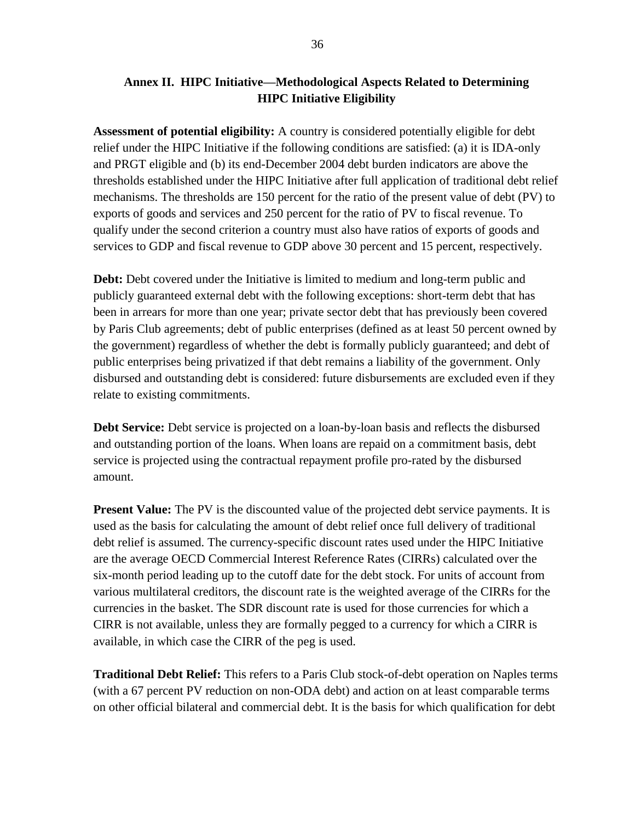**Assessment of potential eligibility:** A country is considered potentially eligible for debt relief under the HIPC Initiative if the following conditions are satisfied: (a) it is IDA-only and PRGT eligible and (b) its end-December 2004 debt burden indicators are above the thresholds established under the HIPC Initiative after full application of traditional debt relief mechanisms. The thresholds are 150 percent for the ratio of the present value of debt (PV) to exports of goods and services and 250 percent for the ratio of PV to fiscal revenue. To qualify under the second criterion a country must also have ratios of exports of goods and services to GDP and fiscal revenue to GDP above 30 percent and 15 percent, respectively.

**Debt:** Debt covered under the Initiative is limited to medium and long-term public and publicly guaranteed external debt with the following exceptions: short-term debt that has been in arrears for more than one year; private sector debt that has previously been covered by Paris Club agreements; debt of public enterprises (defined as at least 50 percent owned by the government) regardless of whether the debt is formally publicly guaranteed; and debt of public enterprises being privatized if that debt remains a liability of the government. Only disbursed and outstanding debt is considered: future disbursements are excluded even if they relate to existing commitments.

**Debt Service:** Debt service is projected on a loan-by-loan basis and reflects the disbursed and outstanding portion of the loans. When loans are repaid on a commitment basis, debt service is projected using the contractual repayment profile pro-rated by the disbursed amount.

**Present Value:** The PV is the discounted value of the projected debt service payments. It is used as the basis for calculating the amount of debt relief once full delivery of traditional debt relief is assumed. The currency-specific discount rates used under the HIPC Initiative are the average OECD Commercial Interest Reference Rates (CIRRs) calculated over the six-month period leading up to the cutoff date for the debt stock. For units of account from various multilateral creditors, the discount rate is the weighted average of the CIRRs for the currencies in the basket. The SDR discount rate is used for those currencies for which a CIRR is not available, unless they are formally pegged to a currency for which a CIRR is available, in which case the CIRR of the peg is used.

**Traditional Debt Relief:** This refers to a Paris Club stock-of-debt operation on Naples terms (with a 67 percent PV reduction on non-ODA debt) and action on at least comparable terms on other official bilateral and commercial debt. It is the basis for which qualification for debt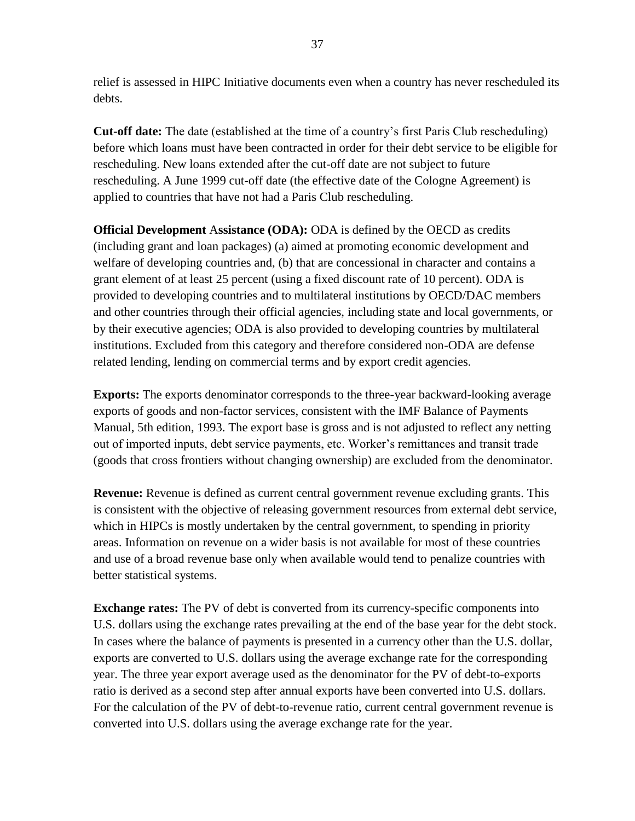relief is assessed in HIPC Initiative documents even when a country has never rescheduled its debts.

**Cut-off date:** The date (established at the time of a country's first Paris Club rescheduling) before which loans must have been contracted in order for their debt service to be eligible for rescheduling. New loans extended after the cut-off date are not subject to future rescheduling. A June 1999 cut-off date (the effective date of the Cologne Agreement) is applied to countries that have not had a Paris Club rescheduling.

**Official Development** A**ssistance (ODA):** ODA is defined by the OECD as credits (including grant and loan packages) (a) aimed at promoting economic development and welfare of developing countries and, (b) that are concessional in character and contains a grant element of at least 25 percent (using a fixed discount rate of 10 percent). ODA is provided to developing countries and to multilateral institutions by OECD/DAC members and other countries through their official agencies, including state and local governments, or by their executive agencies; ODA is also provided to developing countries by multilateral institutions. Excluded from this category and therefore considered non-ODA are defense related lending, lending on commercial terms and by export credit agencies.

**Exports:** The exports denominator corresponds to the three-year backward-looking average exports of goods and non-factor services, consistent with the IMF Balance of Payments Manual, 5th edition, 1993. The export base is gross and is not adjusted to reflect any netting out of imported inputs, debt service payments, etc. Worker's remittances and transit trade (goods that cross frontiers without changing ownership) are excluded from the denominator.

**Revenue:** Revenue is defined as current central government revenue excluding grants. This is consistent with the objective of releasing government resources from external debt service, which in HIPCs is mostly undertaken by the central government, to spending in priority areas. Information on revenue on a wider basis is not available for most of these countries and use of a broad revenue base only when available would tend to penalize countries with better statistical systems.

**Exchange rates:** The PV of debt is converted from its currency-specific components into U.S. dollars using the exchange rates prevailing at the end of the base year for the debt stock. In cases where the balance of payments is presented in a currency other than the U.S. dollar, exports are converted to U.S. dollars using the average exchange rate for the corresponding year. The three year export average used as the denominator for the PV of debt-to-exports ratio is derived as a second step after annual exports have been converted into U.S. dollars. For the calculation of the PV of debt-to-revenue ratio, current central government revenue is converted into U.S. dollars using the average exchange rate for the year.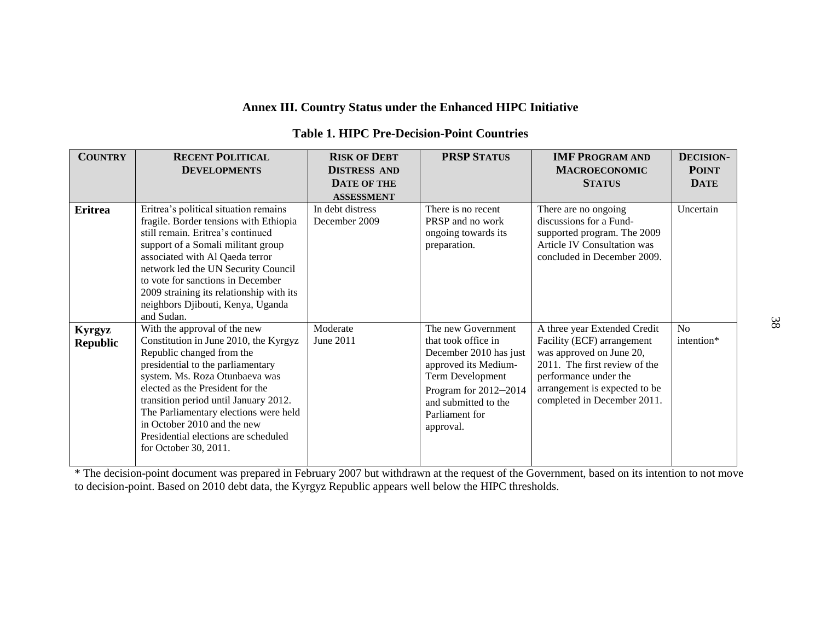### **Annex III. Country Status under the Enhanced HIPC Initiative**

|  |  |  |  |  | <b>Table 1. HIPC Pre-Decision-Point Countries</b> |
|--|--|--|--|--|---------------------------------------------------|
|--|--|--|--|--|---------------------------------------------------|

| <b>COUNTRY</b>            | <b>RECENT POLITICAL</b>                                                                                                                                                                                                                                                                                                                                                                         | <b>RISK OF DEBT</b>               | <b>PRSP STATUS</b>                                                                                                                                                                              | <b>IMF PROGRAM AND</b>                                                                                                                                                                                           | <b>DECISION-</b> |
|---------------------------|-------------------------------------------------------------------------------------------------------------------------------------------------------------------------------------------------------------------------------------------------------------------------------------------------------------------------------------------------------------------------------------------------|-----------------------------------|-------------------------------------------------------------------------------------------------------------------------------------------------------------------------------------------------|------------------------------------------------------------------------------------------------------------------------------------------------------------------------------------------------------------------|------------------|
|                           | <b>DEVELOPMENTS</b>                                                                                                                                                                                                                                                                                                                                                                             | <b>DISTRESS AND</b>               |                                                                                                                                                                                                 | <b>MACROECONOMIC</b>                                                                                                                                                                                             | <b>POINT</b>     |
|                           |                                                                                                                                                                                                                                                                                                                                                                                                 | DATE OF THE                       |                                                                                                                                                                                                 | <b>STATUS</b>                                                                                                                                                                                                    | <b>DATE</b>      |
|                           |                                                                                                                                                                                                                                                                                                                                                                                                 | <b>ASSESSMENT</b>                 |                                                                                                                                                                                                 |                                                                                                                                                                                                                  |                  |
| <b>Eritrea</b>            | Eritrea's political situation remains<br>fragile. Border tensions with Ethiopia<br>still remain. Eritrea's continued<br>support of a Somali militant group<br>associated with Al Qaeda terror<br>network led the UN Security Council<br>to vote for sanctions in December<br>2009 straining its relationship with its<br>neighbors Djibouti, Kenya, Uganda<br>and Sudan.                        | In debt distress<br>December 2009 | There is no recent<br>PRSP and no work<br>ongoing towards its<br>preparation.                                                                                                                   | There are no ongoing<br>discussions for a Fund-<br>supported program. The 2009<br><b>Article IV Consultation was</b><br>concluded in December 2009.                                                              | Uncertain        |
| Kyrgyz<br><b>Republic</b> | With the approval of the new<br>Constitution in June 2010, the Kyrgyz<br>Republic changed from the<br>presidential to the parliamentary<br>system. Ms. Roza Otunbaeva was<br>elected as the President for the<br>transition period until January 2012.<br>The Parliamentary elections were held<br>in October 2010 and the new<br>Presidential elections are scheduled<br>for October 30, 2011. | Moderate<br>June 2011             | The new Government<br>that took office in<br>December 2010 has just<br>approved its Medium-<br>Term Development<br>Program for 2012-2014<br>and submitted to the<br>Parliament for<br>approval. | A three year Extended Credit<br>Facility (ECF) arrangement<br>was approved on June 20,<br>2011. The first review of the<br>performance under the<br>arrangement is expected to be<br>completed in December 2011. | No<br>intention* |

\* The decision-point document was prepared in February 2007 but withdrawn at the request of the Government, based on its intention to not move to decision-point. Based on 2010 debt data, the Kyrgyz Republic appears well below the HIPC thresholds.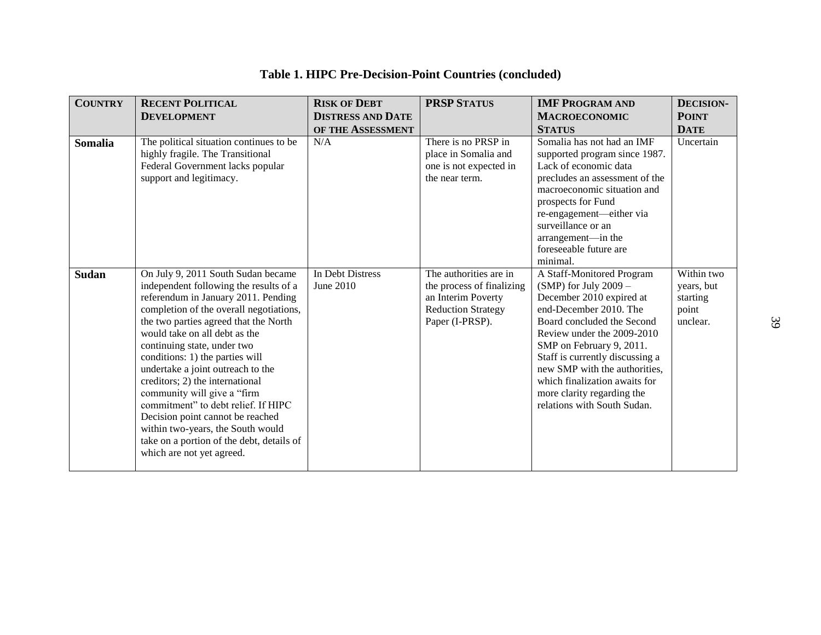# **Table 1. HIPC Pre-Decision-Point Countries (concluded)**

| <b>COUNTRY</b> | <b>RECENT POLITICAL</b>                                                                                                                                                                                                                                                                                                                                                                                                                                                                                                                                                                                     | <b>RISK OF DEBT</b>           | <b>PRSP STATUS</b>                                                                                                        | <b>IMF PROGRAM AND</b>                                                                                                                                                                                                                                                                                                                                               | <b>DECISION-</b>                                          |
|----------------|-------------------------------------------------------------------------------------------------------------------------------------------------------------------------------------------------------------------------------------------------------------------------------------------------------------------------------------------------------------------------------------------------------------------------------------------------------------------------------------------------------------------------------------------------------------------------------------------------------------|-------------------------------|---------------------------------------------------------------------------------------------------------------------------|----------------------------------------------------------------------------------------------------------------------------------------------------------------------------------------------------------------------------------------------------------------------------------------------------------------------------------------------------------------------|-----------------------------------------------------------|
|                | <b>DEVELOPMENT</b>                                                                                                                                                                                                                                                                                                                                                                                                                                                                                                                                                                                          | <b>DISTRESS AND DATE</b>      |                                                                                                                           | <b>MACROECONOMIC</b>                                                                                                                                                                                                                                                                                                                                                 | <b>POINT</b>                                              |
|                |                                                                                                                                                                                                                                                                                                                                                                                                                                                                                                                                                                                                             | OF THE ASSESSMENT             |                                                                                                                           | <b>STATUS</b>                                                                                                                                                                                                                                                                                                                                                        | <b>DATE</b>                                               |
| <b>Somalia</b> | The political situation continues to be<br>highly fragile. The Transitional<br>Federal Government lacks popular<br>support and legitimacy.                                                                                                                                                                                                                                                                                                                                                                                                                                                                  | N/A                           | There is no PRSP in<br>place in Somalia and<br>one is not expected in<br>the near term.                                   | Somalia has not had an IMF<br>supported program since 1987.<br>Lack of economic data<br>precludes an assessment of the<br>macroeconomic situation and<br>prospects for Fund<br>re-engagement-either via<br>surveillance or an<br>arrangement—in the<br>foreseeable future are<br>minimal.                                                                            | Uncertain                                                 |
| <b>Sudan</b>   | On July 9, 2011 South Sudan became<br>independent following the results of a<br>referendum in January 2011. Pending<br>completion of the overall negotiations,<br>the two parties agreed that the North<br>would take on all debt as the<br>continuing state, under two<br>conditions: 1) the parties will<br>undertake a joint outreach to the<br>creditors; 2) the international<br>community will give a "firm<br>commitment" to debt relief. If HIPC<br>Decision point cannot be reached<br>within two-years, the South would<br>take on a portion of the debt, details of<br>which are not yet agreed. | In Debt Distress<br>June 2010 | The authorities are in<br>the process of finalizing<br>an Interim Poverty<br><b>Reduction Strategy</b><br>Paper (I-PRSP). | A Staff-Monitored Program<br>$(SMP)$ for July 2009 –<br>December 2010 expired at<br>end-December 2010. The<br>Board concluded the Second<br>Review under the 2009-2010<br>SMP on February 9, 2011.<br>Staff is currently discussing a<br>new SMP with the authorities,<br>which finalization awaits for<br>more clarity regarding the<br>relations with South Sudan. | Within two<br>years, but<br>starting<br>point<br>unclear. |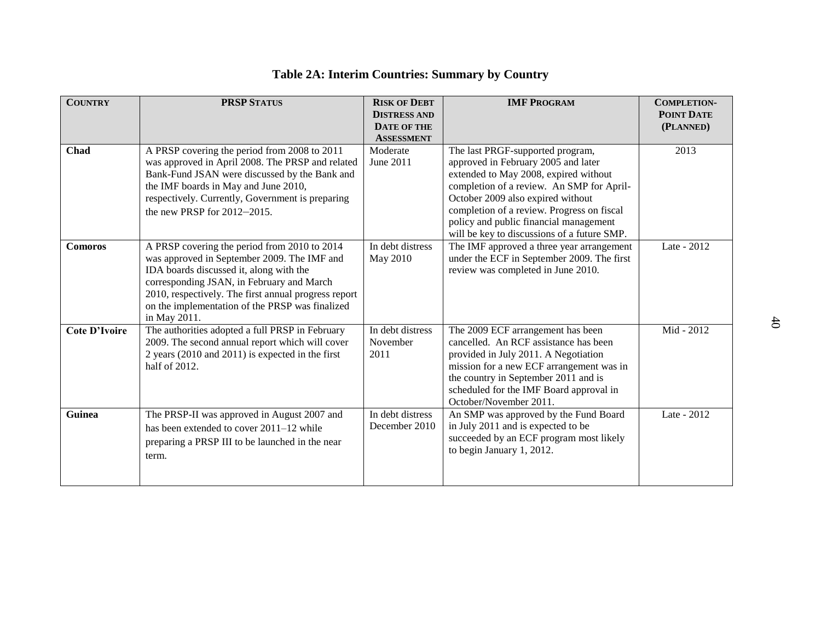| <b>COUNTRY</b>       | <b>PRSP STATUS</b>                                                                                                                                                                                                                                                                                             | <b>RISK OF DEBT</b><br><b>DISTRESS AND</b><br><b>DATE OF THE</b> | <b>IMF PROGRAM</b>                                                                                                                                                                                                                                                                                                                        | <b>COMPLETION-</b><br><b>POINT DATE</b><br>(PLANNED) |
|----------------------|----------------------------------------------------------------------------------------------------------------------------------------------------------------------------------------------------------------------------------------------------------------------------------------------------------------|------------------------------------------------------------------|-------------------------------------------------------------------------------------------------------------------------------------------------------------------------------------------------------------------------------------------------------------------------------------------------------------------------------------------|------------------------------------------------------|
|                      |                                                                                                                                                                                                                                                                                                                | <b>ASSESSMENT</b>                                                |                                                                                                                                                                                                                                                                                                                                           |                                                      |
| Chad                 | A PRSP covering the period from 2008 to 2011<br>was approved in April 2008. The PRSP and related<br>Bank-Fund JSAN were discussed by the Bank and<br>the IMF boards in May and June 2010,<br>respectively. Currently, Government is preparing<br>the new PRSP for $2012-2015$ .                                | Moderate<br>June 2011                                            | The last PRGF-supported program,<br>approved in February 2005 and later<br>extended to May 2008, expired without<br>completion of a review. An SMP for April-<br>October 2009 also expired without<br>completion of a review. Progress on fiscal<br>policy and public financial management<br>will be key to discussions of a future SMP. | 2013                                                 |
| <b>Comoros</b>       | A PRSP covering the period from 2010 to 2014<br>was approved in September 2009. The IMF and<br>IDA boards discussed it, along with the<br>corresponding JSAN, in February and March<br>2010, respectively. The first annual progress report<br>on the implementation of the PRSP was finalized<br>in May 2011. | In debt distress<br>May 2010                                     | The IMF approved a three year arrangement<br>under the ECF in September 2009. The first<br>review was completed in June 2010.                                                                                                                                                                                                             | Late - 2012                                          |
| <b>Cote D'Ivoire</b> | The authorities adopted a full PRSP in February<br>2009. The second annual report which will cover<br>2 years (2010 and 2011) is expected in the first<br>half of 2012.                                                                                                                                        | In debt distress<br>November<br>2011                             | The 2009 ECF arrangement has been<br>cancelled. An RCF assistance has been<br>provided in July 2011. A Negotiation<br>mission for a new ECF arrangement was in<br>the country in September 2011 and is<br>scheduled for the IMF Board approval in<br>October/November 2011.                                                               | Mid - 2012                                           |
| Guinea               | The PRSP-II was approved in August 2007 and<br>has been extended to cover 2011–12 while<br>preparing a PRSP III to be launched in the near<br>term.                                                                                                                                                            | In debt distress<br>December 2010                                | An SMP was approved by the Fund Board<br>in July 2011 and is expected to be<br>succeeded by an ECF program most likely<br>to begin January 1, 2012.                                                                                                                                                                                       | Late - 2012                                          |

# **Table 2A: Interim Countries: Summary by Country**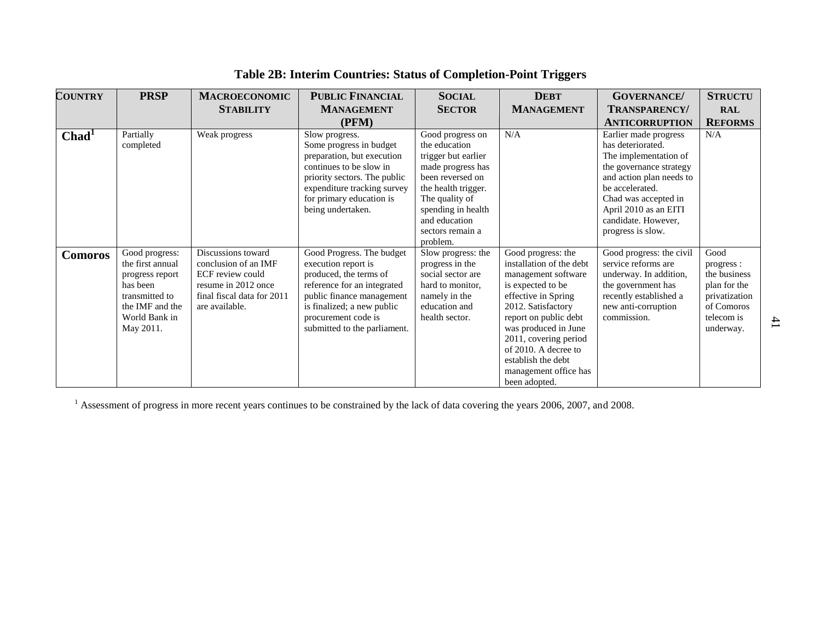| <b>COUNTRY</b>    | <b>PRSP</b>                                                                                                                          | <b>MACROECONOMIC</b>                                                                                                                  | <b>PUBLIC FINANCIAL</b>                                                                                                                                                                                                     | <b>SOCIAL</b>                                                                                                                                                                                                     | <b>DEBT</b>                                                                                                                                                                                                                                                                                               | <b>GOVERNANCE/</b>                                                                                                                                                                                                                         | <b>STRUCTU</b>                                                                                              |
|-------------------|--------------------------------------------------------------------------------------------------------------------------------------|---------------------------------------------------------------------------------------------------------------------------------------|-----------------------------------------------------------------------------------------------------------------------------------------------------------------------------------------------------------------------------|-------------------------------------------------------------------------------------------------------------------------------------------------------------------------------------------------------------------|-----------------------------------------------------------------------------------------------------------------------------------------------------------------------------------------------------------------------------------------------------------------------------------------------------------|--------------------------------------------------------------------------------------------------------------------------------------------------------------------------------------------------------------------------------------------|-------------------------------------------------------------------------------------------------------------|
|                   |                                                                                                                                      | <b>STABILITY</b>                                                                                                                      | <b>MANAGEMENT</b>                                                                                                                                                                                                           | <b>SECTOR</b>                                                                                                                                                                                                     | <b>MANAGEMENT</b>                                                                                                                                                                                                                                                                                         | <b>TRANSPARENCY/</b>                                                                                                                                                                                                                       | <b>RAL</b>                                                                                                  |
|                   |                                                                                                                                      |                                                                                                                                       | (PFM)                                                                                                                                                                                                                       |                                                                                                                                                                                                                   |                                                                                                                                                                                                                                                                                                           | <b>ANTICORRUPTION</b>                                                                                                                                                                                                                      | <b>REFORMS</b>                                                                                              |
| Chad <sup>1</sup> | Partially<br>completed                                                                                                               | Weak progress                                                                                                                         | Slow progress.<br>Some progress in budget<br>preparation, but execution<br>continues to be slow in<br>priority sectors. The public<br>expenditure tracking survey<br>for primary education is<br>being undertaken.          | Good progress on<br>the education<br>trigger but earlier<br>made progress has<br>been reversed on<br>the health trigger.<br>The quality of<br>spending in health<br>and education<br>sectors remain a<br>problem. | N/A                                                                                                                                                                                                                                                                                                       | Earlier made progress<br>has deteriorated.<br>The implementation of<br>the governance strategy<br>and action plan needs to<br>be accelerated.<br>Chad was accepted in<br>April 2010 as an EITI<br>candidate. However,<br>progress is slow. | N/A                                                                                                         |
| <b>Comoros</b>    | Good progress:<br>the first annual<br>progress report<br>has been<br>transmitted to<br>the IMF and the<br>World Bank in<br>May 2011. | Discussions toward<br>conclusion of an IMF<br>ECF review could<br>resume in 2012 once<br>final fiscal data for 2011<br>are available. | Good Progress. The budget<br>execution report is<br>produced, the terms of<br>reference for an integrated<br>public finance management<br>is finalized; a new public<br>procurement code is<br>submitted to the parliament. | Slow progress: the<br>progress in the<br>social sector are<br>hard to monitor,<br>namely in the<br>education and<br>health sector.                                                                                | Good progress: the<br>installation of the debt<br>management software<br>is expected to be<br>effective in Spring<br>2012. Satisfactory<br>report on public debt<br>was produced in June<br>2011, covering period<br>of 2010. A decree to<br>establish the debt<br>management office has<br>been adopted. | Good progress: the civil<br>service reforms are<br>underway. In addition,<br>the government has<br>recently established a<br>new anti-corruption<br>commission.                                                                            | Good<br>progress:<br>the business<br>plan for the<br>privatization<br>of Comoros<br>telecom is<br>underway. |

# **Table 2B: Interim Countries: Status of Completion-Point Triggers**

<sup>1</sup> Assessment of progress in more recent years continues to be constrained by the lack of data covering the years 2006, 2007, and 2008.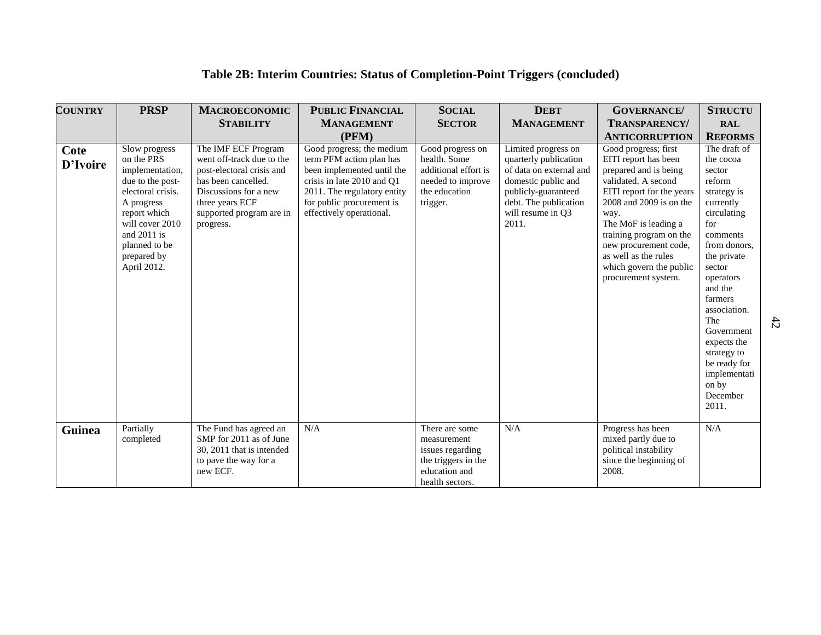# **Table 2B: Interim Countries: Status of Completion-Point Triggers (concluded)**

| <b>COUNTRY</b>   | <b>PRSP</b>                                                                                                                                                                                            | <b>MACROECONOMIC</b>                                                                                                                                                                      | <b>PUBLIC FINANCIAL</b>                                                                                                                                                                                   | <b>SOCIAL</b>                                                                                                | <b>DEBT</b>                                                                                                                                                                  | <b>GOVERNANCE/</b>                                                                                                                                                                                                                                                                                                     | <b>STRUCTU</b>                                                                                                                                                                                                                                                                                                           |
|------------------|--------------------------------------------------------------------------------------------------------------------------------------------------------------------------------------------------------|-------------------------------------------------------------------------------------------------------------------------------------------------------------------------------------------|-----------------------------------------------------------------------------------------------------------------------------------------------------------------------------------------------------------|--------------------------------------------------------------------------------------------------------------|------------------------------------------------------------------------------------------------------------------------------------------------------------------------------|------------------------------------------------------------------------------------------------------------------------------------------------------------------------------------------------------------------------------------------------------------------------------------------------------------------------|--------------------------------------------------------------------------------------------------------------------------------------------------------------------------------------------------------------------------------------------------------------------------------------------------------------------------|
|                  |                                                                                                                                                                                                        | <b>STABILITY</b>                                                                                                                                                                          | <b>MANAGEMENT</b>                                                                                                                                                                                         | <b>SECTOR</b>                                                                                                | <b>MANAGEMENT</b>                                                                                                                                                            | TRANSPARENCY/                                                                                                                                                                                                                                                                                                          | <b>RAL</b>                                                                                                                                                                                                                                                                                                               |
|                  |                                                                                                                                                                                                        |                                                                                                                                                                                           | (PFM)                                                                                                                                                                                                     |                                                                                                              |                                                                                                                                                                              | <b>ANTICORRUPTION</b>                                                                                                                                                                                                                                                                                                  | <b>REFORMS</b>                                                                                                                                                                                                                                                                                                           |
| Cote<br>D'Ivoire | Slow progress<br>on the PRS<br>implementation,<br>due to the post-<br>electoral crisis.<br>A progress<br>report which<br>will cover 2010<br>and 2011 is<br>planned to be<br>prepared by<br>April 2012. | The IMF ECF Program<br>went off-track due to the<br>post-electoral crisis and<br>has been cancelled.<br>Discussions for a new<br>three years ECF<br>supported program are in<br>progress. | Good progress; the medium<br>term PFM action plan has<br>been implemented until the<br>crisis in late 2010 and Q1<br>2011. The regulatory entity<br>for public procurement is<br>effectively operational. | Good progress on<br>health. Some<br>additional effort is<br>needed to improve<br>the education<br>trigger.   | Limited progress on<br>quarterly publication<br>of data on external and<br>domestic public and<br>publicly-guaranteed<br>debt. The publication<br>will resume in Q3<br>2011. | Good progress; first<br>EITI report has been<br>prepared and is being<br>validated. A second<br>EITI report for the years<br>$2008$ and $2009$ is on the<br>way.<br>The MoF is leading a<br>training program on the<br>new procurement code,<br>as well as the rules<br>which govern the public<br>procurement system. | The draft of<br>the cocoa<br>sector<br>reform<br>strategy is<br>currently<br>circulating<br>for<br>comments<br>from donors,<br>the private<br>sector<br>operators<br>and the<br>farmers<br>association.<br>The<br>Government<br>expects the<br>strategy to<br>be ready for<br>implementati<br>on by<br>December<br>2011. |
| <b>Guinea</b>    | Partially<br>completed                                                                                                                                                                                 | The Fund has agreed an<br>SMP for 2011 as of June<br>30, 2011 that is intended<br>to pave the way for a<br>new ECF.                                                                       | N/A                                                                                                                                                                                                       | There are some<br>measurement<br>issues regarding<br>the triggers in the<br>education and<br>health sectors. | N/A                                                                                                                                                                          | Progress has been<br>mixed partly due to<br>political instability<br>since the beginning of<br>2008.                                                                                                                                                                                                                   | N/A                                                                                                                                                                                                                                                                                                                      |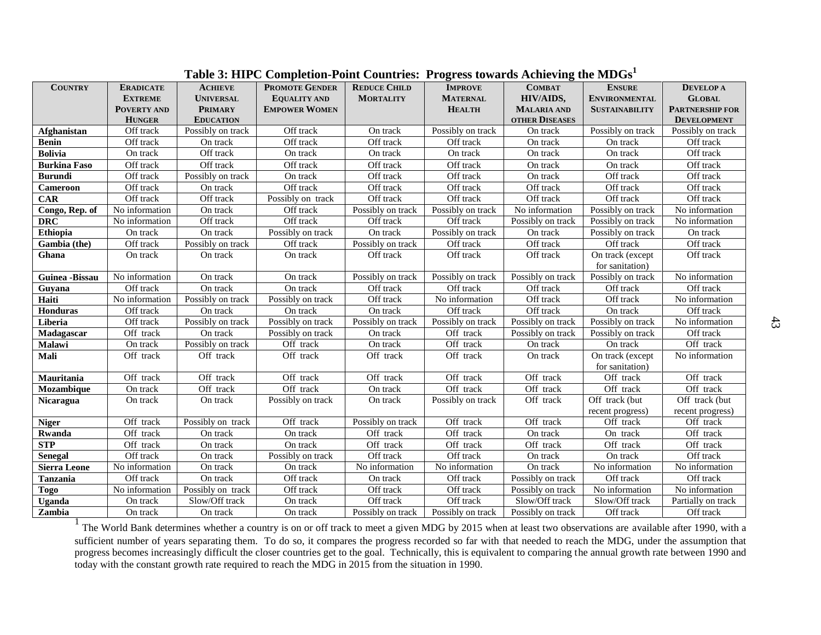**Table 3: HIPC Completion-Point Countries: Progress towards Achieving the MDGs<sup>1</sup>**

| <b>COUNTRY</b>      | <b>ERADICATE</b>                   | <b>ACHIEVE</b>    | <b>PROMOTE GENDER</b> | <b>REDUCE CHILD</b> | <b>IMPROVE</b>    | <b>COMBAT</b>         | <b>ENSURE</b>                       | <b>DEVELOPA</b>             |  |
|---------------------|------------------------------------|-------------------|-----------------------|---------------------|-------------------|-----------------------|-------------------------------------|-----------------------------|--|
|                     | <b>EXTREME</b>                     | <b>UNIVERSAL</b>  | <b>EQUALITY AND</b>   | <b>MORTALITY</b>    | <b>MATERNAL</b>   | HIV/AIDS,             | <b>ENVIRONMENTAL</b>                | <b>GLOBAL</b>               |  |
|                     | <b>POVERTY AND</b>                 | <b>PRIMARY</b>    | <b>EMPOWER WOMEN</b>  |                     | <b>HEALTH</b>     | <b>MALARIA AND</b>    | <b>SUSTAINABILITY</b>               | <b>PARTNERSHIP FOR</b>      |  |
|                     | <b>HUNGER</b>                      | <b>EDUCATION</b>  |                       |                     |                   | <b>OTHER DISEASES</b> |                                     | <b>DEVELOPMENT</b>          |  |
| Afghanistan         | Off track                          | Possibly on track | Off track             | On track            | Possibly on track | On track              | Possibly on track                   | Possibly on track           |  |
| <b>Benin</b>        | Off track                          | On track          | Off track             | Off track           | Off track         | On track              | On track                            | Off track                   |  |
| <b>Bolivia</b>      | On track                           | Off track         | On track              | On track            | On track          | On track              | On track                            | Off track                   |  |
| <b>Burkina Faso</b> | Off track                          | Off track         | Off track             | Off track           | Off track         | On track              | On track                            | Off track                   |  |
| <b>Burundi</b>      | Off track                          | Possibly on track | On track              | Off track           | Off track         | On track              | Off track                           | Off track                   |  |
| Cameroon            | Off track                          | On track          | Off track             | Off track           | Off track         | Off track             | Off track                           | Off track                   |  |
| <b>CAR</b>          | Off track                          | Off track         | Possibly on track     | Off track           | Off track         | Off track             | Off track                           | Off track                   |  |
| Congo, Rep. of      | No information                     | On track          | Off track             | Possibly on track   | Possibly on track | No information        | Possibly on track                   | No information              |  |
| <b>DRC</b>          | No information                     | Off track         | Off track             | Off track           | Off track         | Possibly on track     | Possibly on track                   | No information              |  |
| Ethiopia            | On track                           | On track          | Possibly on track     | On track            | Possibly on track | On track              | Possibly on track                   | On track                    |  |
| Gambia (the)        | Off track                          | Possibly on track | Off track             | Possibly on track   | Off track         | Off track             | Off track                           | Off track                   |  |
| Ghana               | On track                           | On track          | On track              | Off track           | Off track         | Off track             | On track (except<br>for sanitation) | Off track                   |  |
| Guinea -Bissau      | No information                     | On track          | On track              | Possibly on track   | Possibly on track | Possibly on track     | Possibly on track                   | No information              |  |
| Guyana              | Off track                          | On track          | On track              | Off track           | Off track         | Off track             | Off track                           | Off track                   |  |
| Haiti               | $\overline{\text{No}}$ information | Possibly on track | Possibly on track     | Off track           | No information    | Off track             | Off track                           | No information              |  |
| Honduras            | Off track                          | On track          | On track              | On track            | Off track         | Off track             | On track                            | Off track                   |  |
| Liberia             | Off track                          | Possibly on track | Possibly on track     | Possibly on track   | Possibly on track | Possibly on track     | Possibly on track                   | $\overline{No}$ information |  |
| Madagascar          | Off track                          | On track          | Possibly on track     | On track            | Off track         | Possibly on track     | Possibly on track                   | Off track                   |  |
| Malawi              | On track                           | Possibly on track | Off track             | On track            | Off track         | On track              | On track                            | Off track                   |  |
| Mali                | Off track                          | Off track         | Off track             | Off track           | Off track         | On track              | On track (except<br>for sanitation) | No information              |  |
| Mauritania          | Off track                          | Off track         | Off track             | Off track           | Off track         | Off track             | Off track                           | Off track                   |  |
| Mozambique          | On track                           | Off track         | Off track             | On track            | Off track         | Off track             | Off track                           | Off track                   |  |
| <b>Nicaragua</b>    | On track                           | On track          | Possibly on track     | On track            | Possibly on track | Off track             | Off track (but                      | Off track (but              |  |
|                     |                                    |                   |                       |                     |                   |                       | recent progress)                    | recent progress)            |  |
| <b>Niger</b>        | Off track                          | Possibly on track | Off track             | Possibly on track   | Off track         | Off track             | Off track                           | Off track                   |  |
| Rwanda              | Off track                          | On track          | On track              | Off track           | Off track         | On track              | On track                            | Off track                   |  |
| <b>STP</b>          | Off track                          | On track          | On track              | Off track           | Off track         | Off track             | Off track                           | Off track                   |  |
| <b>Senegal</b>      | Off track                          | On track          | Possibly on track     | Off track           | Off track         | On track              | On track                            | Off track                   |  |
| <b>Sierra Leone</b> | No information                     | On track          | On track              | No information      | No information    | On track              | No information                      | No information              |  |
| Tanzania            | Off track                          | On track          | Off track             | On track            | Off track         | Possibly on track     | Off track                           | Off track                   |  |
| <b>Togo</b>         | No information                     | Possibly on track | Off track             | Off track           | Off track         | Possibly on track     | No information                      | No information              |  |
| Uganda              | On track                           | Slow/Off track    | On track              | Off track           | Off track         | Slow/Off track        | Slow/Off track                      | Partially on track          |  |
| Zambia              | On track                           | On track          | On track              | Possibly on track   | Possibly on track | Possibly on track     | Off track                           | Off track                   |  |

<sup>1</sup> The World Bank determines whether a country is on or off track to meet a given MDG by 2015 when at least two observations are available after 1990, with a sufficient number of years separating them. To do so, it compares the progress recorded so far with that needed to reach the MDG, under the assumption that progress becomes increasingly difficult the closer countries get to the goal. Technically, this is equivalent to comparing the annual growth rate between 1990 and today with the constant growth rate required to reach the MDG in 2015 from the situation in 1990.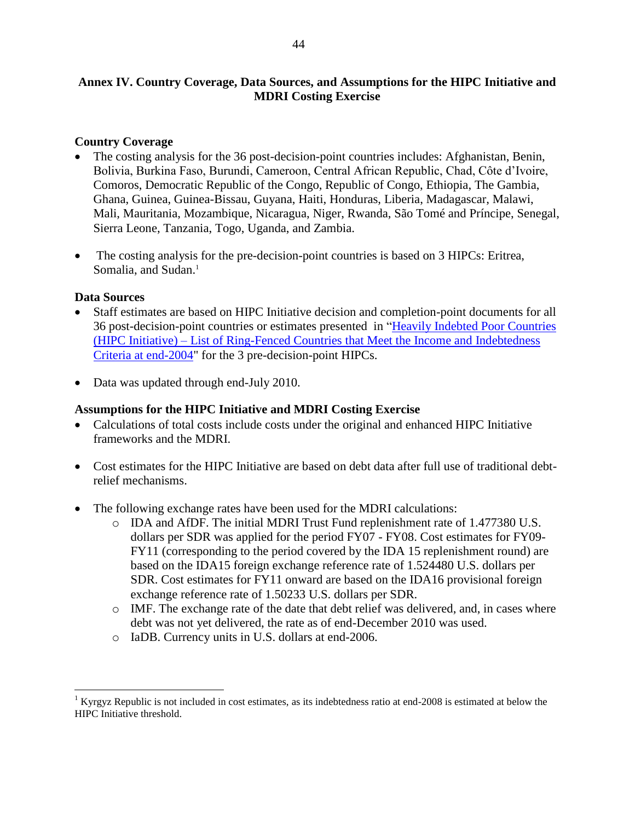### **Annex IV. Country Coverage, Data Sources, and Assumptions for the HIPC Initiative and MDRI Costing Exercise**

### **Country Coverage**

- The costing analysis for the 36 post-decision-point countries includes: Afghanistan, Benin, Bolivia, Burkina Faso, Burundi, Cameroon, Central African Republic, Chad, Côte d'Ivoire, Comoros, Democratic Republic of the Congo, Republic of Congo, Ethiopia, The Gambia, Ghana, Guinea, Guinea-Bissau, Guyana, Haiti, Honduras, Liberia, Madagascar, Malawi, Mali, Mauritania, Mozambique, Nicaragua, Niger, Rwanda, São Tomé and Príncipe, Senegal, Sierra Leone, Tanzania, Togo, Uganda, and Zambia.
- The costing analysis for the pre-decision-point countries is based on 3 HIPCs: Eritrea, Somalia, and Sudan.<sup>1</sup>

### **Data Sources**

 $\overline{a}$ 

- Staff estimates are based on HIPC Initiative decision and completion-point documents for all 36 post-decision-point countries or estimates presented in "Heavily Indebted Poor Countries" (HIPC Initiative) – [List of Ring-Fenced Countries that Meet the Income and Indebtedness](http://siteresources.worldbank.org/INTDEBTDEPT/PolicyPapers/20893084/041106.pdf)  [Criteria at end-2004"](http://siteresources.worldbank.org/INTDEBTDEPT/PolicyPapers/20893084/041106.pdf) for the 3 pre-decision-point HIPCs.
- Data was updated through end-July 2010.

### **Assumptions for the HIPC Initiative and MDRI Costing Exercise**

- Calculations of total costs include costs under the original and enhanced HIPC Initiative frameworks and the MDRI.
- Cost estimates for the HIPC Initiative are based on debt data after full use of traditional debtrelief mechanisms.
- The following exchange rates have been used for the MDRI calculations:
	- o IDA and AfDF. The initial MDRI Trust Fund replenishment rate of 1.477380 U.S. dollars per SDR was applied for the period FY07 - FY08. Cost estimates for FY09- FY11 (corresponding to the period covered by the IDA 15 replenishment round) are based on the IDA15 foreign exchange reference rate of 1.524480 U.S. dollars per SDR. Cost estimates for FY11 onward are based on the IDA16 provisional foreign exchange reference rate of 1.50233 U.S. dollars per SDR.
	- $\circ$  IMF. The exchange rate of the date that debt relief was delivered, and, in cases where debt was not yet delivered, the rate as of end-December 2010 was used.
	- o IaDB. Currency units in U.S. dollars at end-2006.

<sup>&</sup>lt;sup>1</sup> Kyrgyz Republic is not included in cost estimates, as its indebtedness ratio at end-2008 is estimated at below the HIPC Initiative threshold.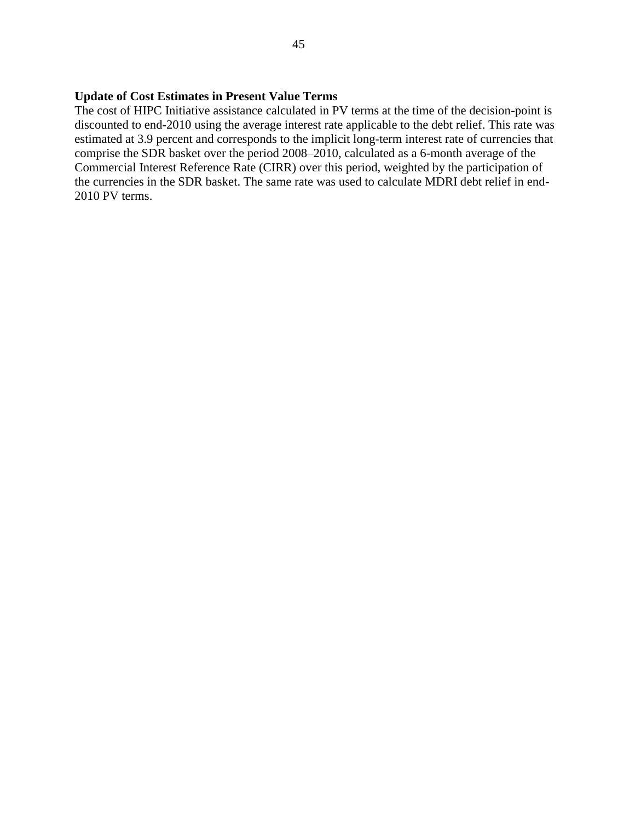#### **Update of Cost Estimates in Present Value Terms**

The cost of HIPC Initiative assistance calculated in PV terms at the time of the decision-point is discounted to end-2010 using the average interest rate applicable to the debt relief. This rate was estimated at 3.9 percent and corresponds to the implicit long-term interest rate of currencies that comprise the SDR basket over the period 2008–2010, calculated as a 6-month average of the Commercial Interest Reference Rate (CIRR) over this period, weighted by the participation of the currencies in the SDR basket. The same rate was used to calculate MDRI debt relief in end-2010 PV terms.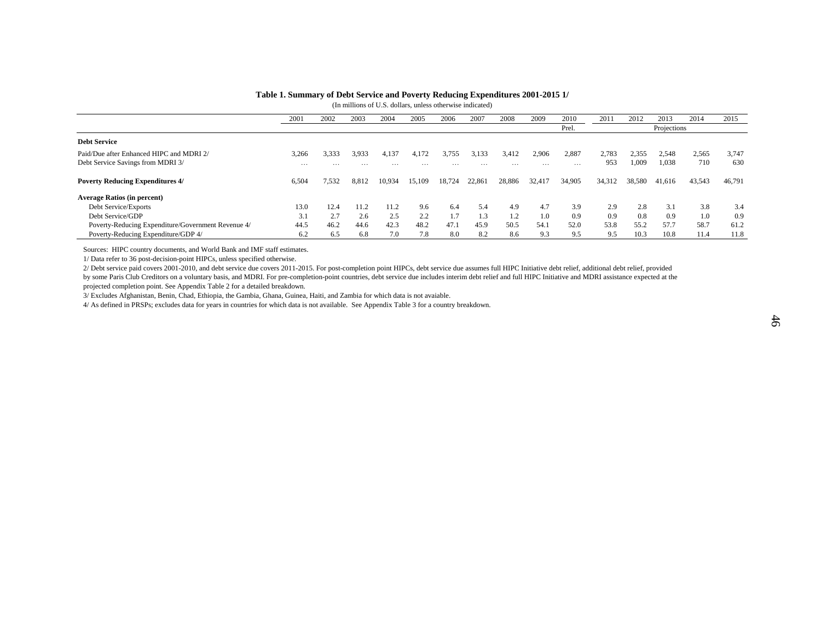|                                                    | 2001     | 2002     | 2003     | 2004   | 2005     | 2006              | 2007                | 2008     | 2009     | 2010     | 2011   | 2012   | 2013        | 2014   | 2015   |
|----------------------------------------------------|----------|----------|----------|--------|----------|-------------------|---------------------|----------|----------|----------|--------|--------|-------------|--------|--------|
|                                                    |          |          |          |        |          |                   |                     |          |          |          |        |        |             |        |        |
|                                                    |          |          |          |        |          |                   |                     |          |          | Prel.    |        |        | Projections |        |        |
| <b>Debt Service</b>                                |          |          |          |        |          |                   |                     |          |          |          |        |        |             |        |        |
| Paid/Due after Enhanced HIPC and MDRI 2/           | 3,266    | 3,333    | 3,933    | 4,137  | 4,172    | 3,755             | 3,133               | 3,412    | 2,906    | 2,887    | 2,783  | 2.355  | 2,548       | 2,565  | 3,747  |
| Debt Service Savings from MDRI 3/                  | $\cdots$ | $\cdots$ | $\cdots$ | .      | $\cdots$ | $\cdot\cdot\cdot$ | $\cdot \cdot \cdot$ | $\cdots$ | $\cdots$ | $\cdots$ | 953    | 1,009  | 1,038       | 710    | 630    |
| <b>Poverty Reducing Expenditures 4/</b>            | 6,504    | 7,532    | 8,812    | 10,934 | 15,109   | 18,724            | 22,861              | 28,886   | 32,417   | 34,905   | 34,312 | 38,580 | 41,616      | 43,543 | 46,791 |
| <b>Average Ratios (in percent)</b>                 |          |          |          |        |          |                   |                     |          |          |          |        |        |             |        |        |
| Debt Service/Exports                               | 13.0     | 12.4     | 1.2      | 11.2   | 9.6      | 6.4               | 5.4                 | 4.9      | 4.7      | 3.9      | 2.9    | 2.8    | 3.1         | 3.8    | 3.4    |
| Debt Service/GDP                                   | 3.1      | 2.7      | 2.6      | 2.5    | 2.2      | 1.7               | 1.3                 | 1.2      | 1.0      | 0.9      | 0.9    | 0.8    | 0.9         | 1.0    | 0.9    |
| Poverty-Reducing Expenditure/Government Revenue 4/ | 44.5     | 46.2     | 44.6     | 42.3   | 48.2     | 47.1              | 45.9                | 50.5     | 54.1     | 52.0     | 53.8   | 55.2   | 57.7        | 58.7   | 61.2   |
| Poverty-Reducing Expenditure/GDP 4/                | 6.2      | 6.5      | 6.8      | 7.0    | 7.8      | 8.0               | 8.2                 | 8.6      | 9.3      | 9.5      | 9.5    | 10.3   | 10.8        | 11.4   | 11.8   |

**Table 1. Summary of Debt Service and Poverty Reducing Expenditures 2001-2015 1/**

(In millions of U.S. dollars, unless otherwise indicated)

Sources: HIPC country documents, and World Bank and IMF staff estimates.

1/ Data refer to 36 post-decision-point HIPCs, unless specified otherwise.

2/ Debt service paid covers 2001-2010, and debt service due covers 2011-2015. For post-completion point HIPCs, debt service due assumes full HIPC Initiative debt relief, additional debt relief, provided

by some Paris Club Creditors on a voluntary basis, and MDRI. For pre-completion-point countries, debt service due includes interim debt relief and full HIPC Initiative and MDRI assistance expected at the projected completion point. See Appendix Table 2 for a detailed breakdown.

3/ Excludes Afghanistan, Benin, Chad, Ethiopia, the Gambia, Ghana, Guinea, Haiti, and Zambia for which data is not avaiable.

4/ As defined in PRSPs; excludes data for years in countries for which data is not available. See Appendix Table 3 for a country breakdown.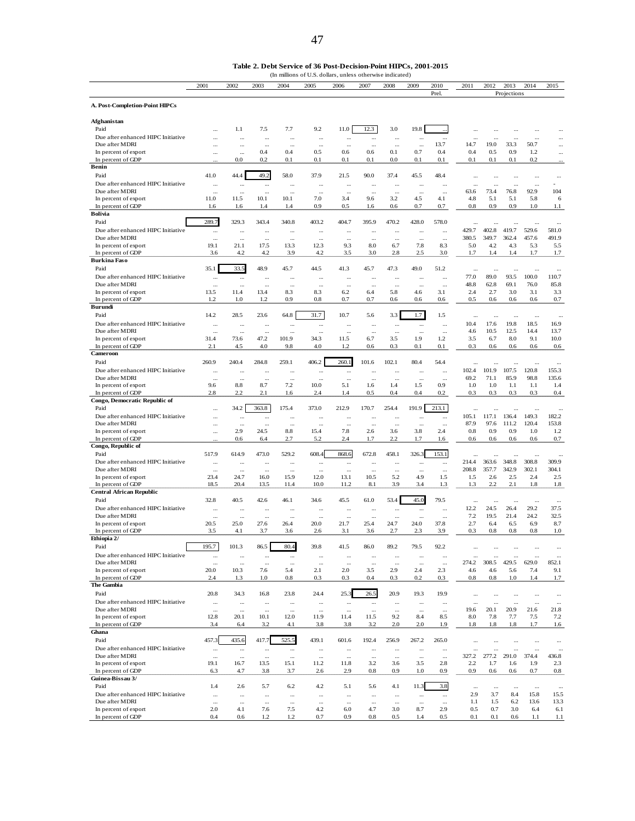|                                                      | 2001                 | 2002                 | 2003                 | 2004                 | 2005                  | 2006                   | 2007                 | 2008                 | 2009            | 2010                  | 2011            | 2012         | 2013                  | 2014                 | 2015                  |
|------------------------------------------------------|----------------------|----------------------|----------------------|----------------------|-----------------------|------------------------|----------------------|----------------------|-----------------|-----------------------|-----------------|--------------|-----------------------|----------------------|-----------------------|
|                                                      |                      |                      |                      |                      |                       |                        |                      |                      |                 | Prel.                 |                 |              | Projections           |                      |                       |
| A. Post-Completion-Point HIPCs                       |                      |                      |                      |                      |                       |                        |                      |                      |                 |                       |                 |              |                       |                      |                       |
| Afghanistan                                          |                      |                      |                      |                      |                       |                        |                      |                      |                 |                       |                 |              |                       |                      |                       |
| Paid                                                 |                      | 1.1                  | 7.5                  | 7.7                  | 9.2                   | 11.0                   | 12.3                 | 3.0                  | 19.8            |                       |                 |              |                       |                      |                       |
| Due after enhanced HIPC Initiative<br>Due after MDRI |                      | <br>                 | <br>$\ddotsc$        |                      | $\cdots$              | $\ddots$<br>$\ddotsc$  | <br>                 | $\cdots$<br>         | <br>            | <br>13.7              | <br>14.7        | <br>19.0     | $\ddots$<br>33.3      | <br>50.7             | <br>                  |
| In percent of export                                 |                      |                      | 0.4                  | <br>0.4              | <br>0.5               | 0.6                    | 0.6                  | 0.1                  | 0.7             | 0.4                   | 0.4             | 0.5          | 0.9                   | 1.2                  |                       |
| In percent of GDP                                    |                      | 0.0                  | 0.2                  | 0.1                  | 0.1                   | 0.1                    | 0.1                  | 0.0                  | 0.1             | 0.1                   | 0.1             | 0.1          | 0.1                   | 0.2                  |                       |
| Benin                                                |                      |                      |                      |                      |                       |                        |                      |                      |                 |                       |                 |              |                       |                      |                       |
| Paid                                                 | 41.0                 | 44.4                 | 49.2                 | 58.0                 | 37.9                  | 21.5                   | 90.0                 | 37.4                 | 45.5            | 48.4                  |                 | $\cdots$     | $\ddotsc$             | $\ldots$             |                       |
| Due after enhanced HIPC Initiative                   |                      | $\cdots$             |                      |                      | $\cdots$              | $\ddotsc$              |                      | $\cdots$             |                 |                       |                 | $\cdots$     | $\ddotsc$             | $\cdots$             |                       |
| Due after MDRI<br>In percent of export               | <br>11.0             | <br>11.5             | <br>10.1             | <br>10.1             | <br>7.0               | $\ddotsc$<br>3.4       | <br>9.6              | <br>3.2              | <br>4.5         | <br>4.1               | 63.6<br>4.8     | 73.4<br>5.1  | 76.8<br>5.1           | 92.9<br>5.8          | 104<br>6              |
| In percent of GDP                                    | 1.6                  | 1.6                  | 1.4                  | 1.4                  | 0.9                   | 0.5                    | 1.6                  | 0.6                  | 0.7             | 0.7                   | 0.8             | 0.9          | 0.9                   | 1.0                  | 1.1                   |
| Bolivia                                              |                      |                      |                      |                      |                       |                        |                      |                      |                 |                       |                 |              |                       |                      |                       |
| Paid                                                 | 289.7                | 329.3                | 343.4                | 340.8                | 403.2                 | 404.7                  | 395.9                | 470.2                | 428.0           | 578.0                 |                 |              |                       | $\ldots$             | $\ddotsc$             |
| Due after enhanced HIPC Initiative                   |                      | $\cdots$             | $\cdots$             |                      | $\cdots$              |                        |                      | $\cdots$             |                 |                       | 429.7           | 402.8        | 419.7                 | 529.6                | 581.0                 |
| Due after MDRI                                       |                      |                      | $\cdots$             |                      | $\cdots$              |                        |                      |                      |                 |                       | 380.5           | 349.7        | 362.4                 | 457.6                | 491.9                 |
| In percent of export                                 | 19.1                 | 21.1                 | 17.5                 | 13.3                 | 12.3                  | 9.3                    | 8.0                  | 6.7                  | 7.8             | 8.3                   | 5.0             | 4.2          | 4.3                   | 5.3                  | 5.5                   |
| In percent of GDP<br>Burkina Faso                    | 3.6                  | 4.2                  | 4.2                  | 3.9                  | 4.2                   | 3.5                    | 3.0                  | 2.8                  | 2.5             | 3.0                   | 1.7             | 1.4          | 1.4                   | 1.7                  | 1.7                   |
| Paid                                                 | 35.1                 | 33.5                 | 48.9                 | 45.7                 | 44.5                  | 41.3                   | 45.7                 | 47.3                 | 49.0            | 51.2                  |                 |              |                       |                      | $\ddotsc$             |
| Due after enhanced HIPC Initiative                   | $\cdots$             | $\cdots$             |                      |                      | $\ddotsc$             | $\ddotsc$              |                      | $\cdots$             | $\ddotsc$       | $\cdots$              | 77.0            | 89.0         | 93.5                  | $100.0\,$            | 110.7                 |
| Due after MDRI                                       |                      | $\ddotsc$            | $\cdots$             | $\cdots$             | $\cdots$              | $\ddotsc$              |                      | $\cdots$             |                 | $\ddots$              | 48.8            | 62.8         | 69.1                  | 76.0                 | 85.8                  |
| In percent of export                                 | 13.5                 | 11.4                 | 13.4                 | 8.3                  | 8.3                   | 6.2                    | 6.4                  | 5.8                  | 4.6             | 3.1                   | 2.4             | 2.7          | 3.0                   | 3.1                  | 3.3                   |
| In percent of GDP                                    | 1.2                  | 1.0                  | 1.2                  | 0.9                  | 0.8                   | 0.7                    | 0.7                  | 0.6                  | 0.6             | 0.6                   | 0.5             | 0.6          | 0.6                   | 0.6                  | 0.7                   |
| Burundi                                              |                      |                      |                      |                      |                       |                        |                      |                      |                 |                       |                 |              |                       |                      |                       |
| Paid<br>Due after enhanced HIPC Initiative           | 14.2                 | 28.5                 | 23.6                 | 64.8                 | 31.7                  | 10.7                   | 5.6                  | 3.3                  | 1.7             | 1.5                   |                 | $\ddotsc$    | $\ddotsc$             |                      | $\ddotsc$             |
| Due after MDRI                                       | $\ddotsc$<br>        | <br>                 | $\cdots$<br>$\cdots$ |                      | $\cdots$              | $\ddotsc$<br>$\ddotsc$ | <br>                 | $\cdots$<br>         | <br>            | $\ddotsc$<br>$\ddots$ | 10.4<br>4.6     | 17.6<br>10.5 | 19.8<br>12.5          | 18.5<br>14.4         | 16.9<br>13.7          |
| In percent of export                                 | 31.4                 | 73.6                 | 47.2                 | <br>101.9            | $\cdots$<br>34.3      | 11.5                   | 6.7                  | 3.5                  | 1.9             | 1.2                   | 3.5             | 6.7          | 8.0                   | 9.1                  | 10.0                  |
| In percent of GDP                                    | 2.1                  | 4.5                  | 4.0                  | 9.8                  | 4.0                   | 1.2                    | 0.6                  | 0.3                  | 0.1             | 0.1                   | 0.3             | 0.6          | 0.6                   | 0.6                  | 0.6                   |
| Cameroon                                             |                      |                      |                      |                      |                       |                        |                      |                      |                 |                       |                 |              |                       |                      |                       |
| Paid                                                 | 260.9                | 240.4                | 284.8                | 259.1                | 406.2                 | 260.1                  | 101.6                | 102.1                | 80.4            | 54.4                  |                 |              |                       | $\ddotsc$            |                       |
| Due after enhanced HIPC Initiative                   |                      |                      |                      |                      | $\cdots$              | $\ddotsc$              |                      |                      |                 | $\ddotsc$             | 102.4           | 101.9        | 107.5                 | 120.8                | 155.3                 |
| Due after MDRI                                       |                      |                      | $\ddotsc$            |                      |                       |                        |                      |                      |                 |                       | 69.2            | 71.1         | 85.9                  | 98.8                 | 135.6                 |
| In percent of export<br>In percent of GDP            | 9.6<br>2.8           | 8.8<br>2.2           | 8.7<br>2.1           | 7.2<br>1.6           | 10.0<br>2.4           | 5.1<br>1.4             | 1.6<br>0.5           | 1.4<br>0.4           | 1.5<br>0.4      | 0.9<br>0.2            | 1.0<br>0.3      | 1.0<br>0.3   | 1.1<br>0.3            | 1.1<br>0.3           | 1.4<br>0.4            |
| Congo, Democratic Republic of                        |                      |                      |                      |                      |                       |                        |                      |                      |                 |                       |                 |              |                       |                      |                       |
| Paid                                                 |                      | 34.2                 | 363.8                | 175.4                | 373.0                 | 212.9                  | 170.7                | 254.4                | 191.9           | 213.1                 |                 |              | $\ddotsc$             |                      | $\ddotsc$             |
| Due after enhanced HIPC Initiative                   |                      |                      |                      |                      |                       |                        |                      |                      |                 | $\cdots$              | 105.1           | 117.1        | 136.4                 | 149.3                | 182.2                 |
| Due after MDRI                                       |                      | $\ddotsc$            | $\cdots$             | $\cdots$             | $\ddotsc$             | $\ddotsc$              | $\ddotsc$            | $\cdots$             | $\ddotsc$       | $\cdots$              | 87.9            | 97.6         | 111.2                 | 120.4                | 153.8                 |
| In percent of export                                 |                      | 2.9                  | 24.5                 | 8.8                  | 15.4                  | 7.8                    | 2.6                  | 3.6                  | 3.8             | 2.4                   | 0.8             | 0.9          | 0.9                   | 1.0                  | 1.2                   |
| In percent of GDP<br>Congo, Republic of              |                      | 0.6                  | 6.4                  | 2.7                  | 5.2                   | 2.4                    | 1.7                  | 2.2                  | 1.7             | 1.6                   | 0.6             | 0.6          | 0.6                   | 0.6                  | 0.7                   |
| Paid                                                 | 517.9                | 614.9                | 473.0                | 529.2                | 608.4                 | 868.6                  | 672.8                | 458.1                | 326.3           | 153.1                 |                 |              |                       | $\ldots$             | $\ddotsc$             |
| Due after enhanced HIPC Initiative                   |                      | $\cdots$             |                      |                      | $\cdots$              | $\ddots$               |                      | $\cdots$             |                 | $\cdots$              | 214.4           | 363.6        | 348.8                 | 308.8                | 309.9                 |
| Due after MDRI                                       | $\cdots$             | $\cdots$             |                      | $\cdots$             | $\ldots$              | $\cdots$               |                      | $\cdots$             | $\cdots$        | $\cdots$              | 208.8           | 357.7        | 342.9                 | 302.1                | 304.1                 |
| In percent of export                                 | 23.4                 | 24.7                 | 16.0                 | 15.9                 | 12.0                  | 13.1                   | 10.5                 | 5.2                  | 4.9             | 1.5                   | 1.5             | 2.6          | 2.5                   | 2.4                  | 2.5                   |
| In percent of GDP                                    | 18.5                 | 20.4                 | 13.5                 | 11.4                 | 10.0                  | 11.2                   | 8.1                  | 3.9                  | 3.4             | 1.3                   | 1.3             | 2.2          | 2.1                   | 1.8                  | 1.8                   |
| <b>Central African Republic</b><br>Paid              | 32.8                 | 40.5                 | 42.6                 | 46.1                 | 34.6                  | 45.5                   | 61.0                 | 53.4                 |                 | 79.5                  |                 |              |                       |                      |                       |
| Due after enhanced HIPC Initiative                   |                      |                      |                      |                      |                       |                        |                      |                      | 45.0            |                       | <br>12.2        | <br>24.5     | <br>26.4              | <br>29.2             | $\ddots$<br>37.5      |
| Due after MDRI                                       | <br>                 | $\ddotsc$<br>        | <br>                 | <br>                 | <br>$\cdots$          | $\ddotsc$<br>$\ddotsc$ | <br>                 | <br>$\cdots$         | <br>            | $\cdots$<br>$\ddots$  | 7.2             | 19.5         | 21.4                  | 24.2                 | 32.5                  |
| In percent of export                                 | 20.5                 | 25.0                 | 27.6                 | 26.4                 | 20.0                  | 21.7                   | 25.4                 | 24.7                 | 24.0            | 37.8                  | 2.7             | 6.4          | 6.5                   | 6.9                  | 8.7                   |
| In percent of GDP                                    | 3.5                  | 4.1                  | 3.7                  | 3.6                  | 2.6                   | 3.1                    | 3.6                  | 2.7                  | 2.3             | 3.9                   | 0.3             | 0.8          | 0.8                   | 0.8                  | 1.0                   |
| Ethiopia 2/                                          |                      |                      |                      |                      |                       |                        |                      |                      |                 |                       |                 |              |                       |                      |                       |
| Paid                                                 | 195.7                | 101.3                | 86.5                 | 80.4                 | 39.8                  | 41.5                   | 86.0                 | 89.2                 | 79.5            | 92.2                  |                 |              |                       |                      |                       |
| Due after enhanced HIPC Initiative                   | $\cdots$             | $\cdots$             | $\cdots$             | $\cdots$             | $\cdots$              | $\cdots$               |                      | $\cdots$             | $\cdots$        | $\cdots$              |                 |              | $\ddotsc$             |                      |                       |
| Due after MDRI<br>In percent of export               | <br>20.0             | $\cdots$<br>10.3     | <br>7.6              | $\cdots$<br>5.4      | $\cdots$<br>2.1       | $\cdots$<br>2.0        | <br>3.5              | $\cdots$<br>2.9      | <br>2.4         | $\cdots$<br>2.3       | 274.2<br>4.6    | 308.5<br>4.6 | 429.5<br>5.6          | 629.0<br>7.4         | 852.1<br>9.1          |
| In percent of GDP                                    | 2.4                  | 1.3                  | 1.0                  | 0.8                  | 0.3                   | 0.3                    | 0.4                  | 0.3                  | 0.2             | 0.3                   | 0.8             | 0.8          | 1.0                   | 1.4                  | 1.7                   |
| The Gambia                                           |                      |                      |                      |                      |                       |                        |                      |                      |                 |                       |                 |              |                       |                      |                       |
| Paid                                                 | 20.8                 | 34.3                 | 16.8                 | 23.8                 | 24.4                  | 25.3                   | 26.5                 | 20.9                 | 19.3            | 19.9                  |                 | $\cdots$     |                       | $\cdots$             | $\cdots$              |
| Due after enhanced HIPC Initiative                   | $\cdots$             | $\cdots$             | $\cdots$             |                      | $\cdots$              | $\cdots$               | $\cdots$             | $\cdots$             |                 | $\cdots$              | $\cdots$        | $\cdots$     | $\ddotsc$             | $\cdots$             | $\cdots$              |
| Due after MDRI                                       | $\cdots$             | $\cdots$             | $\ldots$             | $\ldots$             | $\cdots$              | $\ldots$               | $\cdots$             | $\cdots$             | $\ldots$        | $\ldots$              | 19.6            | 20.1         | 20.9                  | 21.6                 | 21.8                  |
| In percent of export                                 | 12.8                 | 20.1                 | 10.1                 | 12.0                 | 11.9                  | 11.4                   | 11.5                 | 9.2                  | 8.4             | 8.5                   | 8.0             | 7.8          | 7.7                   | 7.5                  | 7.2                   |
| In percent of GDP<br>Ghana                           | 3.4                  | 6.4                  | 3.2                  | 4.1                  | 3.8                   | 3.8                    | 3.2                  | 2.0                  | 2.0             | 1.9                   | 1.8             | 1.8          | 1.8                   | 1.7                  | 1.6                   |
| Paid                                                 | 457.3                | 435.6                | 417.7                | 525.5                | 439.1                 | 601.6                  | 192.4                | 256.9                | 267.2           | 265.0                 |                 |              |                       |                      |                       |
| Due after enhanced HIPC Initiative                   | $\cdots$             | $\cdots$             | $\cdots$             | $\cdots$             | $\cdots$              | $\ldots$               |                      | $\cdots$             | $\cdots$        | $\ldots$              | $\ldots$<br>    | <br>         | $\ldots$<br>$\ddotsc$ | $\cdots$<br>$\cdots$ | $\cdots$<br>$\ddotsc$ |
| Due after MDRI                                       | $\cdots$             | $\cdots$             | $\ldots$             | $\cdots$             | $\ldots$              | $\ldots$               | $\cdots$             | $\cdots$             | $\cdots$        | $\cdots$              | 327.2           | 277.2        | 291.0                 | 374.4                | 436.8                 |
| In percent of export                                 | 19.1                 | 16.7                 | 13.5                 | 15.1                 | 11.2                  | 11.8                   | 3.2                  | 3.6                  | 3.5             | 2.8                   | 2.2             | $1.7\,$      | 1.6                   | 1.9                  | 2.3                   |
| In percent of GDP                                    | 6.3                  | 4.7                  | 3.8                  | 3.7                  | 2.6                   | 2.9                    | 0.8                  | 0.9                  | 1.0             | 0.9                   | 0.9             | 0.6          | 0.6                   | 0.7                  | 0.8                   |
| Guinea-Bissau 3/                                     |                      |                      |                      |                      |                       |                        |                      |                      |                 |                       |                 |              |                       |                      |                       |
| Paid<br>Due after enhanced HIPC Initiative           | 1.4                  | 2.6                  | 5.7                  | 6.2                  | 4.2                   | 5.1                    | 5.6                  | 4.1                  | 11.3            | 3.8                   | $\ldots$<br>2.9 | $\cdots$     | $\cdots$              | $\ldots$             | $\ddots$              |
| Due after MDRI                                       | $\cdots$<br>$\cdots$ | $\cdots$<br>$\cdots$ | $\cdots$<br>$\cdots$ | $\cdots$<br>$\cdots$ | $\ddotsc$<br>$\cdots$ | $\cdots$<br>$\cdots$   | $\cdots$<br>$\cdots$ | $\cdots$<br>$\cdots$ | $\cdots$        | $\cdots$<br>$\cdots$  | 1.1             | 3.7<br>1.5   | 8.4<br>6.2            | 15.8<br>13.6         | 15.5<br>13.3          |
| In percent of export                                 | 2.0                  | 4.1                  | 7.6                  | 7.5                  | 4.2                   | 6.0                    | 4.7                  | 3.0                  | $\ldots$<br>8.7 | 2.9                   | 0.5             | 0.7          | 3.0                   | 6.4                  | 6.1                   |
| In percent of GDP                                    | 0.4                  | 0.6                  | 1.2                  | 1.2                  | 0.7                   | 0.9                    | 0.8                  | 0.5                  | 1.4             | 0.5                   | 0.1             | 0.1          | 0.6                   | 1.1                  | 1.1                   |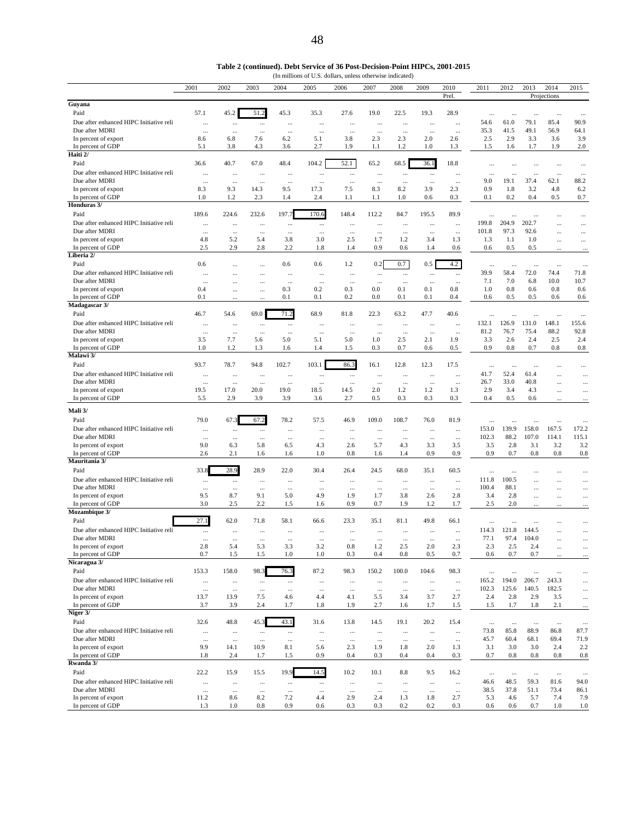| Table 2 (continued). Debt Service of 36 Post-Decision-Point HIPCs, 2001-2015 |
|------------------------------------------------------------------------------|
| (In millions of U.S. dollars, unless otherwise indicated)                    |

|                                                           | 2001                 | 2002                 | 2003                 | 2004                 | 2005         | 2006                 | 2007                 | 2008                 | 2009                 | 2010                 | 2011               | 2012              | 2013          | 2014              | 2015                 |
|-----------------------------------------------------------|----------------------|----------------------|----------------------|----------------------|--------------|----------------------|----------------------|----------------------|----------------------|----------------------|--------------------|-------------------|---------------|-------------------|----------------------|
|                                                           |                      |                      |                      |                      |              |                      |                      |                      |                      | Prel.                |                    |                   |               | Projections       |                      |
| Guyana                                                    |                      |                      |                      |                      |              |                      |                      |                      |                      |                      |                    |                   |               |                   |                      |
| Paid                                                      | 57.1                 | 45.2                 | 51.2                 | 45.3                 | 35.3         | 27.6                 | 19.0                 | 22.5                 | 19.3                 | 28.9                 | $\ddots$           | $\cdots$          | $\ddotsc$     | $\ddotsc$         | $\cdots$             |
| Due after enhanced HIPC Initiative reli                   | $\cdots$             | $\cdots$             | $\cdots$             | $\cdots$             | $\cdots$     | $\cdots$             | $\cdots$             | $\cdots$             | $\cdots$             | $\ddotsc$            | 54.6               | 61.0              | 79.1          | 85.4              | 90.9                 |
| Due after MDRI<br>In percent of export                    | $\ldots$<br>8.6      | $\cdots$<br>6.8      | $\cdots$<br>7.6      | $\cdots$<br>6.2      | <br>5.1      | $\cdots$<br>3.8      | $\ldots$<br>2.3      | $\cdots$<br>2.3      | $\ldots$<br>2.0      | $\cdots$<br>2.6      | 35.3<br>2.5        | 41.5<br>2.9       | 49.1<br>3.3   | 56.9<br>3.6       | 64.1<br>3.9          |
| In percent of GDP                                         | 5.1                  | 3.8                  | 4.3                  | 3.6                  | 2.7          | 1.9                  | 1.1                  | 1.2                  | 1.0                  | 1.3                  | 1.5                | 1.6               | 1.7           | 1.9               | 2.0                  |
| Haiti 2/                                                  |                      |                      |                      |                      |              |                      |                      |                      |                      |                      |                    |                   |               |                   |                      |
| Paid                                                      | 36.6                 | 40.7                 | 67.0                 | 48.4                 | 104.2        | 52.1                 | 65.2                 | 68.5                 | 36.1                 | 18.8                 | $\cdots$           | $\cdots$          | $\cdots$      | $\cdots$          | $\cdots$             |
| Due after enhanced HIPC Initiative reli                   | $\cdots$             | $\cdots$             |                      |                      |              | $\ldots$             | $\cdots$             |                      | $\cdots$             |                      | $\ddots$           | $\cdots$          |               | $\cdots$          | $\cdots$             |
| Due after MDRI                                            | $\cdots$             | $\cdots$             | $\cdots$             | $\cdots$             | $\cdots$     | $\cdots$             | $\cdots$             | $\cdots$             | $\cdots$             | $\cdots$             | 9.0                | 19.1              | 37.4          | 62.1              | 88.2                 |
| In percent of export                                      | 8.3                  | 9.3                  | 14.3                 | 9.5                  | 17.3         | 7.5                  | 8.3                  | 8.2                  | 3.9                  | 2.3                  | 0.9                | 1.8               | 3.2           | 4.8               | 6.2                  |
| In percent of GDP                                         | 1.0                  | 1.2                  | 2.3                  | 1.4                  | 2.4          | 1.1                  | 1.1                  | 1.0                  | 0.6                  | 0.3                  | 0.1                | 0.2               | 0.4           | 0.5               | 0.7                  |
| Honduras 3/                                               |                      |                      |                      |                      |              |                      |                      |                      |                      |                      |                    |                   |               |                   |                      |
| Paid                                                      | 189.6                | 224.6                | 232.6                | 197.7                | 170.6        | 148.4                | 112.2                | 84.7                 | 195.5                | 89.9                 | $\ddotsc$          | $\cdots$          |               |                   | $\cdots$             |
| Due after enhanced HIPC Initiative reli<br>Due after MDRI | $\cdots$             | $\cdots$             |                      | $\cdots$             | $\cdots$     | $\cdots$             | $\cdots$             | $\cdots$             | $\cdots$             | $\cdots$             | 199.8              | 204.9             | 202.7<br>92.6 |                   | $\cdots$             |
| In percent of export                                      | $\cdots$<br>4.8      | $\cdots$<br>5.2      | $\cdots$<br>5.4      | $\cdots$<br>3.8      | <br>3.0      | <br>2.5              | $\cdots$<br>1.7      | $\cdots$<br>1.2      | $\cdots$<br>3.4      | $\cdots$<br>1.3      | 101.8<br>1.3       | 97.3<br>1.1       | 1.0           | <br>$\cdots$      | $\cdots$             |
| In percent of GDP                                         | 2.5                  | 2.9                  | 2.8                  | 2.2                  | 1.8          | 1.4                  | 0.9                  | 0.6                  | 1.4                  | 0.6                  | 0.6                | 0.5               | 0.5           | $\cdots$          | $\cdots$<br>$\cdots$ |
| Liberia 2/                                                |                      |                      |                      |                      |              |                      |                      |                      |                      |                      |                    |                   |               |                   |                      |
| Paid                                                      | 0.6                  |                      |                      | 0.6                  | 0.6          | 1.2                  | 0.2                  | 0.7                  | 0.5                  | 4.2                  |                    | $\cdots$          | $\ddotsc$     | $\cdots$          | $\ddots$             |
| Due after enhanced HIPC Initiative reli                   | $\cdots$             |                      | $\cdots$             | $\cdots$             |              | $\cdots$             | $\ldots$             | $\cdots$             | $\ldots$             | $\cdots$             | 39.9               | 58.4              | 72.0          | 74.4              | 71.8                 |
| Due after MDRI                                            | $\cdots$             |                      | $\cdots$             | $\cdots$             | $\cdots$     | $\cdots$             | $\cdots$             | $\cdots$             | $\cdots$             | $\cdots$             | 7.1                | 7.0               | 6.8           | 10.0              | 10.7                 |
| In percent of export                                      | 0.4                  |                      |                      | 0.3                  | 0.2          | 0.3                  | 0.0                  | 0.1                  | 0.1                  | 0.8                  | 1.0                | 0.8               | 0.6           | 0.8               | 0.6                  |
| In percent of GDP<br>Madagascar 3/                        | 0.1                  |                      |                      | 0.1                  | 0.1          | 0.2                  | 0.0                  | 0.1                  | 0.1                  | 0.4                  | 0.6                | 0.5               | 0.5           | 0.6               | 0.6                  |
| Paid                                                      |                      |                      | 69.0                 |                      | 68.9         |                      | 22.3                 | 63.2                 |                      | 40.6                 |                    |                   |               |                   |                      |
| Due after enhanced HIPC Initiative reli                   | 46.7                 | 54.6                 |                      | 71.2                 |              | 81.8                 |                      |                      | 47.7                 |                      | $\ddotsc$<br>132.1 | $\cdots$<br>126.9 | <br>131.0     | $\cdots$<br>148.1 | $\cdots$<br>155.6    |
| Due after MDRI                                            | $\cdots$<br>$\ddots$ | $\cdots$<br>$\cdots$ | $\cdots$<br>$\cdots$ | $\ldots$<br>$\cdots$ | <br>$\cdots$ | $\cdots$<br>$\cdots$ | $\cdots$<br>$\ddots$ | $\cdots$<br>$\cdots$ | $\cdots$<br>$\cdots$ | $\cdots$<br>$\cdots$ | 81.2               | 76.7              | 75.4          | 88.2              | 92.8                 |
| In percent of export                                      | 3.5                  | 7.7                  | 5.6                  | 5.0                  | 5.1          | 5.0                  | 1.0                  | 2.5                  | 2.1                  | 1.9                  | 3.3                | 2.6               | 2.4           | 2.5               | 2.4                  |
| In percent of GDP                                         | 1.0                  | 1.2                  | 1.3                  | 1.6                  | 1.4          | 1.5                  | 0.3                  | 0.7                  | 0.6                  | 0.5                  | 0.9                | 0.8               | 0.7           | 0.8               | 0.8                  |
| Malawi 3/                                                 |                      |                      |                      |                      |              |                      |                      |                      |                      |                      |                    |                   |               |                   |                      |
| Paid                                                      | 93.7                 | 78.7                 | 94.8                 | 102.7                | 103.1        | 86.3                 | 16.1                 | 12.8                 | 12.3                 | 17.5                 | $\ldots$           | $\cdots$          | $\ddotsc$     |                   | $\cdots$             |
| Due after enhanced HIPC Initiative reli                   | $\cdots$             | $\cdots$             | $\cdots$             | $\cdots$             | $\cdots$     | $\cdots$             | $\cdots$             | $\ddotsc$            | $\ddots$             | $\cdots$             | 41.7               | 52.4              | 61.4          | $\cdots$          | $\cdots$             |
| Due after MDRI                                            | $\cdots$             | $\cdots$             |                      | $\cdots$             |              | $\cdots$             | $\ldots$             | $\cdots$             | $\cdots$             | $\ldots$             | 26.7               | 33.0              | 40.8          |                   | $\cdots$             |
| In percent of export                                      | 19.5                 | 17.0                 | 20.0                 | 19.0                 | 18.5         | 14.5                 | 2.0                  | 1.2                  | 1.2                  | 1.3                  | 2.9                | 3.4               | 4.3           |                   | $\cdots$             |
| In percent of GDP                                         | 5.5                  | 2.9                  | 3.9                  | 3.9                  | 3.6          | 2.7                  | 0.5                  | 0.3                  | 0.3                  | 0.3                  | 0.4                | 0.5               | 0.6           |                   | $\ldots$             |
| Mali 3/                                                   |                      |                      |                      |                      |              |                      |                      |                      |                      |                      |                    |                   |               |                   |                      |
| Paid                                                      | 79.0                 | 67.3                 | 67.2                 | 78.2                 | 57.5         | 46.9                 | 109.0                | 108.7                | 76.0                 | 81.9                 | $\cdots$           | $\cdots$          |               | $\cdots$          | $\cdots$             |
| Due after enhanced HIPC Initiative reli                   | $\ldots$             | $\ldots$             | $\ldots$             |                      |              | $\cdots$             | $\cdots$             | $\cdots$             | $\cdots$             | $\cdots$             | 153.0              | 139.9             | 158.0         | 167.5             | 172.2                |
| Due after MDRI                                            | $\cdots$             | $\ddotsc$            | $\cdots$             |                      | $\cdots$     | $\cdots$             | $\cdots$             | $\cdots$             | $\cdots$             | $\ddotsc$            | 102.3              | 88.2              | 107.0         | 114.1             | 115.1                |
| In percent of export                                      | 9.0<br>2.6           | 6.3<br>2.1           | 5.8<br>1.6           | 6.5<br>1.6           | 4.3<br>1.0   | 2.6<br>0.8           | 5.7<br>1.6           | 4.3<br>1.4           | 3.3<br>0.9           | 3.5<br>0.9           | 3.5<br>0.9         | 2.8<br>0.7        | 3.1<br>0.8    | 3.2<br>0.8        | 3.2<br>0.8           |
| In percent of GDP<br>Mauritania 3/                        |                      |                      |                      |                      |              |                      |                      |                      |                      |                      |                    |                   |               |                   |                      |
| Paid                                                      | 33.8                 | 28.9                 | 28.9                 | 22.0                 | 30.4         | 26.4                 | 24.5                 | 68.0                 | 35.1                 | 60.5                 | $\cdots$           |                   |               |                   | $\cdots$             |
| Due after enhanced HIPC Initiative reli                   | $\cdots$             | $\cdots$             | $\cdots$             | $\cdots$             | $\cdots$     | $\cdots$             | $\cdots$             | $\cdots$             | $\cdots$             | $\cdots$             | 111.8              | $\cdots$<br>100.5 |               | $\cdots$          | $\cdots$             |
| Due after MDRI                                            | $\cdots$             | $\cdots$             |                      |                      |              | $\cdots$             | $\cdots$             | $\cdots$             | $\cdots$             | $\cdots$             | 100.4              | 88.1              |               |                   | $\cdots$             |
| In percent of export                                      | 9.5                  | 8.7                  | 9.1                  | 5.0                  | 4.9          | 1.9                  | 1.7                  | 3.8                  | 2.6                  | 2.8                  | 3.4                | 2.8               |               |                   | $\cdots$             |
| In percent of GDP                                         | 3.0                  | 2.5                  | 2.2                  | 1.5                  | 1.6          | 0.9                  | 0.7                  | 1.9                  | 1.2                  | 1.7                  | 2.5                | 2.0               |               |                   | $\cdots$             |
| Mozambique 3/                                             |                      |                      |                      |                      |              |                      |                      |                      |                      |                      |                    |                   |               |                   |                      |
| Paid                                                      | 27.1                 | 62.0                 | 71.8                 | 58.1                 | 66.6         | 23.3                 | 35.1                 | 81.1                 | 49.8                 | 66.1                 | $\ddotsc$          | $\cdots$          |               |                   | $\cdots$             |
| Due after enhanced HIPC Initiative reli                   | $\cdots$             | $\cdots$             |                      |                      |              |                      | $\cdots$             |                      | $\cdots$             |                      | 114.3              | 121.8             | 144.5         |                   |                      |
| Due after MDRI                                            | $\cdots$             | $\cdots$             | $\cdots$             |                      | $\cdots$     |                      | $\cdots$             | $\cdots$             | $\cdots$             | $\cdots$             | 77.1               | 97.4              | 104.0         |                   | $\cdots$             |
| In percent of export<br>In percent of GDP                 | 2.8<br>0.7           | 5.4<br>1.5           | 5.3<br>1.5           | 3.3<br>1.0           | 3.2<br>1.0   | $0.8\,$<br>0.3       | 1.2<br>0.4           | 2.5<br>0.8           | $2.0\,$<br>0.5       | 2.3<br>0.7           | 2.3<br>0.6         | 2.5<br>0.7        | 2.4<br>0.7    | $\cdots$          | $\cdots$             |
| Nicaragua 3/                                              |                      |                      |                      |                      |              |                      |                      |                      |                      |                      |                    |                   |               | $\cdots$          | $\cdots$             |
| Paid                                                      | 153.3                | 158.0                | 98.3                 | 76.3                 | 87.2         | 98.3                 | 150.2                | 100.0                | 104.6                | 98.3                 | $\ldots$           | $\cdots$          | $\ldots$      | $\cdots$          | $\cdots$             |
| Due after enhanced HIPC Initiative reli                   | $\ldots$             | $\cdots$             | $\ldots$             | $\cdots$             | $\cdots$     | $\cdots$             | $\ldots$             | $\cdots$             | $\cdots$             | $\ldots$             | 165.2              | 194.0             | 206.7         | 243.3             | $\cdots$             |
| Due after MDRI                                            | $\ldots$             | $\cdots$             | $\cdots$             | $\ldots$             | $\cdots$     | $\cdots$             | $\cdots$             | $\cdots$             | $\cdots$             | $\ldots$             | 102.3              | 125.6             | 140.5         | 182.5             | $\cdots$             |
| In percent of export                                      | 13.7                 | 13.9                 | 7.5                  | 4.6                  | 4.4          | 4.1                  | 5.5                  | 3.4                  | 3.7                  | 2.7                  | 2.4                | 2.8               | 2.9           | 3.5               | $\cdots$             |
| In percent of GDP                                         | 3.7                  | 3.9                  | 2.4                  | 1.7                  | 1.8          | 1.9                  | 2.7                  | 1.6                  | 1.7                  | 1.5                  | 1.5                | 1.7               | 1.8           | 2.1               | $\cdots$             |
| Niger 3/                                                  |                      |                      |                      |                      |              |                      |                      |                      |                      |                      |                    |                   |               |                   |                      |
| Paid                                                      | 32.6                 | 48.8                 | 45.3                 | 43.1                 | 31.6         | 13.8                 | 14.5                 | 19.1                 | 20.2                 | 15.4                 | $\ldots$           | $\ldots$          | $\ldots$      | $\ldots$          | $\ldots$             |
| Due after enhanced HIPC Initiative reli                   | $\ldots$             | $\ldots$             | $\ldots$             | $\ldots$             | $\cdots$     | $\ldots$             | $\ldots$             | $\ldots$             | $\ldots$             | $\cdots$             | 73.8               | 85.8              | 88.9          | 86.8              | 87.7                 |
| Due after MDRI                                            | $\ldots$             | $\cdots$             | $\ldots$             | $\ldots$             | $\ldots$     | $\ldots$             | $\ldots$             | $\ldots$             | $\ldots$             | $\ldots$             | 45.7               | 60.4              | 68.1          | 69.4              | 71.9                 |
| In percent of export<br>In percent of GDP                 | 9.9                  | 14.1                 | 10.9                 | 8.1                  | 5.6<br>0.9   | 2.3<br>0.4           | 1.9<br>0.3           | 1.8<br>0.4           | 2.0<br>0.4           | 1.3                  | 3.1                | 3.0<br>0.8        | 3.0<br>0.8    | 2.4<br>0.8        | 2.2                  |
| Rwanda 3/                                                 | 1.8                  | 2.4                  | 1.7                  | 1.5                  |              |                      |                      |                      |                      | 0.3                  | 0.7                |                   |               |                   | 0.8                  |
| Paid                                                      | 22.2                 | 15.9                 | 15.5                 | 19.9                 | 14.5         | 10.2                 | 10.1                 | 8.8                  | 9.5                  | 16.2                 | $\cdots$           | $\ldots$          | $\cdots$      | $\cdots$          | $\ldots$             |
| Due after enhanced HIPC Initiative reli                   | $\cdots$             | $\cdots$             | $\cdots$             | $\cdots$             | $\cdots$     | $\cdots$             | $\cdots$             | $\cdots$             | $\cdots$             | $\cdots$             | 46.6               | 48.5              | 59.3          | 81.6              | 94.0                 |
| Due after MDRI                                            | $\ldots$             | $\ldots$             | $\ldots$             | $\ldots$             | $\ldots$     | $\ldots$             | $\cdots$             | $\ldots$             | $\cdots$             | $\ldots$             | 38.5               | 37.8              | 51.1          | 73.4              | 86.1                 |
| In percent of export                                      | 11.2                 | 8.6                  | 8.2                  | 7.2                  | 4.4          | 2.9                  | 2.4                  | 1.3                  | 1.8                  | 2.7                  | 5.3                | 4.6               | 5.7           | 7.4               | 7.9                  |
| In percent of GDP                                         | 1.3                  | 1.0                  | 0.8                  | 0.9                  | 0.6          | 0.3                  | 0.3                  | 0.2                  | 0.2                  | 0.3                  | 0.6                | 0.6               | 0.7           | 1.0               | 1.0                  |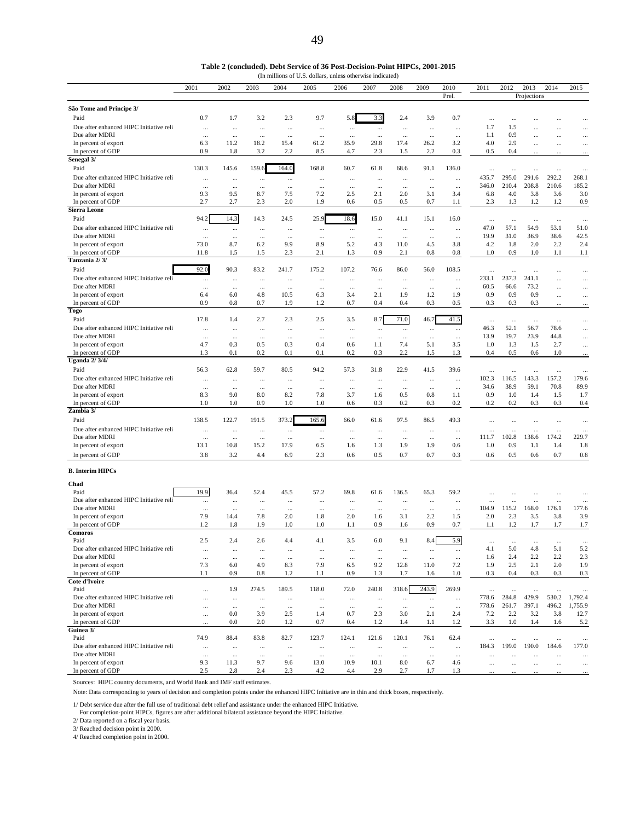| Table 2 (concluded). Debt Service of 36 Post-Decision-Point HIPCs, 2001-2015 |
|------------------------------------------------------------------------------|
| (In millions of U.S. dollars, unless otherwise indicated)                    |

|                                         | 2001            | 2002            | 2003            | 2004            | 2005            | 2006            | 2007            | 2008            | 2009            | 2010            | 2011     | 2012     | 2013        | 2014     | 2015                 |
|-----------------------------------------|-----------------|-----------------|-----------------|-----------------|-----------------|-----------------|-----------------|-----------------|-----------------|-----------------|----------|----------|-------------|----------|----------------------|
|                                         |                 |                 |                 |                 |                 |                 |                 |                 |                 | Prel.           |          |          | Projections |          |                      |
| São Tome and Principe 3/                |                 |                 |                 |                 |                 |                 |                 |                 |                 |                 |          |          |             |          |                      |
| Paid                                    | 0.7             | 1.7             | 3.2             | 2.3             | 9.7             | 5.8             | 3.3             | 2.4             | 3.9             | 0.7             |          | $\cdots$ |             |          |                      |
| Due after enhanced HIPC Initiative reli | $\ldots$        | $\cdots$        | $\cdots$        | $\cdots$        |                 | $\cdots$        | $\ldots$        | $\cdots$        | $\cdots$        | $\cdots$        | 1.7      | 1.5      |             |          |                      |
| Due after MDRI                          |                 | $\cdots$        |                 | $\cdots$        |                 | $\cdots$        |                 | $\cdots$        |                 | $\cdots$        | 1.1      | 0.9      |             |          |                      |
| In percent of export                    | 6.3             | 11.2            | 18.2            | 15.4            | 61.2            | 35.9            | 29.8            | 17.4            | 26.2            | 3.2             | 4.0      | 2.9      |             |          |                      |
| In percent of GDP                       | 0.9             | 1.8             | 3.2             | 2.2             | 8.5             | 4.7             | 2.3             | 1.5             | 2.2             | 0.3             | 0.5      | 0.4      |             | $\cdots$ | $\cdots$             |
| Senegal 3/                              |                 |                 |                 |                 |                 |                 |                 |                 |                 |                 |          |          |             |          |                      |
| Paid                                    | 130.3           | 145.6           | 159.6           | 164.0           | 168.8           | 60.7            | 61.8            | 68.6            | 91.1            | 136.0           |          |          |             | $\cdots$ | $\ddots$             |
| Due after enhanced HIPC Initiative reli | $\cdots$        |                 |                 |                 | $\cdots$        |                 | $\cdots$        |                 |                 | $\cdots$        | 435.7    | 295.0    | 291.6       | 292.2    | 268.1                |
| Due after MDRI                          |                 | $\cdots$        | $\cdots$        | $\cdots$        |                 | $\ldots$        |                 | $\cdots$        |                 |                 | 346.0    | 210.4    | 208.8       | 210.6    | 185.2                |
| In percent of export                    | $\cdots$<br>9.3 | $\cdots$<br>9.5 | $\cdots$<br>8.7 | $\cdots$<br>7.5 | $\cdots$<br>7.2 | $\cdots$<br>2.5 | $\cdots$<br>2.1 | $\cdots$<br>2.0 | $\cdots$<br>3.1 | $\cdots$<br>3.4 | 6.8      | 4.0      | 3.8         | 3.6      | 3.0                  |
| In percent of GDP                       | 2.7             | 2.7             | 2.3             | 2.0             | 1.9             | 0.6             | 0.5             | 0.5             | 0.7             | 1.1             | 2.3      | 1.3      | 1.2         | 1.2      | 0.9                  |
| Sierra Leone                            |                 |                 |                 |                 |                 |                 |                 |                 |                 |                 |          |          |             |          |                      |
| Paid                                    | 94.2            | 14.3            | 14.3            | 24.5            | 25.9            | 18.6            | 15.0            | 41.1            | 15.1            | 16.0            |          |          |             |          |                      |
|                                         |                 |                 |                 |                 |                 |                 |                 |                 |                 |                 |          | $\cdots$ |             | $\cdots$ | $\ddot{\phantom{0}}$ |
| Due after enhanced HIPC Initiative reli | $\cdots$        | $\ldots$        |                 |                 | $\cdots$        | $\cdots$        | $\cdots$        | $\cdots$        |                 | $\cdots$        | 47.0     | 57.1     | 54.9        | 53.1     | 51.0                 |
| Due after MDRI                          | $\ldots$        | $\ldots$        | $\cdots$        | $\cdots$        | $\cdots$        | $\ldots$        | $\ldots$        | $\ldots$        | $\ldots$        | $\ldots$        | 19.9     | 31.0     | 36.9        | 38.6     | 42.5                 |
| In percent of export                    | 73.0            | 8.7             | 6.2             | 9.9             | 8.9             | 5.2             | 4.3             | 11.0            | 4.5             | 3.8             | 4.2      | 1.8      | 2.0         | 2.2      | 2.4                  |
| In percent of GDP<br>Tanzania 2/3/      | 11.8            | 1.5             | 1.5             | 2.3             | 2.1             | 1.3             | 0.9             | 2.1             | 0.8             | 0.8             | 1.0      | 0.9      | 1.0         | 1.1      | 1.1                  |
|                                         |                 |                 |                 |                 |                 |                 |                 |                 |                 |                 |          |          |             |          |                      |
| Paid                                    | 92.0            | 90.3            | 83.2            | 241.7           | 175.2           | 107.2           | 76.6            | 86.0            | 56.0            | 108.5           | $\cdots$ |          | $\cdots$    | $\cdots$ | $\cdots$             |
| Due after enhanced HIPC Initiative reli | $\cdots$        | $\cdots$        | $\cdots$        | $\cdots$        | $\cdots$        | $\cdots$        | $\cdots$        | $\cdots$        |                 | $\cdots$        | 233.1    | 237.3    | 241.1       | $\cdots$ |                      |
| Due after MDRI                          | $\cdots$        | $\cdots$        | $\cdots$        | $\cdots$        | $\cdots$        | $\cdots$        | $\cdots$        | $\cdots$        | $\cdots$        | $\cdots$        | 60.5     | 66.6     | 73.2        |          | $\cdots$             |
| In percent of export                    | 6.4             | 6.0             | 4.8             | 10.5            | 6.3             | 3.4             | 2.1             | 1.9             | 1.2             | 1.9             | 0.9      | 0.9      | 0.9         |          |                      |
| In percent of GDP                       | 0.9             | 0.8             | 0.7             | 1.9             | 1.2             | 0.7             | 0.4             | 0.4             | 0.3             | 0.5             | 0.3      | 0.3      | 0.3         |          | $\cdots$             |
| Togo                                    |                 |                 |                 |                 |                 |                 |                 |                 |                 |                 |          |          |             |          |                      |
| Paid                                    | 17.8            | 1.4             | 2.7             | 2.3             | 2.5             | 3.5             | 8.7             | 71.0            | 46.7            | 41.5            | $\ldots$ | $\ldots$ | $\cdots$    | $\cdots$ | $\cdots$             |
| Due after enhanced HIPC Initiative reli | $\cdots$        | $\cdots$        | $\cdots$        | $\cdots$        |                 | $\cdots$        | $\cdots$        | $\cdots$        | $\cdots$        | $\cdots$        | 46.3     | 52.1     | 56.7        | 78.6     |                      |
| Due after MDRI                          | $\cdots$        | $\cdots$        | $\cdots$        |                 | $\cdots$        | $\cdots$        | $\cdots$        | $\cdots$        | $\cdots$        | $\cdots$        | 13.9     | 19.7     | 23.9        | 44.8     | $\cdots$             |
| In percent of export                    | 4.7             | 0.3             | 0.5             | 0.3             | 0.4             | 0.6             | 1.1             | 7.4             | 5.1             | 3.5             | 1.0      | 1.3      | 1.5         | 2.7      |                      |
| In percent of GDP                       | 1.3             | 0.1             | 0.2             | 0.1             | 0.1             | 0.2             | 0.3             | 2.2             | 1.5             | 1.3             | 0.4      | 0.5      | 0.6         | 1.0      | $\cdots$             |
| <b>Uganda 2/3/4/</b>                    |                 |                 |                 |                 |                 |                 |                 |                 |                 |                 |          |          |             |          |                      |
| Paid                                    | 56.3            | 62.8            | 59.7            | 80.5            | 94.2            | 57.3            | 31.8            | 22.9            | 41.5            | 39.6            | $\cdots$ |          |             | $\cdots$ | $\cdots$             |
| Due after enhanced HIPC Initiative reli | $\cdots$        | $\cdots$        |                 | $\cdots$        | $\cdots$        | $\cdots$        | $\cdots$        | $\cdots$        | $\cdots$        | $\cdots$        | 102.3    | 116.5    | 143.3       | 157.2    | 179.6                |
| Due after MDRI                          | $\ldots$        | $\cdots$        | $\cdots$        | $\cdots$        |                 | $\cdots$        |                 | $\cdots$        | $\cdots$        | $\ldots$        | 34.6     | 38.9     | 59.1        | 70.8     | 89.9                 |
| In percent of export                    | 8.3             | 9.0             | 8.0             | 8.2             | 7.8             | 3.7             | 1.6             | 0.5             | 0.8             | 1.1             | 0.9      | 1.0      | 1.4         | 1.5      | 1.7                  |
| In percent of GDP                       | 1.0             | 1.0             | 0.9             | 1.0             | 1.0             | 0.6             | 0.3             | 0.2             | 0.3             | 0.2             | 0.2      | 0.2      | 0.3         | 0.3      | 0.4                  |
| Zambia 3/                               |                 |                 |                 |                 |                 |                 |                 |                 |                 |                 |          |          |             |          |                      |
| Paid                                    | 138.5           | 122.7           | 191.5           | 373.2           | 165.6           | 66.0            | 61.6            | 97.5            | 86.5            | 49.3            |          |          | $\cdots$    | $\cdots$ | $\cdots$             |
| Due after enhanced HIPC Initiative reli | $\cdots$        | $\cdots$        | $\cdots$        | $\ldots$        | $\cdots$        | $\cdots$        | $\cdots$        | $\cdots$        | $\cdots$        | $\cdots$        | $\cdots$ | $\cdots$ | $\cdots$    | $\cdots$ | $\ddotsc$            |
| Due after MDRI                          | $\cdots$        | $\cdots$        | $\cdots$        |                 | $\cdots$        | $\cdots$        |                 | $\cdots$        |                 | $\cdots$        | 111.7    | 102.8    | 138.6       | 174.2    | 229.7                |
| In percent of export                    | 13.1            | 10.8            | 15.2            | 17.9            | 6.5             | 1.6             | 1.3             | 1.9             | 1.9             | 0.6             | 1.0      | 0.9      | 1.1         | 1.4      | 1.8                  |
| In percent of GDP                       | 3.8             | 3.2             | 4.4             | 6.9             | 2.3             | 0.6             | 0.5             | 0.7             | 0.7             | 0.3             | 0.6      | 0.5      | 0.6         | 0.7      | 0.8                  |
|                                         |                 |                 |                 |                 |                 |                 |                 |                 |                 |                 |          |          |             |          |                      |
| <b>B.</b> Interim HIPCs                 |                 |                 |                 |                 |                 |                 |                 |                 |                 |                 |          |          |             |          |                      |
|                                         |                 |                 |                 |                 |                 |                 |                 |                 |                 |                 |          |          |             |          |                      |
| Chad                                    |                 |                 |                 |                 |                 |                 |                 |                 |                 |                 |          |          |             |          |                      |
| Paid                                    | 19.9            | 36.4            | 52.4            | 45.5            | 57.2            | 69.8            | 61.6            | 136.5           | 65.3            | 59.2            |          |          |             | $\ddots$ |                      |
| Due after enhanced HIPC Initiative reli | $\ldots$        | $\cdots$        | $\cdots$        | $\cdots$        |                 | $\cdots$        |                 | $\cdots$        | $\cdots$        | $\cdots$        |          |          |             | $\cdots$ | $\ddotsc$            |
| Due after MDRI                          | $\cdots$        | $\cdots$        | $\cdots$        | $\cdots$        | $\cdots$        | $\cdots$        | $\cdots$        | $\cdots$        | $\cdots$        | $\ldots$        | 104.9    | 115.2    | 168.0       | 176.1    | 177.6                |
| In percent of export                    | 7.9             | 14.4            | 7.8             | 2.0             | 1.8             | 2.0             | 1.6             | 3.1             | 2.2             | 1.5             | 2.0      | 2.3      | 3.5         | 3.8      | 3.9                  |
| In percent of GDP                       | 1.2             | 1.8             | 1.9             | 1.0             | 1.0             | 1.1             | 0.9             | 1.6             | 0.9             | 0.7             | 1.1      | 1.2      | 1.7         | 1.7      | 1.7                  |
| <b>Comoros</b>                          |                 |                 |                 |                 |                 |                 |                 |                 |                 |                 |          |          |             |          |                      |
| Paid                                    | 2.5             | 2.4             | 2.6             | 4.4             | 4.1             | 3.5             | 6.0             | 9.1             | 8.4             | 5.9             |          |          |             |          |                      |
| Due after enhanced HIPC Initiative reli | $\cdots$        | $\cdots$        | $\cdots$        | $\ldots$        | $\cdots$        | $\cdots$        | $\cdots$        | $\cdots$        | $\ldots$        | $\cdots$        | 4.1      | 5.0      | 4.8         | 5.1      | 5.2                  |
| Due after MDRI                          | $\ldots$        | $\cdots$        | $\cdots$        | $\ldots$        | $\ldots$        | $\ldots$        | $\cdots$        | $\ldots$        | $\cdots$        | $\cdots$        | 1.6      | 2.4      | 2.2         | 2.2      | 2.3                  |
| In percent of export                    | 7.3             | 6.0             | 4.9             | 8.3             | 7.9             | 6.5             | 9.2             | 12.8            | 11.0            | 7.2             | 1.9      | 2.5      | 2.1         | 2.0      | 1.9                  |
| In percent of GDP                       | 1.1             | 0.9             | 0.8             | 1.2             | 1.1             | 0.9             | 1.3             | 1.7             | 1.6             | 1.0             | 0.3      | 0.4      | 0.3         | 0.3      | 0.3                  |
| Cote d'Ivoire                           |                 |                 |                 |                 |                 |                 |                 |                 |                 |                 |          |          |             |          |                      |
| Paid                                    | $\cdots$        | 1.9             | 274.5           | 189.5           | 118.0           | 72.0            | 240.8           | 318.6           | 243.9           | 269.9           | $\cdots$ | $\cdots$ |             | $\cdots$ |                      |
| Due after enhanced HIPC Initiative reli | $\ldots$        | $\cdots$        | $\cdots$        | $\ldots$        | $\ldots$        | $\ldots$        | $\ldots$        | $\ldots$        | $\ldots$        | $\cdots$        | 778.6    | 284.8    | 429.9       | 530.2    | 1,792.4              |
| Due after MDRI                          | $\cdots$        | $\ldots$        | $\cdots$        | $\ldots$        | $\ldots$        | $\cdots$        | $\cdots$        | $\ldots$        | $\cdots$        | $\ldots$        | 778.6    | 261.7    | 397.1       | 496.2    | 1,755.9              |
| In percent of export                    | $\cdots$        | 0.0             | 3.9             | 2.5             | 1.4             | 0.7             | 2.3             | 3.0             | 2.1             | 2.4             | 7.2      | 2.2      | 3.2         | 3.8      | 12.7                 |
| In percent of GDP                       |                 | 0.0             | 2.0             | 1.2             | 0.7             | 0.4             | 1.2             | 1.4             | 1.1             | 1.2             | 3.3      | 1.0      | 1.4         | 1.6      | 5.2                  |
| Guinea 3/                               |                 |                 |                 |                 |                 |                 |                 |                 |                 |                 |          |          |             |          |                      |
| Paid                                    | 74.9            | 88.4            | 83.8            | 82.7            | 123.7           | 124.1           | 121.6           | 120.1           | 76.1            | 62.4            | $\ldots$ |          | $\cdots$    | $\ldots$ | $\cdots$             |
| Due after enhanced HIPC Initiative reli | $\ldots$        | $\cdots$        | $\ldots$        | $\ldots$        | $\ldots$        | $\ldots$        | $\ldots$        | $\ldots$        | $\ldots$        | $\ldots$        | 184.3    | 199.0    | 190.0       | 184.6    | 177.0                |
| Due after MDRI                          | $\ldots$        | $\ldots$        | $\ldots$        | $\ldots$        | $\ldots$        | $\ldots$        | $\cdots$        | $\ldots$        | $\ldots$        | $\ldots$        |          |          |             |          |                      |
| In percent of export                    | 9.3             | 11.3            | 9.7             | 9.6             | 13.0            | 10.9            | 10.1            | 8.0             | 6.7             | 4.6             |          |          |             | $\cdots$ | $\cdots$             |
| In percent of GDP                       | 2.5             | 2.8             | 2.4             | 2.3             | 4.2             | 4.4             | 2.9             | 2.7             | 1.7             | 1.3             |          |          |             |          |                      |

Sources: HIPC country documents, and World Bank and IMF staff estimates.

Note: Data corresponding to years of decision and completion points under the enhanced HIPC Initiative are in thin and thick boxes, respectively.

1/ Debt service due after the full use of traditional debt relief and assistance under the enhanced HIPC Initiative.<br>
For completion-point HIPCs, figures are after additional bilateral assistance beyond the HIPC Initiative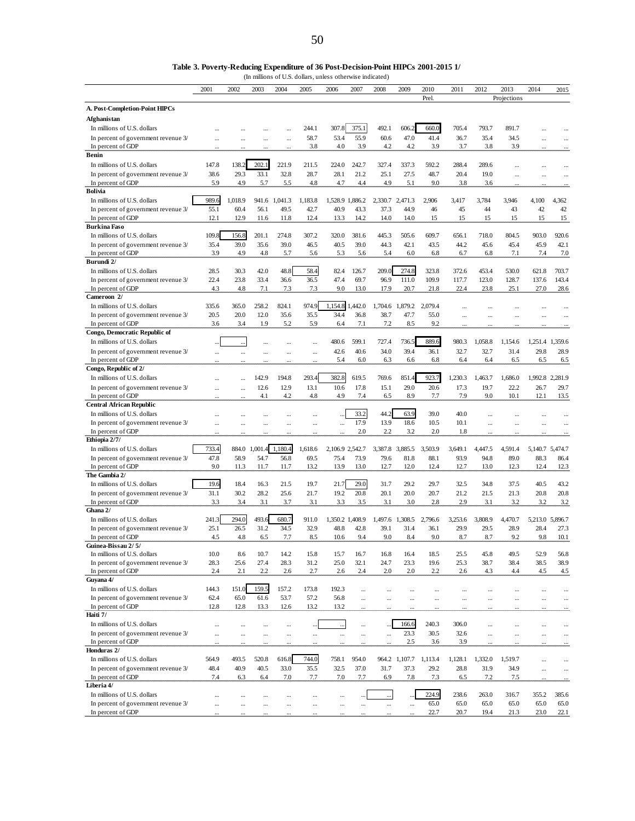| Prel<br>Projections<br>A. Post-Completion-Point HIPCs<br>Afghanistan<br>375.1<br>492.1<br>606.2<br>660.0<br>705.4<br>793.7<br>In millions of U.S. dollars<br>244.1<br>307.8<br>891.7<br><br><br><br><br>55.9<br>47.0<br>58.7<br>53.4<br>60.6<br>41.4<br>36.7<br>35.4<br>34.5<br>In percent of government revenue 3/<br>$\ddotsc$<br><br>$\cdots$<br><br>$\ddotsc$<br><br>4.0<br>3.9<br>4.2<br>3.9<br>3.9<br>In percent of GDP<br>3.8<br>4.2<br>3.7<br>3.8<br>Benin<br>147.8<br>138.2<br>202.1<br>221.9<br>242.7<br>327.4<br>337.3<br>592.2<br>288.4<br>289.6<br>In millions of U.S. dollars<br>211.5<br>224.0<br><br>33.1<br>28.7<br>21.2<br>25.1<br>27.5<br>48.7<br>In percent of government revenue 3/<br>38.6<br>29.3<br>32.8<br>28.1<br>20.4<br>19.0<br><br><br>In percent of GDP<br>5.9<br>4.9<br>5.7<br>5.5<br>4.8<br>4.7<br>4.4<br>4.9<br>5.1<br>9.0<br>3.8<br>3.6<br><b>Bolivia</b><br>989.6<br>1,018.9<br>In millions of U.S. dollars<br>941.6 1,041.3<br>1,183.8<br>1.528.9<br>1,886.2<br>2,330.7<br>2.471.3<br>2,906<br>3,417<br>3,784<br>3,946<br>4,100<br>4,362<br>55.1<br>60.4<br>49.5<br>40.9<br>43.3<br>37.3<br>42<br>42<br>In percent of government revenue 3/<br>56.1<br>42.7<br>44.9<br>46<br>45<br>44<br>43<br>In percent of GDP<br>12.1<br>12.9<br>11.8<br>13.3<br>14.2<br>14.0<br>15<br>15<br>11.6<br>12.4<br>14.0<br>15<br>15<br>15<br>15<br><b>Burkina Faso</b><br>In millions of U.S. dollars<br>109.8<br>156.8<br>201.1<br>274.8<br>307.2<br>320.0<br>381.6<br>445.3<br>505.6<br>609.7<br>656.1<br>718.0<br>804.5<br>903.0<br>920.6<br>35.4<br>39.0<br>35.6<br>39.0<br>46.5<br>40.5<br>39.0<br>44.3<br>42.1<br>43.5<br>44.2<br>45.6<br>45.4<br>45.9<br>42.1<br>In percent of government revenue 3/<br>3.9<br>5.7<br>5.3<br>5.6<br>5.4<br>7.1<br>7.4<br>7.0<br>In percent of GDP<br>4.9<br>4.8<br>5.6<br>6.0<br>6.8<br>6.7<br>6.8<br>Burundi 2/<br>In millions of U.S. dollars<br>28.5<br>30.3<br>42.0<br>48.8<br>58.4<br>82.4<br>126.7<br>209.0<br>274.8<br>323.8<br>372.6<br>453.4<br>530.0<br>621.8<br>703.7<br>33.4<br>36.5<br>47.4<br>69.7<br>96.9<br>111.0<br>109.9<br>117.7<br>123.0<br>128.7<br>137.6<br>143.4<br>In percent of government revenue 3/<br>22.4<br>23.8<br>36.6<br>In percent of GDP<br>4.3<br>4.8<br>7.3<br>7.3<br>9.0<br>13.0<br>17.9<br>20.7<br>21.8<br>22.4<br>23.8<br>27.0<br>28.6<br>7.1<br>25.1<br>Cameroon 2/<br>974.9<br>1,154.8<br>In millions of U.S. dollars<br>335.6<br>824.1<br>442.0<br>365.0<br>258.2<br>1,704.6<br>1,879.2<br>2,079.4<br>$\cdots$<br><br><br>34.4<br>38.7<br>20.5<br>20.0<br>12.0<br>35.6<br>35.5<br>36.8<br>47.7<br>In percent of government revenue 3/<br>55.0<br><br>$\cdots$<br>$\ddotsc$<br><br><br>1.9<br>5.9<br>6.4<br>7.2<br>In percent of GDP<br>3.6<br>3.4<br>5.2<br>7.1<br>8.5<br>9.2<br><br>Congo, Democratic Republic of<br>889.6<br>480.6<br>599.1<br>727.4<br>736.5<br>980.3<br>In millions of U.S. dollars<br>1,058.8<br>1,251.4 1,359.6<br>1,154.6<br><br><br>$\ddotsc$<br>36.1<br>40.6<br>34.0<br>39.4<br>29.8<br>28.9<br>In percent of government revenue 3/<br>42.6<br>32.7<br>32.7<br>31.4<br><br><br><br>5.4<br>6.5<br>In percent of GDP<br>6.0<br>6.3<br>6.6<br>6.8<br>6.4<br>6.4<br>6.5<br>6.5<br>Congo, Republic of 2/<br>293.4<br>382.8<br>619.5<br>769.6<br>923.7<br>In millions of U.S. dollars<br>142.9<br>194.8<br>851.4<br>1,230.3<br>1,463.7<br>1,686.0<br>1,992.8 2,281.9<br><br><br>12.6<br>12.9<br>13.1<br>10.6<br>17.8<br>15.1<br>29.0<br>20.6<br>17.3<br>19.7<br>22.2<br>26.7<br>29.7<br>In percent of government revenue 3/<br><br><br>4.9<br>7.4<br>8.9<br>7.7<br>7.9<br>9.0<br>10.1<br>In percent of GDP<br>4.1<br>4.2<br>4.8<br>6.5<br>12.1<br>13.5<br><b>Central African Republic</b><br>33.2<br>63.9<br>In millions of U.S. dollars<br>44.2<br>39.0<br>40.0<br><br>17.9<br>13.9<br>18.6<br>10.5<br>In percent of government revenue 3/<br>10.1<br><br><br><br>In percent of GDP<br>2.0<br>2.2<br>3.2<br>2.0<br>1.8<br>$\ddotsc$<br>Ethiopia 2/7/<br>1,180.4<br>733.4<br>884.0 1,001.4<br>1,618.6<br>2,106.9 2,542.7<br>3,503.9<br>In millions of U.S. dollars<br>3,387.8<br>3,885.5<br>3,649.1<br>4,447.5<br>4,591.4<br>5,140.7 5,474.7<br>47.8<br>58.9<br>54.7<br>56.8<br>69.5<br>75.4<br>73.9<br>79.6<br>81.8<br>88.1<br>93.9<br>94.8<br>89.0<br>88.3<br>86.4<br>In percent of government revenue 3/<br>13.9<br>In percent of GDP<br>9.0<br>11.3<br>11.7<br>11.7<br>13.2<br>13.0<br>12.7<br>12.0<br>12.4<br>12.7<br>13.0<br>12.3<br>12.4<br>12.3<br>The Gambia 2/<br>19.6<br>In millions of U.S. dollars<br>18.4<br>16.3<br>21.5<br>19.7<br>21.7<br>29.0<br>31.7<br>29.2<br>29.7<br>32.5<br>34.8<br>37.5<br>40.5<br>43.2<br>31.1<br>30.2<br>28.2<br>25.6<br>21.7<br>19.2<br>20.8<br>20.1<br>20.0<br>20.7<br>21.2<br>21.5<br>21.3<br>20.8<br>20.8<br>In percent of government revenue 3/<br>In percent of GDP<br>3.3<br>3.4<br>3.1<br>3.7<br>3.1<br>3.3<br>3.5<br>3.1<br>3.0<br>2.8<br>2.9<br>3.1<br>3.2<br>3.2<br>3.2<br>Ghana 2/<br>294.0<br>241.3<br>493.6<br>680.7<br>In millions of U.S. dollars<br>911.0<br>1,350.2 1,408.9<br>1,497.6<br>1,308.5<br>2,796.6<br>3,253.6<br>3.808.9<br>4,470.7<br>5,213.0 5,896.7<br>25.1<br>26.5<br>31.2<br>34.5<br>32.9<br>48.8<br>42.8<br>39.1<br>31.4<br>36.1<br>29.9<br>29.5<br>28.9<br>28.4<br>27.3<br>In percent of government revenue 3/<br>4.5<br>4.8<br>6.5<br>8.5<br>10.6<br>9.4<br>9.0<br>8.4<br>9.0<br>8.7<br>8.7<br>9.2<br>9.8<br>10.1<br>In percent of GDP<br>7.7<br>Guinea-Bissau 2/5/<br>10.0<br>10.7<br>16.7<br>49.5<br>52.9<br>In millions of U.S. dollars<br>8.6<br>14.2<br>15.8<br>15.7<br>16.8<br>16.4<br>18.5<br>25.5<br>45.8<br>56.8<br>32.1<br>28.3<br>25.6<br>27.4<br>28.3<br>31.2<br>25.0<br>24.7<br>23.3<br>19.6<br>38.7<br>38.4<br>38.5<br>38.9<br>In percent of government revenue 3/<br>25.3<br>In percent of GDP<br>2.4<br>2.2<br>2.0<br>2.2<br>2.1<br>2.6<br>2.7<br>2.6<br>2.4<br>2.0<br>2.6<br>4.3<br>4.4<br>4.5<br>4.5<br>Guyana 4/<br>159.5<br>In millions of U.S. dollars<br>144.3<br>151.0<br>157.2<br>173.8<br>192.3<br><br>$\cdots$<br><br><br><br><br><br><br>$\cdots$<br>In percent of government revenue 3/<br>62.4<br>65.0<br>61.6<br>53.7<br>57.2<br>56.8<br>$\cdots$<br>$\cdots$<br><br><br>$\cdots$<br><br>$\cdots$<br><br>$\cdots$<br>In percent of GDP<br>12.8<br>12.8<br>13.3<br>12.6<br>13.2<br>13.2<br><br><br><br><br><br><br><br>$\cdots$<br>Haiti 7/<br>In millions of U.S. dollars<br>166.6<br>240.3<br>306.0<br><br>$\cdots$<br><br><br><br><br>$\ddot{\phantom{a}}$<br><br><br><br><br>In percent of government revenue 3/<br>30.5<br>23.3<br>32.6<br><br><br>$\cdots$<br>$\cdots$<br><br>$\cdots$<br>$\cdots$<br><br><br><br><br><br>2.5<br>In percent of GDP<br>3.6<br>3.9<br><br><br><br>$\cdot$<br>Honduras 2/<br>744.0<br>In millions of U.S. dollars<br>564.9<br>493.5<br>520.8<br>616.8<br>758.1<br>954.0<br>964.2 1,107.7<br>1,113.4<br>1,128.1<br>1,332.0<br>1,519.7<br><br><br>In percent of government revenue 3/<br>40.9<br>40.5<br>33.0<br>35.5<br>32.5<br>37.0<br>31.7<br>37.3<br>29.2<br>28.8<br>31.9<br>34.9<br>48.4<br><br>$\cdots$<br>In percent of GDP<br>6.9<br>7.8<br>7.4<br>6.3<br>6.4<br>7.0<br>7.7<br>7.0<br>7.7<br>7.3<br>6.5<br>7.2<br>7.5<br><br>$\cdots$<br>Liberia 4/<br>224.9<br>In millions of U.S. dollars<br>238.6<br>263.0<br>316.7<br>355.2<br>385.6<br><br><br>$\cdots$<br><br><br><br>$\cdots$<br>In percent of government revenue 3/<br>65.0<br>65.0<br>65.0<br>65.0<br>65.0<br>65.0<br>$\cdots$<br><br>$\cdots$<br><br><br>$\cdots$<br><br><br>$\cdots$<br>In percent of GDP<br>22.7<br>20.7<br>19.4<br>21.3<br>23.0<br>22.1 | 2001 | 2002 | 2003 | 2004 | 2005 | 2006 | 2007 | 2008 | 2009 | 2010 | 2011 | 2012 | 2013 | 2014 | 2015 |
|------------------------------------------------------------------------------------------------------------------------------------------------------------------------------------------------------------------------------------------------------------------------------------------------------------------------------------------------------------------------------------------------------------------------------------------------------------------------------------------------------------------------------------------------------------------------------------------------------------------------------------------------------------------------------------------------------------------------------------------------------------------------------------------------------------------------------------------------------------------------------------------------------------------------------------------------------------------------------------------------------------------------------------------------------------------------------------------------------------------------------------------------------------------------------------------------------------------------------------------------------------------------------------------------------------------------------------------------------------------------------------------------------------------------------------------------------------------------------------------------------------------------------------------------------------------------------------------------------------------------------------------------------------------------------------------------------------------------------------------------------------------------------------------------------------------------------------------------------------------------------------------------------------------------------------------------------------------------------------------------------------------------------------------------------------------------------------------------------------------------------------------------------------------------------------------------------------------------------------------------------------------------------------------------------------------------------------------------------------------------------------------------------------------------------------------------------------------------------------------------------------------------------------------------------------------------------------------------------------------------------------------------------------------------------------------------------------------------------------------------------------------------------------------------------------------------------------------------------------------------------------------------------------------------------------------------------------------------------------------------------------------------------------------------------------------------------------------------------------------------------------------------------------------------------------------------------------------------------------------------------------------------------------------------------------------------------------------------------------------------------------------------------------------------------------------------------------------------------------------------------------------------------------------------------------------------------------------------------------------------------------------------------------------------------------------------------------------------------------------------------------------------------------------------------------------------------------------------------------------------------------------------------------------------------------------------------------------------------------------------------------------------------------------------------------------------------------------------------------------------------------------------------------------------------------------------------------------------------------------------------------------------------------------------------------------------------------------------------------------------------------------------------------------------------------------------------------------------------------------------------------------------------------------------------------------------------------------------------------------------------------------------------------------------------------------------------------------------------------------------------------------------------------------------------------------------------------------------------------------------------------------------------------------------------------------------------------------------------------------------------------------------------------------------------------------------------------------------------------------------------------------------------------------------------------------------------------------------------------------------------------------------------------------------------------------------------------------------------------------------------------------------------------------------------------------------------------------------------------------------------------------------------------------------------------------------------------------------------------------------------------------------------------------------------------------------------------------------------------------------------------------------------------------------------------------------------------------------------------------------------------------------------------------------------------------------------------------------------------------------------------------------------------------------------------------------------------------------------------------------------------------------------------------------------------------------------------------------------------------------------------------------------------------------------------------------------------------------------------------------------------------------------------------------------------------------------------------------------------------------------------------------------------------------------------------------------------------------------------------------------------------------------------------------------------------------------------------------------------------------------------------------------------------------------------------------------------------------------------------------------------------------------------------------------------------------------------------------------------------------------------------------------------------------------------------------------------------------------------------------------------------------------------------------------------------------------------------------------------------------------------------------------------------------------------------------------------------------------------------------------------------------------------------------------------------------------------------------------------------------------------------------------------------------------------------------------------------------|------|------|------|------|------|------|------|------|------|------|------|------|------|------|------|
|                                                                                                                                                                                                                                                                                                                                                                                                                                                                                                                                                                                                                                                                                                                                                                                                                                                                                                                                                                                                                                                                                                                                                                                                                                                                                                                                                                                                                                                                                                                                                                                                                                                                                                                                                                                                                                                                                                                                                                                                                                                                                                                                                                                                                                                                                                                                                                                                                                                                                                                                                                                                                                                                                                                                                                                                                                                                                                                                                                                                                                                                                                                                                                                                                                                                                                                                                                                                                                                                                                                                                                                                                                                                                                                                                                                                                                                                                                                                                                                                                                                                                                                                                                                                                                                                                                                                                                                                                                                                                                                                                                                                                                                                                                                                                                                                                                                                                                                                                                                                                                                                                                                                                                                                                                                                                                                                                                                                                                                                                                                                                                                                                                                                                                                                                                                                                                                                                                                                                                                                                                                                                                                                                                                                                                                                                                                                                                                                                                                                                                                                                                                                                                                                                                                                                                                                                                                                                                                                                                                                                                                                                                                                                                                                                                                                                                                                                                                                                                                                                                                                                                                                |      |      |      |      |      |      |      |      |      |      |      |      |      |      |      |
|                                                                                                                                                                                                                                                                                                                                                                                                                                                                                                                                                                                                                                                                                                                                                                                                                                                                                                                                                                                                                                                                                                                                                                                                                                                                                                                                                                                                                                                                                                                                                                                                                                                                                                                                                                                                                                                                                                                                                                                                                                                                                                                                                                                                                                                                                                                                                                                                                                                                                                                                                                                                                                                                                                                                                                                                                                                                                                                                                                                                                                                                                                                                                                                                                                                                                                                                                                                                                                                                                                                                                                                                                                                                                                                                                                                                                                                                                                                                                                                                                                                                                                                                                                                                                                                                                                                                                                                                                                                                                                                                                                                                                                                                                                                                                                                                                                                                                                                                                                                                                                                                                                                                                                                                                                                                                                                                                                                                                                                                                                                                                                                                                                                                                                                                                                                                                                                                                                                                                                                                                                                                                                                                                                                                                                                                                                                                                                                                                                                                                                                                                                                                                                                                                                                                                                                                                                                                                                                                                                                                                                                                                                                                                                                                                                                                                                                                                                                                                                                                                                                                                                                                |      |      |      |      |      |      |      |      |      |      |      |      |      |      |      |
|                                                                                                                                                                                                                                                                                                                                                                                                                                                                                                                                                                                                                                                                                                                                                                                                                                                                                                                                                                                                                                                                                                                                                                                                                                                                                                                                                                                                                                                                                                                                                                                                                                                                                                                                                                                                                                                                                                                                                                                                                                                                                                                                                                                                                                                                                                                                                                                                                                                                                                                                                                                                                                                                                                                                                                                                                                                                                                                                                                                                                                                                                                                                                                                                                                                                                                                                                                                                                                                                                                                                                                                                                                                                                                                                                                                                                                                                                                                                                                                                                                                                                                                                                                                                                                                                                                                                                                                                                                                                                                                                                                                                                                                                                                                                                                                                                                                                                                                                                                                                                                                                                                                                                                                                                                                                                                                                                                                                                                                                                                                                                                                                                                                                                                                                                                                                                                                                                                                                                                                                                                                                                                                                                                                                                                                                                                                                                                                                                                                                                                                                                                                                                                                                                                                                                                                                                                                                                                                                                                                                                                                                                                                                                                                                                                                                                                                                                                                                                                                                                                                                                                                                |      |      |      |      |      |      |      |      |      |      |      |      |      |      |      |
|                                                                                                                                                                                                                                                                                                                                                                                                                                                                                                                                                                                                                                                                                                                                                                                                                                                                                                                                                                                                                                                                                                                                                                                                                                                                                                                                                                                                                                                                                                                                                                                                                                                                                                                                                                                                                                                                                                                                                                                                                                                                                                                                                                                                                                                                                                                                                                                                                                                                                                                                                                                                                                                                                                                                                                                                                                                                                                                                                                                                                                                                                                                                                                                                                                                                                                                                                                                                                                                                                                                                                                                                                                                                                                                                                                                                                                                                                                                                                                                                                                                                                                                                                                                                                                                                                                                                                                                                                                                                                                                                                                                                                                                                                                                                                                                                                                                                                                                                                                                                                                                                                                                                                                                                                                                                                                                                                                                                                                                                                                                                                                                                                                                                                                                                                                                                                                                                                                                                                                                                                                                                                                                                                                                                                                                                                                                                                                                                                                                                                                                                                                                                                                                                                                                                                                                                                                                                                                                                                                                                                                                                                                                                                                                                                                                                                                                                                                                                                                                                                                                                                                                                |      |      |      |      |      |      |      |      |      |      |      |      |      |      |      |
|                                                                                                                                                                                                                                                                                                                                                                                                                                                                                                                                                                                                                                                                                                                                                                                                                                                                                                                                                                                                                                                                                                                                                                                                                                                                                                                                                                                                                                                                                                                                                                                                                                                                                                                                                                                                                                                                                                                                                                                                                                                                                                                                                                                                                                                                                                                                                                                                                                                                                                                                                                                                                                                                                                                                                                                                                                                                                                                                                                                                                                                                                                                                                                                                                                                                                                                                                                                                                                                                                                                                                                                                                                                                                                                                                                                                                                                                                                                                                                                                                                                                                                                                                                                                                                                                                                                                                                                                                                                                                                                                                                                                                                                                                                                                                                                                                                                                                                                                                                                                                                                                                                                                                                                                                                                                                                                                                                                                                                                                                                                                                                                                                                                                                                                                                                                                                                                                                                                                                                                                                                                                                                                                                                                                                                                                                                                                                                                                                                                                                                                                                                                                                                                                                                                                                                                                                                                                                                                                                                                                                                                                                                                                                                                                                                                                                                                                                                                                                                                                                                                                                                                                |      |      |      |      |      |      |      |      |      |      |      |      |      |      |      |
|                                                                                                                                                                                                                                                                                                                                                                                                                                                                                                                                                                                                                                                                                                                                                                                                                                                                                                                                                                                                                                                                                                                                                                                                                                                                                                                                                                                                                                                                                                                                                                                                                                                                                                                                                                                                                                                                                                                                                                                                                                                                                                                                                                                                                                                                                                                                                                                                                                                                                                                                                                                                                                                                                                                                                                                                                                                                                                                                                                                                                                                                                                                                                                                                                                                                                                                                                                                                                                                                                                                                                                                                                                                                                                                                                                                                                                                                                                                                                                                                                                                                                                                                                                                                                                                                                                                                                                                                                                                                                                                                                                                                                                                                                                                                                                                                                                                                                                                                                                                                                                                                                                                                                                                                                                                                                                                                                                                                                                                                                                                                                                                                                                                                                                                                                                                                                                                                                                                                                                                                                                                                                                                                                                                                                                                                                                                                                                                                                                                                                                                                                                                                                                                                                                                                                                                                                                                                                                                                                                                                                                                                                                                                                                                                                                                                                                                                                                                                                                                                                                                                                                                                |      |      |      |      |      |      |      |      |      |      |      |      |      |      |      |
|                                                                                                                                                                                                                                                                                                                                                                                                                                                                                                                                                                                                                                                                                                                                                                                                                                                                                                                                                                                                                                                                                                                                                                                                                                                                                                                                                                                                                                                                                                                                                                                                                                                                                                                                                                                                                                                                                                                                                                                                                                                                                                                                                                                                                                                                                                                                                                                                                                                                                                                                                                                                                                                                                                                                                                                                                                                                                                                                                                                                                                                                                                                                                                                                                                                                                                                                                                                                                                                                                                                                                                                                                                                                                                                                                                                                                                                                                                                                                                                                                                                                                                                                                                                                                                                                                                                                                                                                                                                                                                                                                                                                                                                                                                                                                                                                                                                                                                                                                                                                                                                                                                                                                                                                                                                                                                                                                                                                                                                                                                                                                                                                                                                                                                                                                                                                                                                                                                                                                                                                                                                                                                                                                                                                                                                                                                                                                                                                                                                                                                                                                                                                                                                                                                                                                                                                                                                                                                                                                                                                                                                                                                                                                                                                                                                                                                                                                                                                                                                                                                                                                                                                |      |      |      |      |      |      |      |      |      |      |      |      |      |      |      |
|                                                                                                                                                                                                                                                                                                                                                                                                                                                                                                                                                                                                                                                                                                                                                                                                                                                                                                                                                                                                                                                                                                                                                                                                                                                                                                                                                                                                                                                                                                                                                                                                                                                                                                                                                                                                                                                                                                                                                                                                                                                                                                                                                                                                                                                                                                                                                                                                                                                                                                                                                                                                                                                                                                                                                                                                                                                                                                                                                                                                                                                                                                                                                                                                                                                                                                                                                                                                                                                                                                                                                                                                                                                                                                                                                                                                                                                                                                                                                                                                                                                                                                                                                                                                                                                                                                                                                                                                                                                                                                                                                                                                                                                                                                                                                                                                                                                                                                                                                                                                                                                                                                                                                                                                                                                                                                                                                                                                                                                                                                                                                                                                                                                                                                                                                                                                                                                                                                                                                                                                                                                                                                                                                                                                                                                                                                                                                                                                                                                                                                                                                                                                                                                                                                                                                                                                                                                                                                                                                                                                                                                                                                                                                                                                                                                                                                                                                                                                                                                                                                                                                                                                |      |      |      |      |      |      |      |      |      |      |      |      |      |      |      |
|                                                                                                                                                                                                                                                                                                                                                                                                                                                                                                                                                                                                                                                                                                                                                                                                                                                                                                                                                                                                                                                                                                                                                                                                                                                                                                                                                                                                                                                                                                                                                                                                                                                                                                                                                                                                                                                                                                                                                                                                                                                                                                                                                                                                                                                                                                                                                                                                                                                                                                                                                                                                                                                                                                                                                                                                                                                                                                                                                                                                                                                                                                                                                                                                                                                                                                                                                                                                                                                                                                                                                                                                                                                                                                                                                                                                                                                                                                                                                                                                                                                                                                                                                                                                                                                                                                                                                                                                                                                                                                                                                                                                                                                                                                                                                                                                                                                                                                                                                                                                                                                                                                                                                                                                                                                                                                                                                                                                                                                                                                                                                                                                                                                                                                                                                                                                                                                                                                                                                                                                                                                                                                                                                                                                                                                                                                                                                                                                                                                                                                                                                                                                                                                                                                                                                                                                                                                                                                                                                                                                                                                                                                                                                                                                                                                                                                                                                                                                                                                                                                                                                                                                |      |      |      |      |      |      |      |      |      |      |      |      |      |      |      |
|                                                                                                                                                                                                                                                                                                                                                                                                                                                                                                                                                                                                                                                                                                                                                                                                                                                                                                                                                                                                                                                                                                                                                                                                                                                                                                                                                                                                                                                                                                                                                                                                                                                                                                                                                                                                                                                                                                                                                                                                                                                                                                                                                                                                                                                                                                                                                                                                                                                                                                                                                                                                                                                                                                                                                                                                                                                                                                                                                                                                                                                                                                                                                                                                                                                                                                                                                                                                                                                                                                                                                                                                                                                                                                                                                                                                                                                                                                                                                                                                                                                                                                                                                                                                                                                                                                                                                                                                                                                                                                                                                                                                                                                                                                                                                                                                                                                                                                                                                                                                                                                                                                                                                                                                                                                                                                                                                                                                                                                                                                                                                                                                                                                                                                                                                                                                                                                                                                                                                                                                                                                                                                                                                                                                                                                                                                                                                                                                                                                                                                                                                                                                                                                                                                                                                                                                                                                                                                                                                                                                                                                                                                                                                                                                                                                                                                                                                                                                                                                                                                                                                                                                |      |      |      |      |      |      |      |      |      |      |      |      |      |      |      |
|                                                                                                                                                                                                                                                                                                                                                                                                                                                                                                                                                                                                                                                                                                                                                                                                                                                                                                                                                                                                                                                                                                                                                                                                                                                                                                                                                                                                                                                                                                                                                                                                                                                                                                                                                                                                                                                                                                                                                                                                                                                                                                                                                                                                                                                                                                                                                                                                                                                                                                                                                                                                                                                                                                                                                                                                                                                                                                                                                                                                                                                                                                                                                                                                                                                                                                                                                                                                                                                                                                                                                                                                                                                                                                                                                                                                                                                                                                                                                                                                                                                                                                                                                                                                                                                                                                                                                                                                                                                                                                                                                                                                                                                                                                                                                                                                                                                                                                                                                                                                                                                                                                                                                                                                                                                                                                                                                                                                                                                                                                                                                                                                                                                                                                                                                                                                                                                                                                                                                                                                                                                                                                                                                                                                                                                                                                                                                                                                                                                                                                                                                                                                                                                                                                                                                                                                                                                                                                                                                                                                                                                                                                                                                                                                                                                                                                                                                                                                                                                                                                                                                                                                |      |      |      |      |      |      |      |      |      |      |      |      |      |      |      |
|                                                                                                                                                                                                                                                                                                                                                                                                                                                                                                                                                                                                                                                                                                                                                                                                                                                                                                                                                                                                                                                                                                                                                                                                                                                                                                                                                                                                                                                                                                                                                                                                                                                                                                                                                                                                                                                                                                                                                                                                                                                                                                                                                                                                                                                                                                                                                                                                                                                                                                                                                                                                                                                                                                                                                                                                                                                                                                                                                                                                                                                                                                                                                                                                                                                                                                                                                                                                                                                                                                                                                                                                                                                                                                                                                                                                                                                                                                                                                                                                                                                                                                                                                                                                                                                                                                                                                                                                                                                                                                                                                                                                                                                                                                                                                                                                                                                                                                                                                                                                                                                                                                                                                                                                                                                                                                                                                                                                                                                                                                                                                                                                                                                                                                                                                                                                                                                                                                                                                                                                                                                                                                                                                                                                                                                                                                                                                                                                                                                                                                                                                                                                                                                                                                                                                                                                                                                                                                                                                                                                                                                                                                                                                                                                                                                                                                                                                                                                                                                                                                                                                                                                |      |      |      |      |      |      |      |      |      |      |      |      |      |      |      |
|                                                                                                                                                                                                                                                                                                                                                                                                                                                                                                                                                                                                                                                                                                                                                                                                                                                                                                                                                                                                                                                                                                                                                                                                                                                                                                                                                                                                                                                                                                                                                                                                                                                                                                                                                                                                                                                                                                                                                                                                                                                                                                                                                                                                                                                                                                                                                                                                                                                                                                                                                                                                                                                                                                                                                                                                                                                                                                                                                                                                                                                                                                                                                                                                                                                                                                                                                                                                                                                                                                                                                                                                                                                                                                                                                                                                                                                                                                                                                                                                                                                                                                                                                                                                                                                                                                                                                                                                                                                                                                                                                                                                                                                                                                                                                                                                                                                                                                                                                                                                                                                                                                                                                                                                                                                                                                                                                                                                                                                                                                                                                                                                                                                                                                                                                                                                                                                                                                                                                                                                                                                                                                                                                                                                                                                                                                                                                                                                                                                                                                                                                                                                                                                                                                                                                                                                                                                                                                                                                                                                                                                                                                                                                                                                                                                                                                                                                                                                                                                                                                                                                                                                |      |      |      |      |      |      |      |      |      |      |      |      |      |      |      |
|                                                                                                                                                                                                                                                                                                                                                                                                                                                                                                                                                                                                                                                                                                                                                                                                                                                                                                                                                                                                                                                                                                                                                                                                                                                                                                                                                                                                                                                                                                                                                                                                                                                                                                                                                                                                                                                                                                                                                                                                                                                                                                                                                                                                                                                                                                                                                                                                                                                                                                                                                                                                                                                                                                                                                                                                                                                                                                                                                                                                                                                                                                                                                                                                                                                                                                                                                                                                                                                                                                                                                                                                                                                                                                                                                                                                                                                                                                                                                                                                                                                                                                                                                                                                                                                                                                                                                                                                                                                                                                                                                                                                                                                                                                                                                                                                                                                                                                                                                                                                                                                                                                                                                                                                                                                                                                                                                                                                                                                                                                                                                                                                                                                                                                                                                                                                                                                                                                                                                                                                                                                                                                                                                                                                                                                                                                                                                                                                                                                                                                                                                                                                                                                                                                                                                                                                                                                                                                                                                                                                                                                                                                                                                                                                                                                                                                                                                                                                                                                                                                                                                                                                |      |      |      |      |      |      |      |      |      |      |      |      |      |      |      |
|                                                                                                                                                                                                                                                                                                                                                                                                                                                                                                                                                                                                                                                                                                                                                                                                                                                                                                                                                                                                                                                                                                                                                                                                                                                                                                                                                                                                                                                                                                                                                                                                                                                                                                                                                                                                                                                                                                                                                                                                                                                                                                                                                                                                                                                                                                                                                                                                                                                                                                                                                                                                                                                                                                                                                                                                                                                                                                                                                                                                                                                                                                                                                                                                                                                                                                                                                                                                                                                                                                                                                                                                                                                                                                                                                                                                                                                                                                                                                                                                                                                                                                                                                                                                                                                                                                                                                                                                                                                                                                                                                                                                                                                                                                                                                                                                                                                                                                                                                                                                                                                                                                                                                                                                                                                                                                                                                                                                                                                                                                                                                                                                                                                                                                                                                                                                                                                                                                                                                                                                                                                                                                                                                                                                                                                                                                                                                                                                                                                                                                                                                                                                                                                                                                                                                                                                                                                                                                                                                                                                                                                                                                                                                                                                                                                                                                                                                                                                                                                                                                                                                                                                |      |      |      |      |      |      |      |      |      |      |      |      |      |      |      |
|                                                                                                                                                                                                                                                                                                                                                                                                                                                                                                                                                                                                                                                                                                                                                                                                                                                                                                                                                                                                                                                                                                                                                                                                                                                                                                                                                                                                                                                                                                                                                                                                                                                                                                                                                                                                                                                                                                                                                                                                                                                                                                                                                                                                                                                                                                                                                                                                                                                                                                                                                                                                                                                                                                                                                                                                                                                                                                                                                                                                                                                                                                                                                                                                                                                                                                                                                                                                                                                                                                                                                                                                                                                                                                                                                                                                                                                                                                                                                                                                                                                                                                                                                                                                                                                                                                                                                                                                                                                                                                                                                                                                                                                                                                                                                                                                                                                                                                                                                                                                                                                                                                                                                                                                                                                                                                                                                                                                                                                                                                                                                                                                                                                                                                                                                                                                                                                                                                                                                                                                                                                                                                                                                                                                                                                                                                                                                                                                                                                                                                                                                                                                                                                                                                                                                                                                                                                                                                                                                                                                                                                                                                                                                                                                                                                                                                                                                                                                                                                                                                                                                                                                |      |      |      |      |      |      |      |      |      |      |      |      |      |      |      |
|                                                                                                                                                                                                                                                                                                                                                                                                                                                                                                                                                                                                                                                                                                                                                                                                                                                                                                                                                                                                                                                                                                                                                                                                                                                                                                                                                                                                                                                                                                                                                                                                                                                                                                                                                                                                                                                                                                                                                                                                                                                                                                                                                                                                                                                                                                                                                                                                                                                                                                                                                                                                                                                                                                                                                                                                                                                                                                                                                                                                                                                                                                                                                                                                                                                                                                                                                                                                                                                                                                                                                                                                                                                                                                                                                                                                                                                                                                                                                                                                                                                                                                                                                                                                                                                                                                                                                                                                                                                                                                                                                                                                                                                                                                                                                                                                                                                                                                                                                                                                                                                                                                                                                                                                                                                                                                                                                                                                                                                                                                                                                                                                                                                                                                                                                                                                                                                                                                                                                                                                                                                                                                                                                                                                                                                                                                                                                                                                                                                                                                                                                                                                                                                                                                                                                                                                                                                                                                                                                                                                                                                                                                                                                                                                                                                                                                                                                                                                                                                                                                                                                                                                |      |      |      |      |      |      |      |      |      |      |      |      |      |      |      |
|                                                                                                                                                                                                                                                                                                                                                                                                                                                                                                                                                                                                                                                                                                                                                                                                                                                                                                                                                                                                                                                                                                                                                                                                                                                                                                                                                                                                                                                                                                                                                                                                                                                                                                                                                                                                                                                                                                                                                                                                                                                                                                                                                                                                                                                                                                                                                                                                                                                                                                                                                                                                                                                                                                                                                                                                                                                                                                                                                                                                                                                                                                                                                                                                                                                                                                                                                                                                                                                                                                                                                                                                                                                                                                                                                                                                                                                                                                                                                                                                                                                                                                                                                                                                                                                                                                                                                                                                                                                                                                                                                                                                                                                                                                                                                                                                                                                                                                                                                                                                                                                                                                                                                                                                                                                                                                                                                                                                                                                                                                                                                                                                                                                                                                                                                                                                                                                                                                                                                                                                                                                                                                                                                                                                                                                                                                                                                                                                                                                                                                                                                                                                                                                                                                                                                                                                                                                                                                                                                                                                                                                                                                                                                                                                                                                                                                                                                                                                                                                                                                                                                                                                |      |      |      |      |      |      |      |      |      |      |      |      |      |      |      |
|                                                                                                                                                                                                                                                                                                                                                                                                                                                                                                                                                                                                                                                                                                                                                                                                                                                                                                                                                                                                                                                                                                                                                                                                                                                                                                                                                                                                                                                                                                                                                                                                                                                                                                                                                                                                                                                                                                                                                                                                                                                                                                                                                                                                                                                                                                                                                                                                                                                                                                                                                                                                                                                                                                                                                                                                                                                                                                                                                                                                                                                                                                                                                                                                                                                                                                                                                                                                                                                                                                                                                                                                                                                                                                                                                                                                                                                                                                                                                                                                                                                                                                                                                                                                                                                                                                                                                                                                                                                                                                                                                                                                                                                                                                                                                                                                                                                                                                                                                                                                                                                                                                                                                                                                                                                                                                                                                                                                                                                                                                                                                                                                                                                                                                                                                                                                                                                                                                                                                                                                                                                                                                                                                                                                                                                                                                                                                                                                                                                                                                                                                                                                                                                                                                                                                                                                                                                                                                                                                                                                                                                                                                                                                                                                                                                                                                                                                                                                                                                                                                                                                                                                |      |      |      |      |      |      |      |      |      |      |      |      |      |      |      |
|                                                                                                                                                                                                                                                                                                                                                                                                                                                                                                                                                                                                                                                                                                                                                                                                                                                                                                                                                                                                                                                                                                                                                                                                                                                                                                                                                                                                                                                                                                                                                                                                                                                                                                                                                                                                                                                                                                                                                                                                                                                                                                                                                                                                                                                                                                                                                                                                                                                                                                                                                                                                                                                                                                                                                                                                                                                                                                                                                                                                                                                                                                                                                                                                                                                                                                                                                                                                                                                                                                                                                                                                                                                                                                                                                                                                                                                                                                                                                                                                                                                                                                                                                                                                                                                                                                                                                                                                                                                                                                                                                                                                                                                                                                                                                                                                                                                                                                                                                                                                                                                                                                                                                                                                                                                                                                                                                                                                                                                                                                                                                                                                                                                                                                                                                                                                                                                                                                                                                                                                                                                                                                                                                                                                                                                                                                                                                                                                                                                                                                                                                                                                                                                                                                                                                                                                                                                                                                                                                                                                                                                                                                                                                                                                                                                                                                                                                                                                                                                                                                                                                                                                |      |      |      |      |      |      |      |      |      |      |      |      |      |      |      |
|                                                                                                                                                                                                                                                                                                                                                                                                                                                                                                                                                                                                                                                                                                                                                                                                                                                                                                                                                                                                                                                                                                                                                                                                                                                                                                                                                                                                                                                                                                                                                                                                                                                                                                                                                                                                                                                                                                                                                                                                                                                                                                                                                                                                                                                                                                                                                                                                                                                                                                                                                                                                                                                                                                                                                                                                                                                                                                                                                                                                                                                                                                                                                                                                                                                                                                                                                                                                                                                                                                                                                                                                                                                                                                                                                                                                                                                                                                                                                                                                                                                                                                                                                                                                                                                                                                                                                                                                                                                                                                                                                                                                                                                                                                                                                                                                                                                                                                                                                                                                                                                                                                                                                                                                                                                                                                                                                                                                                                                                                                                                                                                                                                                                                                                                                                                                                                                                                                                                                                                                                                                                                                                                                                                                                                                                                                                                                                                                                                                                                                                                                                                                                                                                                                                                                                                                                                                                                                                                                                                                                                                                                                                                                                                                                                                                                                                                                                                                                                                                                                                                                                                                |      |      |      |      |      |      |      |      |      |      |      |      |      |      |      |
|                                                                                                                                                                                                                                                                                                                                                                                                                                                                                                                                                                                                                                                                                                                                                                                                                                                                                                                                                                                                                                                                                                                                                                                                                                                                                                                                                                                                                                                                                                                                                                                                                                                                                                                                                                                                                                                                                                                                                                                                                                                                                                                                                                                                                                                                                                                                                                                                                                                                                                                                                                                                                                                                                                                                                                                                                                                                                                                                                                                                                                                                                                                                                                                                                                                                                                                                                                                                                                                                                                                                                                                                                                                                                                                                                                                                                                                                                                                                                                                                                                                                                                                                                                                                                                                                                                                                                                                                                                                                                                                                                                                                                                                                                                                                                                                                                                                                                                                                                                                                                                                                                                                                                                                                                                                                                                                                                                                                                                                                                                                                                                                                                                                                                                                                                                                                                                                                                                                                                                                                                                                                                                                                                                                                                                                                                                                                                                                                                                                                                                                                                                                                                                                                                                                                                                                                                                                                                                                                                                                                                                                                                                                                                                                                                                                                                                                                                                                                                                                                                                                                                                                                |      |      |      |      |      |      |      |      |      |      |      |      |      |      |      |
|                                                                                                                                                                                                                                                                                                                                                                                                                                                                                                                                                                                                                                                                                                                                                                                                                                                                                                                                                                                                                                                                                                                                                                                                                                                                                                                                                                                                                                                                                                                                                                                                                                                                                                                                                                                                                                                                                                                                                                                                                                                                                                                                                                                                                                                                                                                                                                                                                                                                                                                                                                                                                                                                                                                                                                                                                                                                                                                                                                                                                                                                                                                                                                                                                                                                                                                                                                                                                                                                                                                                                                                                                                                                                                                                                                                                                                                                                                                                                                                                                                                                                                                                                                                                                                                                                                                                                                                                                                                                                                                                                                                                                                                                                                                                                                                                                                                                                                                                                                                                                                                                                                                                                                                                                                                                                                                                                                                                                                                                                                                                                                                                                                                                                                                                                                                                                                                                                                                                                                                                                                                                                                                                                                                                                                                                                                                                                                                                                                                                                                                                                                                                                                                                                                                                                                                                                                                                                                                                                                                                                                                                                                                                                                                                                                                                                                                                                                                                                                                                                                                                                                                                |      |      |      |      |      |      |      |      |      |      |      |      |      |      |      |
|                                                                                                                                                                                                                                                                                                                                                                                                                                                                                                                                                                                                                                                                                                                                                                                                                                                                                                                                                                                                                                                                                                                                                                                                                                                                                                                                                                                                                                                                                                                                                                                                                                                                                                                                                                                                                                                                                                                                                                                                                                                                                                                                                                                                                                                                                                                                                                                                                                                                                                                                                                                                                                                                                                                                                                                                                                                                                                                                                                                                                                                                                                                                                                                                                                                                                                                                                                                                                                                                                                                                                                                                                                                                                                                                                                                                                                                                                                                                                                                                                                                                                                                                                                                                                                                                                                                                                                                                                                                                                                                                                                                                                                                                                                                                                                                                                                                                                                                                                                                                                                                                                                                                                                                                                                                                                                                                                                                                                                                                                                                                                                                                                                                                                                                                                                                                                                                                                                                                                                                                                                                                                                                                                                                                                                                                                                                                                                                                                                                                                                                                                                                                                                                                                                                                                                                                                                                                                                                                                                                                                                                                                                                                                                                                                                                                                                                                                                                                                                                                                                                                                                                                |      |      |      |      |      |      |      |      |      |      |      |      |      |      |      |
|                                                                                                                                                                                                                                                                                                                                                                                                                                                                                                                                                                                                                                                                                                                                                                                                                                                                                                                                                                                                                                                                                                                                                                                                                                                                                                                                                                                                                                                                                                                                                                                                                                                                                                                                                                                                                                                                                                                                                                                                                                                                                                                                                                                                                                                                                                                                                                                                                                                                                                                                                                                                                                                                                                                                                                                                                                                                                                                                                                                                                                                                                                                                                                                                                                                                                                                                                                                                                                                                                                                                                                                                                                                                                                                                                                                                                                                                                                                                                                                                                                                                                                                                                                                                                                                                                                                                                                                                                                                                                                                                                                                                                                                                                                                                                                                                                                                                                                                                                                                                                                                                                                                                                                                                                                                                                                                                                                                                                                                                                                                                                                                                                                                                                                                                                                                                                                                                                                                                                                                                                                                                                                                                                                                                                                                                                                                                                                                                                                                                                                                                                                                                                                                                                                                                                                                                                                                                                                                                                                                                                                                                                                                                                                                                                                                                                                                                                                                                                                                                                                                                                                                                |      |      |      |      |      |      |      |      |      |      |      |      |      |      |      |
|                                                                                                                                                                                                                                                                                                                                                                                                                                                                                                                                                                                                                                                                                                                                                                                                                                                                                                                                                                                                                                                                                                                                                                                                                                                                                                                                                                                                                                                                                                                                                                                                                                                                                                                                                                                                                                                                                                                                                                                                                                                                                                                                                                                                                                                                                                                                                                                                                                                                                                                                                                                                                                                                                                                                                                                                                                                                                                                                                                                                                                                                                                                                                                                                                                                                                                                                                                                                                                                                                                                                                                                                                                                                                                                                                                                                                                                                                                                                                                                                                                                                                                                                                                                                                                                                                                                                                                                                                                                                                                                                                                                                                                                                                                                                                                                                                                                                                                                                                                                                                                                                                                                                                                                                                                                                                                                                                                                                                                                                                                                                                                                                                                                                                                                                                                                                                                                                                                                                                                                                                                                                                                                                                                                                                                                                                                                                                                                                                                                                                                                                                                                                                                                                                                                                                                                                                                                                                                                                                                                                                                                                                                                                                                                                                                                                                                                                                                                                                                                                                                                                                                                                |      |      |      |      |      |      |      |      |      |      |      |      |      |      |      |
|                                                                                                                                                                                                                                                                                                                                                                                                                                                                                                                                                                                                                                                                                                                                                                                                                                                                                                                                                                                                                                                                                                                                                                                                                                                                                                                                                                                                                                                                                                                                                                                                                                                                                                                                                                                                                                                                                                                                                                                                                                                                                                                                                                                                                                                                                                                                                                                                                                                                                                                                                                                                                                                                                                                                                                                                                                                                                                                                                                                                                                                                                                                                                                                                                                                                                                                                                                                                                                                                                                                                                                                                                                                                                                                                                                                                                                                                                                                                                                                                                                                                                                                                                                                                                                                                                                                                                                                                                                                                                                                                                                                                                                                                                                                                                                                                                                                                                                                                                                                                                                                                                                                                                                                                                                                                                                                                                                                                                                                                                                                                                                                                                                                                                                                                                                                                                                                                                                                                                                                                                                                                                                                                                                                                                                                                                                                                                                                                                                                                                                                                                                                                                                                                                                                                                                                                                                                                                                                                                                                                                                                                                                                                                                                                                                                                                                                                                                                                                                                                                                                                                                                                |      |      |      |      |      |      |      |      |      |      |      |      |      |      |      |
|                                                                                                                                                                                                                                                                                                                                                                                                                                                                                                                                                                                                                                                                                                                                                                                                                                                                                                                                                                                                                                                                                                                                                                                                                                                                                                                                                                                                                                                                                                                                                                                                                                                                                                                                                                                                                                                                                                                                                                                                                                                                                                                                                                                                                                                                                                                                                                                                                                                                                                                                                                                                                                                                                                                                                                                                                                                                                                                                                                                                                                                                                                                                                                                                                                                                                                                                                                                                                                                                                                                                                                                                                                                                                                                                                                                                                                                                                                                                                                                                                                                                                                                                                                                                                                                                                                                                                                                                                                                                                                                                                                                                                                                                                                                                                                                                                                                                                                                                                                                                                                                                                                                                                                                                                                                                                                                                                                                                                                                                                                                                                                                                                                                                                                                                                                                                                                                                                                                                                                                                                                                                                                                                                                                                                                                                                                                                                                                                                                                                                                                                                                                                                                                                                                                                                                                                                                                                                                                                                                                                                                                                                                                                                                                                                                                                                                                                                                                                                                                                                                                                                                                                |      |      |      |      |      |      |      |      |      |      |      |      |      |      |      |
|                                                                                                                                                                                                                                                                                                                                                                                                                                                                                                                                                                                                                                                                                                                                                                                                                                                                                                                                                                                                                                                                                                                                                                                                                                                                                                                                                                                                                                                                                                                                                                                                                                                                                                                                                                                                                                                                                                                                                                                                                                                                                                                                                                                                                                                                                                                                                                                                                                                                                                                                                                                                                                                                                                                                                                                                                                                                                                                                                                                                                                                                                                                                                                                                                                                                                                                                                                                                                                                                                                                                                                                                                                                                                                                                                                                                                                                                                                                                                                                                                                                                                                                                                                                                                                                                                                                                                                                                                                                                                                                                                                                                                                                                                                                                                                                                                                                                                                                                                                                                                                                                                                                                                                                                                                                                                                                                                                                                                                                                                                                                                                                                                                                                                                                                                                                                                                                                                                                                                                                                                                                                                                                                                                                                                                                                                                                                                                                                                                                                                                                                                                                                                                                                                                                                                                                                                                                                                                                                                                                                                                                                                                                                                                                                                                                                                                                                                                                                                                                                                                                                                                                                |      |      |      |      |      |      |      |      |      |      |      |      |      |      |      |
|                                                                                                                                                                                                                                                                                                                                                                                                                                                                                                                                                                                                                                                                                                                                                                                                                                                                                                                                                                                                                                                                                                                                                                                                                                                                                                                                                                                                                                                                                                                                                                                                                                                                                                                                                                                                                                                                                                                                                                                                                                                                                                                                                                                                                                                                                                                                                                                                                                                                                                                                                                                                                                                                                                                                                                                                                                                                                                                                                                                                                                                                                                                                                                                                                                                                                                                                                                                                                                                                                                                                                                                                                                                                                                                                                                                                                                                                                                                                                                                                                                                                                                                                                                                                                                                                                                                                                                                                                                                                                                                                                                                                                                                                                                                                                                                                                                                                                                                                                                                                                                                                                                                                                                                                                                                                                                                                                                                                                                                                                                                                                                                                                                                                                                                                                                                                                                                                                                                                                                                                                                                                                                                                                                                                                                                                                                                                                                                                                                                                                                                                                                                                                                                                                                                                                                                                                                                                                                                                                                                                                                                                                                                                                                                                                                                                                                                                                                                                                                                                                                                                                                                                |      |      |      |      |      |      |      |      |      |      |      |      |      |      |      |
|                                                                                                                                                                                                                                                                                                                                                                                                                                                                                                                                                                                                                                                                                                                                                                                                                                                                                                                                                                                                                                                                                                                                                                                                                                                                                                                                                                                                                                                                                                                                                                                                                                                                                                                                                                                                                                                                                                                                                                                                                                                                                                                                                                                                                                                                                                                                                                                                                                                                                                                                                                                                                                                                                                                                                                                                                                                                                                                                                                                                                                                                                                                                                                                                                                                                                                                                                                                                                                                                                                                                                                                                                                                                                                                                                                                                                                                                                                                                                                                                                                                                                                                                                                                                                                                                                                                                                                                                                                                                                                                                                                                                                                                                                                                                                                                                                                                                                                                                                                                                                                                                                                                                                                                                                                                                                                                                                                                                                                                                                                                                                                                                                                                                                                                                                                                                                                                                                                                                                                                                                                                                                                                                                                                                                                                                                                                                                                                                                                                                                                                                                                                                                                                                                                                                                                                                                                                                                                                                                                                                                                                                                                                                                                                                                                                                                                                                                                                                                                                                                                                                                                                                |      |      |      |      |      |      |      |      |      |      |      |      |      |      |      |
|                                                                                                                                                                                                                                                                                                                                                                                                                                                                                                                                                                                                                                                                                                                                                                                                                                                                                                                                                                                                                                                                                                                                                                                                                                                                                                                                                                                                                                                                                                                                                                                                                                                                                                                                                                                                                                                                                                                                                                                                                                                                                                                                                                                                                                                                                                                                                                                                                                                                                                                                                                                                                                                                                                                                                                                                                                                                                                                                                                                                                                                                                                                                                                                                                                                                                                                                                                                                                                                                                                                                                                                                                                                                                                                                                                                                                                                                                                                                                                                                                                                                                                                                                                                                                                                                                                                                                                                                                                                                                                                                                                                                                                                                                                                                                                                                                                                                                                                                                                                                                                                                                                                                                                                                                                                                                                                                                                                                                                                                                                                                                                                                                                                                                                                                                                                                                                                                                                                                                                                                                                                                                                                                                                                                                                                                                                                                                                                                                                                                                                                                                                                                                                                                                                                                                                                                                                                                                                                                                                                                                                                                                                                                                                                                                                                                                                                                                                                                                                                                                                                                                                                                |      |      |      |      |      |      |      |      |      |      |      |      |      |      |      |
|                                                                                                                                                                                                                                                                                                                                                                                                                                                                                                                                                                                                                                                                                                                                                                                                                                                                                                                                                                                                                                                                                                                                                                                                                                                                                                                                                                                                                                                                                                                                                                                                                                                                                                                                                                                                                                                                                                                                                                                                                                                                                                                                                                                                                                                                                                                                                                                                                                                                                                                                                                                                                                                                                                                                                                                                                                                                                                                                                                                                                                                                                                                                                                                                                                                                                                                                                                                                                                                                                                                                                                                                                                                                                                                                                                                                                                                                                                                                                                                                                                                                                                                                                                                                                                                                                                                                                                                                                                                                                                                                                                                                                                                                                                                                                                                                                                                                                                                                                                                                                                                                                                                                                                                                                                                                                                                                                                                                                                                                                                                                                                                                                                                                                                                                                                                                                                                                                                                                                                                                                                                                                                                                                                                                                                                                                                                                                                                                                                                                                                                                                                                                                                                                                                                                                                                                                                                                                                                                                                                                                                                                                                                                                                                                                                                                                                                                                                                                                                                                                                                                                                                                |      |      |      |      |      |      |      |      |      |      |      |      |      |      |      |
|                                                                                                                                                                                                                                                                                                                                                                                                                                                                                                                                                                                                                                                                                                                                                                                                                                                                                                                                                                                                                                                                                                                                                                                                                                                                                                                                                                                                                                                                                                                                                                                                                                                                                                                                                                                                                                                                                                                                                                                                                                                                                                                                                                                                                                                                                                                                                                                                                                                                                                                                                                                                                                                                                                                                                                                                                                                                                                                                                                                                                                                                                                                                                                                                                                                                                                                                                                                                                                                                                                                                                                                                                                                                                                                                                                                                                                                                                                                                                                                                                                                                                                                                                                                                                                                                                                                                                                                                                                                                                                                                                                                                                                                                                                                                                                                                                                                                                                                                                                                                                                                                                                                                                                                                                                                                                                                                                                                                                                                                                                                                                                                                                                                                                                                                                                                                                                                                                                                                                                                                                                                                                                                                                                                                                                                                                                                                                                                                                                                                                                                                                                                                                                                                                                                                                                                                                                                                                                                                                                                                                                                                                                                                                                                                                                                                                                                                                                                                                                                                                                                                                                                                |      |      |      |      |      |      |      |      |      |      |      |      |      |      |      |
|                                                                                                                                                                                                                                                                                                                                                                                                                                                                                                                                                                                                                                                                                                                                                                                                                                                                                                                                                                                                                                                                                                                                                                                                                                                                                                                                                                                                                                                                                                                                                                                                                                                                                                                                                                                                                                                                                                                                                                                                                                                                                                                                                                                                                                                                                                                                                                                                                                                                                                                                                                                                                                                                                                                                                                                                                                                                                                                                                                                                                                                                                                                                                                                                                                                                                                                                                                                                                                                                                                                                                                                                                                                                                                                                                                                                                                                                                                                                                                                                                                                                                                                                                                                                                                                                                                                                                                                                                                                                                                                                                                                                                                                                                                                                                                                                                                                                                                                                                                                                                                                                                                                                                                                                                                                                                                                                                                                                                                                                                                                                                                                                                                                                                                                                                                                                                                                                                                                                                                                                                                                                                                                                                                                                                                                                                                                                                                                                                                                                                                                                                                                                                                                                                                                                                                                                                                                                                                                                                                                                                                                                                                                                                                                                                                                                                                                                                                                                                                                                                                                                                                                                |      |      |      |      |      |      |      |      |      |      |      |      |      |      |      |
|                                                                                                                                                                                                                                                                                                                                                                                                                                                                                                                                                                                                                                                                                                                                                                                                                                                                                                                                                                                                                                                                                                                                                                                                                                                                                                                                                                                                                                                                                                                                                                                                                                                                                                                                                                                                                                                                                                                                                                                                                                                                                                                                                                                                                                                                                                                                                                                                                                                                                                                                                                                                                                                                                                                                                                                                                                                                                                                                                                                                                                                                                                                                                                                                                                                                                                                                                                                                                                                                                                                                                                                                                                                                                                                                                                                                                                                                                                                                                                                                                                                                                                                                                                                                                                                                                                                                                                                                                                                                                                                                                                                                                                                                                                                                                                                                                                                                                                                                                                                                                                                                                                                                                                                                                                                                                                                                                                                                                                                                                                                                                                                                                                                                                                                                                                                                                                                                                                                                                                                                                                                                                                                                                                                                                                                                                                                                                                                                                                                                                                                                                                                                                                                                                                                                                                                                                                                                                                                                                                                                                                                                                                                                                                                                                                                                                                                                                                                                                                                                                                                                                                                                |      |      |      |      |      |      |      |      |      |      |      |      |      |      |      |
|                                                                                                                                                                                                                                                                                                                                                                                                                                                                                                                                                                                                                                                                                                                                                                                                                                                                                                                                                                                                                                                                                                                                                                                                                                                                                                                                                                                                                                                                                                                                                                                                                                                                                                                                                                                                                                                                                                                                                                                                                                                                                                                                                                                                                                                                                                                                                                                                                                                                                                                                                                                                                                                                                                                                                                                                                                                                                                                                                                                                                                                                                                                                                                                                                                                                                                                                                                                                                                                                                                                                                                                                                                                                                                                                                                                                                                                                                                                                                                                                                                                                                                                                                                                                                                                                                                                                                                                                                                                                                                                                                                                                                                                                                                                                                                                                                                                                                                                                                                                                                                                                                                                                                                                                                                                                                                                                                                                                                                                                                                                                                                                                                                                                                                                                                                                                                                                                                                                                                                                                                                                                                                                                                                                                                                                                                                                                                                                                                                                                                                                                                                                                                                                                                                                                                                                                                                                                                                                                                                                                                                                                                                                                                                                                                                                                                                                                                                                                                                                                                                                                                                                                |      |      |      |      |      |      |      |      |      |      |      |      |      |      |      |
|                                                                                                                                                                                                                                                                                                                                                                                                                                                                                                                                                                                                                                                                                                                                                                                                                                                                                                                                                                                                                                                                                                                                                                                                                                                                                                                                                                                                                                                                                                                                                                                                                                                                                                                                                                                                                                                                                                                                                                                                                                                                                                                                                                                                                                                                                                                                                                                                                                                                                                                                                                                                                                                                                                                                                                                                                                                                                                                                                                                                                                                                                                                                                                                                                                                                                                                                                                                                                                                                                                                                                                                                                                                                                                                                                                                                                                                                                                                                                                                                                                                                                                                                                                                                                                                                                                                                                                                                                                                                                                                                                                                                                                                                                                                                                                                                                                                                                                                                                                                                                                                                                                                                                                                                                                                                                                                                                                                                                                                                                                                                                                                                                                                                                                                                                                                                                                                                                                                                                                                                                                                                                                                                                                                                                                                                                                                                                                                                                                                                                                                                                                                                                                                                                                                                                                                                                                                                                                                                                                                                                                                                                                                                                                                                                                                                                                                                                                                                                                                                                                                                                                                                |      |      |      |      |      |      |      |      |      |      |      |      |      |      |      |
|                                                                                                                                                                                                                                                                                                                                                                                                                                                                                                                                                                                                                                                                                                                                                                                                                                                                                                                                                                                                                                                                                                                                                                                                                                                                                                                                                                                                                                                                                                                                                                                                                                                                                                                                                                                                                                                                                                                                                                                                                                                                                                                                                                                                                                                                                                                                                                                                                                                                                                                                                                                                                                                                                                                                                                                                                                                                                                                                                                                                                                                                                                                                                                                                                                                                                                                                                                                                                                                                                                                                                                                                                                                                                                                                                                                                                                                                                                                                                                                                                                                                                                                                                                                                                                                                                                                                                                                                                                                                                                                                                                                                                                                                                                                                                                                                                                                                                                                                                                                                                                                                                                                                                                                                                                                                                                                                                                                                                                                                                                                                                                                                                                                                                                                                                                                                                                                                                                                                                                                                                                                                                                                                                                                                                                                                                                                                                                                                                                                                                                                                                                                                                                                                                                                                                                                                                                                                                                                                                                                                                                                                                                                                                                                                                                                                                                                                                                                                                                                                                                                                                                                                |      |      |      |      |      |      |      |      |      |      |      |      |      |      |      |
|                                                                                                                                                                                                                                                                                                                                                                                                                                                                                                                                                                                                                                                                                                                                                                                                                                                                                                                                                                                                                                                                                                                                                                                                                                                                                                                                                                                                                                                                                                                                                                                                                                                                                                                                                                                                                                                                                                                                                                                                                                                                                                                                                                                                                                                                                                                                                                                                                                                                                                                                                                                                                                                                                                                                                                                                                                                                                                                                                                                                                                                                                                                                                                                                                                                                                                                                                                                                                                                                                                                                                                                                                                                                                                                                                                                                                                                                                                                                                                                                                                                                                                                                                                                                                                                                                                                                                                                                                                                                                                                                                                                                                                                                                                                                                                                                                                                                                                                                                                                                                                                                                                                                                                                                                                                                                                                                                                                                                                                                                                                                                                                                                                                                                                                                                                                                                                                                                                                                                                                                                                                                                                                                                                                                                                                                                                                                                                                                                                                                                                                                                                                                                                                                                                                                                                                                                                                                                                                                                                                                                                                                                                                                                                                                                                                                                                                                                                                                                                                                                                                                                                                                |      |      |      |      |      |      |      |      |      |      |      |      |      |      |      |
|                                                                                                                                                                                                                                                                                                                                                                                                                                                                                                                                                                                                                                                                                                                                                                                                                                                                                                                                                                                                                                                                                                                                                                                                                                                                                                                                                                                                                                                                                                                                                                                                                                                                                                                                                                                                                                                                                                                                                                                                                                                                                                                                                                                                                                                                                                                                                                                                                                                                                                                                                                                                                                                                                                                                                                                                                                                                                                                                                                                                                                                                                                                                                                                                                                                                                                                                                                                                                                                                                                                                                                                                                                                                                                                                                                                                                                                                                                                                                                                                                                                                                                                                                                                                                                                                                                                                                                                                                                                                                                                                                                                                                                                                                                                                                                                                                                                                                                                                                                                                                                                                                                                                                                                                                                                                                                                                                                                                                                                                                                                                                                                                                                                                                                                                                                                                                                                                                                                                                                                                                                                                                                                                                                                                                                                                                                                                                                                                                                                                                                                                                                                                                                                                                                                                                                                                                                                                                                                                                                                                                                                                                                                                                                                                                                                                                                                                                                                                                                                                                                                                                                                                |      |      |      |      |      |      |      |      |      |      |      |      |      |      |      |
|                                                                                                                                                                                                                                                                                                                                                                                                                                                                                                                                                                                                                                                                                                                                                                                                                                                                                                                                                                                                                                                                                                                                                                                                                                                                                                                                                                                                                                                                                                                                                                                                                                                                                                                                                                                                                                                                                                                                                                                                                                                                                                                                                                                                                                                                                                                                                                                                                                                                                                                                                                                                                                                                                                                                                                                                                                                                                                                                                                                                                                                                                                                                                                                                                                                                                                                                                                                                                                                                                                                                                                                                                                                                                                                                                                                                                                                                                                                                                                                                                                                                                                                                                                                                                                                                                                                                                                                                                                                                                                                                                                                                                                                                                                                                                                                                                                                                                                                                                                                                                                                                                                                                                                                                                                                                                                                                                                                                                                                                                                                                                                                                                                                                                                                                                                                                                                                                                                                                                                                                                                                                                                                                                                                                                                                                                                                                                                                                                                                                                                                                                                                                                                                                                                                                                                                                                                                                                                                                                                                                                                                                                                                                                                                                                                                                                                                                                                                                                                                                                                                                                                                                |      |      |      |      |      |      |      |      |      |      |      |      |      |      |      |
|                                                                                                                                                                                                                                                                                                                                                                                                                                                                                                                                                                                                                                                                                                                                                                                                                                                                                                                                                                                                                                                                                                                                                                                                                                                                                                                                                                                                                                                                                                                                                                                                                                                                                                                                                                                                                                                                                                                                                                                                                                                                                                                                                                                                                                                                                                                                                                                                                                                                                                                                                                                                                                                                                                                                                                                                                                                                                                                                                                                                                                                                                                                                                                                                                                                                                                                                                                                                                                                                                                                                                                                                                                                                                                                                                                                                                                                                                                                                                                                                                                                                                                                                                                                                                                                                                                                                                                                                                                                                                                                                                                                                                                                                                                                                                                                                                                                                                                                                                                                                                                                                                                                                                                                                                                                                                                                                                                                                                                                                                                                                                                                                                                                                                                                                                                                                                                                                                                                                                                                                                                                                                                                                                                                                                                                                                                                                                                                                                                                                                                                                                                                                                                                                                                                                                                                                                                                                                                                                                                                                                                                                                                                                                                                                                                                                                                                                                                                                                                                                                                                                                                                                |      |      |      |      |      |      |      |      |      |      |      |      |      |      |      |
|                                                                                                                                                                                                                                                                                                                                                                                                                                                                                                                                                                                                                                                                                                                                                                                                                                                                                                                                                                                                                                                                                                                                                                                                                                                                                                                                                                                                                                                                                                                                                                                                                                                                                                                                                                                                                                                                                                                                                                                                                                                                                                                                                                                                                                                                                                                                                                                                                                                                                                                                                                                                                                                                                                                                                                                                                                                                                                                                                                                                                                                                                                                                                                                                                                                                                                                                                                                                                                                                                                                                                                                                                                                                                                                                                                                                                                                                                                                                                                                                                                                                                                                                                                                                                                                                                                                                                                                                                                                                                                                                                                                                                                                                                                                                                                                                                                                                                                                                                                                                                                                                                                                                                                                                                                                                                                                                                                                                                                                                                                                                                                                                                                                                                                                                                                                                                                                                                                                                                                                                                                                                                                                                                                                                                                                                                                                                                                                                                                                                                                                                                                                                                                                                                                                                                                                                                                                                                                                                                                                                                                                                                                                                                                                                                                                                                                                                                                                                                                                                                                                                                                                                |      |      |      |      |      |      |      |      |      |      |      |      |      |      |      |
|                                                                                                                                                                                                                                                                                                                                                                                                                                                                                                                                                                                                                                                                                                                                                                                                                                                                                                                                                                                                                                                                                                                                                                                                                                                                                                                                                                                                                                                                                                                                                                                                                                                                                                                                                                                                                                                                                                                                                                                                                                                                                                                                                                                                                                                                                                                                                                                                                                                                                                                                                                                                                                                                                                                                                                                                                                                                                                                                                                                                                                                                                                                                                                                                                                                                                                                                                                                                                                                                                                                                                                                                                                                                                                                                                                                                                                                                                                                                                                                                                                                                                                                                                                                                                                                                                                                                                                                                                                                                                                                                                                                                                                                                                                                                                                                                                                                                                                                                                                                                                                                                                                                                                                                                                                                                                                                                                                                                                                                                                                                                                                                                                                                                                                                                                                                                                                                                                                                                                                                                                                                                                                                                                                                                                                                                                                                                                                                                                                                                                                                                                                                                                                                                                                                                                                                                                                                                                                                                                                                                                                                                                                                                                                                                                                                                                                                                                                                                                                                                                                                                                                                                |      |      |      |      |      |      |      |      |      |      |      |      |      |      |      |
|                                                                                                                                                                                                                                                                                                                                                                                                                                                                                                                                                                                                                                                                                                                                                                                                                                                                                                                                                                                                                                                                                                                                                                                                                                                                                                                                                                                                                                                                                                                                                                                                                                                                                                                                                                                                                                                                                                                                                                                                                                                                                                                                                                                                                                                                                                                                                                                                                                                                                                                                                                                                                                                                                                                                                                                                                                                                                                                                                                                                                                                                                                                                                                                                                                                                                                                                                                                                                                                                                                                                                                                                                                                                                                                                                                                                                                                                                                                                                                                                                                                                                                                                                                                                                                                                                                                                                                                                                                                                                                                                                                                                                                                                                                                                                                                                                                                                                                                                                                                                                                                                                                                                                                                                                                                                                                                                                                                                                                                                                                                                                                                                                                                                                                                                                                                                                                                                                                                                                                                                                                                                                                                                                                                                                                                                                                                                                                                                                                                                                                                                                                                                                                                                                                                                                                                                                                                                                                                                                                                                                                                                                                                                                                                                                                                                                                                                                                                                                                                                                                                                                                                                |      |      |      |      |      |      |      |      |      |      |      |      |      |      |      |
|                                                                                                                                                                                                                                                                                                                                                                                                                                                                                                                                                                                                                                                                                                                                                                                                                                                                                                                                                                                                                                                                                                                                                                                                                                                                                                                                                                                                                                                                                                                                                                                                                                                                                                                                                                                                                                                                                                                                                                                                                                                                                                                                                                                                                                                                                                                                                                                                                                                                                                                                                                                                                                                                                                                                                                                                                                                                                                                                                                                                                                                                                                                                                                                                                                                                                                                                                                                                                                                                                                                                                                                                                                                                                                                                                                                                                                                                                                                                                                                                                                                                                                                                                                                                                                                                                                                                                                                                                                                                                                                                                                                                                                                                                                                                                                                                                                                                                                                                                                                                                                                                                                                                                                                                                                                                                                                                                                                                                                                                                                                                                                                                                                                                                                                                                                                                                                                                                                                                                                                                                                                                                                                                                                                                                                                                                                                                                                                                                                                                                                                                                                                                                                                                                                                                                                                                                                                                                                                                                                                                                                                                                                                                                                                                                                                                                                                                                                                                                                                                                                                                                                                                |      |      |      |      |      |      |      |      |      |      |      |      |      |      |      |
|                                                                                                                                                                                                                                                                                                                                                                                                                                                                                                                                                                                                                                                                                                                                                                                                                                                                                                                                                                                                                                                                                                                                                                                                                                                                                                                                                                                                                                                                                                                                                                                                                                                                                                                                                                                                                                                                                                                                                                                                                                                                                                                                                                                                                                                                                                                                                                                                                                                                                                                                                                                                                                                                                                                                                                                                                                                                                                                                                                                                                                                                                                                                                                                                                                                                                                                                                                                                                                                                                                                                                                                                                                                                                                                                                                                                                                                                                                                                                                                                                                                                                                                                                                                                                                                                                                                                                                                                                                                                                                                                                                                                                                                                                                                                                                                                                                                                                                                                                                                                                                                                                                                                                                                                                                                                                                                                                                                                                                                                                                                                                                                                                                                                                                                                                                                                                                                                                                                                                                                                                                                                                                                                                                                                                                                                                                                                                                                                                                                                                                                                                                                                                                                                                                                                                                                                                                                                                                                                                                                                                                                                                                                                                                                                                                                                                                                                                                                                                                                                                                                                                                                                |      |      |      |      |      |      |      |      |      |      |      |      |      |      |      |
|                                                                                                                                                                                                                                                                                                                                                                                                                                                                                                                                                                                                                                                                                                                                                                                                                                                                                                                                                                                                                                                                                                                                                                                                                                                                                                                                                                                                                                                                                                                                                                                                                                                                                                                                                                                                                                                                                                                                                                                                                                                                                                                                                                                                                                                                                                                                                                                                                                                                                                                                                                                                                                                                                                                                                                                                                                                                                                                                                                                                                                                                                                                                                                                                                                                                                                                                                                                                                                                                                                                                                                                                                                                                                                                                                                                                                                                                                                                                                                                                                                                                                                                                                                                                                                                                                                                                                                                                                                                                                                                                                                                                                                                                                                                                                                                                                                                                                                                                                                                                                                                                                                                                                                                                                                                                                                                                                                                                                                                                                                                                                                                                                                                                                                                                                                                                                                                                                                                                                                                                                                                                                                                                                                                                                                                                                                                                                                                                                                                                                                                                                                                                                                                                                                                                                                                                                                                                                                                                                                                                                                                                                                                                                                                                                                                                                                                                                                                                                                                                                                                                                                                                |      |      |      |      |      |      |      |      |      |      |      |      |      |      |      |
|                                                                                                                                                                                                                                                                                                                                                                                                                                                                                                                                                                                                                                                                                                                                                                                                                                                                                                                                                                                                                                                                                                                                                                                                                                                                                                                                                                                                                                                                                                                                                                                                                                                                                                                                                                                                                                                                                                                                                                                                                                                                                                                                                                                                                                                                                                                                                                                                                                                                                                                                                                                                                                                                                                                                                                                                                                                                                                                                                                                                                                                                                                                                                                                                                                                                                                                                                                                                                                                                                                                                                                                                                                                                                                                                                                                                                                                                                                                                                                                                                                                                                                                                                                                                                                                                                                                                                                                                                                                                                                                                                                                                                                                                                                                                                                                                                                                                                                                                                                                                                                                                                                                                                                                                                                                                                                                                                                                                                                                                                                                                                                                                                                                                                                                                                                                                                                                                                                                                                                                                                                                                                                                                                                                                                                                                                                                                                                                                                                                                                                                                                                                                                                                                                                                                                                                                                                                                                                                                                                                                                                                                                                                                                                                                                                                                                                                                                                                                                                                                                                                                                                                                |      |      |      |      |      |      |      |      |      |      |      |      |      |      |      |
|                                                                                                                                                                                                                                                                                                                                                                                                                                                                                                                                                                                                                                                                                                                                                                                                                                                                                                                                                                                                                                                                                                                                                                                                                                                                                                                                                                                                                                                                                                                                                                                                                                                                                                                                                                                                                                                                                                                                                                                                                                                                                                                                                                                                                                                                                                                                                                                                                                                                                                                                                                                                                                                                                                                                                                                                                                                                                                                                                                                                                                                                                                                                                                                                                                                                                                                                                                                                                                                                                                                                                                                                                                                                                                                                                                                                                                                                                                                                                                                                                                                                                                                                                                                                                                                                                                                                                                                                                                                                                                                                                                                                                                                                                                                                                                                                                                                                                                                                                                                                                                                                                                                                                                                                                                                                                                                                                                                                                                                                                                                                                                                                                                                                                                                                                                                                                                                                                                                                                                                                                                                                                                                                                                                                                                                                                                                                                                                                                                                                                                                                                                                                                                                                                                                                                                                                                                                                                                                                                                                                                                                                                                                                                                                                                                                                                                                                                                                                                                                                                                                                                                                                |      |      |      |      |      |      |      |      |      |      |      |      |      |      |      |
|                                                                                                                                                                                                                                                                                                                                                                                                                                                                                                                                                                                                                                                                                                                                                                                                                                                                                                                                                                                                                                                                                                                                                                                                                                                                                                                                                                                                                                                                                                                                                                                                                                                                                                                                                                                                                                                                                                                                                                                                                                                                                                                                                                                                                                                                                                                                                                                                                                                                                                                                                                                                                                                                                                                                                                                                                                                                                                                                                                                                                                                                                                                                                                                                                                                                                                                                                                                                                                                                                                                                                                                                                                                                                                                                                                                                                                                                                                                                                                                                                                                                                                                                                                                                                                                                                                                                                                                                                                                                                                                                                                                                                                                                                                                                                                                                                                                                                                                                                                                                                                                                                                                                                                                                                                                                                                                                                                                                                                                                                                                                                                                                                                                                                                                                                                                                                                                                                                                                                                                                                                                                                                                                                                                                                                                                                                                                                                                                                                                                                                                                                                                                                                                                                                                                                                                                                                                                                                                                                                                                                                                                                                                                                                                                                                                                                                                                                                                                                                                                                                                                                                                                |      |      |      |      |      |      |      |      |      |      |      |      |      |      |      |
|                                                                                                                                                                                                                                                                                                                                                                                                                                                                                                                                                                                                                                                                                                                                                                                                                                                                                                                                                                                                                                                                                                                                                                                                                                                                                                                                                                                                                                                                                                                                                                                                                                                                                                                                                                                                                                                                                                                                                                                                                                                                                                                                                                                                                                                                                                                                                                                                                                                                                                                                                                                                                                                                                                                                                                                                                                                                                                                                                                                                                                                                                                                                                                                                                                                                                                                                                                                                                                                                                                                                                                                                                                                                                                                                                                                                                                                                                                                                                                                                                                                                                                                                                                                                                                                                                                                                                                                                                                                                                                                                                                                                                                                                                                                                                                                                                                                                                                                                                                                                                                                                                                                                                                                                                                                                                                                                                                                                                                                                                                                                                                                                                                                                                                                                                                                                                                                                                                                                                                                                                                                                                                                                                                                                                                                                                                                                                                                                                                                                                                                                                                                                                                                                                                                                                                                                                                                                                                                                                                                                                                                                                                                                                                                                                                                                                                                                                                                                                                                                                                                                                                                                |      |      |      |      |      |      |      |      |      |      |      |      |      |      |      |
|                                                                                                                                                                                                                                                                                                                                                                                                                                                                                                                                                                                                                                                                                                                                                                                                                                                                                                                                                                                                                                                                                                                                                                                                                                                                                                                                                                                                                                                                                                                                                                                                                                                                                                                                                                                                                                                                                                                                                                                                                                                                                                                                                                                                                                                                                                                                                                                                                                                                                                                                                                                                                                                                                                                                                                                                                                                                                                                                                                                                                                                                                                                                                                                                                                                                                                                                                                                                                                                                                                                                                                                                                                                                                                                                                                                                                                                                                                                                                                                                                                                                                                                                                                                                                                                                                                                                                                                                                                                                                                                                                                                                                                                                                                                                                                                                                                                                                                                                                                                                                                                                                                                                                                                                                                                                                                                                                                                                                                                                                                                                                                                                                                                                                                                                                                                                                                                                                                                                                                                                                                                                                                                                                                                                                                                                                                                                                                                                                                                                                                                                                                                                                                                                                                                                                                                                                                                                                                                                                                                                                                                                                                                                                                                                                                                                                                                                                                                                                                                                                                                                                                                                |      |      |      |      |      |      |      |      |      |      |      |      |      |      |      |
|                                                                                                                                                                                                                                                                                                                                                                                                                                                                                                                                                                                                                                                                                                                                                                                                                                                                                                                                                                                                                                                                                                                                                                                                                                                                                                                                                                                                                                                                                                                                                                                                                                                                                                                                                                                                                                                                                                                                                                                                                                                                                                                                                                                                                                                                                                                                                                                                                                                                                                                                                                                                                                                                                                                                                                                                                                                                                                                                                                                                                                                                                                                                                                                                                                                                                                                                                                                                                                                                                                                                                                                                                                                                                                                                                                                                                                                                                                                                                                                                                                                                                                                                                                                                                                                                                                                                                                                                                                                                                                                                                                                                                                                                                                                                                                                                                                                                                                                                                                                                                                                                                                                                                                                                                                                                                                                                                                                                                                                                                                                                                                                                                                                                                                                                                                                                                                                                                                                                                                                                                                                                                                                                                                                                                                                                                                                                                                                                                                                                                                                                                                                                                                                                                                                                                                                                                                                                                                                                                                                                                                                                                                                                                                                                                                                                                                                                                                                                                                                                                                                                                                                                |      |      |      |      |      |      |      |      |      |      |      |      |      |      |      |
|                                                                                                                                                                                                                                                                                                                                                                                                                                                                                                                                                                                                                                                                                                                                                                                                                                                                                                                                                                                                                                                                                                                                                                                                                                                                                                                                                                                                                                                                                                                                                                                                                                                                                                                                                                                                                                                                                                                                                                                                                                                                                                                                                                                                                                                                                                                                                                                                                                                                                                                                                                                                                                                                                                                                                                                                                                                                                                                                                                                                                                                                                                                                                                                                                                                                                                                                                                                                                                                                                                                                                                                                                                                                                                                                                                                                                                                                                                                                                                                                                                                                                                                                                                                                                                                                                                                                                                                                                                                                                                                                                                                                                                                                                                                                                                                                                                                                                                                                                                                                                                                                                                                                                                                                                                                                                                                                                                                                                                                                                                                                                                                                                                                                                                                                                                                                                                                                                                                                                                                                                                                                                                                                                                                                                                                                                                                                                                                                                                                                                                                                                                                                                                                                                                                                                                                                                                                                                                                                                                                                                                                                                                                                                                                                                                                                                                                                                                                                                                                                                                                                                                                                |      |      |      |      |      |      |      |      |      |      |      |      |      |      |      |
|                                                                                                                                                                                                                                                                                                                                                                                                                                                                                                                                                                                                                                                                                                                                                                                                                                                                                                                                                                                                                                                                                                                                                                                                                                                                                                                                                                                                                                                                                                                                                                                                                                                                                                                                                                                                                                                                                                                                                                                                                                                                                                                                                                                                                                                                                                                                                                                                                                                                                                                                                                                                                                                                                                                                                                                                                                                                                                                                                                                                                                                                                                                                                                                                                                                                                                                                                                                                                                                                                                                                                                                                                                                                                                                                                                                                                                                                                                                                                                                                                                                                                                                                                                                                                                                                                                                                                                                                                                                                                                                                                                                                                                                                                                                                                                                                                                                                                                                                                                                                                                                                                                                                                                                                                                                                                                                                                                                                                                                                                                                                                                                                                                                                                                                                                                                                                                                                                                                                                                                                                                                                                                                                                                                                                                                                                                                                                                                                                                                                                                                                                                                                                                                                                                                                                                                                                                                                                                                                                                                                                                                                                                                                                                                                                                                                                                                                                                                                                                                                                                                                                                                                |      |      |      |      |      |      |      |      |      |      |      |      |      |      |      |
|                                                                                                                                                                                                                                                                                                                                                                                                                                                                                                                                                                                                                                                                                                                                                                                                                                                                                                                                                                                                                                                                                                                                                                                                                                                                                                                                                                                                                                                                                                                                                                                                                                                                                                                                                                                                                                                                                                                                                                                                                                                                                                                                                                                                                                                                                                                                                                                                                                                                                                                                                                                                                                                                                                                                                                                                                                                                                                                                                                                                                                                                                                                                                                                                                                                                                                                                                                                                                                                                                                                                                                                                                                                                                                                                                                                                                                                                                                                                                                                                                                                                                                                                                                                                                                                                                                                                                                                                                                                                                                                                                                                                                                                                                                                                                                                                                                                                                                                                                                                                                                                                                                                                                                                                                                                                                                                                                                                                                                                                                                                                                                                                                                                                                                                                                                                                                                                                                                                                                                                                                                                                                                                                                                                                                                                                                                                                                                                                                                                                                                                                                                                                                                                                                                                                                                                                                                                                                                                                                                                                                                                                                                                                                                                                                                                                                                                                                                                                                                                                                                                                                                                                |      |      |      |      |      |      |      |      |      |      |      |      |      |      |      |
|                                                                                                                                                                                                                                                                                                                                                                                                                                                                                                                                                                                                                                                                                                                                                                                                                                                                                                                                                                                                                                                                                                                                                                                                                                                                                                                                                                                                                                                                                                                                                                                                                                                                                                                                                                                                                                                                                                                                                                                                                                                                                                                                                                                                                                                                                                                                                                                                                                                                                                                                                                                                                                                                                                                                                                                                                                                                                                                                                                                                                                                                                                                                                                                                                                                                                                                                                                                                                                                                                                                                                                                                                                                                                                                                                                                                                                                                                                                                                                                                                                                                                                                                                                                                                                                                                                                                                                                                                                                                                                                                                                                                                                                                                                                                                                                                                                                                                                                                                                                                                                                                                                                                                                                                                                                                                                                                                                                                                                                                                                                                                                                                                                                                                                                                                                                                                                                                                                                                                                                                                                                                                                                                                                                                                                                                                                                                                                                                                                                                                                                                                                                                                                                                                                                                                                                                                                                                                                                                                                                                                                                                                                                                                                                                                                                                                                                                                                                                                                                                                                                                                                                                |      |      |      |      |      |      |      |      |      |      |      |      |      |      |      |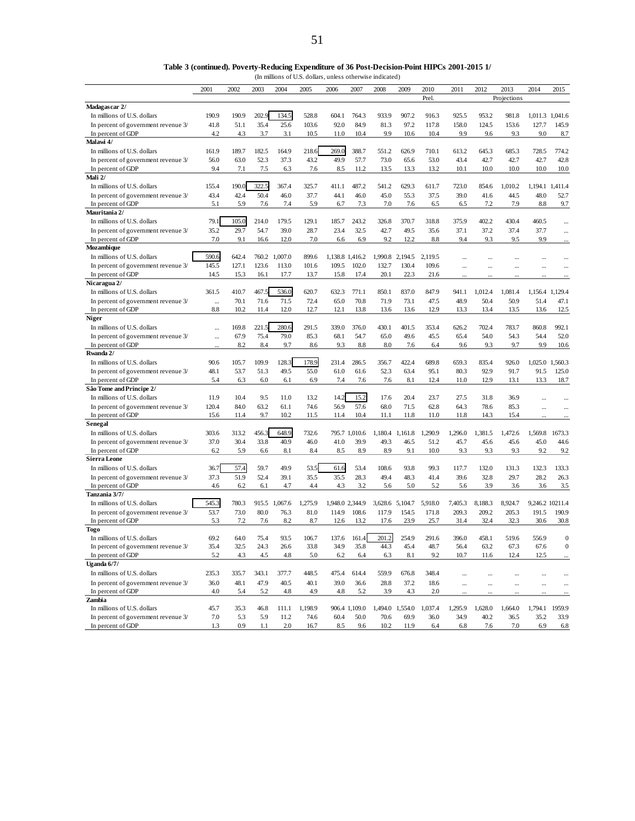| Table 3 (continued). Poverty-Reducing Expenditure of 36 Post-Decision-Point HIPCs 2001-2015 1/                                                                                                                                                                |
|---------------------------------------------------------------------------------------------------------------------------------------------------------------------------------------------------------------------------------------------------------------|
| $\pi$ , $\pi$ , $\pi$ , $\pi$ , $\pi$ , $\pi$ , $\pi$ , $\pi$ , $\pi$ , $\pi$ , $\pi$ , $\pi$ , $\pi$ , $\pi$ , $\pi$ , $\pi$ , $\pi$ , $\pi$ , $\pi$ , $\pi$ , $\pi$ , $\pi$ , $\pi$ , $\pi$ , $\pi$ , $\pi$ , $\pi$ , $\pi$ , $\pi$ , $\pi$ , $\pi$ , $\pi$ |

|                                                          |           |             |               |               | (In millions of U.S. dollars, unless otherwise indicated) |                 |               |                 |                 |             |             |             |             |                 |                  |
|----------------------------------------------------------|-----------|-------------|---------------|---------------|-----------------------------------------------------------|-----------------|---------------|-----------------|-----------------|-------------|-------------|-------------|-------------|-----------------|------------------|
|                                                          | 2001      | 2002        | 2003          | 2004          | 2005                                                      | 2006            | 2007          | 2008            | 2009            | 2010        | 2011        | 2012        | 2013        | 2014            | 2015             |
|                                                          |           |             |               |               |                                                           |                 |               |                 |                 | Prel.       |             |             | Projections |                 |                  |
| Madagascar 2/                                            |           |             |               |               |                                                           |                 |               |                 |                 |             |             |             |             |                 |                  |
| In millions of U.S. dollars                              | 190.9     | 190.9       | 202.9         | 134.5         | 528.8                                                     | 604.1           | 764.3         | 933.9           | 907.2           | 916.3       | 925.5       | 953.2       | 981.8       | 1,011.3         | 1,041.6          |
| In percent of government revenue 3/                      | 41.8      | 51.1        | 35.4          | 25.6          | 103.6                                                     | 92.0            | 84.9          | 81.3            | 97.2            | 117.8       | 158.0       | 124.5       | 153.6       | 127.7           | 145.9            |
| In percent of GDP                                        | 4.2       | 4.3         | 3.7           | 3.1           | 10.5                                                      | 11.0            | 10.4          | 9.9             | 10.6            | 10.4        | 9.9         | 9.6         | 9.3         | 9.0             | 8.7              |
| Malawi 4/                                                |           |             |               |               |                                                           |                 |               |                 |                 |             |             |             |             |                 |                  |
| In millions of U.S. dollars                              | 161.9     | 189.7       | 182.5         | 164.9         | 218.6                                                     | 269.0           | 388.7         | 551.2           | 626.9           | 710.1       | 613.2       | 645.3       | 685.3       | 728.5           | 774.2            |
| In percent of government revenue 3/                      | 56.0      | 63.0        | 52.3          | 37.3          | 43.2                                                      | 49.9            | 57.7          | 73.0            | 65.6            | 53.0        | 43.4        | 42.7        | 42.7        | 42.7            | 42.8             |
| In percent of GDP                                        | 9.4       | 7.1         | 7.5           | 6.3           | 7.6                                                       | 8.5             | 11.2          | 13.5            | 13.3            | 13.2        | 10.1        | 10.0        | 10.0        | 10.0            | 10.0             |
| Mali 2/                                                  |           |             |               |               |                                                           |                 |               |                 |                 |             |             |             |             |                 |                  |
| In millions of U.S. dollars                              | 155.4     | 190.0       | 322.5         | 367.4         | 325.7                                                     | 411.1           | 487.2         | 541.2           | 629.3           | 611.7       | 723.0       | 854.6       | 1,010.2     | 1,194.1         | 1,411.4          |
| In percent of government revenue 3/                      | 43.4      | 42.4        | 50.4          | 46.0          | 37.7                                                      | 44.1            | 46.0          | 45.0            | 55.3            | 37.5        | 39.0        | 41.6        | 44.5        | 48.0            | 52.7             |
| In percent of GDP<br>Mauritania 2/                       | 5.1       | 5.9         | 7.6           | 7.4           | 5.9                                                       | 6.7             | 7.3           | 7.0             | 7.6             | 6.5         | 6.5         | 7.2         | 7.9         | 8.8             | 9.7              |
| In millions of U.S. dollars                              | 79.1      | 105.0       |               |               |                                                           |                 |               |                 |                 |             |             |             |             |                 |                  |
|                                                          | 35.2      |             | 214.0<br>54.7 | 179.5         | 129.1                                                     | 185.7           | 243.2         | 326.8           | 370.7           | 318.8       | 375.9       | 402.2       | 430.4       | 460.5           |                  |
| In percent of government revenue 3/<br>In percent of GDP | 7.0       | 29.7<br>9.1 | 16.6          | 39.0<br>12.0  | 28.7<br>7.0                                               | 23.4<br>6.6     | 32.5<br>6.9   | 42.7<br>9.2     | 49.5<br>12.2    | 35.6<br>8.8 | 37.1<br>9.4 | 37.2<br>9.3 | 37.4<br>9.5 | 37.7<br>9.9     |                  |
| Mozambique                                               |           |             |               |               |                                                           |                 |               |                 |                 |             |             |             |             |                 |                  |
| In millions of U.S. dollars                              | 590.6     | 642.4       |               | 760.2 1,007.0 | 899.6                                                     | 1,138.8 1,416.2 |               | 1,990.8         | 2,194.5         | 2,119.5     | $\ddotsc$   |             |             |                 |                  |
| In percent of government revenue 3/                      | 145.5     | 127.1       | 123.6         | 113.0         | 101.6                                                     | 109.5           | 102.0         | 132.7           | 130.4           | 109.6       |             |             |             |                 |                  |
| In percent of GDP                                        | 14.5      | 15.3        | 16.1          | 17.7          | 13.7                                                      | 15.8            | 17.4          | 20.1            | 22.3            | 21.6        | $\ddotsc$   |             |             |                 |                  |
| Nicaragua 2/                                             |           |             |               |               |                                                           |                 |               |                 |                 |             |             |             |             |                 |                  |
| In millions of U.S. dollars                              | 361.5     | 410.7       | 467.5         | 536.0         | 620.7                                                     | 632.3           | 771.1         | 850.1           | 837.0           | 847.9       | 941.1       | 1,012.4     | 1.081.4     | 1,156.4         | 1,129.4          |
| In percent of government revenue 3/                      |           | 70.1        | 71.6          | 71.5          | 72.4                                                      | 65.0            | 70.8          | 71.9            | 73.1            | 47.5        | 48.9        | 50.4        | 50.9        | 51.4            | 47.1             |
| In percent of GDP                                        | 8.8       | 10.2        | 11.4          | 12.0          | 12.7                                                      | 12.1            | 13.8          | 13.6            | 13.6            | 12.9        | 13.3        | 13.4        | 13.5        | 13.6            | 12.5             |
| <b>Niger</b>                                             |           |             |               |               |                                                           |                 |               |                 |                 |             |             |             |             |                 |                  |
| In millions of U.S. dollars                              | $\ddotsc$ | 169.8       | 221.5         | 280.6         | 291.5                                                     | 339.0           | 376.0         | 430.1           | 401.5           | 353.4       | 626.2       | 702.4       | 783.7       | 860.8           | 992.1            |
| In percent of government revenue 3/                      |           | 67.9        | 75.4          | 79.0          | 85.3                                                      | 68.1            | 54.7          | 65.0            | 49.6            | 45.5        | 65.4        | 54.0        | 54.3        | 54.4            | 52.0             |
| In percent of GDP                                        |           | 8.2         | 8.4           | 9.7           | 8.6                                                       | 9.3             | 8.8           | 8.0             | 7.6             | 6.4         | 9.6         | 9.3         | 9.7         | 9.9             | 10.6             |
| Rwanda 2/                                                |           |             |               |               |                                                           |                 |               |                 |                 |             |             |             |             |                 |                  |
| In millions of U.S. dollars                              | 90.6      | 105.7       | 109.9         | 128.3         | 178.9                                                     | 231.4           | 286.5         | 356.7           | 422.4           | 689.8       | 659.3       | 835.4       | 926.0       | 1,025.0         | 1,560.3          |
| In percent of government revenue 3/                      | 48.1      | 53.7        | 51.3          | 49.5          | 55.0                                                      | 61.0            | 61.6          | 52.3            | 63.4            | 95.1        | 80.3        | 92.9        | 91.7        | 91.5            | 125.0            |
| In percent of GDP                                        | 5.4       | 6.3         | 6.0           | 6.1           | 6.9                                                       | 7.4             | 7.6           | 7.6             | 8.1             | 12.4        | 11.0        | 12.9        | 13.1        | 13.3            | 18.7             |
| São Tome and Principe 2/                                 |           |             |               |               |                                                           |                 |               |                 |                 |             |             |             |             |                 |                  |
| In millions of U.S. dollars                              | 11.9      | 10.4        | 9.5           | 11.0          | 13.2                                                      | 14.2            | 15.2          | 17.6            | 20.4            | 23.7        | 27.5        | 31.8        | 36.9        |                 | $\ddotsc$        |
| In percent of government revenue 3/                      | 120.4     | 84.0        | 63.2          | 61.1          | 74.6                                                      | 56.9            | 57.6          | 68.0            | 71.5            | 62.8        | 64.3        | 78.6        | 85.3        |                 |                  |
| In percent of GDP                                        | 15.6      | 11.4        | 9.7           | 10.2          | 11.5                                                      | 11.4            | 10.4          | 11.1            | 11.8            | 11.0        | 11.8        | 14.3        | 15.4        |                 |                  |
| Senegal                                                  |           |             |               |               |                                                           |                 |               |                 |                 |             |             |             |             |                 |                  |
| In millions of U.S. dollars                              | 303.6     | 313.2       | 456.3         | 648.9         | 732.6                                                     |                 | 795.7 1,010.6 | 1,180.4         | 1,161.8         | 1,290.9     | 1,296.0     | 1,381.5     | 1,472.6     | 1,569.8         | 1673.3           |
| In percent of government revenue 3/                      | 37.0      | 30.4        | 33.8          | 40.9          | 46.0                                                      | 41.0            | 39.9          | 49.3            | 46.5            | 51.2        | 45.7        | 45.6        | 45.6        | 45.0            | 44.6             |
| In percent of GDP                                        | 6.2       | 5.9         | 6.6           | 8.1           | 8.4                                                       | 8.5             | 8.9           | 8.9             | 9.1             | 10.0        | 9.3         | 9.3         | 9.3         | 9.2             | 9.2              |
| <b>Sierra Leone</b>                                      |           |             |               |               |                                                           |                 |               |                 |                 |             |             |             |             |                 |                  |
| In millions of U.S. dollars                              | 36.7      | 57.4        | 59.7          | 49.9          | 53.5                                                      | 61.6            | 53.4          | 108.6           | 93.8            | 99.3        | 117.7       | 132.0       | 131.3       | 132.3           | 133.3            |
| In percent of government revenue 3/                      | 37.3      | 51.9        | 52.4          | 39.1          | 35.5                                                      | 35.5            | 28.3          | 49.4            | 48.3            | 41.4        | 39.6        | 32.8        | 29.7        | 28.2            | 26.3             |
| In percent of GDP                                        | 4.6       | 6.2         | 6.1           | 4.7           | 4.4                                                       | 4.3             | 3.2           | 5.6             | 5.0             | 5.2         | 5.6         | 3.9         | 3.6         | 3.6             | 3.5              |
| Tanzania 3/7/                                            |           |             |               |               |                                                           |                 |               |                 |                 |             |             |             |             |                 |                  |
| In millions of U.S. dollars                              | 545.3     | 780.3       |               | 915.5 1,067.6 | 1,275.9                                                   | 1,948.0 2,344.9 |               | 3,628.6 5,104.7 |                 | 5,918.0     | 7,405.3     | 8,188.3     | 8,924.7     | 9,246.2 10211.4 |                  |
| In percent of government revenue 3/                      | 53.7      | 73.0        | 80.0          | 76.3          | 81.0                                                      | 114.9           | 108.6         | 117.9           | 154.5           | 171.8       | 209.3       | 209.2       | 205.3       | 191.5           | 190.9            |
| In percent of GDP                                        | 5.3       | 7.2         | 7.6           | 8.2           | 8.7                                                       | 12.6            | 13.2          | 17.6            | 23.9            | 25.7        | 31.4        | 32.4        | 32.3        | 30.6            | 30.8             |
| <b>Togo</b><br>In millions of U.S. dollars               | 69.2      | 64.0        | 75.4          | 93.5          | 106.7                                                     | 137.6           | 161.4         | 201.2           | 254.9           | 291.6       | 396.0       | 458.1       | 519.6       | 556.9           | $\mathbf{0}$     |
| In percent of government revenue 3/                      | 35.4      | 32.5        | 24.3          | 26.6          | 33.8                                                      | 34.9            | 35.8          | 44.3            | 45.4            | 48.7        | 56.4        | 63.2        | 67.3        | 67.6            | $\boldsymbol{0}$ |
| In percent of GDP                                        | 5.2       | 4.3         | 4.5           | 4.8           | 5.0                                                       | 6.2             | 6.4           | 6.3             | 8.1             | 9.2         | 10.7        | 11.6        | 12.4        | 12.5            |                  |
| Uganda $6/7/$                                            |           |             |               |               |                                                           |                 |               |                 |                 |             |             |             |             |                 |                  |
| In millions of U.S. dollars                              | 235.3     | 335.7       | 343.1         | 377.7         | 448.5                                                     | 475.4           | 614.4         | 559.9           | 676.8           | 348.4       |             |             |             | $\cdots$        |                  |
| In percent of government revenue 3/                      | 36.0      | 48.1        | 47.9          | 40.5          | 40.1                                                      | 39.0            | 36.6          | 28.8            | 37.2            | 18.6        |             |             |             |                 |                  |
| In percent of GDP                                        | 4.0       | 5.4         | 5.2           | 4.8           | 4.9                                                       | 4.8             | 5.2           | 3.9             | 4.3             | 2.0         |             |             | <br>        |                 |                  |
| Zambia                                                   |           |             |               |               |                                                           |                 |               |                 |                 |             |             |             |             |                 |                  |
| In millions of U.S. dollars                              | 45.7      | 35.3        | 46.8          | 111.1         | 1,198.9                                                   |                 | 906.4 1,109.0 |                 | 1,494.0 1,554.0 | 1,037.4     | 1,295.9     | 1,628.0     | 1,664.0     | 1,794.1         | 1959.9           |
| In percent of government revenue 3/                      | 7.0       | 5.3         | 5.9           | 11.2          | 74.6                                                      | 60.4            | 50.0          | 70.6            | 69.9            | 36.0        | 34.9        | 40.2        | 36.5        | 35.2            | 33.9             |
| In percent of GDP                                        | 1.3       | 0.9         | 1.1           | $2.0\,$       | 16.7                                                      | 8.5             | 9.6           | 10.2            | 11.9            | 6.4         | 6.8         | 7.6         | 7.0         | 6.9             | 6.8              |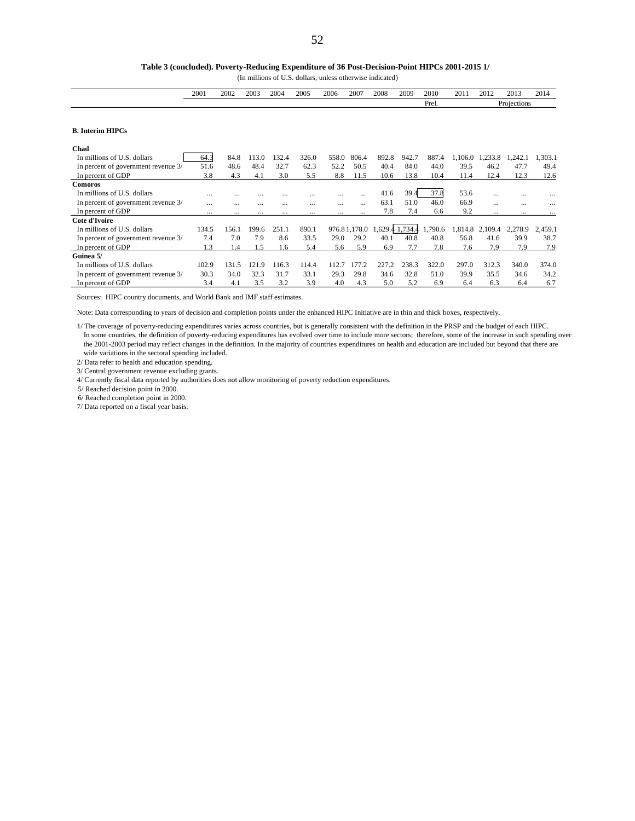#### **Table 3 (concluded). Poverty-Reducing Expenditure of 36 Post-Decision-Point HIPCs 2001-2015 1/**

(In millions of U.S. dollars, unless otherwise indicated)

|                                     | 2001     | 2002     | 2003  | 2004  | 2005     | 2006  | 2007         | 2008            | 2009  | 2010   | 2011    | 2012     | 2013        | 2014     |
|-------------------------------------|----------|----------|-------|-------|----------|-------|--------------|-----------------|-------|--------|---------|----------|-------------|----------|
|                                     |          |          |       |       |          |       |              |                 |       | Prel.  |         |          | Projections |          |
|                                     |          |          |       |       |          |       |              |                 |       |        |         |          |             |          |
| <b>B.</b> Interim HIPCs             |          |          |       |       |          |       |              |                 |       |        |         |          |             |          |
|                                     |          |          |       |       |          |       |              |                 |       |        |         |          |             |          |
| Chad                                |          |          |       |       |          |       |              |                 |       |        |         |          |             |          |
| In millions of U.S. dollars         | 64.3     | 84.8     | 113.0 | 132.4 | 326.0    | 558.0 | 806.4        | 892.8           | 942.7 | 887.4  | 1.106.0 | 1.233.8  | 1.242.1     | ,303.1   |
| In percent of government revenue 3/ | 51.6     | 48.6     | 48.4  | 32.7  | 62.3     | 52.2  | 50.5         | 40.4            | 84.0  | 44.0   | 39.5    | 46.2     | 47.7        | 49.4     |
| In percent of GDP                   | 3.8      | 4.3      | 4.1   | 3.0   | 5.5      | 8.8   | 11.5         | 10.6            | 13.8  | 10.4   | 11.4    | 12.4     | 12.3        | 12.6     |
| <b>Comoros</b>                      |          |          |       |       |          |       |              |                 |       |        |         |          |             |          |
| In millions of U.S. dollars         | $\cdots$ | $\cdots$ |       | .     |          |       | $\cdots$     | 41.6            | 39.4  | 37.8   | 53.6    | $\cdots$ | $\cdots$    | $\cdots$ |
| In percent of government revenue 3/ | $\cdots$ | $\cdots$ |       |       |          |       | $\cdots$     | 63.1            | 51.0  | 46.0   | 66.9    | $\cdots$ | $\cdots$    |          |
| In percent of GDP                   | $\cdots$ | $\cdots$ |       |       | $\cdots$ |       | $\cdots$     | 7.8             | 7.4   | 6.6    | 9.2     | $\cdots$ | $\cdots$    |          |
| Cote d'Ivoire                       |          |          |       |       |          |       |              |                 |       |        |         |          |             |          |
| In millions of U.S. dollars         | 134.5    | 156.1    | 199.6 | 251.1 | 890.1    |       | 976.81,178.0 | 1,629.4 1,734.4 |       | .790.6 | 1,814.8 | 2,109.4  | 2,278.9     | 2,459.1  |
| In percent of government revenue 3/ | 7.4      | 7.0      | 7.9   | 8.6   | 33.5     | 29.0  | 29.2         | 40.1            | 40.8  | 40.8   | 56.8    | 41.6     | 39.9        | 38.7     |
| In percent of GDP                   | 1.3      | 1.4      | 1.5   | 1.6   | 5.4      | 5.6   | 5.9          | 6.9             | 7.7   | 7.8    | 7.6     | 7.9      | 7.9         | 7.9      |
| Guinea 5/                           |          |          |       |       |          |       |              |                 |       |        |         |          |             |          |
| In millions of U.S. dollars         | 102.9    | 131.5    | 121.9 | 116.3 | 114.4    | 112.7 | 177.2        | 227.2           | 238.3 | 322.0  | 297.0   | 312.3    | 340.0       | 374.0    |
| In percent of government revenue 3/ | 30.3     | 34.0     | 32.3  | 31.7  | 33.1     | 29.3  | 29.8         | 34.6            | 32.8  | 51.0   | 39.9    | 35.5     | 34.6        | 34.2     |
| In percent of GDP                   | 3.4      | 4.1      | 3.5   | 3.2   | 3.9      | 4.0   | 4.3          | 5.0             | 5.2   | 6.9    | 6.4     | 6.3      | 6.4         | 6.7      |

Sources: HIPC country documents, and World Bank and IMF staff estimates.

Note: Data corresponding to years of decision and completion points under the enhanced HIPC Initiative are in thin and thick boxes, respectively.

1/ The coverage of poverty-reducing expenditures varies across countries, but is generally consistent with the definition in the PRSP and the budget of each HIPC. In some countries, the definition of poverty-reducing expenditures has evolved over time to include more sectors; therefore, some of the increase in such spending over the 2001-2003 period may reflect changes in the definition. In the majority of countries expenditures on health and education are included but beyond that there are wide variations in the sectoral spending included.

2/ Data refer to health and education spending.

3/ Central government revenue excluding grants.

4/ Currently fiscal data reported by authorities does not allow monitoring of poverty reduction expenditures.

5/ Reached decision point in 2000.

6/ Reached completion point in 2000.

7/ Data reported on a fiscal year basis.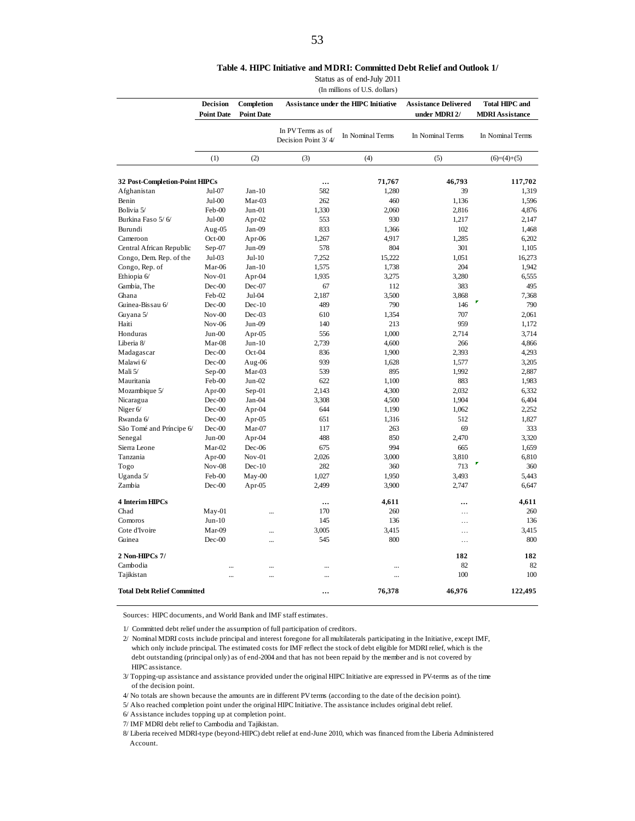#### **Table 4. HIPC Initiative and MDRI: Committed Debt Relief and Outlook 1/**

Status as of end-July 2011

(In millions of U.S. dollars)

|                                       | Decision<br><b>Point Date</b> | Completion<br><b>Point Date</b> |                                          | Assistance under the HIPC Initiative | <b>Assistance Delivered</b><br>under MDRI 2/ | <b>Total HIPC and</b><br><b>MDRI</b> Assistance |
|---------------------------------------|-------------------------------|---------------------------------|------------------------------------------|--------------------------------------|----------------------------------------------|-------------------------------------------------|
|                                       |                               |                                 | In PV Terms as of<br>Decision Point 3/4/ | In Nominal Terms                     | In Nominal Terms                             | In Nominal Terms                                |
|                                       | (1)                           | (2)                             | (3)                                      | (4)                                  | (5)                                          | $(6)=(4)+(5)$                                   |
| <b>32 Post-Completion-Point HIPCs</b> |                               |                                 |                                          | 71,767                               | 46,793                                       | 117,702                                         |
| Afghanistan                           | Jul-07                        | $Jan-10$                        | 582                                      | 1,280                                | 39                                           | 1,319                                           |
| Benin                                 | $Jul-00$                      | Mar-03                          | 262                                      | 460                                  | 1,136                                        | 1,596                                           |
| Bolivia 5/                            | Feb-00                        | $Jun-01$                        | 1,330                                    | 2,060                                | 2,816                                        | 4,876                                           |
| Burkina Faso 5/6/                     | $Jul-00$                      | Apr- $02$                       | 553                                      | 930                                  | 1,217                                        | 2,147                                           |
| Burundi                               | Aug-05                        | Jan-09                          | 833                                      | 1,366                                | 102                                          | 1,468                                           |
| Cameroon                              | $Oct-00$                      | Apr-06                          | 1,267                                    | 4,917                                | 1,285                                        | 6,202                                           |
| Central African Republic              | Sep-07                        | Jun-09                          | 578                                      | 804                                  | 301                                          | 1,105                                           |
| Congo, Dem. Rep. of the               | Jul-03                        | $Jul-10$                        | 7,252                                    | 15,222                               | 1,051                                        | 16,273                                          |
| Congo, Rep. of                        | Mar-06                        | $Jan-10$                        | 1,575                                    | 1,738                                | 204                                          | 1,942                                           |
| Ethiopia 6/                           | $Nov-01$                      | Apr-04                          | 1,935                                    | 3,275                                | 3,280                                        | 6,555                                           |
| Gambia, The                           | $Dec-00$                      | Dec-07                          | 67                                       | 112                                  | 383                                          | 495                                             |
| Ghana                                 | Feb-02                        | Jul-04                          | 2,187                                    | 3,500                                | 3,868                                        | 7,368                                           |
| Guinea-Bissau 6/                      | $Dec-00$                      | $Dec-10$                        | 489                                      | 790                                  | 146                                          | 790                                             |
| Guyana 5/                             | $Nov-00$                      | $Dec-03$                        | 610                                      | 1,354                                | 707                                          | 2,061                                           |
| Haiti                                 | $Nov-06$                      | Jun-09                          | 140                                      | 213                                  | 959                                          | 1,172                                           |
| Honduras                              | $Jun-00$                      | Apr-05                          | 556                                      | 1,000                                | 2,714                                        | 3,714                                           |
| Liberia 8/                            | Mar-08                        | $Jun-10$                        | 2,739                                    | 4,600                                | 266                                          | 4,866                                           |
| Madagascar                            | $Dec-00$                      | $Oct-04$                        | 836                                      | 1,900                                | 2,393                                        | 4,293                                           |
| Malawi 6/                             | $Dec-00$                      | Aug-06                          | 939                                      | 1,628                                | 1,577                                        | 3,205                                           |
| Mali 5/                               | $Sep-00$                      | Mar-03                          | 539                                      | 895                                  | 1,992                                        | 2,887                                           |
| Mauritania                            | Feb-00                        | $Jun-02$                        | 622                                      | 1,100                                | 883                                          | 1,983                                           |
| Mozambique 5/                         | Apr-00                        | $Sep-01$                        | 2,143                                    | 4,300                                | 2,032                                        | 6,332                                           |
| Nicaragua                             | $Dec-00$                      | Jan-04                          | 3,308                                    | 4,500                                | 1,904                                        | 6,404                                           |
| Niger 6/                              | $Dec-00$                      | Apr-04                          | 644                                      | 1,190                                | 1,062                                        | 2,252                                           |
| Rwanda 6/                             | $Dec-00$                      | Apr- $05$                       | 651                                      | 1,316                                | 512                                          | 1,827                                           |
| São Tomé and Príncipe 6/              | $Dec-00$                      | Mar-07                          | 117                                      | 263                                  | 69                                           | 333                                             |
| Senegal                               | $Jun-00$                      | Apr-04                          | 488                                      | 850                                  | 2,470                                        | 3,320                                           |
| Sierra Leone                          | Mar-02                        | $Dec-06$                        | 675                                      | 994                                  | 665                                          | 1,659                                           |
| Tanzania                              | Apr- $00$                     | $Nov-01$                        | 2,026                                    | 3,000                                | 3,810                                        | 6,810                                           |
| Togo                                  | <b>Nov-08</b>                 | $Dec-10$                        | 282                                      | 360                                  | 713                                          | 360                                             |
| Uganda 5/                             | Feb-00                        | $May-00$                        | 1,027                                    | 1,950                                | 3,493                                        | 5.443                                           |
| Zambia                                | $Dec-00$                      | Apr-05                          | 2,499                                    | 3,900                                | 2,747                                        | 6,647                                           |
| <b>4 Interim HIPCs</b>                |                               |                                 |                                          | 4,611                                |                                              | 4,611                                           |
| Chad                                  | May-01                        |                                 | 170                                      | 260                                  | $\cdots$                                     | 260                                             |
| Comoros                               | $Jun-10$                      |                                 | 145                                      | 136                                  | $\cdots$                                     | 136                                             |
| Cote d'Ivoire                         | Mar-09                        | $\cdots$                        | 3,005                                    | 3,415                                | $\cdots$                                     | 3,415                                           |
| Guinea                                | $Dec-00$                      | $\cdots$                        | 545                                      | 800                                  | $\cdots$                                     | 800                                             |
| 2 Non-HIPCs 7/                        |                               |                                 |                                          |                                      | 182                                          | 182                                             |
| Cambodia                              |                               | $\cdots$                        |                                          | $\ddotsc$                            | 82                                           | 82                                              |
| Tajikistan                            |                               |                                 | $\ddotsc$                                |                                      | 100                                          | 100                                             |
| <b>Total Debt Relief Committed</b>    |                               |                                 |                                          | 76,378                               | 46,976                                       | 122,495                                         |

Sources: HIPC documents, and World Bank and IMF staff estimates.

1/ Committed debt relief under the assumption of full participation of creditors.

- 2/ Nominal MDRI costs include principal and interest foregone for all multilaterals participating in the Initiative, except IMF, which only include principal. The estimated costs for IMF reflect the stock of debt eligible for MDRI relief, which is the debt outstanding (principal only) as of end-2004 and that has not been repaid by the member and is not covered by HIPC assistance.
- 3/ Topping-up assistance and assistance provided under the original HIPC Initiative are expressed in PV-terms as of the time of the decision point.
- 4/ No totals are shown because the amounts are in different PV terms (according to the date of the decision point).
- 5/ Also reached completion point under the original HIPC Initiative. The assistance includes original debt relief.

6/ Assistance includes topping up at completion point.

- 7/ IMF MDRI debt relief to Cambodia and Tajikistan.
- 8/ Liberia received MDRI-type (beyond-HIPC) debt relief at end-June 2010, which was financed from the Liberia Administered Account.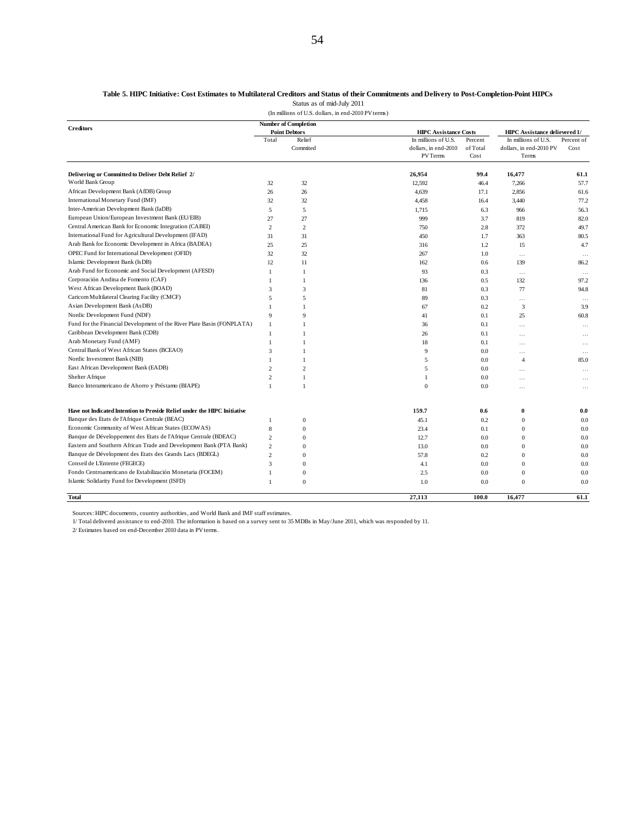#### **Table 5. HIPC Initiative: Cost Estimates to Multilateral Creditors and Status of their Commitments and Delivery to Post-Completion-Point HIPCs**

Status as of mid-July 2011

(In millions of U.S. dollars, in end-2010 PV terms)

|                                                                          |                   | <b>Number of Completion</b> |                              |          |                         |                                      |  |
|--------------------------------------------------------------------------|-------------------|-----------------------------|------------------------------|----------|-------------------------|--------------------------------------|--|
| <b>Creditors</b>                                                         |                   | <b>Point Debtors</b>        | <b>HIPC Assistance Costs</b> |          |                         | <b>HIPC</b> Assistance delievered 1/ |  |
|                                                                          | Total             | Relief                      | In millions of U.S.          | Percent  | In millions of U.S.     | Percent of                           |  |
|                                                                          |                   | Commited                    | dollars, in end-2010         | of Total | dollars, in end-2010 PV | Cost                                 |  |
|                                                                          |                   |                             | PV Terms                     | Cost     | Terms                   |                                      |  |
| Delivering or Committed to Deliver Debt Relief 2/                        |                   |                             | 26,954                       | 99.4     | 16,477                  | 61.1                                 |  |
| World Bank Group                                                         | 32                | 32                          | 12,592                       | 46.4     | 7,266                   | 57.7                                 |  |
| African Development Bank (AfDB) Group                                    | 26                | 26                          | 4,639                        | 17.1     | 2,856                   | 61.6                                 |  |
| International Monetary Fund (IMF)                                        | 32                | 32                          | 4,458                        | 16.4     | 3,440                   | 77.2                                 |  |
| Inter-American Development Bank (IaDB)                                   | 5                 | 5                           | 1,715                        | 6.3      | 966                     | 56.3                                 |  |
| European Union/European Investment Bank (EU/EIB)                         | 27                | 27                          | 999                          | 3.7      | 819                     | 82.0                                 |  |
| Central American Bank for Economic Integration (CABEI)                   | $\overline{c}$    | $\overline{c}$              | 750                          | 2.8      | 372                     | 49.7                                 |  |
| International Fund for Agricultural Development (IFAD)                   | 31                | 31                          | 450                          | 1.7      | 363                     | 80.5                                 |  |
| Arab Bank for Economic Development in Africa (BADEA)                     | 25                | 25                          | 316                          | 1.2      | 15                      | 4.7                                  |  |
| OPEC Fund for International Development (OFID)                           | 32                | 32                          | 267                          | 1.0      |                         |                                      |  |
| Islamic Development Bank (IsDB)                                          | 12                | 11                          | 162                          | 0.6      | $\cdots$<br>139         | $\cdots$<br>86.2                     |  |
| Arab Fund for Economic and Social Development (AFESD)                    | 1                 |                             | 93                           | 0.3      |                         |                                      |  |
| Corporación Andina de Fomento (CAF)                                      | 1                 | -1                          | 136                          | 0.5      | $\cdots$<br>132         | $\ldots$<br>97.2                     |  |
| West African Development Bank (BOAD)                                     | 3                 | 3                           | 81                           | 0.3      | 77                      | 94.8                                 |  |
| Caricom Multilateral Clearing Facility (CMCF)                            | 5                 | 5                           | 89                           | 0.3      |                         |                                      |  |
| Asian Development Bank (AsDB)                                            | $\mathbf{1}$      |                             | 67                           | 0.2      | $\ldots$<br>3           | 3.9                                  |  |
| Nordic Development Fund (NDF)                                            | 9                 | 9                           |                              |          |                         |                                      |  |
| Fund for the Financial Development of the River Plate Basin (FONPLATA)   | $\mathbf{1}$      |                             | 41                           | 0.1      | 25                      | 60.8                                 |  |
| Caribbean Development Bank (CDB)                                         | $\mathbf{1}$      |                             | 36                           | 0.1      | $\ddotsc$               | $\cdots$                             |  |
| Arab Monetary Fund (AMF)                                                 |                   |                             | 26                           | 0.1      | $\cdots$                | $\cdots$                             |  |
| Central Bank of West African States (BCEAO)                              | 1                 |                             | 18                           | 0.1      | $\cdots$                | $\cdots$                             |  |
| Nordic Investment Bank (NIB)                                             | 3<br>$\mathbf{1}$ |                             | 9                            | 0.0      | $\cdots$                | $\cdots$                             |  |
|                                                                          |                   |                             | 5                            | 0.0      | 4                       | 85.0                                 |  |
| East African Development Bank (EADB)                                     | $\overline{c}$    | $\overline{c}$              | 5                            | 0.0      | $\cdot$ $\cdot$ $\cdot$ | $\cdot$ $\cdot$ $\cdot$              |  |
| Shelter Afrique                                                          | $\overline{c}$    | $\mathbf{1}$                | $\mathbf{1}$                 | 0.0      | $\cdot$ $\cdot$ $\cdot$ | $\cdots$                             |  |
| Banco Interamericano de Ahorro y Préstamo (BIAPE)                        | 1                 |                             | $\Omega$                     | 0.0      | $\cdots$                | $\cdots$                             |  |
| Have not Indicated Intention to Provide Relief under the HIPC Initiative |                   |                             | 159.7                        | 0.6      | $\bf{0}$                | 0.0                                  |  |
| Banque des Etats de l'Afrique Centrale (BEAC)                            | 1                 | $\theta$                    | 45.1                         | 0.2      | $\mathbf{0}$            | 0.0                                  |  |
| Economic Community of West African States (ECOWAS)                       | 8                 | $\mathbf{0}$                | 23.4                         | 0.1      | $\mathbf{0}$            | 0.0                                  |  |
| Banque de Développement des Etats de l'Afrique Centrale (BDEAC)          | $\overline{c}$    | $\Omega$                    | 12.7                         | 0.0      | $\mathbf{0}$            | 0.0                                  |  |
| Eastern and Southern African Trade and Development Bank (PTA Bank)       | $\mathfrak{D}$    | $\mathbf{0}$                | 13.0                         | 0.0      | $\mathbf{0}$            | 0.0                                  |  |
| Banque de Dévelopment des Etats des Grands Lacs (BDEGL)                  | $\overline{c}$    | $\theta$                    | 57.8                         | 0.2      | $\mathbf{0}$            | 0.0                                  |  |
| Conseil de L'Entente (FEGECE)                                            | 3                 | $\mathbf{0}$                | 4.1                          | 0.0      | $\mathbf{0}$            | 0.0                                  |  |
| Fondo Centroamericano de Estabilización Monetaria (FOCEM)                | 1                 | $\Omega$                    | 2.5                          | $0.0\,$  | $\mathbf{0}$            | 0.0                                  |  |
| Islamic Solidarity Fund for Development (ISFD)                           | $\mathbf{1}$      | $\mathbf{0}$                | 1.0                          | 0.0      | $\mathbf{0}$            | 0.0                                  |  |
| <b>Total</b>                                                             |                   |                             | 27,113                       | 100.0    | 16,477                  | 61.1                                 |  |

Sources: HIPC documents, country authorities, and World Bank and IMF staff estimates.<br>1/ Total delivered assistance to end-2010. The information is based on a survey sent to 35 MDBs in May/June 2011, which was responded by

 $2\prime$  Estimates based on end-December 2010 data in PV terms.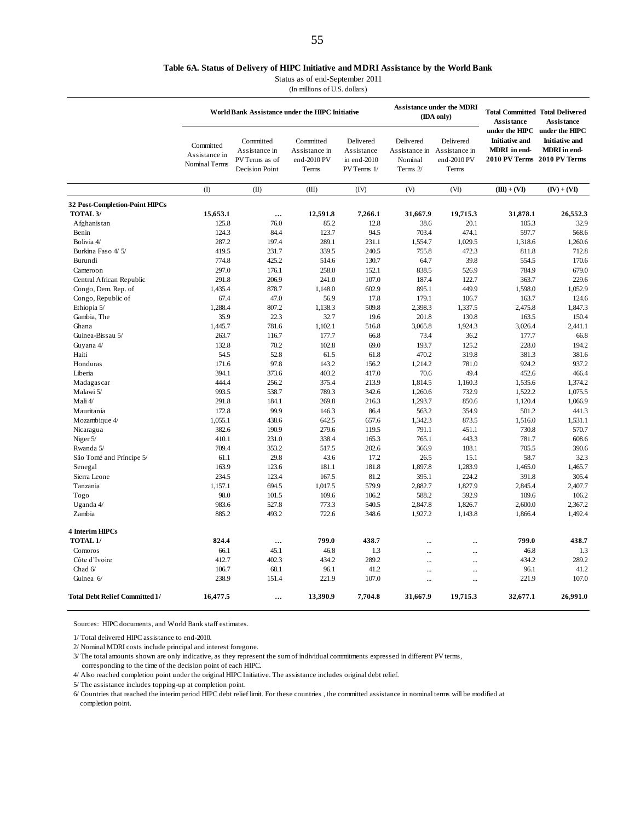#### **Table 6A. Status of Delivery of HIPC Initiative and MDRI Assistance by the World Bank**

Status as of end-September 2011

(In millions of U.S. dollars)

|                                       |                                             | World Bank Assistance under the HIPC Initiative                |                                                    |                                                       |                                                                 | <b>Assistance under the MDRI</b><br>(IDA only) | <b>Total Committed Total Delivered</b><br><b>Assistance</b>                                                  | <b>Assistance</b>                            |
|---------------------------------------|---------------------------------------------|----------------------------------------------------------------|----------------------------------------------------|-------------------------------------------------------|-----------------------------------------------------------------|------------------------------------------------|--------------------------------------------------------------------------------------------------------------|----------------------------------------------|
|                                       | Committed<br>Assistance in<br>Nominal Terms | Committed<br>Assistance in<br>PV Terms as of<br>Decision Point | Committed<br>Assistance in<br>end-2010 PV<br>Terms | Delivered<br>Assistance<br>in end-2010<br>PV Terms 1/ | Delivered<br>Assistance in Assistance in<br>Nominal<br>Terms 2/ | Delivered<br>end-2010 PV<br>Terms              | under the HIPC under the HIPC<br><b>Initiative and</b><br><b>MDRI</b> in end-<br>2010 PV Terms 2010 PV Terms | <b>Initiative and</b><br><b>MDRI</b> in end- |
|                                       | (1)                                         | (II)                                                           | (III)                                              | (IV)                                                  | (V)                                                             | (VI)                                           | $(III) + (VI)$                                                                                               | $(V) + (VI)$                                 |
| 32 Post-Completion-Point HIPCs        |                                             |                                                                |                                                    |                                                       |                                                                 |                                                |                                                                                                              |                                              |
| TOTAL <sub>3</sub> /                  | 15,653.1                                    | $\cdots$                                                       | 12,591.8                                           | 7,266.1                                               | 31,667.9                                                        | 19,715.3                                       | 31,878.1                                                                                                     | 26,552.3                                     |
| Afghanistan                           | 125.8                                       | 76.0                                                           | 85.2                                               | 12.8                                                  | 38.6                                                            | 20.1                                           | 105.3                                                                                                        | 32.9                                         |
| Benin                                 | 124.3                                       | 84.4                                                           | 123.7                                              | 94.5                                                  | 703.4                                                           | 474.1                                          | 597.7                                                                                                        | 568.6                                        |
| Bolivia 4/                            | 287.2                                       | 197.4                                                          | 289.1                                              | 231.1                                                 | 1,554.7                                                         | 1,029.5                                        | 1,318.6                                                                                                      | 1,260.6                                      |
| Burkina Faso 4/5/                     | 419.5                                       | 231.7                                                          | 339.5                                              | 240.5                                                 | 755.8                                                           | 472.3                                          | 811.8                                                                                                        | 712.8                                        |
| Burundi                               | 774.8                                       | 425.2                                                          | 514.6                                              | 130.7                                                 | 64.7                                                            | 39.8                                           | 554.5                                                                                                        | 170.6                                        |
| Cameroon                              | 297.0                                       | 176.1                                                          | 258.0                                              | 152.1                                                 | 838.5                                                           | 526.9                                          | 784.9                                                                                                        | 679.0                                        |
| Central African Republic              | 291.8                                       | 206.9                                                          | 241.0                                              | 107.0                                                 | 187.4                                                           | 122.7                                          | 363.7                                                                                                        | 229.6                                        |
| Congo, Dem. Rep. of                   | 1,435.4                                     | 878.7                                                          | 1,148.0                                            | 602.9                                                 | 895.1                                                           | 449.9                                          | 1,598.0                                                                                                      | 1,052.9                                      |
| Congo, Republic of                    | 67.4                                        | 47.0                                                           | 56.9                                               | 17.8                                                  | 179.1                                                           | 106.7                                          | 163.7                                                                                                        | 124.6                                        |
| Ethiopia 5/                           | 1,288.4                                     | 807.2                                                          | 1,138.3                                            | 509.8                                                 | 2,398.3                                                         | 1,337.5                                        | 2,475.8                                                                                                      | 1,847.3                                      |
| Gambia, The                           | 35.9                                        | 22.3                                                           | 32.7                                               | 19.6                                                  | 201.8                                                           | 130.8                                          | 163.5                                                                                                        | 150.4                                        |
| Ghana                                 | 1,445.7                                     | 781.6                                                          | 1,102.1                                            | 516.8                                                 | 3,065.8                                                         | 1,924.3                                        | 3,026.4                                                                                                      | 2,441.1                                      |
| Guinea-Bissau 5/                      | 263.7                                       |                                                                | 177.7                                              |                                                       | 73.4                                                            | 36.2                                           | 177.7                                                                                                        | 66.8                                         |
|                                       | 132.8                                       | 116.7                                                          | 102.8                                              | 66.8                                                  | 193.7                                                           |                                                | 228.0                                                                                                        | 194.2                                        |
| Guyana 4/<br>Haiti                    |                                             | 70.2                                                           |                                                    | 69.0                                                  | 470.2                                                           | 125.2                                          |                                                                                                              |                                              |
|                                       | 54.5                                        | 52.8                                                           | 61.5                                               | 61.8                                                  |                                                                 | 319.8                                          | 381.3                                                                                                        | 381.6                                        |
| Honduras                              | 171.6                                       | 97.8                                                           | 143.2                                              | 156.2                                                 | 1,214.2                                                         | 781.0                                          | 924.2                                                                                                        | 937.2                                        |
| Liberia                               | 394.1                                       | 373.6                                                          | 403.2                                              | 417.0                                                 | 70.6                                                            | 49.4                                           | 452.6                                                                                                        | 466.4                                        |
| Madagascar                            | 444.4                                       | 256.2                                                          | 375.4                                              | 213.9                                                 | 1,814.5                                                         | 1,160.3                                        | 1,535.6                                                                                                      | 1,374.2                                      |
| Malawi 5/                             | 993.5                                       | 538.7                                                          | 789.3                                              | 342.6                                                 | 1,260.6                                                         | 732.9                                          | 1,522.2                                                                                                      | 1,075.5                                      |
| Mali 4/                               | 291.8                                       | 184.1                                                          | 269.8                                              | 216.3                                                 | 1,293.7                                                         | 850.6                                          | 1,120.4                                                                                                      | 1,066.9                                      |
| Mauritania                            | 172.8                                       | 99.9                                                           | 146.3                                              | 86.4                                                  | 563.2                                                           | 354.9                                          | 501.2                                                                                                        | 441.3                                        |
| Mozambique 4/                         | 1,055.1                                     | 438.6                                                          | 642.5                                              | 657.6                                                 | 1,342.3                                                         | 873.5                                          | 1,516.0                                                                                                      | 1,531.1                                      |
| Nicaragua                             | 382.6                                       | 190.9                                                          | 279.6                                              | 119.5                                                 | 791.1                                                           | 451.1                                          | 730.8                                                                                                        | 570.7                                        |
| Niger 5/                              | 410.1                                       | 231.0                                                          | 338.4                                              | 165.3                                                 | 765.1                                                           | 443.3                                          | 781.7                                                                                                        | 608.6                                        |
| Rwanda 5/                             | 709.4                                       | 353.2                                                          | 517.5                                              | 202.6                                                 | 366.9                                                           | 188.1                                          | 705.5                                                                                                        | 390.6                                        |
| São Tomé and Príncipe 5/              | 61.1                                        | 29.8                                                           | 43.6                                               | 17.2                                                  | 26.5                                                            | 15.1                                           | 58.7                                                                                                         | 32.3                                         |
| Senegal                               | 163.9                                       | 123.6                                                          | 181.1                                              | 181.8                                                 | 1,897.8                                                         | 1,283.9                                        | 1,465.0                                                                                                      | 1,465.7                                      |
| Sierra Leone                          | 234.5                                       | 123.4                                                          | 167.5                                              | 81.2                                                  | 395.1                                                           | 224.2                                          | 391.8                                                                                                        | 305.4                                        |
| Tanzania                              | 1,157.1                                     | 694.5                                                          | 1,017.5                                            | 579.9                                                 | 2,882.7                                                         | 1,827.9                                        | 2,845.4                                                                                                      | 2,407.7                                      |
| Togo                                  | 98.0                                        | 101.5                                                          | 109.6                                              | 106.2                                                 | 588.2                                                           | 392.9                                          | 109.6                                                                                                        | 106.2                                        |
| Uganda 4/                             | 983.6                                       | 527.8                                                          | 773.3                                              | 540.5                                                 | 2,847.8                                                         | 1,826.7                                        | 2,600.0                                                                                                      | 2,367.2                                      |
| Zambia                                | 885.2                                       | 493.2                                                          | 722.6                                              | 348.6                                                 | 1,927.2                                                         | 1,143.8                                        | 1,866.4                                                                                                      | 1,492.4                                      |
| 4 Interim HIPCs                       |                                             |                                                                |                                                    |                                                       |                                                                 |                                                |                                                                                                              |                                              |
| TOTAL <sub>1</sub> /                  | 824.4                                       | $\cdots$                                                       | 799.0                                              | 438.7                                                 | $\ddotsc$                                                       |                                                | 799.0                                                                                                        | 438.7                                        |
| Comoros                               | 66.1                                        | 45.1                                                           | 46.8                                               | 1.3                                                   | $\ddotsc$                                                       |                                                | 46.8                                                                                                         | 1.3                                          |
| Côte d'Ivoire                         | 412.7                                       | 402.3                                                          | 434.2                                              | 289.2                                                 |                                                                 |                                                | 434.2                                                                                                        | 289.2                                        |
| Chad 6/                               | 106.7                                       | 68.1                                                           | 96.1                                               | 41.2                                                  |                                                                 |                                                | 96.1                                                                                                         | 41.2                                         |
| Guinea 6/                             | 238.9                                       | 151.4                                                          | 221.9                                              | 107.0                                                 | $\ddotsc$                                                       |                                                | 221.9                                                                                                        | 107.0                                        |
| <b>Total Debt Relief Committed 1/</b> | 16,477.5                                    |                                                                | 13,390.9                                           | 7,704.8                                               | 31,667.9                                                        | 19,715.3                                       | 32,677.1                                                                                                     | 26,991.0                                     |

Sources: HIPC documents, and World Bank staff estimates.

1/ Total delivered HIPC assistance to end-2010.

2/ Nominal MDRI costs include principal and interest foregone.

3/ The total amounts shown are only indicative, as they represent the sum of individual commitments expressed in different PV terms,

corresponding to the time of the decision point of each HIPC.

4/ Also reached completion point under the original HIPC Initiative. The assistance includes original debt relief.

5/ The assistance includes topping-up at completion point.

6/ Countries that reached the interim period HIPC debt relief limit. For these countries , the committed assistance in nominal terms will be modified at completion point.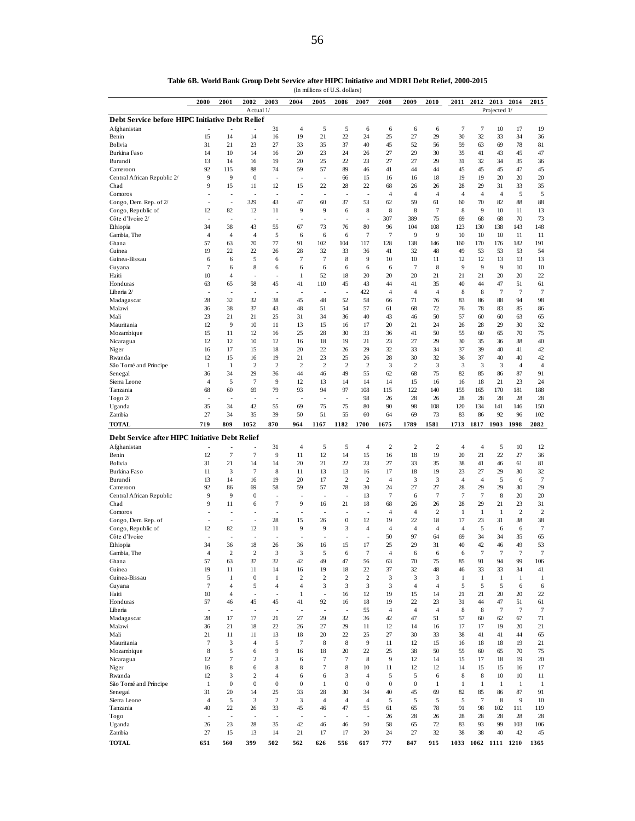**Table 6B. World Bank Group Debt Service after HIPC Initiative and MDRI Debt Relief, 2000-2015**

|                                                 |                      |                      |                      |                  |                  | (111 пішону от U.S. dollary) |                          |                      |                      |                         |                      |                    |                      |                |                |                |
|-------------------------------------------------|----------------------|----------------------|----------------------|------------------|------------------|------------------------------|--------------------------|----------------------|----------------------|-------------------------|----------------------|--------------------|----------------------|----------------|----------------|----------------|
|                                                 | 2000                 | 2001                 | 2002                 | 2003             | 2004             | 2005                         | 2006                     | 2007                 | 2008                 | 2009                    | 2010                 | 2011               | 2012                 | 2013           | 2014           | 2015           |
|                                                 |                      |                      | Actual 1/            |                  |                  |                              |                          |                      |                      |                         |                      |                    |                      | Projected 1/   |                |                |
| Debt Service before HIPC Initiative Debt Relief |                      |                      |                      |                  |                  |                              |                          |                      |                      |                         |                      |                    |                      |                |                |                |
| Afghanistan                                     |                      |                      |                      | 31               | 4                | 5                            | 5                        | 6                    | 6                    | 6                       | 6                    | 7                  | 7                    | 10             | 17             | 19             |
| Benin                                           | 15                   | 14                   | 14                   | 16               | 19               | 21                           | 22                       | 24                   | 25                   | 27                      | 29                   | 30                 | 32                   | 33             | 34             | 36             |
| Bolivia                                         | 31                   | 21                   | 23                   | 27               | 33               | 35                           | 37                       | 40                   | 45                   | 52                      | 56                   | 59                 | 63                   | 69             | 78             | 81             |
| Burkina Faso                                    | 14                   | 10                   | 14                   | 16               | 20               | 23                           | 24                       | 26                   | 27                   | 29                      | 30                   | 35                 | 41                   | 43             | 45             | 47             |
| Burundi                                         | 13                   | 14                   | 16                   | 19               | 20               | 25                           | 22                       | 23                   | 27                   | 27                      | 29                   | 31                 | 32                   | 34             | 35             | 36             |
| Cameroon                                        | 92                   | 115                  | 88                   | 74               | 59               | 57                           | 89                       | 46                   | 41                   | 44                      | 44                   | 45                 | 45                   | 45             | 47             | 45             |
| Central African Republic 2/                     | 9                    | 9                    | $\mathbf{0}$         | ä,               | ٠                | ä,                           | 66                       | 15                   | 16                   | 16                      | 18                   | 19                 | 19                   | 20             | 20             | 20             |
| Chad                                            | 9                    | 15                   | 11                   | 12               | 15               | 22                           | 28                       | 22                   | 68                   | 26                      | 26                   | 28                 | 29                   | 31             | 33             | 35             |
| Comoros                                         |                      |                      |                      |                  |                  | ÷,                           |                          |                      | $\overline{4}$       | $\overline{4}$          | $\overline{4}$       | $\overline{4}$     | $\overline{4}$       | $\overline{4}$ | 5              | 5              |
| Congo, Dem. Rep. of 2/                          | $\overline{a}$       | ÷,                   | 329                  | 43               | 47               | 60                           | 37                       | 53                   | 62                   | 59                      | 61                   | 60                 | 70                   | 82             | 88             | 88             |
| Congo, Republic of                              | 12                   | 82<br>÷.             | 12                   | 11<br>÷.         | 9                | 9                            | 6<br>J.                  | 8                    | 8                    | 8                       | 7                    | 8                  | 9                    | 10             | 11             | 13             |
| Côte d'Ivoire 2/                                | ÷                    |                      | $\overline{a}$       |                  | $\overline{a}$   | ÷,<br>73                     |                          | $\overline{a}$       | 307                  | 389                     | 75                   | 69                 | 68                   | 68             | 70             | 73<br>148      |
| Ethiopia                                        | 34<br>$\overline{4}$ | 38<br>$\overline{4}$ | 43<br>$\overline{4}$ | 55               | 67               |                              | 76                       | 80<br>$\overline{7}$ | 96<br>7              | 104<br>9                | 108<br>9             | 123<br>10          | 130<br>10            | 138<br>10      | 143            | 11             |
| Gambia, The                                     | 57                   | 63                   | 70                   | 5<br>77          | 6<br>91          | 6<br>102                     | 6<br>104                 | 117                  | 128                  | 138                     | 146                  | 160                | 170                  | 176            | 11<br>182      | 191            |
| Ghana<br>Guinea                                 | 19                   | 22                   | 22                   | 26               | 28               | 32                           | 33                       | 36                   | 41                   | 32                      | 48                   | 49                 | 53                   | 53             | 53             | 54             |
| Guinea-Bissau                                   | 6                    | 6                    | 5                    | 6                | $\overline{7}$   | 7                            | 8                        | 9                    | 10                   | 10                      | 11                   | 12                 | 12                   | 13             | 13             | 13             |
| Guyana                                          | 7                    | 6                    | 8                    | 6                | 6                | 6                            | 6                        | 6                    | 6                    | 7                       | 8                    | 9                  | 9                    | 9              | 10             | 10             |
| Haiti                                           | 10                   | $\overline{4}$       | ÷                    | L.               | $\mathbf{1}$     | 52                           | 18                       | 20                   | 20                   | 20                      | 21                   | 21                 | 21                   | 20             | 20             | 22             |
| Honduras                                        | 63                   | 65                   | 58                   | 45               | 41               | 110                          | 45                       | 43                   | 44                   | 41                      | 35                   | 40                 | 44                   | 47             | 51             | 61             |
| Liberia 2/                                      |                      | $\overline{a}$       | $\overline{a}$       | ÷,               | $\overline{a}$   | $\overline{a}$               | $\overline{\phantom{a}}$ | 422                  | 4                    | 4                       | 4                    | 8                  | 8                    | $\tau$         | $\tau$         | $\overline{7}$ |
| Madagascar                                      | 28                   | 32                   | 32                   | 38               | 45               | 48                           | 52                       | 58                   | 66                   | 71                      | 76                   | 83                 | 86                   | 88             | 94             | 98             |
| Malawi                                          | 36                   | 38                   | 37                   | 43               | 48               | 51                           | 54                       | 57                   | 61                   | 68                      | 72                   | 76                 | 78                   | 83             | 85             | 86             |
| Mali                                            | 23                   | 21                   | 21                   | 25               | 31               | 34                           | 36                       | 40                   | 43                   | 46                      | 50                   | 57                 | 60                   | 60             | 63             | 65             |
| Mauritania                                      | 12                   | 9                    | 10                   | 11               | 13               | 15                           | 16                       | 17                   | 20                   | 21                      | 24                   | 26                 | 28                   | 29             | 30             | 32             |
| Mozambique                                      | 15                   | 11                   | 12                   | 16               | 25               | 28                           | 30                       | 33                   | 36                   | 41                      | 50                   | 55                 | 60                   | 65             | 70             | 75             |
| Nicaragua                                       | 12                   | 12                   | 10                   | 12               | 16               | 18                           | 19                       | 21                   | 23                   | 27                      | 29                   | 30                 | 35                   | 36             | 38             | 40             |
| Niger                                           | 16                   | 17                   | 15                   | 18               | 20               | 22                           | 26                       | 29                   | 32                   | 33                      | 34                   | 37                 | 39                   | 40             | 41             | 42             |
| Rwanda                                          | 12                   | 15                   | 16                   | 19               | 21               | 23                           | 25                       | 26                   | 28                   | 30                      | 32                   | 36                 | 37                   | 40             | 40             | 42             |
| São Tomé and Príncipe                           | -1                   | 1                    | $\overline{c}$       | $\overline{c}$   | $\overline{c}$   | $\overline{c}$               | $\overline{c}$           | $\overline{2}$       | 3                    | $\overline{c}$          | 3                    | 3                  | 3                    | 3              | $\overline{4}$ | $\overline{4}$ |
| Senegal                                         | 36                   | 34                   | 29                   | 36               | 44               | 46                           | 49                       | 55                   | 62                   | 68                      | 75                   | 82                 | 85                   | 86             | 87             | 91             |
| Sierra Leone                                    | 4                    | 5                    | $\overline{7}$       | 9                | 12               | 13                           | 14                       | 14                   | 14                   | 15                      | 16                   | 16                 | 18                   | 21             | 23             | 24             |
| Tanzania                                        | 68                   | 60                   | 69                   | 79               | 93               | 94                           | 97                       | 108                  | 115                  | 122                     | 140                  | 155                | 165                  | 170            | 181            | 188            |
| Togo 2/                                         | ÷,                   | J.                   | J.                   | J.               | J.               | L,                           | $\overline{\phantom{a}}$ | 98                   | 26                   | 28                      | 26                   | 28                 | 28                   | 28             | 28             | 28             |
| Uganda                                          | 35                   | 34                   | 42                   | 55               | 69               | 75                           | 75                       | 80                   | 90                   | 98                      | 108                  | 120                | 134                  | 141            | 146            | 150            |
| Zambia                                          | 27                   | 34                   | 35                   | 39               | 50               | 51                           | 55                       | 60                   | 64                   | 69                      | 73                   | 83                 | 86                   | 92             | 96             | 102            |
| TOTAL                                           | 719                  | 809                  | 1052                 | 870              | 964              | 1167                         | 1182                     | 1700                 | 1675                 | 1789                    | 1581                 | 1713               | 1817                 | 1903           | 1998           | 2082           |
|                                                 |                      |                      |                      |                  |                  |                              |                          |                      |                      |                         |                      |                    |                      |                |                |                |
| Debt Service after HIPC Initiative Debt Relief  |                      |                      |                      |                  |                  |                              |                          |                      |                      |                         |                      |                    |                      |                |                |                |
| Afghanistan                                     | ÷                    |                      | ä,                   | 31               | $\overline{4}$   | 5                            | 5                        | $\overline{4}$       | $\overline{c}$       | $\overline{\mathbf{c}}$ | $\overline{c}$       | 4                  | $\overline{4}$       | 5              | 10             | 12             |
| Benin                                           | 12                   | $\tau$               | 7                    | 9                | 11               | 12                           | 14                       | 15                   | 16                   | 18                      | 19                   | 20                 | 21                   | 22             | 27             | 36             |
| Bolivia                                         | 31                   | 21                   | 14                   | 14               | 20               | 21                           | 22                       | 23                   | 27                   | 33                      | 35                   | 38                 | 41                   | 46             | 61             | 81             |
| Burkina Faso                                    | 11                   | 3                    | 7                    | 8                | 11               | 13                           | 13                       | 16                   | 17                   | 18                      | 19                   | 23                 | 27                   | 29             | 30             | 32             |
| Burundi                                         | 13                   | 14                   | 16                   | 19               | 20               | 17                           | $\overline{c}$           | $\overline{2}$       | $\overline{4}$       | 3                       | 3                    | $\overline{4}$     | $\overline{4}$       | 5              | 6              | 7              |
| Cameroon                                        | 92<br>9              | 86                   | 69                   | 58               | 59               | 57                           | 78                       | 30                   | 24                   | 27                      | 27                   | 28                 | 29                   | 29             | 30             | 29             |
| Central African Republic                        | 9                    | 9<br>11              | $\mathbf{0}$         | 7                | 9                |                              | ÷,                       | 13                   | $\overline{7}$       | 6                       | $\overline{7}$       | 7                  | $\overline{7}$<br>29 | 8<br>21        | 20             | 20<br>31       |
| Chad                                            |                      | $\overline{a}$       | 6<br>J.              | L                |                  | 16                           | 21                       | 18                   | 68<br>$\overline{4}$ | 26<br>$\overline{4}$    | 26<br>$\overline{c}$ | 28                 |                      | $\mathbf{1}$   | 23<br>2        | $\overline{c}$ |
| Comoros<br>Congo, Dem. Rep. of                  | ÷                    | $\overline{a}$       | ÷,                   | 28               | 15               | 26                           | $\boldsymbol{0}$         | 12                   | 19                   | 22                      | 18                   | $\mathbf{1}$<br>17 | $\mathbf{1}$<br>23   | 31             | 38             | 38             |
| Congo, Republic of                              | 12                   | 82                   | 12                   | 11               | 9                | 9                            | 3                        | $\overline{4}$       | 4                    | 4                       | 4                    | 4                  | 5                    | 6              | 6              | $\overline{7}$ |
| Côte d'Ivoire                                   |                      |                      |                      |                  |                  |                              |                          |                      | 50                   | 97                      | 64                   | 69                 | 34                   | 34             | 35             | 65             |
| Ethiopia                                        | 34                   | 36                   | 18                   | 26               | 36               | 16                           | 15                       | 17                   | 25                   | 29                      | 31                   | 40                 | 42                   | 46             | 49             | 53             |
| Gambia, The                                     | $\overline{4}$       | $\overline{c}$       | $\overline{c}$       | 3                | 3                | 5                            | 6                        | $\overline{7}$       | $\overline{4}$       | 6                       | 6                    | 6                  | $\overline{7}$       | $\overline{7}$ | $\overline{7}$ | 7              |
| Ghana                                           | 57                   | 63                   | 37                   | 32               | 42               | 49                           | 47                       | 56                   | 63                   | 70                      | 75                   | 85                 | 91                   | 94             | 99             | 106            |
| Guinea                                          | 19                   | 11                   | 11                   | 14               | 16               | 19                           | 18                       | 22                   | 37                   | 32                      | 48                   | 46                 | 33                   | 33             | 34             | 41             |
| Guinea-Bissau                                   | 5                    | 1                    | $\boldsymbol{0}$     | 1                | $\overline{c}$   | $\boldsymbol{2}$             | 2                        | $\overline{2}$       | 3                    | 3                       | 3                    | $\mathbf{1}$       | $\mathbf{1}$         | $\mathbf{1}$   | $\mathbf{1}$   | $\mathbf{1}$   |
| Guyana                                          | $\overline{7}$       | $\overline{4}$       | 5                    | $\overline{4}$   | $\overline{4}$   | 3                            | 3                        | 3                    | 3                    | $\overline{4}$          | $\overline{4}$       | 5                  | 5                    | 5              | 6              | 6              |
| Haiti                                           | 10                   | $\overline{4}$       | ÷                    | $\overline{a}$   | $\mathbf{1}$     | $\overline{a}$               | 16                       | 12                   | 19                   | 15                      | 14                   | 21                 | 21                   | 20             | 20             | 22             |
| Honduras                                        | 57                   | 46                   | 45                   | 45               | 41               | 92                           | 16                       | 18                   | 19                   | 22                      | 23                   | 31                 | 44                   | 47             | 51             | 61             |
| Liberia                                         | ÷,                   | L,                   | J.                   | ÷,               | ÷                | L.                           | ÷.                       | 55                   | $\overline{4}$       | $\overline{4}$          | $\overline{4}$       | $\,$ 8 $\,$        | 8                    | $\tau$         | $\overline{7}$ | $\tau$         |
| Madagascar                                      | 28                   | 17                   | 17                   | 21               | 27               | 29                           | 32                       | 36                   | 42                   | 47                      | 51                   | 57                 | 60                   | 62             | 67             | 71             |
| Malawi                                          | 36                   | 21                   | 18                   | 22               | 26               | 27                           | 29                       | 11                   | 12                   | 14                      | 16                   | 17                 | 17                   | 19             | 20             | 21             |
| Mali                                            | 21                   | 11                   | 11                   | 13               | 18               | 20                           | 22                       | 25                   | 27                   | 30                      | 33                   | 38                 | 41                   | 41             | 44             | 65             |
|                                                 |                      |                      |                      |                  |                  | 8                            | $\,$ 8 $\,$              | 9                    | 11                   | 12                      | 15                   | 16                 | 18                   | 18             | 19             | 21             |
| Mauritania                                      | $\tau$               | 3                    | $\overline{4}$       | 5                | 7                |                              |                          |                      |                      |                         |                      |                    |                      |                |                |                |
| Mozambique                                      | 8                    | 5                    | 6                    | 9                | 16               | 18                           | 20                       | 22                   | 25                   | 38                      | 50                   | 55                 | 60                   | 65             | 70             | 75             |
| Nicaragua                                       | 12                   | $\tau$               | $\overline{c}$       | 3                | 6                | $\tau$                       | $\tau$                   | 8                    | 9                    | 12                      | 14                   | 15                 | 17                   | 18             | 19             | 20             |
| Niger                                           | 16                   | 8                    | 6                    | 8                | 8                | 7                            | 8                        | 10                   | 11                   | 12                      | 12                   | 14                 | 15                   | 15             | 16             | 17             |
| Rwanda                                          | 12                   | 3                    | $\overline{c}$       | $\overline{4}$   | 6                | 6                            | 3                        | $\overline{4}$       | 5                    | 5                       | 6                    | 8                  | 8                    | 10             | 10             | 11             |
| São Tomé and Príncipe                           | $\mathbf{1}$         | $\boldsymbol{0}$     | $\boldsymbol{0}$     | $\boldsymbol{0}$ | $\boldsymbol{0}$ | $\mathbf{1}$                 | $\boldsymbol{0}$         | $\boldsymbol{0}$     | $\boldsymbol{0}$     | $\boldsymbol{0}$        | 1                    | $\mathbf{1}$       | $\mathbf{1}$         | $\mathbf{1}$   | $\mathbf{1}$   | $\mathbf{1}$   |
| Senegal                                         | 31                   | 20                   | 14                   | 25               | 33               | 28                           | 30                       | 34                   | 40                   | 45                      | 69                   | 82                 | 85                   | 86             | 87             | 91             |
| Sierra Leone                                    | $\overline{4}$       | 5                    | 3                    | $\overline{c}$   | 3                | $\overline{4}$               | $\overline{4}$           | $\overline{4}$       | 5                    | 5                       | 5                    | 5                  | $\overline{7}$       | 8              | 9              | 10             |
| Tanzania                                        | 40                   | 22                   | 26                   | 33               | 45               | 46                           | 47                       | 55                   | 61                   | 65                      | 78                   | 91<br>28           | 98                   | 102            | 111            | 119            |

Uganda 26 23 28 35 42 46 46 50 58 65 72 83 93 99 103 106 Zambia 27 15 13 14 21 17 17 20 24 27 32 38 38 40 42 45 **TOTAL 651 560 399 502 562 626 556 617 777 847 915 1033 1062 1111 1210 1365**

 $of II$  S. dollars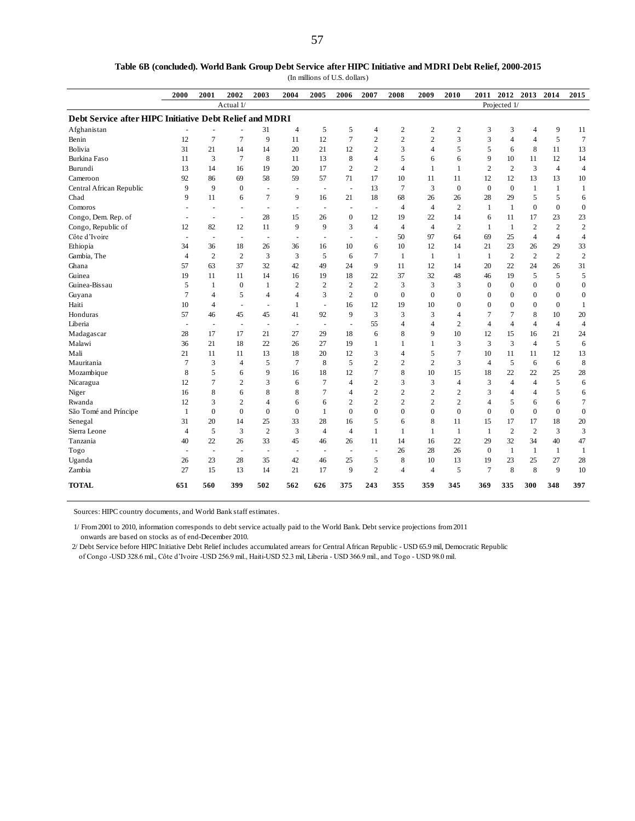#### **Table 6B (concluded). World Bank Group Debt Service after HIPC Initiative and MDRI Debt Relief, 2000-2015**

(In millions of U.S. dollars)

|                                                         | 2000                     | 2001                     | 2002                     | 2003                     | 2004                     | 2005                     | 2006                     | 2007           | 2008           | 2009           | 2010           | 2011             | 2012             | 2013           | 2014           | 2015             |
|---------------------------------------------------------|--------------------------|--------------------------|--------------------------|--------------------------|--------------------------|--------------------------|--------------------------|----------------|----------------|----------------|----------------|------------------|------------------|----------------|----------------|------------------|
|                                                         |                          |                          | Actual 1/                |                          |                          |                          |                          |                |                |                |                |                  | Projected 1/     |                |                |                  |
| Debt Service after HIPC Initiative Debt Relief and MDRI |                          |                          |                          |                          |                          |                          |                          |                |                |                |                |                  |                  |                |                |                  |
| Afghanistan                                             |                          |                          |                          | 31                       | 4                        | 5                        | 5                        | 4              | $\overline{c}$ | $\overline{c}$ | $\overline{c}$ | 3                | 3                | 4              | 9              | 11               |
| Benin                                                   | 12                       | $\overline{7}$           | $\overline{7}$           | 9                        | 11                       | 12                       | $\overline{7}$           | $\overline{2}$ | $\overline{2}$ | $\overline{c}$ | 3              | 3                | $\overline{4}$   | $\overline{4}$ | 5              | $\overline{7}$   |
| Bolivia                                                 | 31                       | 21                       | 14                       | 14                       | 20                       | 21                       | 12                       | $\overline{2}$ | 3              | 4              | 5              | 5                | 6                | 8              | 11             | 13               |
| <b>Burkina Faso</b>                                     | 11                       | 3                        | $\overline{7}$           | $\,8\,$                  | 11                       | 13                       | 8                        | $\overline{4}$ | 5              | 6              | 6              | 9                | 10               | 11             | 12             | 14               |
| Burundi                                                 | 13                       | 14                       | 16                       | 19                       | 20                       | 17                       | $\overline{c}$           | $\overline{2}$ | $\overline{4}$ | 1              | 1              | $\overline{c}$   | $\overline{2}$   | 3              | $\overline{4}$ | $\overline{4}$   |
| Cameroon                                                | 92                       | 86                       | 69                       | 58                       | 59                       | 57                       | 71                       | 17             | 10             | 11             | 11             | 12               | 12               | 13             | 13             | $10\,$           |
| Central African Republic                                | 9                        | 9                        | $\mathbf{0}$             |                          | L,                       | $\overline{\phantom{a}}$ | J.                       | 13             | $\overline{7}$ | 3              | $\overline{0}$ | $\boldsymbol{0}$ | $\boldsymbol{0}$ | $\mathbf{1}$   | $\mathbf{1}$   | $\mathbf{1}$     |
| Chad                                                    | 9                        | 11                       | 6                        | $\tau$                   | 9                        | 16                       | 21                       | 18             | 68             | 26             | 26             | 28               | 29               | 5              | 5              | 6                |
| Comoros                                                 | $\overline{a}$           | $\overline{\phantom{a}}$ | $\overline{a}$           | $\overline{a}$           | $\overline{\phantom{a}}$ | ÷.                       | $\overline{\phantom{a}}$ | $\overline{a}$ | $\overline{4}$ | $\overline{4}$ | $\overline{2}$ | $\mathbf{1}$     | <sup>1</sup>     | $\mathbf{0}$   | $\mathbf{0}$   | $\boldsymbol{0}$ |
| Congo, Dem. Rep. of                                     | $\overline{\phantom{a}}$ | ÷,                       | ÷,                       | 28                       | 15                       | 26                       | $\boldsymbol{0}$         | 12             | 19             | 22             | 14             | 6                | 11               | 17             | 23             | 23               |
| Congo, Republic of                                      | 12                       | 82                       | 12                       | 11                       | 9                        | 9                        | 3                        | $\overline{4}$ | $\overline{4}$ | $\overline{4}$ | $\overline{2}$ | $\mathbf{1}$     | -1               | $\overline{2}$ | $\overline{2}$ | $\sqrt{2}$       |
| Côte d'Ivoire                                           | L,                       | ÷,                       | ÷,                       | ÷.                       | $\overline{\phantom{a}}$ | ä,                       | $\sim$                   | $\sim$         | 50             | 97             | 64             | 69               | 25               | $\overline{4}$ | $\overline{4}$ | $\sqrt{4}$       |
| Ethiopia                                                | 34                       | 36                       | 18                       | 26                       | 36                       | 16                       | 10                       | 6              | 10             | 12             | 14             | 21               | 23               | 26             | 29             | 33               |
| Gambia, The                                             | $\overline{4}$           | $\overline{2}$           | $\overline{2}$           | 3                        | 3                        | 5                        | 6                        | $\overline{7}$ | 1              | $\mathbf{1}$   | 1              | $\mathbf{1}$     | $\overline{2}$   | $\overline{c}$ | $\overline{2}$ | $\sqrt{2}$       |
| Ghana                                                   | 57                       | 63                       | 37                       | 32                       | 42                       | 49                       | 24                       | 9              | 11             | 12             | 14             | 20               | 22               | 24             | 26             | 31               |
| Guinea                                                  | 19                       | 11                       | 11                       | 14                       | 16                       | 19                       | 18                       | 22             | 37             | 32             | 48             | 46               | 19               | 5              | 5              | $\sqrt{5}$       |
| Guinea-Bissau                                           | 5                        | $\mathbf{1}$             | $\mathbf{0}$             | $\mathbf{1}$             | $\overline{c}$           | $\overline{c}$           | $\overline{c}$           | $\overline{2}$ | 3              | 3              | 3              | $\mathbf{0}$     | $\overline{0}$   | $\Omega$       | $\mathbf{0}$   | $\boldsymbol{0}$ |
| Guyana                                                  | $\overline{7}$           | $\overline{4}$           | 5                        | $\overline{4}$           | $\overline{4}$           | 3                        | $\overline{c}$           | $\mathbf{0}$   | $\overline{0}$ | $\mathbf{0}$   | $\mathbf{0}$   | $\boldsymbol{0}$ | $\mathbf{0}$     | $\mathbf{0}$   | $\mathbf{0}$   | $\boldsymbol{0}$ |
| Haiti                                                   | 10                       | $\overline{4}$           | ÷,                       | $\sim$                   | $\mathbf{1}$             | ÷,                       | 16                       | 12             | 19             | 10             | $\mathbf{0}$   | $\mathbf{0}$     | $\overline{0}$   | $\theta$       | $\theta$       | $\mathbf{1}$     |
| Honduras                                                | 57                       | 46                       | 45                       | 45                       | 41                       | 92                       | 9                        | 3              | 3              | 3              | 4              | $\overline{7}$   | $\overline{7}$   | 8              | 10             | 20               |
| Liberia                                                 | $\overline{\phantom{a}}$ | $\overline{\phantom{a}}$ | $\overline{\phantom{a}}$ |                          | $\overline{\phantom{a}}$ | $\overline{\phantom{a}}$ | $\sim$                   | 55             | $\overline{4}$ | $\overline{4}$ | $\overline{c}$ | $\overline{4}$   | $\overline{4}$   | $\overline{4}$ | $\overline{4}$ | $\overline{4}$   |
| Madagascar                                              | 28                       | 17                       | 17                       | 21                       | 27                       | 29                       | 18                       | 6              | 8              | 9              | 10             | 12               | 15               | 16             | 21             | 24               |
| Malawi                                                  | 36                       | 21                       | 18                       | 22                       | 26                       | 27                       | 19                       | $\mathbf{1}$   | 1              | $\mathbf{1}$   | 3              | 3                | $\overline{3}$   | $\overline{4}$ | 5              | 6                |
| Mali                                                    | 21                       | 11                       | 11                       | 13                       | 18                       | 20                       | 12                       | 3              | $\overline{4}$ | 5              | 7              | 10               | 11               | 11             | 12             | 13               |
| Mauritania                                              | $\overline{7}$           | 3                        | $\overline{4}$           | 5                        | $\overline{7}$           | 8                        | 5                        | $\overline{2}$ | $\overline{2}$ | $\overline{c}$ | 3              | $\overline{4}$   | 5                | 6              | 6              | $\,$ 8 $\,$      |
| Mozambique                                              | 8                        | 5                        | 6                        | 9                        | 16                       | 18                       | 12                       | $\tau$         | 8              | 10             | 15             | 18               | 22               | 22             | 25             | $28\,$           |
| Nicaragua                                               | 12                       | $\overline{7}$           | $\overline{2}$           | 3                        | 6                        | $\overline{7}$           | $\overline{4}$           | $\overline{2}$ | 3              | 3              | 4              | 3                | $\overline{4}$   | $\overline{4}$ | 5              | 6                |
| Niger                                                   | 16                       | 8                        | 6                        | 8                        | 8                        | 7                        | $\overline{4}$           | $\overline{2}$ | $\overline{c}$ | 2              | 2              | 3                | 4                | 4              | 5              | 6                |
| Rwanda                                                  | 12                       | 3                        | $\overline{2}$           | $\overline{4}$           | 6                        | 6                        | $\overline{c}$           | $\overline{c}$ | $\overline{2}$ | $\overline{c}$ | $\overline{c}$ | $\overline{4}$   | 5                | 6              | 6              | $\tau$           |
| São Tomé and Príncipe                                   | $\mathbf{1}$             | $\mathbf{0}$             | $\mathbf{0}$             | $\mathbf{0}$             | $\mathbf{0}$             | $\mathbf{1}$             | $\overline{0}$           | $\mathbf{0}$   | $\mathbf{0}$   | $\mathbf{0}$   | $\overline{0}$ | $\mathbf{0}$     | $\overline{0}$   | $\overline{0}$ | $\mathbf{0}$   | $\boldsymbol{0}$ |
| Senegal                                                 | 31                       | 20                       | 14                       | 25                       | 33                       | 28                       | 16                       | 5              | 6              | 8              | 11             | 15               | 17               | 17             | 18             | $20\,$           |
| Sierra Leone                                            | $\overline{4}$           | 5                        | 3                        | $\overline{2}$           | 3                        | $\overline{4}$           | $\overline{4}$           | $\mathbf{1}$   | $\mathbf{1}$   | $\mathbf{1}$   | $\mathbf{1}$   | 1                | $\overline{2}$   | $\overline{c}$ | 3              | 3                |
| Tanzania                                                | 40                       | 22                       | 26                       | 33                       | 45                       | 46                       | 26                       | 11             | 14             | 16             | 22             | 29               | 32               | 34             | 40             | 47               |
| Togo                                                    | $\overline{\phantom{a}}$ | $\overline{\phantom{a}}$ | $\overline{\phantom{a}}$ | $\overline{\phantom{a}}$ | $\overline{\phantom{a}}$ | $\sim$                   | $\overline{\phantom{a}}$ | ÷,             | 26             | 28             | 26             | $\mathbf{0}$     | <sup>1</sup>     | 1              | $\mathbf{1}$   | $\mathbf{1}$     |
| Uganda                                                  | 26                       | 23                       | 28                       | 35                       | 42                       | 46                       | 25                       | 5              | 8              | 10             | 13             | 19               | 23               | 25             | 27             | 28               |
| Zambia                                                  | 27                       | 15                       | 13                       | 14                       | 21                       | 17                       | 9                        | $\overline{2}$ | $\overline{4}$ | $\overline{4}$ | 5              | $\overline{7}$   | 8                | 8              | 9              | 10               |
| <b>TOTAL</b>                                            | 651                      | 560                      | 399                      | 502                      | 562                      | 626                      | 375                      | 243            | 355            | 359            | 345            | 369              | 335              | 300            | 348            | 397              |

Sources: HIPC country documents, and World Bank staff estimates.

1/ From 2001 to 2010, information corresponds to debt service actually paid to the World Bank. Debt service projections from 2011

onwards are based on stocks as of end-December 2010.

 2/ Debt Service before HIPC Initiative Debt Relief includes accumulated arrears for Central African Republic - USD 65.9 mil, Democratic Republic of Congo -USD 328.6 mil., Côte d'Ivoire -USD 256.9 mil., Haiti-USD 52.3 mil, Liberia - USD 366.9 mil., and Togo - USD 98.0 mil.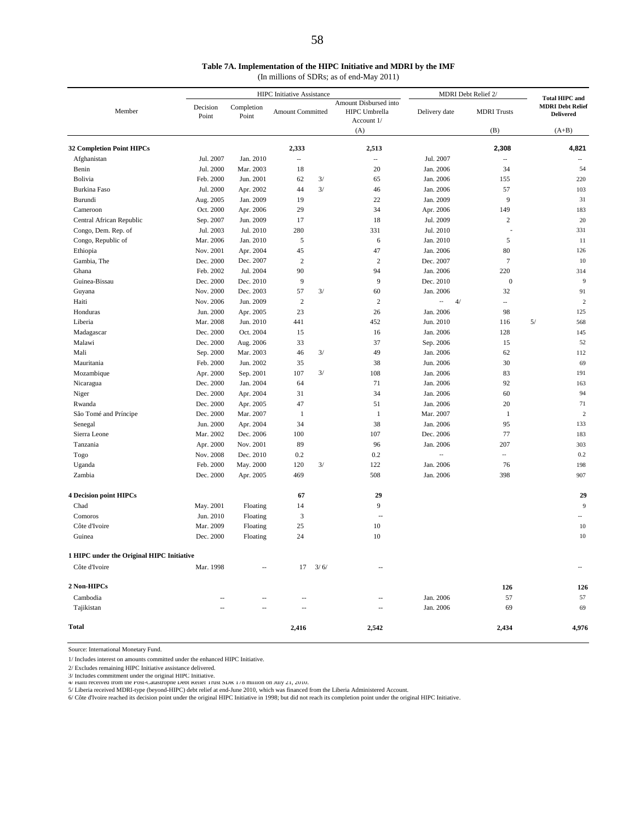#### **Table 7A. Implementation of the HIPC Initiative and MDRI by the IMF**

(In millions of SDRs; as of end-May 2011)

|                                           |                     | <b>HIPC</b> Initiative Assistance |      |                                                      |               | MDRI Debt Relief 2/      |                                                                      |
|-------------------------------------------|---------------------|-----------------------------------|------|------------------------------------------------------|---------------|--------------------------|----------------------------------------------------------------------|
| Decision<br>Member<br>Point               | Completion<br>Point | <b>Amount Committed</b>           |      | Amount Disbursed into<br>HIPC Umbrella<br>Account 1/ | Delivery date | <b>MDRI</b> Trusts       | <b>Total HIPC and</b><br><b>MDRI</b> Debt Relief<br><b>Delivered</b> |
|                                           |                     |                                   |      | (A)                                                  |               | (B)                      | $(A+B)$                                                              |
| <b>32 Completion Point HIPCs</b>          |                     | 2,333                             |      | 2,513                                                |               | 2,308                    | 4,821                                                                |
| Afghanistan<br>Jul. 2007                  | Jan. 2010           | $\bar{\phantom{a}}$               |      | ÷.                                                   | Jul. 2007     | Ξ.                       | ш.                                                                   |
| Benin<br>Jul. 2000                        | Mar. 2003           | 18                                |      | 20                                                   | Jan. 2006     | 34                       | 54                                                                   |
| Bolivia<br>Feb. 2000                      | Jun. 2001           | 62                                | 3/   | 65                                                   | Jan. 2006     | 155                      | 220                                                                  |
| <b>Burkina Faso</b><br>Jul. 2000          | Apr. 2002           | 44                                | 3/   | 46                                                   | Jan. 2006     | 57                       | 103                                                                  |
| Burundi<br>Aug. 2005                      | Jan. 2009           | 19                                |      | 22                                                   | Jan. 2009     | 9                        | 31                                                                   |
| Cameroon<br>Oct. 2000                     | Apr. 2006           | 29                                |      | 34                                                   | Apr. 2006     | 149                      | 183                                                                  |
| Central African Republic<br>Sep. 2007     | Jun. 2009           | 17                                |      | 18                                                   | Jul. 2009     | $\overline{c}$           | 20                                                                   |
| Congo, Dem. Rep. of<br>Jul. 2003          | Jul. 2010           | 280                               |      | 331                                                  | Jul. 2010     |                          | 331                                                                  |
| Congo, Republic of<br>Mar. 2006           | Jan. 2010           | 5                                 |      | 6                                                    | Jan. 2010     | 5                        | 11                                                                   |
| Ethiopia<br>Nov. 2001                     | Apr. 2004           | 45                                |      | 47                                                   | Jan. 2006     | 80                       | 126                                                                  |
| Gambia, The<br>Dec. 2000                  | Dec. 2007           | $\mathbf{2}$                      |      | $\overline{2}$                                       | Dec. 2007     | $\overline{7}$           | 10                                                                   |
| Feb. 2002<br>Ghana                        | Jul. 2004           | 90                                |      | 94                                                   | Jan. 2006     | 220                      | 314                                                                  |
| Dec. 2000<br>Guinea-Bissau                | Dec. 2010           | 9                                 |      | 9                                                    | Dec. 2010     | $\boldsymbol{0}$         | 9                                                                    |
| Nov. 2000<br>Guyana                       | Dec. 2003           | 57                                | 3/   | 60                                                   | Jan. 2006     | 32                       | 91                                                                   |
| Haiti<br>Nov. 2006                        | Jun. 2009           | $\sqrt{2}$                        |      | $\mathfrak{2}$                                       | <br>4/        | Ξ.                       | $\overline{c}$                                                       |
| Honduras<br>Jun. 2000                     | Apr. 2005           | 23                                |      | 26                                                   | Jan. 2006     | 98                       | 125                                                                  |
| Liberia<br>Mar. 2008                      | Jun. 2010           | 441                               |      | 452                                                  | Jun. 2010     | 116                      | 5/<br>568                                                            |
| Dec. 2000<br>Madagascar                   | Oct. 2004           | 15                                |      | 16                                                   | Jan. 2006     | 128                      | 145                                                                  |
| Malawi<br>Dec. 2000                       | Aug. 2006           | 33                                |      | 37                                                   | Sep. 2006     | 15                       | 52                                                                   |
| Mali<br>Sep. 2000                         | Mar. 2003           | 46                                | 3/   | 49                                                   | Jan. 2006     | 62                       | 112                                                                  |
| Mauritania<br>Feb. 2000                   | Jun. 2002           | 35                                |      | 38                                                   | Jun. 2006     | 30                       | 69                                                                   |
| Mozambique<br>Apr. 2000                   | Sep. 2001           | 107                               | 3/   | 108                                                  | Jan. 2006     | 83                       | 191                                                                  |
| Dec. 2000<br>Nicaragua                    | Jan. 2004           | 64                                |      | 71                                                   | Jan. 2006     | 92                       | 163                                                                  |
| Niger<br>Dec. 2000                        | Apr. 2004           | 31                                |      | 34                                                   | Jan. 2006     | 60                       | 94                                                                   |
| Dec. 2000<br>Rwanda                       | Apr. 2005           | 47                                |      | 51                                                   | Jan. 2006     | 20                       | 71                                                                   |
| São Tomé and Príncipe<br>Dec. 2000        | Mar. 2007           | $\mathbf{1}$                      |      | $\mathbf{1}$                                         | Mar. 2007     | $\mathbf{1}$             | $\overline{c}$                                                       |
| Senegal<br>Jun. 2000                      | Apr. 2004           | 34                                |      | 38                                                   | Jan. 2006     | 95                       | 133                                                                  |
| Sierra Leone<br>Mar. 2002                 | Dec. 2006           | 100                               |      | 107                                                  | Dec. 2006     | 77                       | 183                                                                  |
| Tanzania<br>Apr. 2000                     | Nov. 2001           | 89                                |      | 96                                                   | Jan. 2006     | 207                      | 303                                                                  |
| Togo<br>Nov. 2008                         | Dec. 2010           | 0.2                               |      | 0.2                                                  | Ξ.            | $\overline{\phantom{a}}$ | 0.2                                                                  |
| Feb. 2000<br>Uganda                       | May. 2000           | 120                               | 3/   | 122                                                  | Jan. 2006     | 76                       | 198                                                                  |
| Zambia<br>Dec. 2000                       | Apr. 2005           | 469                               |      | 508                                                  | Jan. 2006     | 398                      | 907                                                                  |
|                                           |                     |                                   |      |                                                      |               |                          |                                                                      |
| <b>4 Decision point HIPCs</b>             |                     | 67                                |      | 29                                                   |               |                          | 29                                                                   |
| Chad<br>May. 2001                         | Floating            | 14                                |      | 9                                                    |               |                          | 9                                                                    |
| Comoros<br>Jun. 2010                      | Floating            | 3                                 |      | $\overline{\phantom{a}}$                             |               |                          |                                                                      |
| Côte d'Ivoire<br>Mar. 2009                | Floating            | 25                                |      | 10                                                   |               |                          | 10                                                                   |
| Guinea<br>Dec. 2000                       | Floating            | 24                                |      | 10                                                   |               |                          | 10                                                                   |
| 1 HIPC under the Original HIPC Initiative |                     |                                   |      |                                                      |               |                          |                                                                      |
| Côte d'Ivoire<br>Mar. 1998                |                     | 17                                | 3/6/ | Ξ.                                                   |               |                          | --                                                                   |
| 2 Non-HIPCs                               |                     |                                   |      |                                                      |               | 126                      | 126                                                                  |
| Cambodia                                  |                     |                                   |      | --                                                   | Jan. 2006     | 57                       | 57                                                                   |
| Tajikistan                                |                     |                                   |      | --                                                   | Jan. 2006     | 69                       | 69                                                                   |
| <b>Total</b>                              |                     | 2,416                             |      | 2,542                                                |               | 2,434                    | 4,976                                                                |

Source: International Monetary Fund.

1/ Includes interest on amounts committed under the enhanced HIPC Initiative.

2/ Excludes remaining HIPC Initiative assistance delivered.

3/ Includes commitment under the original HIPC Initiative.<br>4/ Hatu received from the Post-Catastrophe Debt Kenter 1rust SDR 1/8 million on July 21, 2010.<br>5/ Liberia received MDRI-type (beyond-HIPC) debt relief at end-June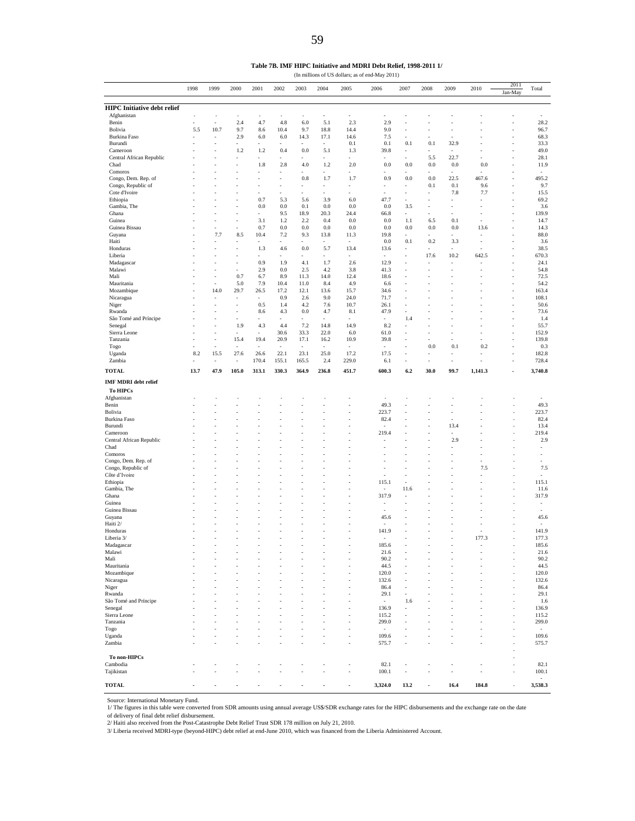#### **Table 7B. IMF HIPC Initiative and MDRI Debt Relief, 1998-2011 1/**

| (In millions of US dollars; as of end-May 2011) |
|-------------------------------------------------|
|                                                 |

|                                      | 1998 | 1999      | 2000       | 2001                             | 2002        | 2003                     | 2004                     | 2005                     | 2006                              | 2007       | 2008                     | 2009      | 2010     | 2011<br>Jan-May | Total                    |
|--------------------------------------|------|-----------|------------|----------------------------------|-------------|--------------------------|--------------------------|--------------------------|-----------------------------------|------------|--------------------------|-----------|----------|-----------------|--------------------------|
| <b>HIPC</b> Initiative debt relief   |      |           |            |                                  |             |                          |                          |                          |                                   |            |                          |           |          |                 |                          |
| Afghanistan                          |      |           | ٠          | ä,                               |             | ä,                       | ä,                       | ä,                       |                                   |            |                          |           |          |                 |                          |
| Benin                                | i,   |           | 2.4        | 4.7                              | 4.8         | 6.0                      | 5.1                      | 2.3                      | 2.9                               |            |                          |           |          |                 | 28.2                     |
| Bolivia                              | 5.5  | 10.7      | 9.7        | 8.6                              | 10.4        | 9.7                      | 18.8                     | 14.4                     | 9.0                               | ×,         |                          |           |          |                 | 96.7                     |
| <b>Burkina Faso</b>                  |      |           | 2.9        | 6.0                              | 6.0         | 14.3                     | 17.1                     | 14.6                     | 7.5                               |            |                          |           |          |                 | 68.3                     |
| Burundi                              |      |           | ÷          | $\sim$                           |             | ٠                        | ٠                        | 0.1                      | 0.1                               | 0.1        | 0.1                      | 32.9      |          |                 | 33.3                     |
| Cameroon<br>Central African Republic |      |           | 1.2        | 1.2<br>٠                         | 0.4<br>ä,   | 0.0<br>٠                 | 5.1                      | 1.3<br>÷                 | 39.8<br>÷                         | ÷<br>ä,    | ä,<br>5.5                | 22.7      |          |                 | 49.0<br>28.1             |
| Chad                                 |      |           |            | 1.8                              | 2.8         | 4.0                      | 1.2                      | 2.0                      | 0.0                               | 0.0        | 0.0                      | 0.0       | 0.0      |                 | 11.9                     |
| Comoros                              |      |           | ÷          | ٠                                | ٠           |                          | ä,                       | ٠                        |                                   | ٠          | $\overline{\phantom{a}}$ | ä,        |          |                 | $\overline{\phantom{a}}$ |
| Congo, Dem. Rep. of                  |      |           |            |                                  |             | 0.8                      | 1.7                      | 1.7                      | 0.9                               | 0.0        | 0.0                      | 22.5      | 467.6    |                 | 495.2                    |
| Congo, Republic of                   |      |           |            |                                  |             | $\overline{\phantom{a}}$ | $\sim$                   | $\overline{\phantom{a}}$ | ä,                                | ×,         | 0.1                      | 0.1       | 9.6      |                 | 9.7                      |
| Cote d'Ivoire                        |      |           |            | 0.7                              | 5.3         | 5.6                      | 3.9                      | 6.0                      | 47.7                              | ٠<br>×,    | ÷,                       | 7.8<br>ä, | 7.7<br>٠ |                 | 15.5<br>69.2             |
| Ethiopia<br>Gambia, The              |      |           |            | 0.0                              | 0.0         | 0.1                      | 0.0                      | 0.0                      | 0.0                               | 3.5        |                          |           |          |                 | 3.6                      |
| Ghana                                |      |           |            | ٠                                | 9.5         | 18.9                     | 20.3                     | 24.4                     | 66.8                              | ×,         |                          |           |          |                 | 139.9                    |
| Guinea                               |      |           |            | 3.1                              | 1.2         | 2.2                      | 0.4                      | 0.0                      | 0.0                               | 1.1        | 6.5                      | 0.1       |          |                 | 14.7                     |
| Guinea Bissau                        |      |           | ÷,         | 0.7                              | 0.0         | 0.0                      | 0.0                      | 0.0                      | 0.0                               | 0.0        | 0.0                      | 0.0       | 13.6     |                 | 14.3                     |
| Guyana                               |      | 7.7       | 8.5        | 10.4                             | 7.2         | 9.3                      | 13.8                     | 11.3                     | 19.8                              | ä,         |                          |           |          |                 | 88.0                     |
| Haiti<br>Honduras                    |      | ٠         | ٠          | 1.3                              | 4.6         | 0.0                      | 5.7                      | 13.4                     | 0.0<br>13.6                       | 0.1<br>÷   | 0.2                      | 3.3       | ÷,       |                 | 3.6<br>38.5              |
| Liberia                              |      |           | i,         | ٠                                | ÷           | $\overline{\phantom{a}}$ | $\overline{\phantom{a}}$ | ٠                        | $\overline{\phantom{a}}$          | ×,         | 17.6                     | 10.2      | 642.5    |                 | 670.3                    |
| Madagascar                           |      |           |            | 0.9                              | 1.9         | 4.1                      | 1.7                      | 2.6                      | 12.9                              |            |                          |           |          |                 | 24.1                     |
| Malawi                               |      |           | ä,         | 2.9                              | 0.0         | 2.5                      | 4.2                      | 3.8                      | 41.3                              | ×,         |                          | ä         |          |                 | 54.8                     |
| Mali                                 |      |           | 0.7        | 6.7                              | 8.9         | 11.3                     | 14.0                     | 12.4                     | 18.6                              | i,         |                          |           |          |                 | 72.5                     |
| Mauritania                           |      | ÷,        | 5.0        | 7.9                              | 10.4        | 11.0                     | 8.4                      | 4.9                      | 6.6                               | ٠          |                          |           |          |                 | 54.2                     |
| Mozambique<br>Nicaragua              |      | 14.0<br>٠ | 29.7<br>÷, | 26.5<br>$\overline{\phantom{a}}$ | 17.2<br>0.9 | 12.1<br>2.6              | 13.6<br>9.0              | 15.7<br>24.0             | 34.6<br>71.7                      | í,<br>×,   |                          |           |          |                 | 163.4<br>108.1           |
| Niger                                |      |           | i,         | 0.5                              | 1.4         | 4.2                      | 7.6                      | 10.7                     | 26.1                              | ÷          |                          |           |          |                 | 50.6                     |
| Rwanda                               |      |           | ä,         | 8.6                              | 4.3         | 0.0                      | 4.7                      | 8.1                      | 47.9                              | ä,         |                          |           |          |                 | 73.6                     |
| São Tomé and Príncipe                |      |           |            |                                  | L.          | $\overline{\phantom{a}}$ | $\bar{a}$                |                          | ÷,                                | 1.4        |                          |           |          |                 | 1.4                      |
| Senegal                              |      |           | 1.9        | 4.3                              | 4.4         | 7.2                      | 14.8                     | 14.9                     | 8.2                               | ×,         |                          |           |          |                 | 55.7                     |
| Sierra Leone                         |      |           | ٠          | $\overline{\phantom{a}}$         | 30.6        | 33.3                     | 22.0                     | 6.0                      | 61.0                              |            |                          |           |          |                 | 152.9                    |
| Tanzania<br>Togo                     |      |           | 15.4       | 19.4                             | 20.9        | 17.1                     | 16.2<br>÷,               | 10.9                     | 39.8                              | ÷,<br>÷,   | 0.0                      | ä,<br>0.1 | 0.2      |                 | 139.8<br>0.3             |
| Uganda                               | 8.2  | 15.5      | 27.6       | 26.6                             | 22.1        | 23.1                     | 25.0                     | 17.2                     | 17.5                              | ÷          |                          |           |          |                 | 182.8                    |
| Zambia                               |      | ٠         | ٠          | 170.4                            | 155.1       | 165.5                    | 2.4                      | 229.0                    | 6.1                               | ٠          |                          |           |          |                 | 728.4                    |
| <b>TOTAL</b>                         | 13.7 | 47.9      | 105.0      | 313.1                            | 330.3       | 364.9                    | 236.8                    | 451.7                    | 600.3                             | 6.2        | 30.0                     | 99.7      | 1,141.3  |                 | 3,740.8                  |
|                                      |      |           |            |                                  |             |                          |                          |                          |                                   |            |                          |           |          |                 |                          |
| <b>IMF MDRI</b> debt relief          |      |           |            |                                  |             |                          |                          |                          |                                   |            |                          |           |          |                 |                          |
| <b>To HIPCs</b>                      |      |           |            |                                  |             |                          |                          |                          |                                   |            |                          |           |          |                 |                          |
| Afghanistan<br>Benin                 |      |           |            |                                  |             |                          |                          |                          | 49.3                              |            |                          |           |          |                 | 49.3                     |
| Bolivia                              |      |           |            |                                  |             |                          |                          |                          | 223.7                             |            |                          |           |          |                 | 223.7                    |
| Burkina Faso                         |      |           |            |                                  |             |                          |                          |                          | 82.4                              |            |                          |           |          |                 | 82.4                     |
| Burundi                              |      |           |            |                                  |             |                          |                          |                          | ÷,                                |            |                          | 13.4      |          |                 | 13.4                     |
| Cameroon                             |      |           |            |                                  |             |                          |                          |                          | 219.4                             |            |                          |           |          |                 | 219.4                    |
| Central African Republic<br>Chad     |      |           |            |                                  |             |                          |                          |                          |                                   |            |                          | 2.9       |          |                 | 2.9<br>÷,                |
| Comoros                              |      |           |            |                                  |             |                          |                          |                          |                                   |            |                          |           |          |                 |                          |
| Congo, Dem. Rep. of                  |      |           |            |                                  |             |                          |                          |                          |                                   |            |                          |           |          |                 |                          |
| Congo, Republic of                   |      |           |            |                                  |             |                          |                          |                          |                                   |            |                          |           | 7.5      |                 | 7.5                      |
| Côte d'Ivoire                        |      |           |            |                                  |             |                          |                          |                          |                                   |            |                          |           |          |                 | ÷                        |
| Ethiopia<br>Gambia, The              |      |           |            |                                  |             |                          |                          |                          | 115.1                             | ×,<br>11.6 |                          |           |          |                 | 115.1                    |
| Ghana                                |      |           |            |                                  |             |                          |                          |                          | 317.9                             | ÷          |                          |           |          |                 | 11.6<br>317.9            |
| Guinea                               |      |           |            |                                  |             |                          |                          |                          |                                   |            |                          |           |          |                 | ÷,                       |
| Guinea Bissau                        |      |           |            |                                  |             |                          |                          |                          | ÷                                 |            |                          |           |          |                 |                          |
| Guyana                               |      |           |            |                                  |             |                          |                          |                          | 45.6                              |            |                          |           |          |                 | 45.6                     |
| Haiti 2/                             |      |           |            |                                  |             |                          |                          |                          |                                   |            |                          |           |          |                 |                          |
| Honduras<br>Liberia 3/               |      |           |            |                                  |             |                          |                          |                          | 141.9<br>$\overline{\phantom{a}}$ |            |                          |           | 177.3    |                 | 141.9<br>177.3           |
| Madagascar                           |      |           |            |                                  |             |                          |                          |                          | 185.6                             |            |                          |           |          |                 | 185.6                    |
| Malawi                               |      |           |            |                                  |             |                          |                          |                          | 21.6                              |            |                          |           |          |                 | 21.6                     |
| Mali                                 |      |           |            |                                  |             |                          |                          |                          | 90.2                              | í,         |                          | ä,        |          | Î,              | 90.2                     |
| Mauritania                           |      |           |            |                                  |             |                          |                          |                          | 44.5                              |            |                          |           |          |                 | 44.5                     |
| Mozambique<br>Nicaragua              |      |           |            |                                  |             |                          |                          |                          | 120.0<br>132.6                    | ä,         |                          |           |          |                 | 120.0<br>132.6           |
| Niger                                |      |           |            |                                  |             |                          |                          |                          | 86.4                              | ä,         |                          |           |          |                 | 86.4                     |
| Rwanda                               |      |           |            |                                  |             |                          |                          |                          | 29.1                              | ×,         |                          |           |          |                 | 29.1                     |
| São Tomé and Príncipe                |      |           |            |                                  |             |                          |                          |                          | $\sim$                            | 1.6        |                          |           |          | Î,              | 1.6                      |
| Senegal                              |      |           |            |                                  |             |                          |                          |                          | 136.9                             | ÷          |                          |           |          |                 | 136.9                    |
| Sierra Leone                         |      |           |            |                                  |             |                          |                          | ÷,                       | 115.2                             | ÷,         |                          |           |          | i.              | 115.2                    |
| Tanzania<br>Togo                     |      |           |            |                                  |             |                          |                          |                          | 299.0<br>$\sim$                   | ×,<br>ä,   |                          |           |          |                 | 299.0<br>$\sim$          |
| Uganda                               |      |           |            |                                  |             |                          |                          |                          | 109.6                             | i,         |                          |           |          |                 | 109.6                    |
| Zambia                               |      |           |            |                                  |             |                          |                          |                          | 575.7                             | ä,         |                          |           |          |                 | 575.7                    |
|                                      |      |           |            |                                  |             |                          |                          |                          |                                   |            |                          |           |          |                 |                          |
| To non-HIPCs                         |      |           |            |                                  |             |                          |                          |                          |                                   |            |                          |           |          |                 |                          |
| Cambodia                             |      |           |            |                                  |             |                          |                          | ٠                        | 82.1                              | ÷,         |                          | i.        | ٠        | ä,              | 82.1                     |
| Tajikistan                           |      |           |            |                                  |             |                          |                          |                          | 100.1                             | i,         |                          |           |          |                 | 100.1<br>٠               |
| <b>TOTAL</b>                         |      |           |            |                                  |             |                          |                          |                          | 3,324.0                           | 13.2       |                          | 16.4      | 184.8    |                 | 3,538.3                  |

Source: International Monetary Fund.<br>1/ The figures in this table were converted from SDR amounts using annual average US\$/SDR exchange rates for the HIPC disbursements and the exchange rate on the date<br>of delivery of fina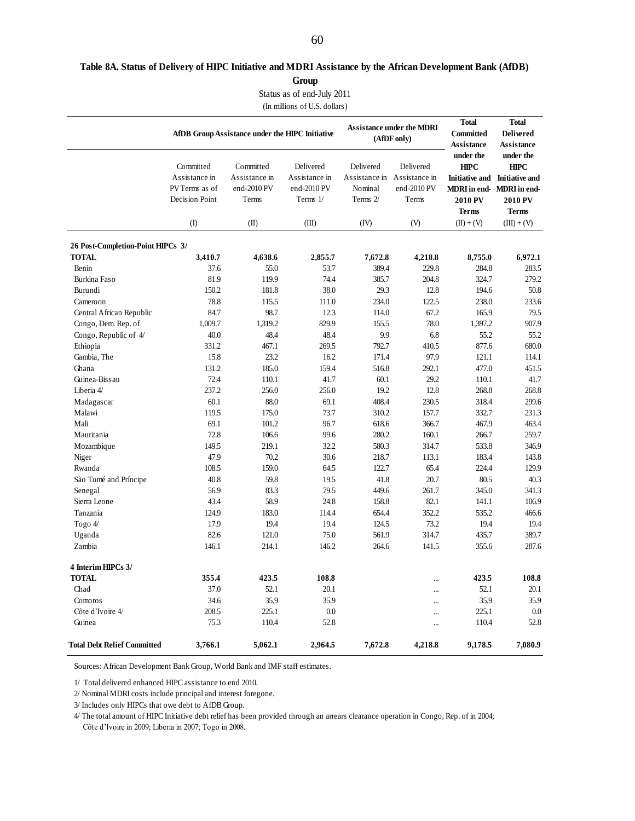#### **Table 8A. Status of Delivery of HIPC Initiative and MDRI Assistance by the African Development Bank (AfDB)**

**Group**

Status as of end-July 2011

(In millions of U.S. dollars)

|                                    |                                                                | AfDB Group Assistance under the HIPC Initiative    |                                                         |                                  | <b>Assistance under the MDRI</b><br>(AfDF only)                  | <b>Total</b><br>Committed<br>Assistance             | <b>Total</b><br><b>Delivered</b><br><b>Assistance</b>                                                                   |
|------------------------------------|----------------------------------------------------------------|----------------------------------------------------|---------------------------------------------------------|----------------------------------|------------------------------------------------------------------|-----------------------------------------------------|-------------------------------------------------------------------------------------------------------------------------|
|                                    | Committed<br>Assistance in<br>PV Terms as of<br>Decision Point | Committed<br>Assistance in<br>end-2010 PV<br>Terms | Delivered<br>Assistance in<br>end-2010 PV<br>Terms $1/$ | Delivered<br>Nominal<br>Terms 2/ | Delivered<br>Assistance in Assistance in<br>end-2010 PV<br>Terms | under the<br><b>HIPC</b><br>2010 PV<br><b>Terms</b> | under the<br><b>HIPC</b><br>Initiative and Initiative and<br>MDRI in end-MDRI in end-<br><b>2010 PV</b><br><b>Terms</b> |
|                                    | (1)                                                            | (II)                                               | (III)                                                   | (IV)                             | (V)                                                              | $(II) + (V)$                                        | $(III) + (V)$                                                                                                           |
| 26 Post-Completion-Point HIPCs 3/  |                                                                |                                                    |                                                         |                                  |                                                                  |                                                     |                                                                                                                         |
| <b>TOTAL</b>                       | 3,410.7                                                        | 4,638.6                                            | 2,855.7                                                 | 7,672.8                          | 4,218.8                                                          | 8,755.0                                             | 6,972.1                                                                                                                 |
| Benin                              | 37.6                                                           | 55.0                                               | 53.7                                                    | 389.4                            | 229.8                                                            | 284.8                                               | 283.5                                                                                                                   |
| Burkina Faso                       | 81.9                                                           | 119.9                                              | 74.4                                                    | 385.7                            | 204.8                                                            | 324.7                                               | 279.2                                                                                                                   |
| Burundi                            | 150.2                                                          | 181.8                                              | 38.0                                                    | 29.3                             | 12.8                                                             | 194.6                                               | 50.8                                                                                                                    |
| Cameroon                           | 78.8                                                           | 115.5                                              | 111.0                                                   | 234.0                            | 122.5                                                            | 238.0                                               | 233.6                                                                                                                   |
| Central African Republic           | 84.7                                                           | 98.7                                               | 12.3                                                    | 114.0                            | 67.2                                                             | 165.9                                               | 79.5                                                                                                                    |
| Congo, Dem. Rep. of                | 1,009.7                                                        | 1,319.2                                            | 829.9                                                   | 155.5                            | 78.0                                                             | 1,397.2                                             | 907.9                                                                                                                   |
| Congo, Republic of 4/              | 40.0                                                           | 48.4                                               | 48.4                                                    | 9.9                              | 6.8                                                              | 55.2                                                | 55.2                                                                                                                    |
| Ethiopia                           | 331.2                                                          | 467.1                                              | 269.5                                                   | 792.7                            | 410.5                                                            | 877.6                                               | 680.0                                                                                                                   |
| Gambia, The                        | 15.8                                                           | 23.2                                               | 16.2                                                    | 171.4                            | 97.9                                                             | 121.1                                               | 114.1                                                                                                                   |
| Ghana                              | 131.2                                                          | 185.0                                              | 159.4                                                   | 516.8                            | 292.1                                                            | 477.0                                               | 451.5                                                                                                                   |
| Guinea-Bissau                      | 72.4                                                           | 110.1                                              | 41.7                                                    | 60.1                             | 29.2                                                             | 110.1                                               | 41.7                                                                                                                    |
| Liberia 4/                         | 237.2                                                          | 256.0                                              | 256.0                                                   | 19.2                             | 12.8                                                             | 268.8                                               | 268.8                                                                                                                   |
| Madagascar                         | 60.1                                                           | 88.0                                               | 69.1                                                    | 408.4                            | 230.5                                                            | 318.4                                               | 299.6                                                                                                                   |
| Malawi                             | 119.5                                                          | 175.0                                              | 73.7                                                    | 310.2                            | 157.7                                                            | 332.7                                               | 231.3                                                                                                                   |
| Mali                               | 69.1                                                           | 101.2                                              | 96.7                                                    | 618.6                            | 366.7                                                            | 467.9                                               | 463.4                                                                                                                   |
| Mauritania                         | 72.8                                                           | 106.6                                              | 99.6                                                    | 280.2                            | 160.1                                                            | 266.7                                               | 259.7                                                                                                                   |
| Mozambique                         | 149.5                                                          | 219.1                                              | 32.2                                                    | 580.3                            | 314.7                                                            | 533.8                                               | 346.9                                                                                                                   |
| Niger                              | 47.9                                                           | 70.2                                               | 30.6                                                    | 218.7                            | 113.1                                                            | 183.4                                               | 143.8                                                                                                                   |
| Rwanda                             | 108.5                                                          | 159.0                                              | 64.5                                                    | 122.7                            | 65.4                                                             | 224.4                                               | 129.9                                                                                                                   |
| São Tomé and Príncipe              | 40.8                                                           | 59.8                                               | 19.5                                                    | 41.8                             | 20.7                                                             | 80.5                                                | 40.3                                                                                                                    |
| Senegal                            | 56.9                                                           | 83.3                                               | 79.5                                                    | 449.6                            | 261.7                                                            | 345.0                                               | 341.3                                                                                                                   |
| Sierra Leone                       | 43.4                                                           | 58.9                                               | 24.8                                                    | 158.8                            | 82.1                                                             | 141.1                                               | 106.9                                                                                                                   |
| Tanzania                           | 124.9                                                          | 183.0                                              | 114.4                                                   | 654.4                            | 352.2                                                            | 535.2                                               | 466.6                                                                                                                   |
| Togo 4/                            | 17.9                                                           | 19.4                                               | 19.4                                                    | 124.5                            | 73.2                                                             | 19.4                                                | 19.4                                                                                                                    |
| Uganda                             | 82.6                                                           | 121.0                                              | 75.0                                                    | 561.9                            | 314.7                                                            | 435.7                                               | 389.7                                                                                                                   |
| Zambia                             | 146.1                                                          | 214.1                                              | 146.2                                                   | 264.6                            | 141.5                                                            | 355.6                                               | 287.6                                                                                                                   |
| 4 Interim HIPCs 3/                 |                                                                |                                                    |                                                         |                                  |                                                                  |                                                     |                                                                                                                         |
| <b>TOTAL</b>                       | 355.4                                                          | 423.5                                              | 108.8                                                   |                                  |                                                                  | 423.5                                               | 108.8                                                                                                                   |
| Chad                               | 37.0                                                           | 52.1                                               | 20.1                                                    |                                  | $\cdots$                                                         | 52.1                                                | 20.1                                                                                                                    |
| Comoros                            | 34.6                                                           | 35.9                                               | 35.9                                                    |                                  |                                                                  | 35.9                                                | 35.9                                                                                                                    |
| Côte d'Ivoire 4/                   | 208.5                                                          | 225.1                                              | $0.0\,$                                                 |                                  | <br>                                                             | 225.1                                               | 0.0                                                                                                                     |
| Guinea                             | 75.3                                                           | 110.4                                              | 52.8                                                    |                                  |                                                                  | 110.4                                               | 52.8                                                                                                                    |
| <b>Total Debt Relief Committed</b> | 3,766.1                                                        | 5,062.1                                            | 2,964.5                                                 | 7,672.8                          | 4,218.8                                                          | 9,178.5                                             | 7,080.9                                                                                                                 |

Sources: African Development Bank Group, World Bank and IMF staff estimates.

1/ Total delivered enhanced HIPC assistance to end 2010.

2/ Nominal MDRI costs include principal and interest foregone.

3/ Includes only HIPCs that owe debt to AfDB Group.

4/ The total amount of HIPC Initiative debt relief has been provided through an arrears clearance operation in Congo, Rep. of in 2004;

Côte d'Ivoire in 2009; Liberia in 2007; Togo in 2008.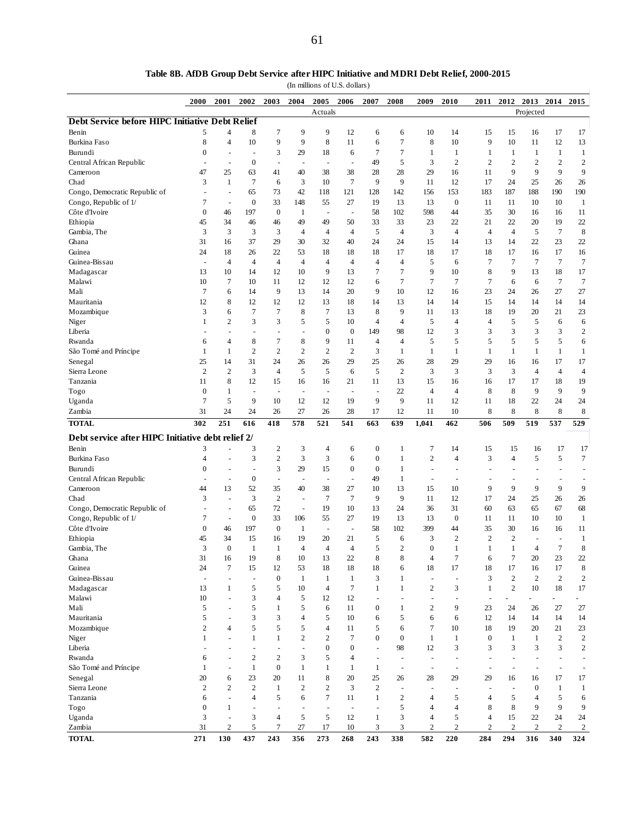**Table 8B. AfDB Group Debt Service after HIPC Initiative and MDRI Debt Relief, 2000-2015**

(In millions of U.S. dollars)

|                                                   | 2000             | 2001                     | 2002                     | 2003                     | 2004                     | 2005                     | 2006                     | 2007                           | 2008                     | 2009             | 2010                     | 2011                           | 2012                     | 2013                 | 2014                     | 2015                     |
|---------------------------------------------------|------------------|--------------------------|--------------------------|--------------------------|--------------------------|--------------------------|--------------------------|--------------------------------|--------------------------|------------------|--------------------------|--------------------------------|--------------------------|----------------------|--------------------------|--------------------------|
|                                                   |                  |                          |                          |                          |                          | Actuals                  |                          |                                |                          |                  |                          |                                |                          | Projected            |                          |                          |
| Debt Service before HIPC Initiative Debt Relief   |                  |                          |                          |                          |                          |                          |                          |                                |                          |                  |                          |                                |                          |                      |                          |                          |
| Benin                                             | 5                | 4                        | 8                        | 7                        | 9                        | 9                        | 12                       | 6                              | 6                        | 10               | 14                       | 15                             | 15                       | 16                   | 17                       | 17                       |
| Burkina Faso                                      | 8                | $\overline{4}$           | 10                       | 9                        | 9                        | 8                        | 11                       | 6                              | 7                        | 8                | 10                       | 9                              | 10                       | 11                   | 12                       | 13                       |
| Burundi                                           | $\boldsymbol{0}$ | ÷.                       | $\overline{a}$           | 3                        | 29                       | 18                       | 6                        | $\tau$                         | $\overline{7}$           | $\mathbf{1}$     | $\mathbf{1}$             | $\mathbf{1}$                   | $\mathbf{1}$             | $\mathbf{1}$         | $\mathbf{1}$             | $\mathbf{1}$             |
| Central African Republic                          |                  | $\overline{a}$           | $\mathbf{0}$             | $\sim$                   | $\overline{\phantom{a}}$ | $\overline{a}$           | $\overline{\phantom{a}}$ | 49                             | 5                        | 3                | $\mathfrak{2}$           | $\overline{2}$                 | $\overline{2}$           | 2                    | $\overline{2}$           | $\sqrt{2}$               |
| Cameroon                                          | 47               | 25                       | 63                       | 41                       | 40                       | 38                       | 38                       | 28                             | 28                       | 29               | 16                       | 11                             | 9                        | 9                    | 9                        | 9                        |
| Chad                                              | 3                | 1                        | $\overline{7}$           | 6                        | 3                        | 10                       | $\overline{7}$           | 9                              | 9                        | 11               | 12                       | 17                             | 24                       | 25                   | 26                       | 26                       |
| Congo, Democratic Republic of                     | $\sim$           | $\sim$                   | 65                       | 73                       | 42                       | 118                      | 121                      | 128                            | 142                      | 156              | 153                      | 183                            | 187                      | 188                  | 190                      | 190                      |
| Congo, Republic of 1/                             | 7                | $\overline{\phantom{a}}$ | $\boldsymbol{0}$         | 33                       | 148                      | 55                       | 27                       | 19                             | 13                       | 13               | $\boldsymbol{0}$         | 11                             | 11                       | 10                   | 10                       | $\mathbf{1}$             |
| Côte d'Ivoire                                     | $\boldsymbol{0}$ | 46                       | 197                      | $\boldsymbol{0}$         | 1                        | $\sim$                   | $\sim$                   | 58                             | 102                      | 598              | 44                       | 35                             | 30                       | 16                   | 16                       | 11                       |
| Ethiopia                                          | 45               | 34                       | 46                       | 46                       | 49                       | 49                       | 50                       | 33                             | 33                       | 23               | 22                       | 21                             | 22                       | 20                   | 19                       | 22                       |
| Gambia, The                                       | 3                | 3                        | 3                        | 3                        | $\overline{4}$           | 4                        | $\overline{4}$           | 5                              | $\overline{4}$           | 3                | $\overline{4}$           | $\overline{4}$                 | $\overline{4}$           | 5                    | $\tau$                   | 8                        |
| Ghana                                             | 31               | 16                       | 37                       | 29                       | 30                       | 32                       | 40                       | 24                             | 24                       | 15               | 14                       | 13                             | 14                       | 22                   | 23                       | 22                       |
| Guinea                                            | 24               | 18                       | 26                       | 22                       | 53                       | 18                       | 18                       | 18                             | 17                       | 18               | 17                       | 18                             | 17                       | 16                   | 17                       | 16                       |
| Guinea-Bissau                                     | $\overline{a}$   | 4                        | $\overline{4}$           | $\overline{4}$           | $\overline{4}$           | 4                        | $\overline{4}$           | $\overline{4}$                 | 4                        | 5                | 6                        | 7                              | $\tau$                   | $\tau$               | $\overline{7}$           | $\overline{7}$           |
| Madagascar                                        | 13               | 10                       | 14                       | 12                       | 10                       | 9                        | 13                       | 7                              | 7                        | 9                | 10                       | 8                              | 9                        | 13                   | 18                       | 17                       |
| Malawi                                            | 10               | $\tau$                   | 10                       | 11                       | 12                       | 12                       | 12                       | 6                              | $\overline{7}$           | 7                | 7                        | $\tau$                         | 6                        | 6                    | $\overline{7}$           | $\tau$                   |
| Mali                                              | 7                | 6                        | 14                       | 9                        | 13                       | 14                       | 20                       | 9                              | 10                       | 12               | 16                       | 23                             | 24                       | 26                   | 27                       | 27                       |
| Mauritania                                        | 12               | 8                        | 12                       | 12                       | 12                       | 13                       | 18                       | 14                             | 13                       | 14               | 14                       | 15                             | 14                       | 14                   | 14                       | 14                       |
| Mozambique                                        | 3                | 6                        | $\overline{7}$           | 7                        | 8                        | 7                        | 13                       | 8                              | 9                        | 11               | 13                       | 18                             | 19                       | 20                   | 21                       | 23                       |
| Niger                                             | 1                | $\overline{2}$           | 3                        | 3                        | 5                        | 5                        | 10                       | $\overline{4}$                 | $\overline{4}$           | 5                | $\overline{4}$           | $\overline{4}$                 | 5                        | 5                    | 6                        | 6                        |
| Liberia                                           |                  |                          | $\overline{\phantom{a}}$ | $\sim$                   | ÷                        | $\boldsymbol{0}$         | $\mathbf{0}$             | 149                            | 98                       | 12               | 3                        | 3                              | 3                        | 3                    | 3                        | $\boldsymbol{2}$         |
| Rwanda                                            | 6                | $\overline{4}$           | 8                        | 7                        | 8                        | 9                        | 11                       | $\overline{4}$                 | 4                        | 5                | 5                        | 5                              | 5                        | 5                    | 5                        | 6                        |
| São Tomé and Príncipe                             | 1                | 1                        | $\overline{c}$           | $\mathbf{2}$             | $\mathbf{2}$             | $\overline{c}$           | $\overline{2}$           | 3                              | $\mathbf{1}$             | $\mathbf{1}$     | $\mathbf{1}$             | $\mathbf{1}$                   | $\mathbf{1}$             | 1                    | $\mathbf{1}$             | $\mathbf{1}$             |
| Senegal                                           | 25               | 14                       | 31                       | 24                       | 26                       | 26                       | 29                       | 25                             | 26                       | 28               | 29                       | 29                             | 16                       | 16                   | 17                       | 17                       |
| Sierra Leone                                      | $\overline{2}$   | $\overline{2}$           | 3                        | $\overline{4}$           | 5                        | 5                        | 6                        | 5                              | 2                        | 3                | 3                        | 3                              | 3                        | $\overline{4}$       | $\overline{4}$           | $\overline{4}$           |
| Tanzania                                          | 11               | 8                        | 12                       | 15                       | 16                       | 16                       | 21                       | 11                             | 13                       | 15               | 16                       | 16                             | 17                       | 17                   | 18                       | 19                       |
| Togo                                              | $\boldsymbol{0}$ | 1                        | ÷,                       | $\blacksquare$           | ÷,                       | $\sim$                   | $\sim$                   | $\blacksquare$                 | 22                       | $\overline{4}$   | $\overline{4}$           | 8                              | 8                        | 9                    | 9                        | 9                        |
| Uganda                                            | $\overline{7}$   | 5                        | 9                        | 10                       | 12                       | 12                       | 19                       | 9                              | 9                        | 11               | 12                       | 11                             | 18                       | 22                   | 24                       | 24                       |
| Zambia                                            | 31               | 24                       | 24                       | 26                       | 27                       | 26                       | 28                       | 17                             | 12                       | 11               | 10                       | 8                              | 8                        | 8                    | 8                        | $\,8\,$                  |
| <b>TOTAL</b>                                      | 302              | 251                      | 616                      | 418                      | 578                      | 521                      | 541                      | 663                            | 639                      | 1,041            | 462                      | 506                            | 509                      | 519                  | 537                      | 529                      |
| Debt service after HIPC Initiative debt relief 2/ |                  |                          |                          |                          |                          |                          |                          |                                |                          |                  |                          |                                |                          |                      |                          |                          |
| Benin                                             | 3                |                          | 3                        | 2                        | 3                        | 4                        | 6                        | $\boldsymbol{0}$               | 1                        | 7                | 14                       | 15                             | 15                       | 16                   | 17                       | 17                       |
| Burkina Faso                                      | 4                |                          | 3                        | $\overline{c}$           | 3                        |                          | 6                        |                                | $\mathbf{1}$             | $\boldsymbol{2}$ | 4                        |                                |                          |                      |                          |                          |
| Burundi                                           | $\boldsymbol{0}$ |                          |                          |                          |                          |                          |                          |                                |                          |                  |                          |                                |                          |                      |                          |                          |
|                                                   |                  |                          |                          |                          |                          | 3                        |                          | $\mathbf{0}$                   |                          |                  |                          | 3                              | $\overline{4}$           | 5                    | 5                        | $\tau$                   |
|                                                   |                  | $\sim$                   | ÷,                       | 3                        | 29                       | 15                       | $\boldsymbol{0}$         | $\boldsymbol{0}$               | $\mathbf{1}$             | $\blacksquare$   | $\overline{a}$           | $\ddot{\phantom{1}}$           | $\overline{a}$           |                      | $\blacksquare$           | $\sim$                   |
| Central African Republic                          |                  | $\overline{a}$           | $\boldsymbol{0}$         | $\overline{\phantom{a}}$ |                          | $\sim$                   | ÷,                       | 49                             | $\mathbf{1}$             | $\blacksquare$   | ÷,                       |                                |                          |                      |                          |                          |
| Cameroon                                          | 44               | 13                       | 52                       | 35                       | 40                       | 38                       | 27                       | 10                             | 13                       | 15               | 10                       | 9                              | 9                        | 9                    | 9                        | 9                        |
| Chad                                              | 3<br>÷,          | $\sim$                   | 3                        | $\overline{2}$           | ÷,                       | 7                        | $\overline{7}$           | 9                              | 9                        | 11               | 12                       | 17                             | 24                       | 25                   | 26                       | 26                       |
| Congo, Democratic Republic of                     |                  | $\overline{a}$<br>$\sim$ | 65                       | 72                       | $\overline{a}$           | 19                       | 10                       | 13                             | 24                       | 36               | 31                       | 60                             | 63                       | 65                   | 67                       | 68                       |
| Congo, Republic of 1/                             | 7                |                          | $\boldsymbol{0}$         | 33                       | 106                      | 55                       | 27<br>÷,                 | 19                             | 13                       | 13               | $\boldsymbol{0}$         | 11                             | 11                       | 10                   | 10                       | 1                        |
| Côte d'Ivoire                                     | $\mathbf{0}$     | 46                       | 197                      | $\boldsymbol{0}$         | $\mathbf{1}$             |                          |                          | 58                             | 102                      | 399              | 44                       | 35                             | 30                       | 16<br>L,             | 16<br>$\sim$             | 11                       |
| Ethiopia                                          | 45               | 34                       | 15                       | 16                       | 19                       | 20                       | 21                       | 5                              | 6                        | 3                | $\mathfrak{2}$           | $\overline{2}$                 | $\mathfrak{2}$           |                      |                          | $\mathbf{1}$             |
| Gambia, The                                       | 3                | $\overline{0}$           | $\mathbf{1}$             | 1                        | $\overline{4}$           | $\overline{4}$           | $\overline{4}$           | 5                              | 2                        | $\mathbf{0}$     | 1                        | 1                              | 1                        | 4                    | $\tau$                   | 8                        |
| Ghana<br>Guinea                                   | 31               | 16                       | 19                       | 8                        | 10                       | 13                       | 22                       | 8                              | 8                        | $\overline{4}$   | $\boldsymbol{7}$         | 6                              | $\tau$                   | 20                   | 23                       | $22\,$                   |
|                                                   | 24               | $\tau$                   | 15<br>÷,                 | 12                       | 53                       | 18                       | 18                       | 18                             | 6                        | 18<br>L,         | 17<br>L,                 | 18                             | 17                       | 16                   | 17                       | $\,$ 8 $\,$              |
| Guinea-Bissau                                     |                  |                          |                          | $\mathbf{0}$             | $\mathbf{1}$             | 1                        | $\mathbf{1}$             | 3                              | $\mathbf{1}$             |                  |                          | 3                              | $\boldsymbol{2}$         | $\boldsymbol{2}$     | $\overline{2}$           | $\boldsymbol{2}$         |
| Madagascar                                        | 13<br>10         | 1<br>$\sim$              | 5<br>3                   | 5<br>$\overline{4}$      | 10<br>5                  | 4<br>12                  | $\tau$<br>12             | $\mathbf{1}$<br>$\blacksquare$ | $\mathbf{1}$<br>÷,       | 2<br>L,          | 3<br>$\overline{a}$      | $\mathbf{1}$<br>$\overline{a}$ | $\overline{c}$           | 10<br>$\overline{a}$ | 18                       | 17                       |
| Malawi                                            |                  | ä,                       |                          |                          |                          |                          |                          |                                |                          |                  |                          |                                |                          |                      |                          |                          |
| Mali<br>Mauritania                                | 5<br>5           | $\blacksquare$           | 5<br>3                   | $\mathbf{1}$<br>3        | 5<br>4                   | 6<br>5                   | 11<br>10                 | $\mathbf{0}$                   | $\mathbf{1}$<br>5        | $\overline{c}$   | 9<br>6                   | 23<br>12                       | 24<br>14                 | 26<br>14             | 27<br>14                 | 27                       |
|                                                   | $\mathbf{2}$     | $\overline{4}$           | 5                        | 5                        | 5                        | 4                        | 11                       | 6<br>5                         | 6                        | 6<br>7           | 10                       | 18                             | 19                       | 20                   | 21                       | 14                       |
| Mozambique                                        | $\mathbf{1}$     | $\overline{\phantom{a}}$ | $\mathbf{1}$             | $\mathbf{1}$             | $\overline{c}$           | $\overline{c}$           | $\overline{7}$           | $\boldsymbol{0}$               | $\boldsymbol{0}$         | $\mathbf{1}$     | $\mathbf{1}$             | $\boldsymbol{0}$               | $\mathbf{1}$             | $\mathbf{1}$         | $\overline{2}$           | 23<br>$\boldsymbol{2}$   |
| Niger<br>Liberia                                  | ÷,               | ÷                        | $\overline{\phantom{a}}$ | ÷,                       | ÷,                       | $\boldsymbol{0}$         | $\mathbf{0}$             | $\blacksquare$                 | 98                       | 12               | 3                        | 3                              | 3                        | 3                    | 3                        | $\mathfrak{2}$           |
| Rwanda                                            | 6                | $\overline{\phantom{a}}$ | $\overline{c}$           | $\overline{2}$           | 3                        | 5                        | $\overline{4}$           | $\overline{\phantom{a}}$       | $\overline{\phantom{a}}$ | $\sim$           | ٠                        | $\overline{\phantom{a}}$       | $\sim$                   | ٠                    | $\overline{\phantom{a}}$ | $\sim$                   |
|                                                   | $\mathbf{1}$     | $\sim$                   | $\mathbf{1}$             | $\mathbf{0}$             | $\mathbf{1}$             | $\mathbf{1}$             | 1                        | $\mathbf{1}$                   | $\overline{\phantom{a}}$ | $\sim$           | $\overline{\phantom{a}}$ | $\overline{\phantom{a}}$       | $\overline{\phantom{a}}$ | ÷,                   | $\sim$                   | $\overline{\phantom{a}}$ |
| São Tomé and Príncipe                             | 20               | 6                        | 23                       | 20                       | 11                       | 8                        | 20                       | 25                             | 26                       | 28               | 29                       |                                | 16                       | 16                   | 17                       | 17                       |
| Senegal<br>Sierra Leone                           | $\mathbf{2}$     | $\overline{2}$           | $\overline{c}$           | $\mathbf{1}$             | $\mathbf{2}$             | $\overline{c}$           | 3                        | $\overline{c}$                 | $\sim$                   | $\overline{a}$   | $\sim$                   | 29<br>$\blacksquare$           | $\overline{a}$           | $\mathbf{0}$         | $\mathbf{1}$             | $\mathbf{1}$             |
| Tanzania                                          | 6                | ÷,                       | $\overline{4}$           | 5                        | 6                        | $\overline{7}$           | 11                       | $\mathbf{1}$                   | $\mathbf{2}$             | $\overline{4}$   | 5                        | $\overline{4}$                 | 5                        | 4                    | 5                        | 6                        |
| Togo                                              | $\boldsymbol{0}$ | $\mathbf{1}$             | $\sim$                   | $\sim$                   | $\overline{a}$           | $\overline{\phantom{a}}$ | $\sim$                   | $\sim$                         | 5                        | 4                | $\overline{4}$           | 8                              | 8                        | 9                    | 9                        | 9                        |
|                                                   | 3                | $\overline{\phantom{a}}$ | 3                        | $\overline{4}$           | 5                        | 5                        | 12                       | $\mathbf{1}$                   | 3                        | 4                | 5                        | $\overline{4}$                 | 15                       | 22                   | 24                       | 24                       |
| Uganda<br>Zambia                                  | 31               | $\overline{2}$           | 5                        | 7                        | 27                       | 17                       | 10                       | 3                              | 3                        | $\overline{c}$   | $\overline{2}$           | $\overline{2}$                 | $\overline{2}$           | $\overline{c}$       | $\overline{2}$           | $\boldsymbol{2}$         |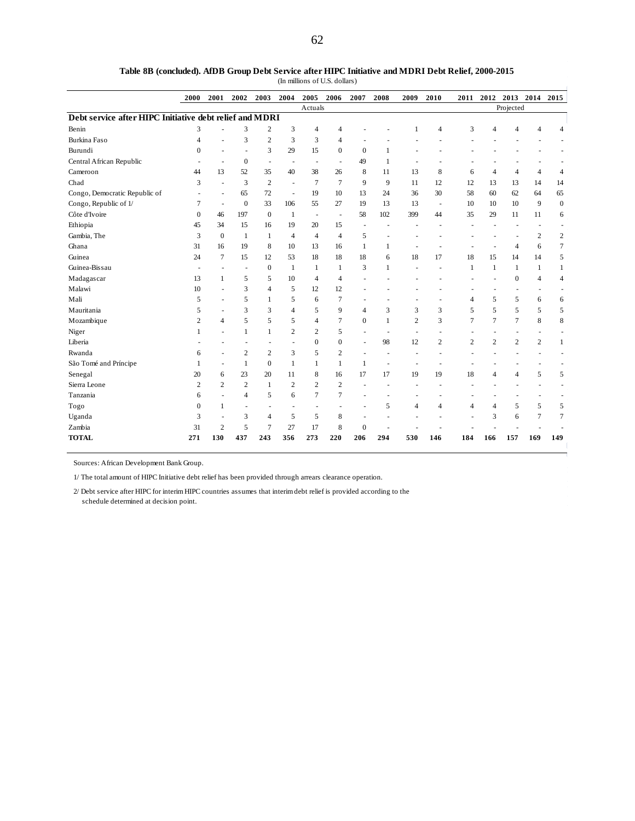**Table 8B (concluded). AfDB Group Debt Service after HIPC Initiative and MDRI Debt Relief, 2000-2015**

(In millions of U.S. dollars)

|                                                         | 2000                     | 2001                     | 2002             | 2003           | 2004                     | 2005           | 2006                     | 2007           | 2008                     | 2009                     | 2010                     |                | 2011 2012 2013 |                | 2014           | 2015           |
|---------------------------------------------------------|--------------------------|--------------------------|------------------|----------------|--------------------------|----------------|--------------------------|----------------|--------------------------|--------------------------|--------------------------|----------------|----------------|----------------|----------------|----------------|
|                                                         |                          |                          |                  |                |                          | Actuals        |                          |                |                          |                          |                          |                |                | Projected      |                |                |
| Debt service after HIPC Initiative debt relief and MDRI |                          |                          |                  |                |                          |                |                          |                |                          |                          |                          |                |                |                |                |                |
| Benin                                                   | 3                        |                          | 3                | $\overline{c}$ | 3                        | $\overline{4}$ | $\overline{4}$           |                |                          | 1                        | 4                        | 3              | $\overline{4}$ | 4              | 4              | $\overline{4}$ |
| Burkina Faso                                            | 4                        |                          | 3                | $\overline{c}$ | 3                        | 3              | $\overline{4}$           |                |                          |                          |                          |                |                |                |                |                |
| Burundi                                                 | $\Omega$                 | ä,                       | ÷,               | 3              | 29                       | 15             | $\Omega$                 | $\Omega$       | 1                        |                          |                          |                |                |                |                |                |
| Central African Republic                                | $\overline{\phantom{a}}$ | $\ddot{\phantom{1}}$     | $\boldsymbol{0}$ | $\sim$         | $\overline{\phantom{a}}$ | $\sim$         | $\sim$                   | 49             | $\mathbf{1}$             |                          |                          |                |                |                |                |                |
| Cameroon                                                | 44                       | 13                       | 52               | 35             | 40                       | 38             | 26                       | 8              | 11                       | 13                       | 8                        | 6              | $\overline{4}$ | $\overline{4}$ | $\overline{4}$ | 4              |
| Chad                                                    | 3                        | ÷,                       | 3                | $\overline{2}$ | $\overline{\phantom{a}}$ | 7              | $\overline{7}$           | 9              | 9                        | 11                       | 12                       | 12             | 13             | 13             | 14             | 14             |
| Congo, Democratic Republic of                           | ÷.                       | $\ddot{\phantom{1}}$     | 65               | 72             | $\overline{\phantom{a}}$ | 19             | 10                       | 13             | 24                       | 36                       | 30                       | 58             | 60             | 62             | 64             | 65             |
| Congo, Republic of 1/                                   | 7                        | $\sim$                   | $\mathbf{0}$     | 33             | 106                      | 55             | 27                       | 19             | 13                       | 13                       | $\overline{\phantom{a}}$ | 10             | 10             | 10             | 9              | $\mathbf{0}$   |
| Côte d'Ivoire                                           | $\Omega$                 | 46                       | 197              | $\mathbf{0}$   | $\mathbf{1}$             | $\sim$         | $\sim$                   | 58             | 102                      | 399                      | 44                       | 35             | 29             | 11             | 11             | 6              |
| Ethiopia                                                | 45                       | 34                       | 15               | 16             | 19                       | 20             | 15                       |                |                          |                          |                          |                |                |                | ٠              |                |
| Gambia, The                                             | 3                        | $\Omega$                 | $\mathbf{1}$     | $\mathbf{1}$   | $\overline{4}$           | $\overline{4}$ | $\overline{4}$           | 5              |                          |                          |                          |                |                |                | $\overline{c}$ | $\overline{c}$ |
| Ghana                                                   | 31                       | 16                       | 19               | 8              | 10                       | 13             | 16                       | 1              | 1                        |                          |                          |                |                | 4              | 6              | $\tau$         |
| Guinea                                                  | 24                       | 7                        | 15               | 12             | 53                       | 18             | 18                       | 18             | 6                        | 18                       | 17                       | 18             | 15             | 14             | 14             | 5              |
| Guinea-Bissau                                           | $\sim$                   | ÷                        | ÷                | $\mathbf{0}$   | $\mathbf{1}$             | 1              | $\mathbf{1}$             | 3              | 1                        | ÷                        |                          | 1              | $\mathbf{1}$   | 1              | $\mathbf{1}$   | $\mathbf{1}$   |
| Madagascar                                              | 13                       | 1                        | 5                | 5              | 10                       | $\overline{4}$ | $\overline{4}$           |                |                          |                          |                          |                |                | 0              | $\overline{4}$ | 4              |
| Malawi                                                  | 10                       | ä,                       | 3                | $\overline{4}$ | 5                        | 12             | 12                       |                |                          |                          |                          |                |                |                | ٠              |                |
| Mali                                                    | 5                        | $\overline{\phantom{a}}$ | 5                | 1              | 5                        | 6              | $\overline{7}$           | ٠              |                          |                          | $\overline{\phantom{a}}$ | $\overline{4}$ | 5              | 5              | 6              | 6              |
| Mauritania                                              | 5                        | ÷                        | 3                | 3              | $\overline{4}$           | 5              | 9                        | 4              | 3                        | 3                        | 3                        | 5              | 5              | 5              | 5              | 5              |
| Mozambique                                              | $\overline{2}$           | $\overline{4}$           | 5                | 5              | 5                        | $\overline{4}$ | $\overline{7}$           | $\mathbf{0}$   | $\mathbf{1}$             | $\overline{c}$           | 3                        | 7              | $\overline{7}$ | $\overline{7}$ | 8              | 8              |
| Niger                                                   | 1                        | $\ddot{\phantom{1}}$     | 1                | $\mathbf{1}$   | $\overline{2}$           | $\overline{c}$ | 5                        | $\overline{a}$ | $\overline{\phantom{a}}$ | $\overline{a}$           |                          |                |                |                |                |                |
| Liberia                                                 |                          |                          |                  |                |                          | $\theta$       | $\overline{0}$           | $\sim$         | 98                       | 12                       | $\overline{c}$           | $\mathbf{2}$   | $\overline{c}$ | $\overline{c}$ | $\mathbf{2}$   | $\mathbf{1}$   |
| Rwanda                                                  | 6                        | $\overline{\phantom{a}}$ | $\overline{2}$   | $\overline{2}$ | 3                        | 5              | $\overline{2}$           | $\overline{a}$ |                          |                          |                          |                |                |                |                |                |
| São Tomé and Príncipe                                   | 1                        | $\overline{\phantom{a}}$ | 1                | $\mathbf{0}$   | $\mathbf{1}$             | 1              | 1                        | 1              | $\overline{\phantom{a}}$ | $\overline{\phantom{a}}$ |                          |                |                |                |                |                |
| Senegal                                                 | 20                       | 6                        | 23               | 20             | 11                       | 8              | 16                       | 17             | 17                       | 19                       | 19                       | 18             | $\overline{4}$ | 4              | 5              | 5              |
| Sierra Leone                                            | $\overline{2}$           | $\overline{c}$           | $\overline{c}$   | 1              | $\overline{2}$           | $\overline{c}$ | $\overline{2}$           | $\overline{a}$ |                          | ÷                        |                          | ä,             |                |                |                |                |
| Tanzania                                                | 6                        | ä,                       | $\overline{4}$   | 5              | 6                        | $\overline{7}$ | $\overline{7}$           |                |                          | ٠                        |                          | ÷              |                |                | ÷              |                |
| Togo                                                    | $\Omega$                 | 1                        | ÷,               | $\sim$         | $\overline{\phantom{a}}$ | $\blacksquare$ | $\overline{\phantom{a}}$ |                | 5                        | 4                        | $\overline{4}$           | 4              | $\overline{4}$ | 5              | 5              | 5              |
| Uganda                                                  | 3                        | ä,                       | 3                | $\overline{4}$ | 5                        | 5              | 8                        | $\overline{a}$ |                          |                          |                          | ä,             | 3              | 6              | $\overline{7}$ | $\tau$         |
| Zambia                                                  | 31                       | $\overline{2}$           | 5                | 7              | 27                       | 17             | 8                        | $\mathbf{0}$   |                          |                          |                          |                |                |                |                |                |
| <b>TOTAL</b>                                            | 271                      | 130                      | 437              | 243            | 356                      | 273            | 220                      | 206            | 294                      | 530                      | 146                      | 184            | 166            | 157            | 169            | 149            |

Sources: African Development Bank Group.

1/ The total amount of HIPC Initiative debt relief has been provided through arrears clearance operation.

2/ Debt service after HIPC for interim HIPC countries assumes that interim debt relief is provided according to the schedule determined at decision point.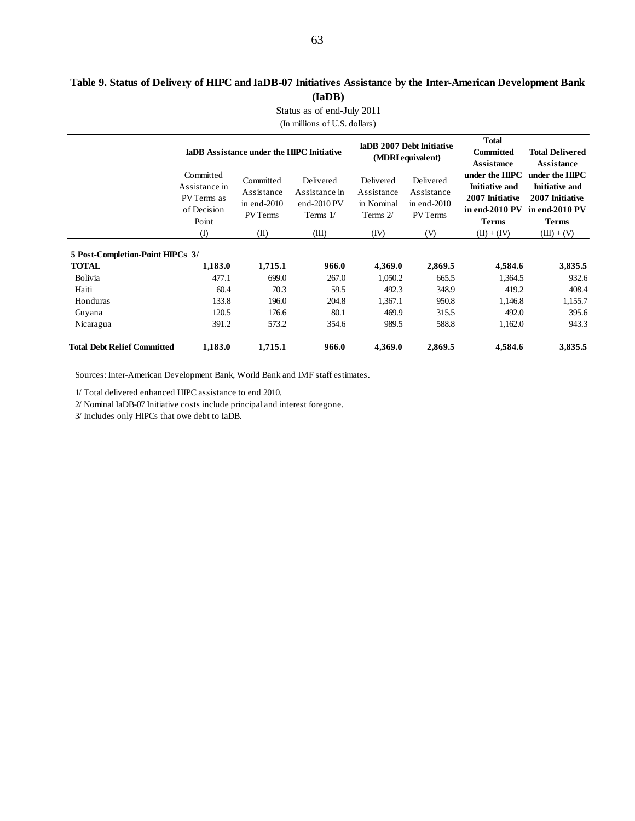#### **Table 9. Status of Delivery of HIPC and IaDB-07 Initiatives Assistance by the Inter-American Development Bank (IaDB)**

Status as of end-July 2011

(In millions of U.S. dollars)

|                                    | Committed                                            | <b>IaDB</b> Assistance under the HIPC Initiative      |                                                                    |                                                     | IaDB 2007 Debt Initiative<br>(MDRI equivalent)        | <b>Total</b><br><b>Committed</b><br><b>Assistance</b><br>under the HIPC    | <b>Total Delivered</b><br><b>Assistance</b><br>under the HIPC              |
|------------------------------------|------------------------------------------------------|-------------------------------------------------------|--------------------------------------------------------------------|-----------------------------------------------------|-------------------------------------------------------|----------------------------------------------------------------------------|----------------------------------------------------------------------------|
|                                    | Assistance in<br>PV Terms as<br>of Decision<br>Point | Committed<br>Assistance<br>in end- $2010$<br>PV Terms | Delivered<br>Assistance in<br>end- $2010 \text{ PV}$<br>Terms $1/$ | Delivered<br>Assistance<br>in Nominal<br>Terms $2/$ | Delivered<br>Assistance<br>in end- $2010$<br>PV Terms | <b>Initiative and</b><br>2007 Initiative<br>in end-2010 PV<br><b>Terms</b> | <b>Initiative and</b><br>2007 Initiative<br>in end-2010 PV<br><b>Terms</b> |
|                                    | (I)                                                  | (II)                                                  | (III)                                                              | (IV)                                                | (V)                                                   | $(II) + (IV)$                                                              | $(III) + (V)$                                                              |
| 5 Post-Completion-Point HIPCs 3/   |                                                      |                                                       |                                                                    |                                                     |                                                       |                                                                            |                                                                            |
| <b>TOTAL</b>                       | 1,183.0                                              | 1,715.1                                               | 966.0                                                              | 4,369.0                                             | 2,869.5                                               | 4,584.6                                                                    | 3,835.5                                                                    |
| Bolivia                            | 477.1                                                | 699.0                                                 | 267.0                                                              | 1,050.2                                             | 665.5                                                 | 1,364.5                                                                    | 932.6                                                                      |
| Haiti                              | 60.4                                                 | 70.3                                                  | 59.5                                                               | 492.3                                               | 348.9                                                 | 419.2                                                                      | 408.4                                                                      |
| Honduras                           | 133.8                                                | 196.0                                                 | 204.8                                                              | 1,367.1                                             | 950.8                                                 | 1,146.8                                                                    | 1,155.7                                                                    |
| Guyana                             | 120.5                                                | 176.6                                                 | 80.1                                                               | 469.9                                               | 315.5                                                 | 492.0                                                                      | 395.6                                                                      |
| Nicaragua                          | 391.2                                                | 573.2                                                 | 354.6                                                              | 989.5                                               | 588.8                                                 | 1,162.0                                                                    | 943.3                                                                      |
| <b>Total Debt Relief Committed</b> | 1,183.0                                              | 1,715.1                                               | 966.0                                                              | 4,369.0                                             | 2,869.5                                               | 4,584.6                                                                    | 3,835.5                                                                    |

Sources: Inter-American Development Bank, World Bank and IMF staff estimates.

1/ Total delivered enhanced HIPC assistance to end 2010.

2/ Nominal IaDB-07 Initiative costs include principal and interest foregone.

3/ Includes only HIPCs that owe debt to IaDB.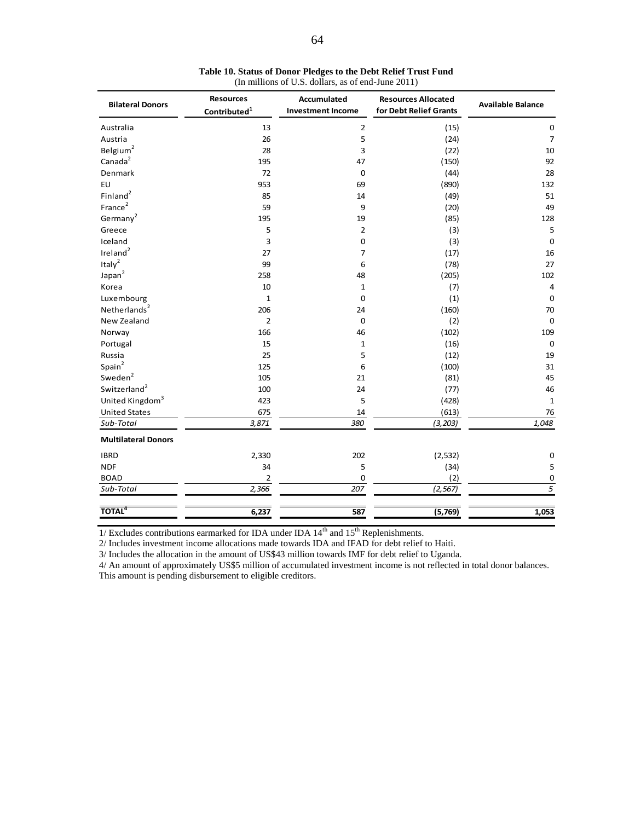| <b>Bilateral Donors</b>     | <b>Resources</b>         | Accumulated              | <b>Resources Allocated</b> | <b>Available Balance</b> |
|-----------------------------|--------------------------|--------------------------|----------------------------|--------------------------|
|                             | Contributed <sup>1</sup> | <b>Investment Income</b> | for Debt Relief Grants     |                          |
| Australia                   | 13                       | $\overline{2}$           | (15)                       | 0                        |
| Austria                     | 26                       | 5                        | (24)                       | $\overline{7}$           |
| Belgium <sup>2</sup>        | 28                       | 3                        | (22)                       | 10                       |
| Canada <sup>2</sup>         | 195                      | 47                       | (150)                      | 92                       |
| Denmark                     | 72                       | $\mathbf 0$              | (44)                       | 28                       |
| EU                          | 953                      | 69                       | (890)                      | 132                      |
| Finland <sup>2</sup>        | 85                       | 14                       | (49)                       | 51                       |
| France <sup>2</sup>         | 59                       | 9                        | (20)                       | 49                       |
| Germany <sup>2</sup>        | 195                      | 19                       | (85)                       | 128                      |
| Greece                      | 5                        | $\overline{2}$           | (3)                        | 5                        |
| Iceland                     | 3                        | 0                        | (3)                        | $\mathbf 0$              |
| Ireland <sup>2</sup>        | 27                       | $\overline{7}$           | (17)                       | 16                       |
| Ital $y^2$                  | 99                       | 6                        | (78)                       | 27                       |
| Japan <sup>2</sup>          | 258                      | 48                       | (205)                      | 102                      |
| Korea                       | 10                       | $\mathbf{1}$             | (7)                        | 4                        |
| Luxembourg                  | $\mathbf{1}$             | 0                        | (1)                        | $\mathbf 0$              |
| Netherlands $2$             | 206                      | 24                       | (160)                      | 70                       |
| New Zealand                 | $\overline{2}$           | 0                        | (2)                        | $\mathbf 0$              |
| Norway                      | 166                      | 46                       | (102)                      | 109                      |
| Portugal                    | 15                       | $\mathbf{1}$             | (16)                       | $\mathbf 0$              |
| Russia                      | 25                       | 5                        | (12)                       | 19                       |
| Spain <sup>2</sup>          | 125                      | 6                        | (100)                      | 31                       |
| Sweden <sup>2</sup>         | 105                      | 21                       | (81)                       | 45                       |
| Switzerland <sup>2</sup>    | 100                      | 24                       | (77)                       | 46                       |
| United Kingdom <sup>3</sup> | 423                      | 5                        | (428)                      | $\mathbf{1}$             |
| <b>United States</b>        | 675                      | 14                       | (613)                      | 76                       |
| Sub-Total                   | 3,871                    | 380                      | (3, 203)                   | 1,048                    |
| <b>Multilateral Donors</b>  |                          |                          |                            |                          |
| <b>IBRD</b>                 | 2,330                    | 202                      | (2, 532)                   | 0                        |
| <b>NDF</b>                  | 34                       | 5                        | (34)                       | 5                        |
| <b>BOAD</b>                 | 2                        | 0                        | (2)                        | 0                        |
| Sub-Total                   | 2,366                    | 207                      | (2, 567)                   | 5                        |
| <b>TOTAL<sup>4</sup></b>    | 6,237                    | 587                      | (5,769)                    | 1,053                    |

| Table 10. Status of Donor Pledges to the Debt Relief Trust Fund |  |
|-----------------------------------------------------------------|--|
| (In millions of U.S. dollars, as of end-June $2011$ )           |  |

1 Excludes contributions earmarked for IDA under IDA 14th and 15th Replenishments. 1/ Excludes contributions earmarked for IDA under IDA 14th and 15th Replenishments.

Includes investment income allocations made towards IDA and IFAD for debt relief to Haiti. 2/ Includes investment income allocations made towards IDA and IFAD for debt relief to Haiti.

Includes the allocation in the amount of US\$ 43 million towards IMF for debt relief to Uganda. 3/ Includes the allocation in the amount of US\$43 million towards IMF for debt relief to Uganda.  $\frac{1}{2}$  million of use  $\frac{1}{2}$  million of  $\frac{1}{2}$  million of  $\frac{1}{2}$  and  $\frac{1}{2}$  donor balances. This amount in the amount of  $\frac{1}{2}$  donor balances. This amount is a more balances in the amount in the amount

4/ An amount of approximately US\$5 million of accumulated investment income is not reflected in total donor balances. This amount is pending disbursement to eligible creditors.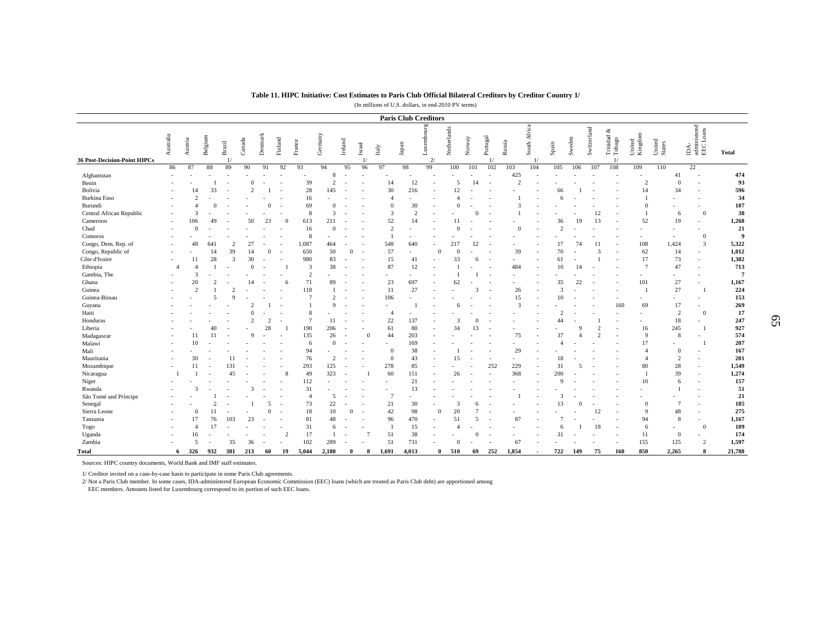| Table 11. HIPC Initiative: Cost Estimates to Paris Club Official Bilateral Creditors by Creditor Country 1/ |  |  |  |  |
|-------------------------------------------------------------------------------------------------------------|--|--|--|--|
|-------------------------------------------------------------------------------------------------------------|--|--|--|--|

(In millions of U.S. dollars, in end-2010 PV terms)

|                                     |           |                |                |                |                          |                |                          |                |                |                          |                |                |                 | <b>Paris Club Creditors</b> |                 |              |                |          |               |                       |                |                          |                |                      |                   |                          |                                   |                |
|-------------------------------------|-----------|----------------|----------------|----------------|--------------------------|----------------|--------------------------|----------------|----------------|--------------------------|----------------|----------------|-----------------|-----------------------------|-----------------|--------------|----------------|----------|---------------|-----------------------|----------------|--------------------------|----------------|----------------------|-------------------|--------------------------|-----------------------------------|----------------|
| <b>36 Post-Decision-Point HIPCs</b> | Australia | Austria        | Belgium        | Brazil         | Canada                   | Denmark        | Finland                  | France         | Germany        | Ireland                  | Israel         | <b>Italy</b>   | $_{\rm{Japan}}$ | Luxembourg<br>2/            | Netherlands     | Norway       |                | Portugal | Russia        | Africa<br>South<br>1. | Spain          | Sweden                   | Switzerland    | Trinidad &<br>Tobago | Kingdom<br>United | United<br>States         | administered<br>EEC Loans<br>IDA- | <b>Total</b>   |
|                                     | 86        | 87             | 88             | 89             | 90                       | 91             | 92                       | 93             | 94             | 95                       | 96             | 97             | 98              | 99                          |                 | 100          | 101            | 102      | 103           | 104                   | 105            | 106                      | 107            | 108                  | 109               | 110                      | 22                                |                |
| Afghanistan                         |           |                |                |                |                          |                |                          |                | 8              |                          |                |                |                 |                             |                 |              |                |          | 425           |                       |                |                          |                |                      |                   | 41                       |                                   | 474            |
| Benin                               |           |                |                |                | $\Omega$                 |                |                          | 39             | $\overline{c}$ |                          |                | 14             | 12              |                             |                 | 5            |                |          | $\mathcal{I}$ |                       |                |                          |                |                      | $\mathcal{D}$     | $\theta$                 |                                   | 93             |
| Bolivia                             |           | 14             | 33             |                | $\mathcal{D}$            |                |                          | 28             | 145            |                          |                | 30             | 216             | .,                          |                 | 12           |                |          |               |                       | 66             |                          | $\overline{a}$ | ٠                    | 14                | 34                       |                                   | 596            |
| Burkina Faso                        |           |                |                |                |                          |                |                          | 16             |                |                          |                | $\mathbf{A}$   |                 |                             |                 | 4            |                |          |               |                       | 6              |                          |                |                      |                   |                          |                                   | 34             |
| Burundi                             |           |                |                |                |                          | $\overline{0}$ |                          | 69             | $\Omega$       |                          |                | $\Omega$       | 30              |                             |                 | $\theta$     |                |          | 3             |                       |                |                          |                |                      |                   |                          |                                   | 107            |
| Central African Republic            |           | 3              |                |                |                          | ٠              |                          | 8              | 3              |                          |                | 3              | $\overline{c}$  |                             |                 |              | $\Omega$       |          |               |                       |                |                          | 12             |                      |                   | -6                       | $\Omega$                          | 38             |
| Cameroon                            | ÷,        | 106            | 49             |                | 50                       | 23             | $\Omega$                 | 613            | 211            |                          |                | 52             | 14              |                             |                 | 11           |                |          |               |                       | 36             | 19                       | 13             |                      | 52                | 19                       |                                   | 1,268          |
| Chad                                | $\sim$    | $\Omega$       |                |                |                          |                |                          | 16             | $\Omega$       |                          |                | $\overline{2}$ | $\overline{a}$  |                             |                 | $\Omega$     |                |          | $\Omega$      |                       | $\overline{2}$ |                          |                |                      |                   | $\sim$                   |                                   | 21             |
| Comoros                             |           |                |                |                |                          |                |                          | 8              |                |                          |                |                | $\sim$          |                             |                 |              |                |          |               |                       |                |                          |                |                      |                   | $\sim$                   | $\Omega$                          | $\overline{9}$ |
| Congo, Dem. Rep. of                 |           | 48             | 641            | $\overline{2}$ | 27                       |                |                          | 1,087          | 464            |                          |                | 548            | 640             |                             |                 | 217          | $\overline{2}$ |          |               |                       |                | 74                       | 11             |                      | 108               | 1,424                    | 3                                 | 5,322          |
| Congo, Republic of                  | $\sim$    |                | 14             | 39             | 14                       | $\mathbf{0}$   | - 1                      | 650            | 50             | $\overline{0}$           |                | 57             | $\sim$          |                             |                 | $\Omega$     |                |          | 39            |                       | 70             |                          | 3              |                      | 62                | 14                       | $\sim$                            | 1,012          |
| Côte d'Ivoire                       | $\sim$    | 11             | 28             | 3              | 30                       | $\sim$         | $\overline{\phantom{a}}$ | 980            | 83             |                          |                | 15             | 41              |                             |                 | 33           | 6              |          |               |                       | 61             | $\overline{\phantom{a}}$ |                | $\sim$               | 17                | 73                       | ٠                                 | 1,382          |
| Ethiopia                            | $\Delta$  |                |                |                | $\mathbf{0}$             |                |                          | $\overline{3}$ | 38             |                          |                | 87             | 12              |                             |                 |              |                |          | 484           |                       | 10             | 14                       |                |                      |                   | 47                       |                                   | 713            |
| Gambia, The                         |           | 3              |                |                |                          |                |                          | 2              |                |                          |                | in 1919.       | $\sim$          |                             |                 |              |                |          |               |                       |                |                          |                |                      | $\sim$            | $\sim$                   | $\sim$                            | $\overline{7}$ |
| Ghana                               |           | 20             | $\mathfrak{D}$ |                | 14                       |                | 6                        | 71             | 89             |                          |                | 23             | 697             |                             |                 | 62           |                |          |               |                       | 35             | 22                       | $\overline{a}$ | $\sim$               | 101               | 27                       | $\sim$                            | 1,167          |
| Guinea                              |           | $\mathcal{D}$  |                | $\mathcal{I}$  |                          |                |                          | 118            |                |                          |                | 11             | 27              |                             |                 |              | 3              |          | 26            |                       | 3              |                          |                | ٠                    |                   | 27                       |                                   | 224            |
| Guinea-Bissau                       |           |                | 5              | $\mathbf Q$    |                          |                |                          | $\overline{7}$ | $\overline{2}$ |                          |                | 106            | $\sim$          |                             |                 |              |                |          | 15            |                       | 10             |                          |                | $\sim$               |                   | $\frac{1}{2}$            |                                   | 153            |
| Guyana                              |           |                |                |                |                          |                |                          |                | $\mathbf Q$    |                          |                | $\sim$         |                 |                             |                 | 6            |                |          | 3             |                       |                |                          |                | 160                  | 69                | 17                       |                                   | 269            |
| Haiti                               |           |                |                |                |                          |                |                          | 8              |                |                          |                | $\overline{4}$ |                 |                             |                 |              |                |          |               |                       |                |                          |                |                      |                   | $\overline{2}$           | $\overline{0}$                    | 17             |
| Honduras                            |           |                |                |                | $\overline{2}$           | $\overline{2}$ |                          | $\tau$         | 11             |                          |                | 22             | 137             |                             |                 | 3            | $\Omega$       |          |               |                       | 44             |                          |                |                      |                   | 18                       |                                   | 247            |
| Liberia                             |           |                | 40             |                |                          | 28             |                          | 190            | 206            |                          |                | 61             | 80              |                             |                 | 34           | 13.            |          |               |                       |                | $\mathbf{Q}$             | $\mathcal{D}$  |                      | 16                | 245                      |                                   | 927            |
| Madagascar                          |           | 11             |                |                | $\Omega$                 |                |                          | 135            | 26             |                          | $\theta$       | 44             | 203             |                             |                 |              |                |          | 75            |                       | 37             | $\Delta$                 | $\mathcal{D}$  |                      | $\mathbf{Q}$      | $\,$ 8 $\,$              |                                   | 574            |
| Malawi                              |           | 10             |                |                |                          |                |                          | 6              | $\Omega$       |                          |                |                | 169             |                             |                 |              |                |          |               |                       |                |                          |                |                      | 17                |                          |                                   | 207            |
| Mali                                |           |                |                |                |                          |                |                          | 94             |                |                          |                | $\Omega$       | 38              |                             |                 |              |                |          | 29            |                       |                |                          |                |                      |                   | $\mathbf{0}$             |                                   | 167            |
| Mauritania                          |           | 30             |                | 11             |                          |                |                          | 76             | $\overline{c}$ |                          |                | $\Omega$       | 43              |                             |                 | 15           |                |          | $\sim$        |                       | 18             |                          |                |                      |                   | $\overline{2}$           |                                   | 201            |
| Mozambique                          |           | 11             |                | 131            |                          |                |                          | 293            | 125            |                          | $\sim$         | 278            | 85              |                             |                 |              |                | 252      | 229           |                       | 31             | 5                        |                |                      | 80                | 28                       | ٠                                 | 1,549          |
| Nicaragua                           |           |                |                | 45             | $\sim$                   |                | 8                        | 49             | 323            | $\overline{\phantom{a}}$ |                | 60             | 151             |                             |                 | 26           | $\sim$         | $\sim$   | 368           | $\sim$                | 200            |                          |                |                      | -1                | 39                       |                                   | 1,274          |
| Niger                               |           |                |                |                |                          |                |                          | 112            |                |                          |                |                | 21              |                             |                 |              |                |          |               |                       | Q              |                          |                |                      | 10                | 6                        |                                   | 157            |
| Rwanda                              |           |                |                |                | 3                        |                |                          | 31             |                |                          |                | $\sim$         | 13              |                             |                 |              |                |          |               |                       |                |                          |                |                      |                   |                          |                                   | 51             |
| São Tomé and Príncipe               |           |                |                |                |                          |                |                          | $\overline{4}$ | 5              |                          |                | $\overline{7}$ |                 |                             |                 |              |                |          |               |                       |                |                          |                |                      |                   |                          |                                   | 21             |
| Senegal                             |           |                | $\mathfrak{D}$ |                |                          | 5              |                          | 73             | 22             |                          |                | 21             | 30              |                             |                 | 3            |                |          |               |                       | 13             | $\Omega$                 |                |                      | $\Omega$          | $\overline{7}$           |                                   | 185            |
| Sierra Leone                        |           | $\Omega$       | 11             |                |                          | $\Omega$       |                          | 18             | 10             | $\Omega$                 |                | 42             | 98              |                             | $\Omega$        | 20           |                |          |               |                       |                |                          | 12             |                      | $\mathbf{Q}$      | 48                       |                                   | 275            |
| Tanzania                            |           | 17             | 76             | 103            | 23                       |                |                          | 81             | 48             |                          |                | 96             | 470             |                             |                 | 51           | 5              |          | 87            |                       |                |                          |                |                      | 94                | $\,$ 8 $\,$              |                                   | 1,167          |
| Togo                                |           | $\overline{4}$ | 17             |                |                          |                |                          | 31             | 6              |                          | $\sim$         | $\mathbf{1}$   | 15              |                             |                 | 4            |                |          |               |                       | 6              |                          | 18             | i.                   | 6                 | $\overline{\phantom{a}}$ | $\overline{0}$                    | 109            |
| Uganda                              | ٠         | 16             |                | $\sim$         | $\overline{\phantom{a}}$ |                | $\overline{2}$           | 17             |                |                          | $\overline{7}$ | 51             | 38              |                             |                 |              | $\Omega$       |          |               |                       | 31             |                          |                | $\sim$               | 11                | $\mathbf{0}$             |                                   | 174            |
| Zambia                              |           | 5              |                | 35             | 36                       |                |                          | 102            | 289            |                          |                | 51             | 731             |                             |                 | $\mathbf{0}$ |                |          | 67            |                       |                |                          |                |                      | 155               | 125                      | $\overline{2}$                    | 1,597          |
| <b>Total</b>                        | 6         | 326            | 932            | 381            | 213                      | 60             | 19                       | 5,044          | 2.180          | $\theta$                 | 8              | 1,691          | 4,013           |                             | $\theta$<br>510 |              | 69             | 252      | 1,854         |                       | 722            | 149                      | 75             | 160                  | 850               | 2,265                    | 8                                 | 21,788         |

Sources: HIPC country documents, World Bank and IMF staff estimates.

1/ Creditor invited on a case-by-case basis to participate in some Paris Club agreements.<br>2/ Not a Paris Club member. In some cases, IDA-administered European Economic Commission (EEC) loans (which are treated as Paris Clu

EEC members. Amounts listed for Luxembourg correspond to its portion of such EEC loans.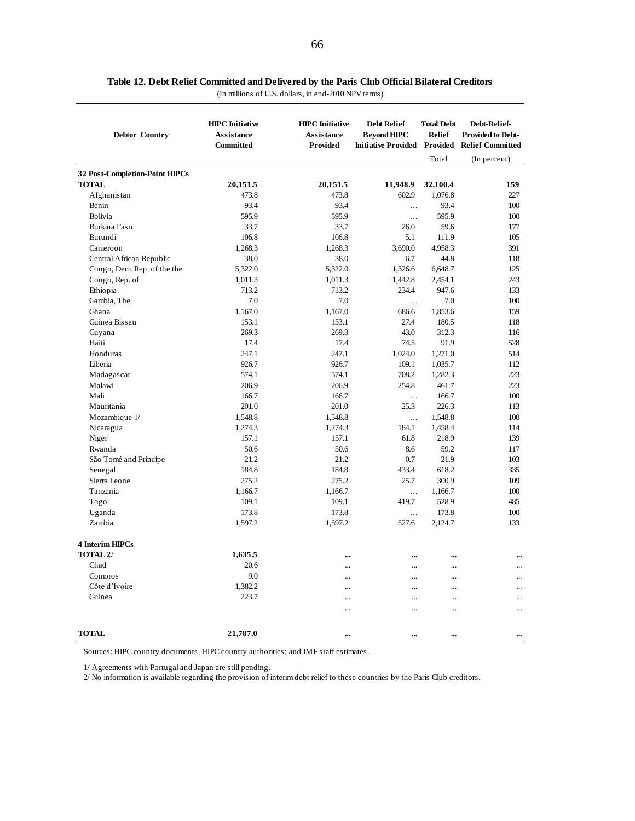| <b>Debtor Country</b>          | <b>HIPC</b> Initiative<br><b>Assistance</b><br>Committed | <b>HIPC</b> Initiative<br><b>Assistance</b><br>Provided | <b>Debt Relief</b><br><b>Bevond HIPC</b><br><b>Initiative Provided Provided</b> | <b>Total Debt</b><br><b>Relief</b> | Debt-Relief-<br>Provided to Debt-<br><b>Relief-Committed</b> |
|--------------------------------|----------------------------------------------------------|---------------------------------------------------------|---------------------------------------------------------------------------------|------------------------------------|--------------------------------------------------------------|
|                                |                                                          |                                                         |                                                                                 | Total                              | (In percent)                                                 |
| 32 Post-Completion-Point HIPCs |                                                          |                                                         |                                                                                 |                                    |                                                              |
| <b>TOTAL</b>                   | 20,151.5                                                 | 20,151.5                                                | 11,948.9                                                                        | 32,100.4                           | 159                                                          |
| Afghanistan                    | 473.8                                                    | 473.8                                                   | 602.9                                                                           | 1,076.8                            | 227                                                          |
| Benin                          | 93.4                                                     | 93.4                                                    | $\cdots$                                                                        | 93.4                               | 100                                                          |
| Bolivia                        | 595.9                                                    | 595.9                                                   | $\ldots$                                                                        | 595.9                              | 100                                                          |
| Burkina Faso                   | 33.7                                                     | 33.7                                                    | 26.0                                                                            | 59.6                               | 177                                                          |
| Burundi                        | 106.8                                                    | 106.8                                                   | 5.1                                                                             | 111.9                              | 105                                                          |
| Cameroon                       | 1,268.3                                                  | 1,268.3                                                 | 3,690.0                                                                         | 4,958.3                            | 391                                                          |
| Central African Republic       | 38.0                                                     | 38.0                                                    | 6.7                                                                             | 44.8                               | 118                                                          |
| Congo, Dem. Rep. of the the    | 5,322.0                                                  | 5,322.0                                                 | 1,326.6                                                                         | 6,648.7                            | 125                                                          |
| Congo, Rep. of                 | 1,011.3                                                  | 1,011.3                                                 | 1,442.8                                                                         | 2,454.1                            | 243                                                          |
| Ethiopia                       | 713.2                                                    | 713.2                                                   | 234.4                                                                           | 947.6                              | 133                                                          |
| Gambia, The                    | 7.0                                                      | 7.0                                                     | $\cdots$                                                                        | 7.0                                | 100                                                          |
| Ghana                          | 1,167.0                                                  | 1,167.0                                                 | 686.6                                                                           | 1,853.6                            | 159                                                          |
| Guinea Bissau                  | 153.1                                                    | 153.1                                                   | 27.4                                                                            | 180.5                              | 118                                                          |
| Guyana                         | 269.3                                                    | 269.3                                                   | 43.0                                                                            | 312.3                              | 116                                                          |
| Haiti                          | 17.4                                                     | 17.4                                                    | 74.5                                                                            | 91.9                               | 528                                                          |
| Honduras                       | 247.1                                                    | 247.1                                                   | 1,024.0                                                                         | 1,271.0                            | 514                                                          |
| Liberia                        | 926.7                                                    | 926.7                                                   | 109.1                                                                           | 1,035.7                            | 112                                                          |
| Madagascar                     | 574.1                                                    | 574.1                                                   | 708.2                                                                           | 1,282.3                            | 223                                                          |
| Malawi                         | 206.9                                                    | 206.9                                                   | 254.8                                                                           | 461.7                              | 223                                                          |
| Mali                           | 166.7                                                    | 166.7                                                   | $\ldots$                                                                        | 166.7                              | 100                                                          |
| Mauritania                     | 201.0                                                    | 201.0                                                   | 25.3                                                                            | 226.3                              | 113                                                          |
| Mozambique 1/                  | 1,548.8                                                  | 1,548.8                                                 | $\ddotsc$                                                                       | 1,548.8                            | 100                                                          |
| Nicaragua                      | 1,274.3                                                  | 1,274.3                                                 | 184.1                                                                           | 1,458.4                            | 114                                                          |
| Niger                          | 157.1                                                    | 157.1                                                   | 61.8                                                                            | 218.9                              | 139                                                          |
| Rwanda                         | 50.6                                                     | 50.6                                                    | 8.6                                                                             | 59.2                               | 117                                                          |
| São Tomé and Príncipe          | 21.2                                                     | 21.2                                                    | 0.7                                                                             | 21.9                               | 103                                                          |
| Senegal                        | 184.8                                                    | 184.8                                                   | 433.4                                                                           | 618.2                              | 335                                                          |
| Sierra Leone                   | 275.2                                                    | 275.2                                                   | 25.7                                                                            | 300.9                              | 109                                                          |
| Tanzania                       | 1,166.7                                                  | 1,166.7                                                 | $\cdots$                                                                        | 1,166.7                            | 100                                                          |
| Togo                           | 109.1                                                    | 109.1                                                   | 419.7                                                                           | 528.9                              | 485                                                          |
| Uganda                         | 173.8                                                    | 173.8                                                   | $\ldots$                                                                        | 173.8                              | 100                                                          |
| Zambia                         | 1,597.2                                                  | 1,597.2                                                 | 527.6                                                                           | 2,124.7                            | 133                                                          |
| 4 Interim HIPCs                |                                                          |                                                         |                                                                                 |                                    |                                                              |
| TOTAL <sub>2</sub> /           | 1,635.5                                                  |                                                         |                                                                                 |                                    |                                                              |
| Chad                           | 20.6                                                     |                                                         | $\ddotsc$                                                                       |                                    |                                                              |
| Comoros                        | 9.0                                                      |                                                         | $\ddotsc$                                                                       |                                    |                                                              |
| Côte d'Ivoire                  | 1,382.2                                                  |                                                         |                                                                                 | $\ddotsc$                          |                                                              |
| Guinea                         | 223.7                                                    |                                                         | $\ddotsc$                                                                       | $\ddotsc$                          | $\ddotsc$                                                    |
|                                |                                                          |                                                         | $\ddotsc$                                                                       | $\ddotsc$                          |                                                              |
| <b>TOTAL</b>                   | 21,787.0                                                 |                                                         |                                                                                 | $\ddotsc$                          |                                                              |

**Table 12. Debt Relief Committed and Delivered by the Paris Club Official Bilateral Creditors**

(In millions of U.S. dollars, in end-2010 NPV terms)

Sources: HIPC country documents, HIPC country authorities; and IMF staff estimates.

1/ Agreements with Portugal and Japan are still pending.

2/ No information is available regarding the provision of interim debt relief to these countries by the Paris Club creditors.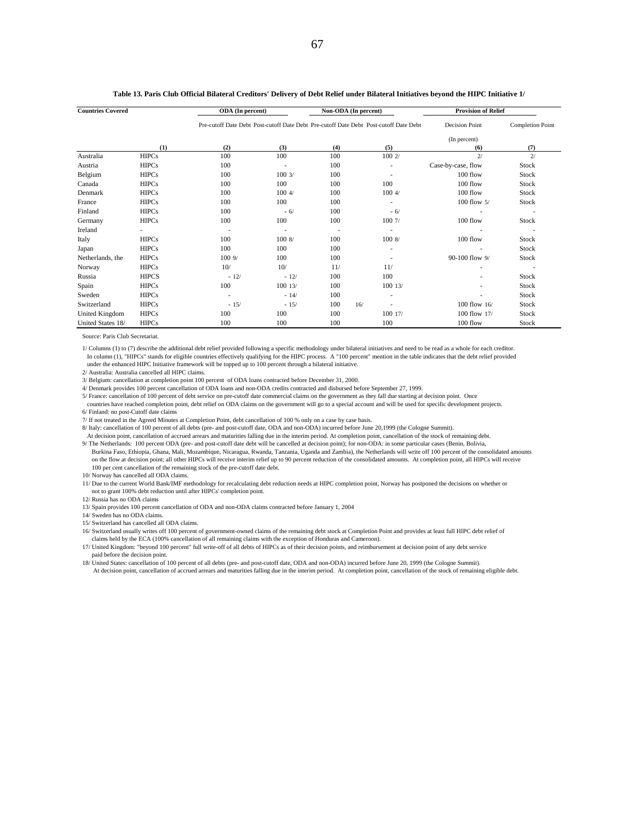| <b>Countries Covered</b> |              | ODA (In percent)                                                                      |                   |     | Non-ODA (In percent) |                          | <b>Provision of Relief</b> |                         |  |  |
|--------------------------|--------------|---------------------------------------------------------------------------------------|-------------------|-----|----------------------|--------------------------|----------------------------|-------------------------|--|--|
|                          |              | Pre-cutoff Date Debt Post-cutoff Date Debt Pre-cutoff Date Debt Post-cutoff Date Debt |                   |     |                      |                          | <b>Decision Point</b>      | <b>Completion Point</b> |  |  |
|                          |              |                                                                                       |                   |     |                      |                          | (In percent)               |                         |  |  |
|                          | (1)          | (2)                                                                                   | (3)               | (4) |                      | (5)                      | (6)                        | (7)                     |  |  |
| Australia                | <b>HIPCs</b> | 100                                                                                   | 100               | 100 |                      | 1002/                    | 2/                         | 2/                      |  |  |
| Austria                  | <b>HIPCs</b> | 100                                                                                   |                   | 100 |                      |                          | Case-by-case, flow         | Stock                   |  |  |
| Belgium                  | <b>HIPCs</b> | 100                                                                                   | 1003/             | 100 |                      | ٠                        | 100 flow                   | Stock                   |  |  |
| Canada                   | <b>HIPCs</b> | 100                                                                                   | 100               | 100 |                      | 100                      | 100 flow                   | Stock                   |  |  |
| Denmark                  | <b>HIPCs</b> | 100                                                                                   | 1004/             | 100 |                      | 1004/                    | 100 flow                   | Stock                   |  |  |
| France                   | <b>HIPCs</b> | 100                                                                                   | 100               | 100 |                      | $\overline{\phantom{m}}$ | $100$ flow $5/$            | Stock                   |  |  |
| Finland                  | <b>HIPCs</b> | 100                                                                                   | $-6/$             | 100 |                      | $-6/$                    |                            |                         |  |  |
| Germany                  | <b>HIPCs</b> | 100                                                                                   | 100               | 100 |                      | 100 7/                   | 100 flow                   | Stock                   |  |  |
| Ireland                  |              | $\overline{\phantom{a}}$                                                              | $\sim$            |     |                      | $\overline{\phantom{a}}$ |                            |                         |  |  |
| Italy                    | <b>HIPCs</b> | 100                                                                                   | $100 \frac{8}{3}$ | 100 |                      | $100 \frac{8}{3}$        | 100 flow                   | Stock                   |  |  |
| Japan                    | <b>HIPCs</b> | 100                                                                                   | 100               | 100 |                      | ٠                        |                            | Stock                   |  |  |
| Netherlands, the         | <b>HIPCs</b> | 1009/                                                                                 | 100               | 100 |                      | ٠                        | 90-100 flow 9/             | Stock                   |  |  |
| Norway                   | <b>HIPCs</b> | 10/                                                                                   | 10/               | 11/ |                      | 11/                      |                            |                         |  |  |
| Russia                   | <b>HIPCS</b> | $-12/$                                                                                | $-12/$            | 100 |                      | 100                      |                            | Stock                   |  |  |
| Spain                    | <b>HIPCs</b> | 100                                                                                   | 100 13/           | 100 |                      | 100 13/                  |                            | Stock                   |  |  |
| Sweden                   | <b>HIPCs</b> | ٠                                                                                     | $-14/$            | 100 |                      | ٠                        |                            | Stock                   |  |  |
| Switzerland              | <b>HIPCs</b> | $-15/$                                                                                | $-15/$            | 100 | 16/                  | ٠                        | 100 flow 16/               | Stock                   |  |  |
| United Kingdom           | <b>HIPCs</b> | 100                                                                                   | 100               | 100 |                      | 100 17/                  | 100 flow 17/               | Stock                   |  |  |
| United States 18/        | <b>HIPCs</b> | 100                                                                                   | 100               | 100 |                      | 100                      | 100 flow                   | Stock                   |  |  |

**Table 13. Paris Club Official Bilateral Creditors' Delivery of Debt Relief under Bilateral Initiatives beyond the HIPC Initiative 1/**

Source: Paris Club Secretariat.

1/ Columns (1) to (7) describe the additional debt relief provided following a specific methodology under bilateral initiatives and need to be read as a whole for each creditor. In column (1), "HIPCs" stands for eligible countries effectively qualifying for the HIPC process. A "100 percent" mention in the table indicates that the debt relief provided under the enhanced HIPC Initiative framework will be topped up to 100 percent through a bilateral initiative.

2/ Australia: Australia cancelled all HIPC claims.

3/ Belgium: cancellation at completion point 100 percent of ODA loans contracted before December 31, 2000.

4/ Denmark provides 100 percent cancellation of ODA loans and non-ODA credits contracted and disbursed before September 27, 1999.

5/ France: cancellation of 100 percent of debt service on pre-cutoff date commercial claims on the government as they fall due starting at decision point. Once countries have reached completion point, debt relief on ODA claims on the government will go to a special account and will be used for specific development projects. 6/ Finland: no post-Cutoff date claims

7/ If not treated in the Agreed Minutes at Completion Point, debt cancellation of 100 % only on a case by case basis.

8/ Italy: cancellation of 100 percent of all debts (pre- and post-cutoff date, ODA and non-ODA) incurred before June 20,1999 (the Cologne Summit).

At decision point, cancellation of accrued arrears and maturities falling due in the interim period. At completion point, cancellation of the stock of remaining debt.

9/ The Netherlands: 100 percent ODA (pre- and post-cutoff date debt will be cancelled at decision point); for non-ODA: in some particular cases (Benin, Bolivia, Burkina Faso, Ethiopia, Ghana, Mali, Mozambique, Nicaragua, Rwanda, Tanzania, Uganda and Zambia), the Netherlands will write off 100 percent of the consolidated amounts on the flow at decision point; all other HIPCs will receive interim relief up to 90 percent reduction of the consolidated amounts. At completion point, all HIPCs will receive 100 per cent cancellation of the remaining stock of the pre-cutoff date debt.

10/ Norway has cancelled all ODA claims.

11/ Due to the current World Bank/IMF methodology for recalculating debt reduction needs at HIPC completion point, Norway has postponed the decisions on whether or not to grant 100% debt reduction until after HIPCs' completion point.

12/ Russia has no ODA claims

13/ Spain provides 100 percent cancellation of ODA and non-ODA claims contracted before January 1, 2004

14/ Sweden has no ODA claims.

15/ Switzerland has cancelled all ODA claims.

16/ Switzerland usually writes off 100 percent of government-owned claims of the remaining debt stock at Completion Point and provides at least full HIPC debt relief of claims held by the ECA (100% cancellation of all remaining claims with the exception of Honduras and Cameroon).

17/ United Kingdom: "beyond 100 percent" full write-off of all debts of HIPCs as of their decision points, and reimbursement at decision point of any debt service paid before the decision point.

18/ United States: cancellation of 100 percent of all debts (pre- and post-cutoff date, ODA and non-ODA) incurred before June 20, 1999 (the Cologne Summit). At decision point, cancellation of accrued arrears and maturities falling due in the interim period. At completion point, cancellation of the stock of remaining eligible debt.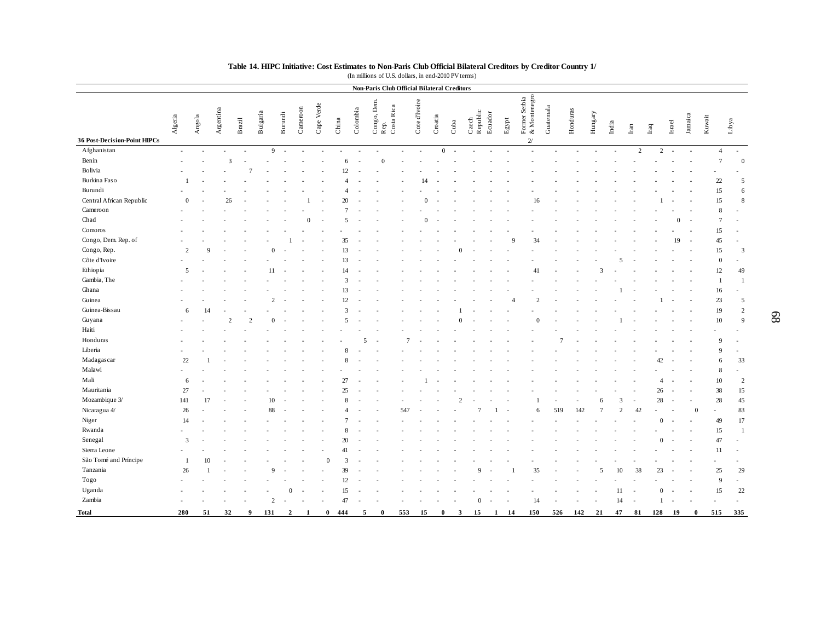|                              | Algeria                 | Angola     | Argentii       | Brazil         | Bulga | Burundi  | Cameroon   | Verde<br>Cape | China  | Colombia                       | Congo, Den<br>Rep.<br>Costa Rica                                                       |        | ď              | atia   | Cuba          |                                           |                          | Egypt | eneg<br>Former<br>& Mon |            | Honduras        | Hungary         |                |                | $_{\rm{eq}}$   |          | ंच<br>₫ | Libya           |                         |
|------------------------------|-------------------------|------------|----------------|----------------|-------|----------|------------|---------------|--------|--------------------------------|----------------------------------------------------------------------------------------|--------|----------------|--------|---------------|-------------------------------------------|--------------------------|-------|-------------------------|------------|-----------------|-----------------|----------------|----------------|----------------|----------|---------|-----------------|-------------------------|
| 36 Post-Decision-Point HIPCs |                         |            |                |                |       |          |            |               |        |                                |                                                                                        |        |                |        |               |                                           |                          |       | 2/                      |            |                 |                 |                |                |                |          |         |                 |                         |
| Afghanistan                  | $\sim$ $-$              | $\sim 100$ | $\sim 10^{-1}$ | $\sim 10^{-1}$ |       | $9 - 5$  | $\sim 100$ | $\sim$        | $\sim$ | $\sim$                         | $\sim$                                                                                 | $\sim$ | $\sim$         |        |               | $0 \rightarrow \cdots \rightarrow \cdots$ |                          |       | $\sim 10^{-1}$          | $\sim 100$ | <b>Contract</b> | $\sim 10^{-11}$ | $\sim 10^{-1}$ | $\overline{2}$ | $2 - 2$        |          |         | $\overline{4}$  | $\sim$                  |
| Benin                        | $\sim$                  |            |                | $\mathbf{a}$   |       |          |            |               |        |                                |                                                                                        |        |                |        |               |                                           |                          |       |                         |            |                 |                 |                |                |                |          |         | $\tau$          | $\overline{0}$          |
| Bolivia                      | $\sim$                  |            |                |                |       |          |            |               |        | 12                             |                                                                                        |        |                |        |               |                                           |                          |       |                         |            |                 |                 |                |                |                |          |         |                 |                         |
| Burkina Faso                 |                         |            |                |                |       |          |            |               |        |                                |                                                                                        |        | 14             |        |               |                                           |                          |       |                         |            |                 |                 |                |                |                |          |         | 22              | $\sim$                  |
| Burundi                      |                         |            |                |                |       |          |            |               |        |                                |                                                                                        |        |                |        |               |                                           |                          |       |                         |            |                 |                 |                |                |                |          |         | 15              | - 6                     |
| Central African Republic     | $\Omega$                |            | 26             |                |       |          |            |               |        | $\overline{2}$                 |                                                                                        |        |                |        |               |                                           |                          |       |                         |            |                 |                 |                |                |                |          |         | 15              | 8                       |
| Cameroon                     | $\sim$                  |            |                |                |       |          |            |               |        |                                |                                                                                        |        |                |        |               |                                           |                          |       |                         |            |                 |                 |                |                |                |          |         | 8               | $\sim$                  |
| Chad                         |                         |            |                |                |       |          |            |               |        |                                |                                                                                        |        |                |        |               |                                           |                          |       |                         |            |                 |                 |                |                |                | $\Omega$ |         | $\tau$          | $\sim$                  |
| Comoros                      |                         |            |                |                |       |          |            |               |        |                                |                                                                                        |        |                |        |               |                                           |                          |       |                         |            |                 |                 |                |                |                |          |         | 15              | $\sim$ $-$              |
| Congo, Dem. Rep. of          | $\sim$                  |            |                |                |       |          |            |               |        | 35                             |                                                                                        |        | $\overline{a}$ |        |               |                                           |                          |       | 34                      |            |                 |                 |                |                |                | 19       |         | 45              | $\sim$                  |
| Congo, Rep.                  | 2                       |            |                |                |       |          |            |               |        |                                |                                                                                        |        |                |        | $\Omega$      |                                           |                          |       |                         |            |                 |                 |                |                |                |          |         | 15              | $\overline{\mathbf{3}}$ |
| Côte d'Ivoire                | $\sim$                  |            |                |                |       |          |            |               |        | 13                             |                                                                                        |        |                |        |               |                                           |                          |       |                         |            |                 |                 | -5             |                |                |          |         | $\Omega$        | $\sim$ $-$              |
| Ethiopia                     | 5                       |            |                |                |       | 11       |            |               |        |                                |                                                                                        |        |                |        |               |                                           |                          |       | 41                      |            |                 |                 |                |                |                |          |         | 12              | 49                      |
| Gambia, The                  |                         |            |                |                |       |          |            |               |        |                                |                                                                                        |        |                |        |               |                                           |                          |       |                         |            |                 |                 |                |                |                |          |         |                 | $\overline{1}$          |
|                              | $\sim$                  |            |                |                |       |          |            |               |        |                                |                                                                                        |        |                |        |               |                                           |                          |       |                         |            |                 |                 |                |                |                |          |         |                 |                         |
| Ghana                        |                         |            |                |                |       |          |            |               |        | 13                             |                                                                                        |        |                |        |               |                                           |                          |       |                         |            |                 |                 |                |                |                |          |         | 16              | $\sim$                  |
| Guinea                       | $\sim$                  |            |                |                |       |          |            |               |        | 12<br>$\overline{\phantom{a}}$ | $\sim$                                                                                 |        | $\sim$         |        |               |                                           |                          |       |                         |            |                 |                 |                |                |                |          |         | 23              | $\overline{5}$          |
| Guinea-Bissau                | -6                      |            |                |                |       |          |            |               |        |                                |                                                                                        |        |                |        |               |                                           |                          |       |                         |            |                 |                 |                |                |                |          |         | 19              | $\overline{2}$          |
| Guyana                       |                         |            |                |                |       | $\Omega$ |            |               |        |                                |                                                                                        |        | $\sim$         |        | $\Omega$      |                                           |                          |       |                         |            |                 |                 |                |                |                |          |         | 10              | $\overline{9}$          |
| Haiti                        | $\sim$                  |            |                |                |       |          |            |               |        |                                |                                                                                        |        |                |        |               |                                           |                          |       |                         |            |                 |                 |                |                |                |          |         | $\sim$          | $\sim$                  |
| Honduras                     |                         |            |                |                |       |          |            |               |        |                                |                                                                                        |        |                |        |               |                                           |                          |       |                         |            |                 |                 |                |                |                |          |         | $\mathbf Q$     | $\sim$                  |
| Liberia                      |                         |            |                |                |       |          |            |               |        |                                |                                                                                        |        |                |        |               |                                           |                          |       |                         |            |                 |                 |                |                |                |          |         | $\mathbf Q$     | $\sim$                  |
| Madagascar                   | 22                      |            |                |                |       |          |            |               |        |                                |                                                                                        |        |                |        |               |                                           |                          |       |                         |            |                 |                 |                |                | 42             |          |         | 6               | 33                      |
| Malawi                       |                         |            |                |                |       |          |            |               |        |                                |                                                                                        |        |                |        |               |                                           |                          |       |                         |            |                 |                 |                |                |                |          |         | 8               | $\sim$                  |
| Mali                         | - 6                     |            |                |                |       |          |            |               |        | 27                             |                                                                                        |        |                | $\sim$ |               |                                           |                          |       |                         |            |                 |                 |                |                | $\overline{A}$ |          |         | 10 <sup>1</sup> | 2                       |
| Mauritania                   | 27                      |            |                |                |       |          |            |               |        | 25                             |                                                                                        |        | $\overline{a}$ |        |               |                                           |                          |       |                         |            |                 |                 |                |                | 26             |          |         | 38              | 15                      |
| Mozambique 3/                | 141                     |            |                |                |       |          |            |               |        |                                |                                                                                        |        |                |        | $\mathcal{D}$ |                                           |                          |       |                         |            |                 |                 |                |                | 28             |          |         | 28              | 45                      |
| Nicaragua 4/                 | 26                      |            |                |                |       | 88       |            |               |        |                                |                                                                                        | 547    |                |        |               |                                           |                          |       |                         | 519        | 142             |                 |                |                |                |          |         |                 | 83                      |
| Niger                        | 14                      |            |                |                |       |          |            |               |        |                                |                                                                                        |        |                |        |               |                                           |                          |       |                         |            |                 |                 |                |                | $\Omega$       |          |         | 49              | 17                      |
| Rwanda                       |                         |            |                |                |       |          |            |               |        |                                |                                                                                        |        |                |        |               |                                           |                          |       |                         |            |                 |                 |                |                |                |          |         | 15              | $\overline{1}$          |
|                              |                         |            |                |                |       |          |            |               |        |                                |                                                                                        |        |                |        |               |                                           |                          |       |                         |            |                 |                 |                |                |                |          |         |                 |                         |
| Senegal                      | $\overline{\mathbf{3}}$ |            |                |                |       |          |            |               |        | 20                             |                                                                                        |        |                |        |               |                                           |                          |       |                         |            |                 |                 |                |                | $\Omega$       |          |         | 47              | $\sim$                  |
| Sierra Leone                 | $\sim$                  |            |                |                |       |          |            |               |        |                                |                                                                                        |        |                |        |               |                                           |                          |       |                         |            |                 |                 |                |                |                |          |         | 11              | $\sim$                  |
| São Tomé and Príncipe        |                         |            |                |                |       |          |            |               |        |                                |                                                                                        |        |                |        |               |                                           |                          |       |                         |            |                 |                 |                |                |                |          |         |                 | $\sim$                  |
| Tanzania                     | 26                      |            |                |                |       |          |            |               |        | 30                             |                                                                                        |        |                |        |               | $\alpha$                                  |                          |       | 35                      |            |                 |                 | 10             | 38             | 23             |          |         | 25              | 29                      |
| Togo                         | $\sim$                  |            |                |                |       |          |            |               |        | 12                             |                                                                                        |        | $\sim$         |        |               |                                           |                          |       |                         |            |                 |                 |                |                |                |          |         | $\mathbf Q$     | $\sim$                  |
| Uganda                       | $\sim$                  |            |                |                |       |          | $\Omega$   |               |        | 15                             |                                                                                        |        |                |        |               |                                           |                          |       |                         |            |                 |                 | -11            |                | $\Omega$       |          |         | 15              | 22                      |
| Zambia                       | $\sim$                  |            |                | $\sim$         |       | $2 - 1$  | $\sim$ $-$ | $\sim$        |        | 47                             | $\sim$                                                                                 | $\sim$ | $\sim$         | $\sim$ |               | $\overline{0}$                            | the contract of the con- |       | 14                      | $\sim$     | $\sim$          | $\sim$          | 14             |                | $\mathbf{1}$   |          |         |                 | $\sim$ $-$              |
| Total                        |                         |            |                |                |       |          |            |               |        |                                | 280 51 32 9 131 2 1 0 444 5 0 553 15 0 3 15 1 14 150 526 142 21 47 81 128 19 0 515 335 |        |                |        |               |                                           |                          |       |                         |            |                 |                 |                |                |                |          |         |                 |                         |

#### Table 14. HIPC Initiative: Cost Estimates to Non-Paris Club Official Bilateral Creditors by Creditor Country 1/

(In millions of U.S. dollars, in end-2010 PV terms) (In millions of U.S. dollars, in end-2010 PV terms)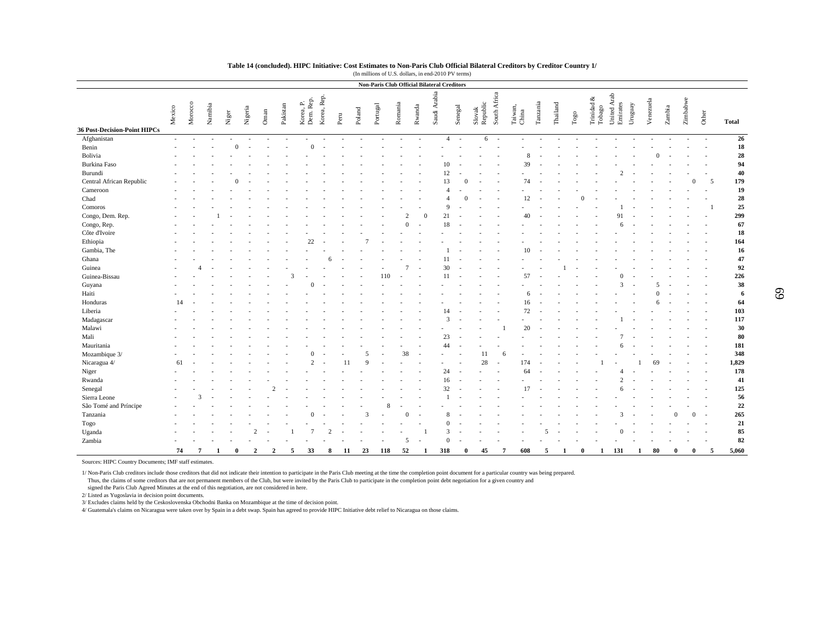|                              |                |         |               |                |                |               |                |          |                        |                          |      |        | <b>Non-Paris Club Official Bilateral Creditors</b> |         |                                  |              |                |                          |                    |                          |                  |          |          |                                            |                                                                      |                         |         |           |        |          |       |                 |
|------------------------------|----------------|---------|---------------|----------------|----------------|---------------|----------------|----------|------------------------|--------------------------|------|--------|----------------------------------------------------|---------|----------------------------------|--------------|----------------|--------------------------|--------------------|--------------------------|------------------|----------|----------|--------------------------------------------|----------------------------------------------------------------------|-------------------------|---------|-----------|--------|----------|-------|-----------------|
| 36 Post-Decision-Point HIPCs | Mexico         | Morocco | Namibia       | Niger          |                | Nigeria       | Oman           | Pakistan | Korea, P.<br>Dem. Rep. | Korea, Rep.              | Peru | Poland | Portugal                                           | Romania | Rwanda                           | Saudi Arabia |                | Senegal                  | Slovak<br>Republic | South Africa             | Taiwan,<br>China | Tanzania | Thailand | $\mathbf{T}\mathbf{0}\mathbf{g}\mathbf{0}$ | $\begin{array}{l} \text{Trindad}\ \& \\ \text{Tobag} \\ \end{array}$ | United Arab<br>Emirates | Uruguay | Venezuela | Zambia | Zimbabwe | Other | <b>Total</b>    |
| Afghanistan                  | $\sim$         | ٠       |               |                |                |               |                |          |                        |                          |      |        |                                                    |         |                                  |              | $\overline{4}$ | $\sim$                   | 6                  | $\overline{\phantom{a}}$ |                  |          |          |                                            |                                                                      |                         |         |           |        |          |       | 26              |
| Benin                        | $\overline{a}$ |         |               |                | $\overline{0}$ | $\sim$        |                |          | $\mathbf{0}$           | $\overline{\phantom{a}}$ |      |        |                                                    |         |                                  |              |                | $\overline{\phantom{a}}$ |                    |                          |                  |          |          |                                            |                                                                      |                         |         |           |        |          |       | 18              |
| Bolivia                      |                |         |               |                |                |               |                |          |                        |                          |      |        |                                                    |         |                                  |              |                |                          |                    |                          | 8                |          |          |                                            |                                                                      |                         |         |           |        |          |       | 28              |
| Burkina Faso                 |                |         |               |                |                |               |                |          |                        |                          |      |        |                                                    |         |                                  |              | 10             |                          |                    |                          | 39               |          |          |                                            |                                                                      |                         |         |           |        |          |       | 94              |
| Burundi                      |                |         |               |                |                |               |                |          |                        |                          |      |        |                                                    |         |                                  |              | 12             |                          |                    |                          |                  |          |          |                                            |                                                                      |                         |         |           |        |          |       | 40              |
| Central African Republic     |                |         |               |                |                |               |                |          |                        |                          |      |        |                                                    |         |                                  |              | 13             |                          |                    |                          | 74               |          |          |                                            |                                                                      |                         |         |           |        | $\Omega$ |       | 179<br>5        |
| Cameroon                     |                |         |               |                |                |               |                |          |                        |                          |      |        |                                                    |         |                                  |              |                |                          |                    |                          |                  |          |          |                                            |                                                                      |                         |         |           |        |          |       | 19              |
| Chad                         |                |         |               |                |                |               |                |          |                        |                          |      |        |                                                    |         |                                  |              |                |                          |                    |                          | 12               |          |          |                                            |                                                                      |                         |         |           |        |          |       | 28              |
| Comoros                      |                |         |               |                |                |               |                |          |                        |                          |      |        |                                                    |         |                                  |              | $\mathbf Q$    |                          |                    |                          |                  |          |          |                                            |                                                                      |                         |         |           |        |          |       | $25\,$          |
| Congo, Dem. Rep.             |                |         |               |                |                |               |                |          |                        |                          |      |        |                                                    |         |                                  | $\Omega$     | 21             |                          |                    |                          | 40               |          |          |                                            |                                                                      | 91                      |         |           |        |          |       | 299             |
| Congo, Rep.                  |                |         |               |                |                |               |                |          |                        |                          |      |        |                                                    |         | $\Omega$                         |              | 18             |                          |                    |                          |                  |          |          |                                            |                                                                      | 6                       |         |           |        |          |       | 67              |
| Côte d'Ivoire                |                |         |               |                |                |               |                |          |                        |                          |      |        |                                                    |         |                                  |              |                |                          |                    |                          |                  |          |          |                                            |                                                                      |                         |         |           |        |          |       | 18              |
| Ethiopia                     |                |         |               |                |                |               |                |          | 22                     |                          |      |        |                                                    |         |                                  |              |                |                          |                    |                          |                  |          |          |                                            |                                                                      |                         |         |           |        |          |       | 164             |
| Gambia, The                  |                |         |               |                |                |               |                |          |                        |                          |      |        |                                                    |         |                                  |              |                |                          |                    |                          | 10               |          |          |                                            |                                                                      |                         |         |           |        |          |       | 16              |
| Ghana                        |                |         |               |                |                |               |                |          |                        | 6                        |      |        |                                                    |         |                                  |              | 11             |                          |                    |                          |                  |          |          |                                            |                                                                      |                         |         |           |        |          |       | 47              |
| Guinea                       |                |         |               |                |                |               |                |          |                        |                          |      |        |                                                    |         | $\overline{7}$<br>$\overline{a}$ |              | 30             | $\overline{a}$           |                    |                          |                  |          |          |                                            |                                                                      |                         |         |           |        |          |       | 92              |
| Guinea-Bissau                |                |         |               |                |                |               |                |          |                        |                          |      |        | 110                                                |         |                                  |              | 11             | $\sim$                   |                    |                          | 57               |          |          |                                            |                                                                      |                         |         |           |        |          |       | 226             |
| Guyana                       |                |         |               |                |                |               |                |          |                        |                          |      |        |                                                    |         |                                  |              |                |                          |                    |                          |                  |          |          |                                            |                                                                      | $\mathbf{3}$            |         |           |        |          |       | 38              |
| Haiti                        |                |         |               |                |                |               |                |          |                        |                          |      |        |                                                    |         |                                  |              |                |                          |                    |                          | 6                |          |          |                                            |                                                                      |                         |         |           |        |          |       | $6\phantom{1}6$ |
| Honduras                     | 14             |         |               |                |                |               |                |          |                        |                          |      |        |                                                    |         |                                  |              |                |                          |                    |                          | 16               |          |          |                                            |                                                                      |                         |         | 6         |        |          |       | 64              |
| Liberia                      |                |         |               |                |                |               |                |          |                        |                          |      |        |                                                    |         |                                  |              | 14             |                          |                    |                          | 72               |          |          |                                            |                                                                      |                         |         |           |        |          |       | 103             |
| Madagascar                   |                |         |               |                |                |               |                |          |                        |                          |      |        |                                                    |         |                                  |              | 3              |                          |                    |                          |                  |          |          |                                            |                                                                      |                         |         |           |        |          |       | 117             |
| Malawi                       |                |         |               |                |                |               |                |          |                        |                          |      |        |                                                    |         |                                  |              |                |                          |                    |                          | 20               |          |          |                                            |                                                                      |                         |         |           |        |          |       | 30              |
| Mali                         |                |         |               |                |                |               |                |          |                        |                          |      |        |                                                    |         |                                  |              | 23             |                          |                    |                          |                  |          |          |                                            |                                                                      |                         |         |           |        |          |       | 80              |
| Mauritania                   |                |         |               |                |                |               |                |          |                        |                          |      |        |                                                    |         |                                  |              | 44             |                          |                    |                          |                  |          |          |                                            |                                                                      |                         |         |           |        |          |       | 181             |
| Mozambique 3/                |                |         |               |                |                |               |                |          |                        |                          |      |        |                                                    | 38      |                                  |              |                | $\sim$                   | 11                 | 6                        |                  |          |          |                                            |                                                                      |                         |         |           |        |          |       | 348             |
| Nicaragua 4/                 | 61             |         |               |                |                |               |                |          | $\mathcal{D}$          |                          | 11   | C      |                                                    |         |                                  |              |                | $\overline{\phantom{a}}$ | 28                 |                          | 174              |          |          |                                            |                                                                      |                         |         |           |        |          |       | 1,829           |
| Niger                        |                |         |               |                |                |               |                |          |                        |                          |      |        |                                                    |         |                                  |              | 24             | $\overline{\phantom{a}}$ |                    | $\overline{\phantom{a}}$ | 64               |          |          |                                            |                                                                      |                         |         |           |        |          |       | 178             |
| Rwanda                       |                |         |               |                |                |               |                |          |                        |                          |      |        |                                                    |         |                                  |              | 16             |                          |                    |                          |                  |          |          |                                            |                                                                      |                         |         |           |        |          |       | 41              |
| Senegal                      |                |         |               |                |                |               | າ              |          |                        |                          |      |        |                                                    |         |                                  |              | 32             | $\overline{\phantom{a}}$ |                    |                          | 17               |          |          |                                            |                                                                      | 6                       |         |           |        |          |       | 125             |
| Sierra Leone                 |                |         | $\mathcal{R}$ |                |                |               |                |          |                        |                          |      |        |                                                    |         |                                  |              |                |                          |                    |                          |                  |          |          |                                            |                                                                      |                         |         |           |        |          |       | 56              |
| São Tomé and Príncipe        |                |         |               |                |                |               |                |          |                        |                          |      |        | 8                                                  |         |                                  |              |                |                          |                    |                          |                  |          |          |                                            |                                                                      |                         |         |           |        |          |       | 22              |
| Tanzania                     |                |         |               |                |                |               |                |          | $\Omega$               |                          |      | р      |                                                    |         | $\Omega$                         |              |                |                          |                    |                          |                  |          |          |                                            |                                                                      | $\mathcal{R}$           |         |           |        | $\Omega$ |       | 265             |
| Togo                         |                |         |               |                |                |               |                |          |                        |                          |      |        |                                                    |         |                                  |              |                |                          |                    |                          |                  |          |          |                                            |                                                                      |                         |         |           |        |          |       | 21              |
| Uganda                       |                |         |               |                |                | 2             |                |          |                        | $\overline{2}$           |      |        |                                                    |         |                                  |              | $\mathbf{3}$   |                          |                    |                          |                  | 5        |          |                                            |                                                                      | $\Omega$                |         |           |        |          |       | 85              |
| Zambia                       |                |         |               |                |                |               |                |          |                        |                          |      |        |                                                    |         | 5                                |              |                |                          |                    |                          |                  |          |          |                                            |                                                                      |                         |         |           |        |          |       | 82              |
|                              | 74             |         | $\mathbf{7}$  | $\blacksquare$ | $\theta$       | $\mathcal{D}$ | $\overline{2}$ | 5        | 33                     | 8                        | 11   | 23     | 118                                                | 52      |                                  | $\mathbf{1}$ | 318            |                          | 45                 |                          | 608              | 5        |          |                                            | $\mathbf{1}$                                                         | 131                     |         | 80        |        |          |       | 5.060<br>5      |

#### **Table 14 (concluded). HIPC Initiative: Cost Estimates to Non-Paris Club Official Bilateral Creditors by Creditor Country 1/**

(In millions of U.S. dollars, in end-2010 PV terms)

3/ Excludes claims held by the Ceskoslovenska Obchodni Banka on Mozambique at the time of decision point.

signed the Paris Club Agreed Minutes at the end of this negotiation, are not considered in here.

Sources: HIPC Country Documents; IMF staff estimates.

2/ Listed as Yugoslavia in decision point documents.

4/ Guatemala's claims on Nicaragua were taken over by Spain in a debt swap. Spain has agreed to provide HIPC Initiative debt relief to Nicaragua on those claims.

1/ Non-Paris Club creditors include those creditors that did not indicate their intention to participate in the Paris Club meeting at the time the completion point document for a particular country was being prepared. Thus, the claims of some creditors that are not permanent members of the Club, but were invited by the Paris Club to participate in the completion point debt negotiation for a given country and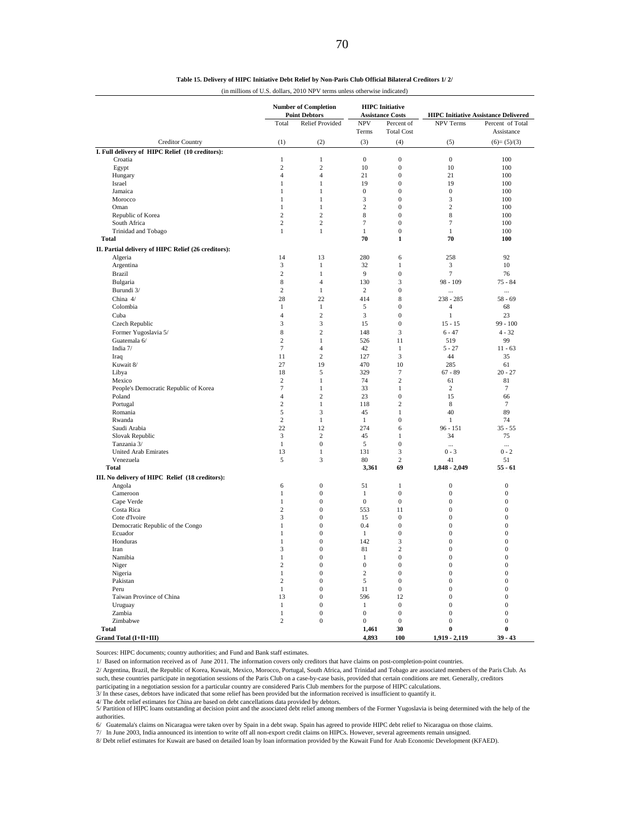| Table 15. Delivery of HIPC Initiative Debt Relief by Non-Paris Club Official Bilateral Creditors 1/2/ |  |  |  |  |  |  |  |  |  |  |
|-------------------------------------------------------------------------------------------------------|--|--|--|--|--|--|--|--|--|--|
|-------------------------------------------------------------------------------------------------------|--|--|--|--|--|--|--|--|--|--|

(in millions of U.S. dollars, 2010 NPV terms unless otherwise indicated)

|                                                     | <b>Number of Completion</b><br><b>Point Debtors</b> |                                      |                                | <b>HIPC</b> Initiative<br><b>Assistance Costs</b> | <b>HIPC Initiative Assistance Delivered</b> |                                      |  |  |
|-----------------------------------------------------|-----------------------------------------------------|--------------------------------------|--------------------------------|---------------------------------------------------|---------------------------------------------|--------------------------------------|--|--|
|                                                     | Total                                               | <b>Relief Provided</b>               | <b>NPV</b><br>Terms            | Percent of<br><b>Total Cost</b>                   | NPV Terms                                   | Percent of Total<br>Assistance       |  |  |
| <b>Creditor Country</b>                             | (1)                                                 | (2)                                  | (3)                            | (4)                                               | (5)                                         | $(6)=(5)/(3)$                        |  |  |
| I. Full delivery of HIPC Relief (10 creditors):     |                                                     |                                      |                                |                                                   |                                             |                                      |  |  |
| Croatia                                             | $\mathbf{1}$                                        | $\mathbf{1}$                         | $\mathbf{0}$                   | $\mathbf{0}$                                      | $\mathbf{0}$                                | 100                                  |  |  |
| Egypt                                               | $\overline{c}$                                      | $\overline{c}$                       | 10                             | $\boldsymbol{0}$                                  | 10                                          | 100                                  |  |  |
| Hungary                                             | $\overline{4}$                                      | $\overline{4}$                       | 21                             | $\boldsymbol{0}$                                  | 21                                          | 100                                  |  |  |
| Israel                                              | $\mathbf{1}$                                        | $\mathbf{1}$                         | 19                             | $\boldsymbol{0}$                                  | 19                                          | 100                                  |  |  |
| Jamaica                                             | $\mathbf{1}$                                        | $\mathbf{1}$                         | $\boldsymbol{0}$               | $\mathbf{0}$                                      | $\boldsymbol{0}$                            | 100                                  |  |  |
| Morocco                                             | $\mathbf{1}$                                        | $\mathbf{1}$                         | $\overline{3}$                 | $\mathbf{0}$                                      | 3                                           | 100                                  |  |  |
| Oman                                                | $\mathbf{1}$                                        | $\mathbf{1}$                         | $\overline{2}$                 | $\mathbf{0}$                                      | $\overline{c}$                              | 100                                  |  |  |
| Republic of Korea                                   | $\overline{c}$                                      | $\overline{2}$                       | $\,$ 8 $\,$                    | $\mathbf{0}$                                      | 8                                           | 100                                  |  |  |
| South Africa                                        | $\overline{c}$<br>$\mathbf{1}$                      | $\overline{c}$<br>$\mathbf{1}$       | $\tau$<br>$\mathbf{1}$         | $\mathbf{0}$<br>$\mathbf{0}$                      | 7<br>$\mathbf{1}$                           | 100                                  |  |  |
| Trinidad and Tobago<br><b>Total</b>                 |                                                     |                                      | 70                             | $\mathbf{1}$                                      | 70                                          | 100<br>100                           |  |  |
|                                                     |                                                     |                                      |                                |                                                   |                                             |                                      |  |  |
| II. Partial delivery of HIPC Relief (26 creditors): |                                                     |                                      |                                |                                                   |                                             |                                      |  |  |
| Algeria                                             | 14                                                  | 13                                   | 280                            | 6                                                 | 258                                         | 92                                   |  |  |
| Argentina                                           | 3<br>$\overline{c}$                                 | $\mathbf{1}$                         | 32<br>9                        | $\mathbf{1}$                                      | 3                                           | 10                                   |  |  |
| <b>Brazil</b>                                       |                                                     | $\mathbf{1}$                         |                                | $\boldsymbol{0}$                                  | $\overline{7}$                              | 76                                   |  |  |
| Bulgaria                                            | 8                                                   | $\overline{4}$                       | 130                            | 3                                                 | $98 - 109$                                  | $75 - 84$                            |  |  |
| Burundi 3/                                          | $\overline{c}$                                      | $\mathbf{1}$                         | 2                              | $\boldsymbol{0}$                                  | $\cdots$                                    | $\cdots$                             |  |  |
| China 4/                                            | 28                                                  | 22                                   | 414                            | 8                                                 | $238 - 285$                                 | $58 - 69$                            |  |  |
| Colombia                                            | $\mathbf{1}$                                        | 1                                    | 5                              | $\mathbf{0}$                                      | $\overline{4}$                              | 68                                   |  |  |
| Cuba                                                | $\overline{4}$                                      | $\overline{c}$                       | 3                              | $\boldsymbol{0}$                                  | $\mathbf{1}$                                | 23                                   |  |  |
| Czech Republic                                      | 3                                                   | 3                                    | 15                             | $\mathbf{0}$                                      | $15 - 15$                                   | $99 - 100$                           |  |  |
| Former Yugoslavia 5/                                | 8                                                   | $\overline{2}$                       | 148                            | $\mathfrak{Z}$                                    | $6 - 47$                                    | $4 - 32$                             |  |  |
| Guatemala 6/                                        | $\overline{c}$                                      | $\mathbf{1}$                         | 526                            | 11                                                | 519                                         | 99                                   |  |  |
| India 7/                                            | $\overline{7}$                                      | $\overline{4}$                       | 42                             | $\mathbf{1}$                                      | $5 - 27$                                    | $11 - 63$                            |  |  |
| Iraq<br>Kuwait 8/                                   | 11<br>27                                            | $\overline{2}$<br>19                 | 127<br>470                     | 3<br>10                                           | 44<br>285                                   | 35<br>61                             |  |  |
|                                                     | 18                                                  | 5                                    | 329                            | 7                                                 | $67 - 89$                                   | $20 - 27$                            |  |  |
| Libya<br>Mexico                                     | $\overline{c}$                                      | $\mathbf{1}$                         | 74                             | $\overline{c}$                                    | 61                                          | 81                                   |  |  |
| People's Democratic Republic of Korea               | $\tau$                                              | $\mathbf{1}$                         | 33                             | $\mathbf{1}$                                      | $\overline{c}$                              | $\overline{7}$                       |  |  |
| Poland                                              | $\overline{4}$                                      | $\overline{c}$                       | 23                             | $\boldsymbol{0}$                                  | 15                                          | 66                                   |  |  |
| Portugal                                            | $\overline{c}$                                      | $\mathbf{1}$                         | 118                            | $\overline{c}$                                    | 8                                           | 7                                    |  |  |
| Romania                                             | 5                                                   | 3                                    | 45                             | $\mathbf{1}$                                      | 40                                          | 89                                   |  |  |
| Rwanda                                              | $\overline{c}$                                      | $\mathbf{1}$                         | $\mathbf{1}$                   | $\mathbf{0}$                                      | $\mathbf{1}$                                | 74                                   |  |  |
| Saudi Arabia                                        | 22                                                  | 12                                   | 274                            | 6                                                 | $96 - 151$                                  | $35 - 55$                            |  |  |
| Slovak Republic                                     | 3                                                   | $\overline{2}$                       | 45                             | $\mathbf{1}$                                      | 34                                          | 75                                   |  |  |
| Tanzania 3/                                         | 1                                                   | $\boldsymbol{0}$                     | 5                              | $\boldsymbol{0}$                                  | $\cdots$                                    |                                      |  |  |
| <b>United Arab Emirates</b>                         | 13                                                  | $\mathbf{1}$                         | 131                            | 3                                                 | $0 - 3$                                     | $0 - 2$                              |  |  |
| Venezuela                                           | 5                                                   | 3                                    | 80                             | $\mathbf{2}$                                      | 41                                          | 51                                   |  |  |
| <b>Total</b>                                        |                                                     |                                      | 3,361                          | 69                                                | $1,848 - 2,049$                             | $55 - 61$                            |  |  |
| III. No delivery of HIPC Relief (18 creditors):     |                                                     |                                      |                                |                                                   |                                             |                                      |  |  |
| Angola                                              | 6                                                   | $\boldsymbol{0}$                     | 51                             | $\mathbf{1}$                                      | $\boldsymbol{0}$                            | $\mathbf{0}$                         |  |  |
| Cameroon                                            | 1                                                   | $\boldsymbol{0}$                     | $\mathbf{1}$                   | $\boldsymbol{0}$                                  | $\boldsymbol{0}$                            | $\boldsymbol{0}$                     |  |  |
| Cape Verde                                          | $\mathbf{1}$                                        | $\boldsymbol{0}$                     | $\mathbf{0}$                   | $\mathbf{0}$                                      | $\boldsymbol{0}$                            | $\mathbf{0}$                         |  |  |
| Costa Rica                                          | $\overline{c}$                                      | $\boldsymbol{0}$                     | 553                            | 11                                                | $\boldsymbol{0}$                            | $\boldsymbol{0}$                     |  |  |
| Cote d'Ivoire                                       | 3                                                   | $\boldsymbol{0}$                     | 15                             | $\mathbf{0}$                                      | $\boldsymbol{0}$                            | $\boldsymbol{0}$                     |  |  |
| Democratic Republic of the Congo                    | $\mathbf{1}$                                        | $\boldsymbol{0}$                     | 0.4                            | $\boldsymbol{0}$                                  | $\mathbf{0}$                                | $\boldsymbol{0}$                     |  |  |
| Ecuador                                             | $\mathbf{1}$                                        | $\boldsymbol{0}$                     | $\mathbf{1}$                   | $\boldsymbol{0}$                                  | $\mathbf{0}$                                | $\boldsymbol{0}$                     |  |  |
| Honduras                                            | $\mathbf{1}$                                        | $\boldsymbol{0}$                     | 142                            | 3                                                 | $\mathbf{0}$                                | $\boldsymbol{0}$                     |  |  |
| Iran                                                | 3                                                   | $\boldsymbol{0}$                     | 81                             | $\mathbf{2}$                                      | $\mathbf{0}$                                | $\boldsymbol{0}$                     |  |  |
| Namibia                                             | $\mathbf{1}$                                        | $\boldsymbol{0}$                     | 1                              | $\mathbf{0}$                                      | $\boldsymbol{0}$                            | $\mathbf{0}$                         |  |  |
| Niger<br>Nigeria                                    | 2<br>$\mathbf{1}$                                   | $\boldsymbol{0}$<br>$\boldsymbol{0}$ | $\boldsymbol{0}$<br>$\sqrt{2}$ | $\boldsymbol{0}$<br>$\boldsymbol{0}$              | $\boldsymbol{0}$<br>$\boldsymbol{0}$        | $\boldsymbol{0}$<br>$\boldsymbol{0}$ |  |  |
| Pakistan                                            | $\overline{c}$                                      | $\boldsymbol{0}$                     | 5                              | $\boldsymbol{0}$                                  | $\boldsymbol{0}$                            | $\boldsymbol{0}$                     |  |  |
| Peru                                                | $\mathbf{1}$                                        | $\boldsymbol{0}$                     | 11                             | $\bf{0}$                                          | $\boldsymbol{0}$                            | $\boldsymbol{0}$                     |  |  |
| Taiwan Province of China                            | 13                                                  | $\boldsymbol{0}$                     | 596                            | 12                                                | $\mathbf{0}$                                | $\boldsymbol{0}$                     |  |  |
| Uruguay                                             | $\mathbf{1}$                                        | $\boldsymbol{0}$                     | $\mathbf{1}$                   | $\bf{0}$                                          | $\boldsymbol{0}$                            | $\boldsymbol{0}$                     |  |  |
| Zambia                                              | $\mathbf{1}$                                        | $\boldsymbol{0}$                     | $\bf{0}$                       | $\boldsymbol{0}$                                  | $\boldsymbol{0}$                            | $\boldsymbol{0}$                     |  |  |
| Zimbabwe                                            | $\overline{c}$                                      | $\boldsymbol{0}$                     | $\boldsymbol{0}$               | $\bf{0}$                                          | $\boldsymbol{0}$                            | $\boldsymbol{0}$                     |  |  |
| <b>Total</b>                                        |                                                     |                                      | 1,461                          | 30                                                | 0                                           | $\bf{0}$                             |  |  |
| Grand Total (I+II+III)                              |                                                     |                                      | 4,893                          | 100                                               | $1,919 - 2,119$                             | $39 - 43$                            |  |  |

Sources: HIPC documents; country authorities; and Fund and Bank staff estimates.

1/ Based on information received as of June 2011. The information covers only creditors that have claims on post-completion-point countries.

2/ Argentina, Brazil, the Republic of Korea, Kuwait, Mexico, Morocco, Portugal, South Africa, and Trinidad and Tobago are associated members of the Paris Club. As such, these countries participate in negotiation sessions of the Paris Club on a case-by-case basis, provided that certain conditions are met. Generally, creditors

participating in a negotiation session for a particular country are considered Paris Club members for the purpose of HIPC calculations.<br>3/ In these cases, debtors have indicated that some relief has been provided but the i

4/ The debt relief estimates for China are based on debt cancellations data provided by debtors.<br>5/ Partition of HIPC loans outstanding at decision point and the associated debt relief among members of the Former Yugoslavi authorities.

6/ Guatemala's claims on Nicaragua were taken over by Spain in a debt swap. Spain has agreed to provide HIPC debt relief to Nicaragua on those claims.

7/ In June 2003, India announced its intention to write off all non-export credit claims on HIPCs. However, several agreements remain unsigned.

8/ Debt relief estimates for Kuwait are based on detailed loan by loan information provided by the Kuwait Fund for Arab Economic Development (KFAED).